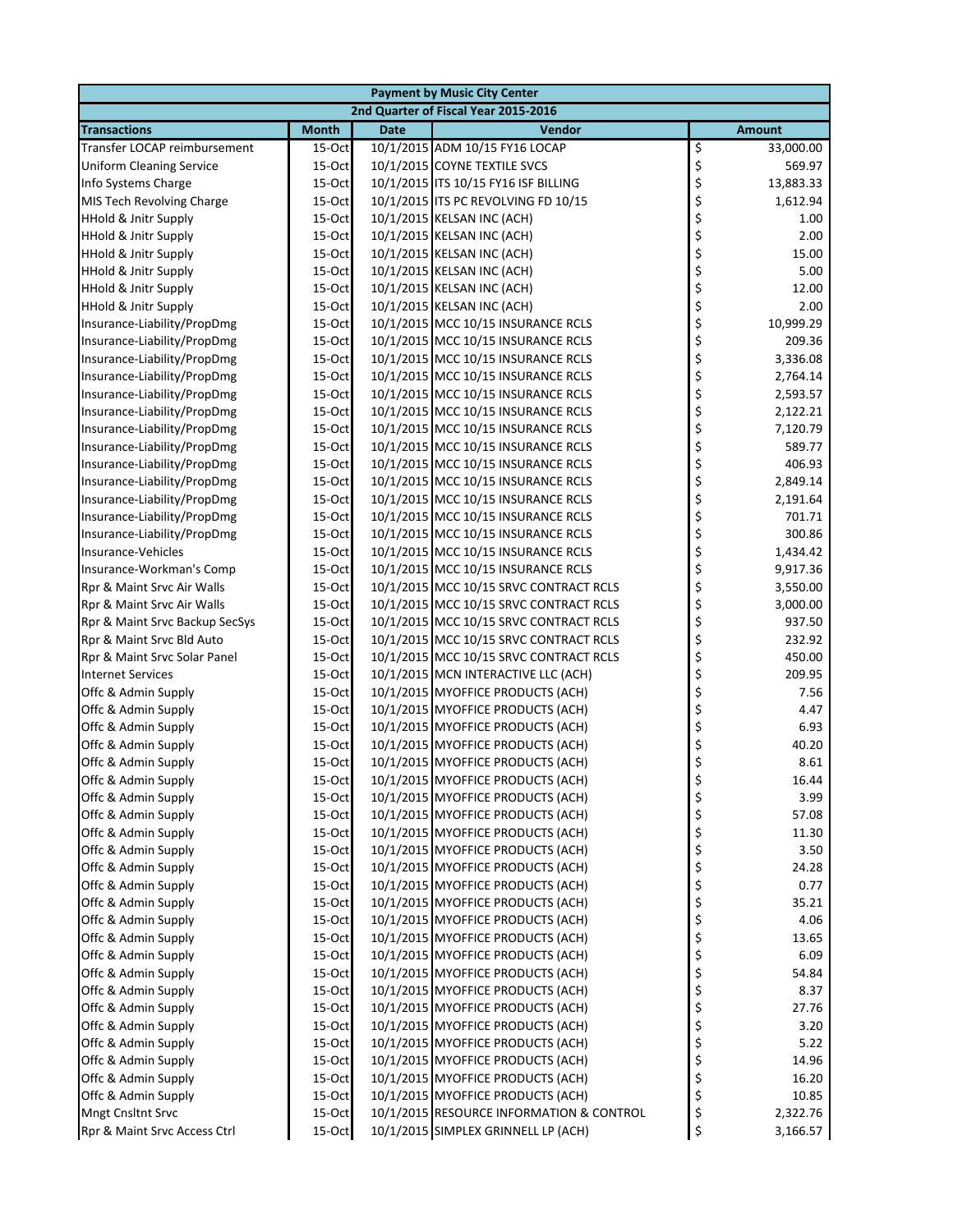|                                 |              |             | <b>Payment by Music City Center</b>      |                 |
|---------------------------------|--------------|-------------|------------------------------------------|-----------------|
|                                 |              |             | 2nd Quarter of Fiscal Year 2015-2016     |                 |
| <b>Transactions</b>             | <b>Month</b> | <b>Date</b> | <b>Vendor</b>                            | <b>Amount</b>   |
| Transfer LOCAP reimbursement    | $15$ -Oct    |             | 10/1/2015 ADM 10/15 FY16 LOCAP           | \$<br>33,000.00 |
| <b>Uniform Cleaning Service</b> | 15-Oct       |             | 10/1/2015 COYNE TEXTILE SVCS             | \$<br>569.97    |
| Info Systems Charge             | 15-Oct       |             | 10/1/2015 ITS 10/15 FY16 ISF BILLING     | \$<br>13,883.33 |
| MIS Tech Revolving Charge       | 15-Oct       |             | 10/1/2015 ITS PC REVOLVING FD 10/15      | \$<br>1,612.94  |
| <b>HHold &amp; Jnitr Supply</b> | 15-Oct       |             | 10/1/2015 KELSAN INC (ACH)               | \$<br>1.00      |
| <b>HHold &amp; Jnitr Supply</b> | 15-Oct       |             | 10/1/2015 KELSAN INC (ACH)               | \$<br>2.00      |
| <b>HHold &amp; Jnitr Supply</b> | $15-Oct$     |             | 10/1/2015 KELSAN INC (ACH)               | \$<br>15.00     |
| <b>HHold &amp; Jnitr Supply</b> | 15-Oct       |             | 10/1/2015 KELSAN INC (ACH)               | \$<br>5.00      |
| <b>HHold &amp; Jnitr Supply</b> | 15-Oct       |             | 10/1/2015 KELSAN INC (ACH)               | \$<br>12.00     |
| <b>HHold &amp; Jnitr Supply</b> | 15-Oct       |             | 10/1/2015 KELSAN INC (ACH)               | \$<br>2.00      |
| Insurance-Liability/PropDmg     | 15-Oct       |             | 10/1/2015 MCC 10/15 INSURANCE RCLS       | \$<br>10,999.29 |
| Insurance-Liability/PropDmg     | 15-Oct       |             | 10/1/2015 MCC 10/15 INSURANCE RCLS       | \$<br>209.36    |
| Insurance-Liability/PropDmg     | 15-Oct       |             | 10/1/2015 MCC 10/15 INSURANCE RCLS       | \$<br>3,336.08  |
| Insurance-Liability/PropDmg     | 15-Oct       |             | 10/1/2015 MCC 10/15 INSURANCE RCLS       | \$<br>2,764.14  |
| Insurance-Liability/PropDmg     | $15-Oct$     |             | 10/1/2015 MCC 10/15 INSURANCE RCLS       | \$<br>2,593.57  |
| Insurance-Liability/PropDmg     | $15-Oct$     |             | 10/1/2015 MCC 10/15 INSURANCE RCLS       | \$<br>2,122.21  |
| Insurance-Liability/PropDmg     | 15-Oct       |             | 10/1/2015 MCC 10/15 INSURANCE RCLS       | \$<br>7,120.79  |
| Insurance-Liability/PropDmg     | 15-Oct       |             | 10/1/2015 MCC 10/15 INSURANCE RCLS       | \$<br>589.77    |
| Insurance-Liability/PropDmg     | 15-Oct       |             | 10/1/2015 MCC 10/15 INSURANCE RCLS       | \$<br>406.93    |
| Insurance-Liability/PropDmg     | 15-Oct       |             | 10/1/2015 MCC 10/15 INSURANCE RCLS       | \$<br>2,849.14  |
| Insurance-Liability/PropDmg     | 15-Oct       |             | 10/1/2015 MCC 10/15 INSURANCE RCLS       | \$<br>2,191.64  |
| Insurance-Liability/PropDmg     | 15-Oct       |             | 10/1/2015 MCC 10/15 INSURANCE RCLS       | \$<br>701.71    |
| Insurance-Liability/PropDmg     | 15-Oct       |             | 10/1/2015 MCC 10/15 INSURANCE RCLS       | \$<br>300.86    |
| Insurance-Vehicles              | $15-Oct$     |             | 10/1/2015 MCC 10/15 INSURANCE RCLS       | \$<br>1,434.42  |
| Insurance-Workman's Comp        | 15-Oct       |             | 10/1/2015 MCC 10/15 INSURANCE RCLS       | \$<br>9,917.36  |
| Rpr & Maint Srvc Air Walls      | 15-Oct       |             | 10/1/2015 MCC 10/15 SRVC CONTRACT RCLS   | \$<br>3,550.00  |
| Rpr & Maint Srvc Air Walls      | 15-Oct       |             | 10/1/2015 MCC 10/15 SRVC CONTRACT RCLS   | \$<br>3,000.00  |
| Rpr & Maint Srvc Backup SecSys  | 15-Oct       |             | 10/1/2015 MCC 10/15 SRVC CONTRACT RCLS   | \$<br>937.50    |
| Rpr & Maint Srvc Bld Auto       | 15-Oct       |             | 10/1/2015 MCC 10/15 SRVC CONTRACT RCLS   | \$<br>232.92    |
| Rpr & Maint Srvc Solar Panel    | 15-Oct       |             | 10/1/2015 MCC 10/15 SRVC CONTRACT RCLS   | \$<br>450.00    |
| <b>Internet Services</b>        | 15-Oct       |             | 10/1/2015 MCN INTERACTIVE LLC (ACH)      | \$<br>209.95    |
| Offc & Admin Supply             | $15-Oct$     |             | 10/1/2015 MYOFFICE PRODUCTS (ACH)        | \$<br>7.56      |
| Offc & Admin Supply             | 15-Oct       |             | 10/1/2015 MYOFFICE PRODUCTS (ACH)        | \$<br>4.47      |
| Offc & Admin Supply             | 15-Oct       |             | 10/1/2015 MYOFFICE PRODUCTS (ACH)        | \$<br>6.93      |
| Offc & Admin Supply             | 15-Oct       |             | 10/1/2015 MYOFFICE PRODUCTS (ACH)        | \$<br>40.20     |
| Offc & Admin Supply             | 15-Oct       |             | 10/1/2015 MYOFFICE PRODUCTS (ACH)        | \$<br>8.61      |
| Offc & Admin Supply             | 15-Oct       |             | 10/1/2015 MYOFFICE PRODUCTS (ACH)        | 16.44           |
| Offc & Admin Supply             | 15-Oct       |             | 10/1/2015 MYOFFICE PRODUCTS (ACH)        | \$<br>3.99      |
| Offc & Admin Supply             | $15$ -Oct    |             | 10/1/2015 MYOFFICE PRODUCTS (ACH)        | \$<br>57.08     |
| Offc & Admin Supply             | $15-Oct$     |             | 10/1/2015 MYOFFICE PRODUCTS (ACH)        | \$<br>11.30     |
| Offc & Admin Supply             | $15-Oct$     |             | 10/1/2015 MYOFFICE PRODUCTS (ACH)        | \$<br>3.50      |
| Offc & Admin Supply             | 15-Oct       |             | 10/1/2015 MYOFFICE PRODUCTS (ACH)        | \$<br>24.28     |
| Offc & Admin Supply             | 15-Oct       |             | 10/1/2015 MYOFFICE PRODUCTS (ACH)        | \$<br>0.77      |
| Offc & Admin Supply             | 15-Oct       |             | 10/1/2015 MYOFFICE PRODUCTS (ACH)        | \$<br>35.21     |
| Offc & Admin Supply             | 15-Oct       |             | 10/1/2015 MYOFFICE PRODUCTS (ACH)        | \$<br>4.06      |
| Offc & Admin Supply             | 15-Oct       |             | 10/1/2015 MYOFFICE PRODUCTS (ACH)        | \$<br>13.65     |
| Offc & Admin Supply             | 15-Oct       |             | 10/1/2015 MYOFFICE PRODUCTS (ACH)        | \$<br>6.09      |
| Offc & Admin Supply             | $15-Oct$     |             | 10/1/2015 MYOFFICE PRODUCTS (ACH)        | \$<br>54.84     |
| Offc & Admin Supply             | $15-Oct$     |             | 10/1/2015 MYOFFICE PRODUCTS (ACH)        | \$<br>8.37      |
| Offc & Admin Supply             | $15-Oct$     |             | 10/1/2015 MYOFFICE PRODUCTS (ACH)        | \$<br>27.76     |
| Offc & Admin Supply             | $15$ -Oct    |             | 10/1/2015 MYOFFICE PRODUCTS (ACH)        | \$<br>3.20      |
| Offc & Admin Supply             | 15-Oct       |             | 10/1/2015 MYOFFICE PRODUCTS (ACH)        | \$<br>5.22      |
| Offc & Admin Supply             | 15-Oct       |             | 10/1/2015 MYOFFICE PRODUCTS (ACH)        | \$<br>14.96     |
| Offc & Admin Supply             | 15-Oct       |             | 10/1/2015 MYOFFICE PRODUCTS (ACH)        | \$<br>16.20     |
| Offc & Admin Supply             | $15$ -Oct    |             | 10/1/2015 MYOFFICE PRODUCTS (ACH)        | \$<br>10.85     |
| Mngt Cnsltnt Srvc               | 15-Oct       |             | 10/1/2015 RESOURCE INFORMATION & CONTROL | \$<br>2,322.76  |
| Rpr & Maint Srvc Access Ctrl    | 15-Oct       |             | 10/1/2015 SIMPLEX GRINNELL LP (ACH)      | \$<br>3,166.57  |
|                                 |              |             |                                          |                 |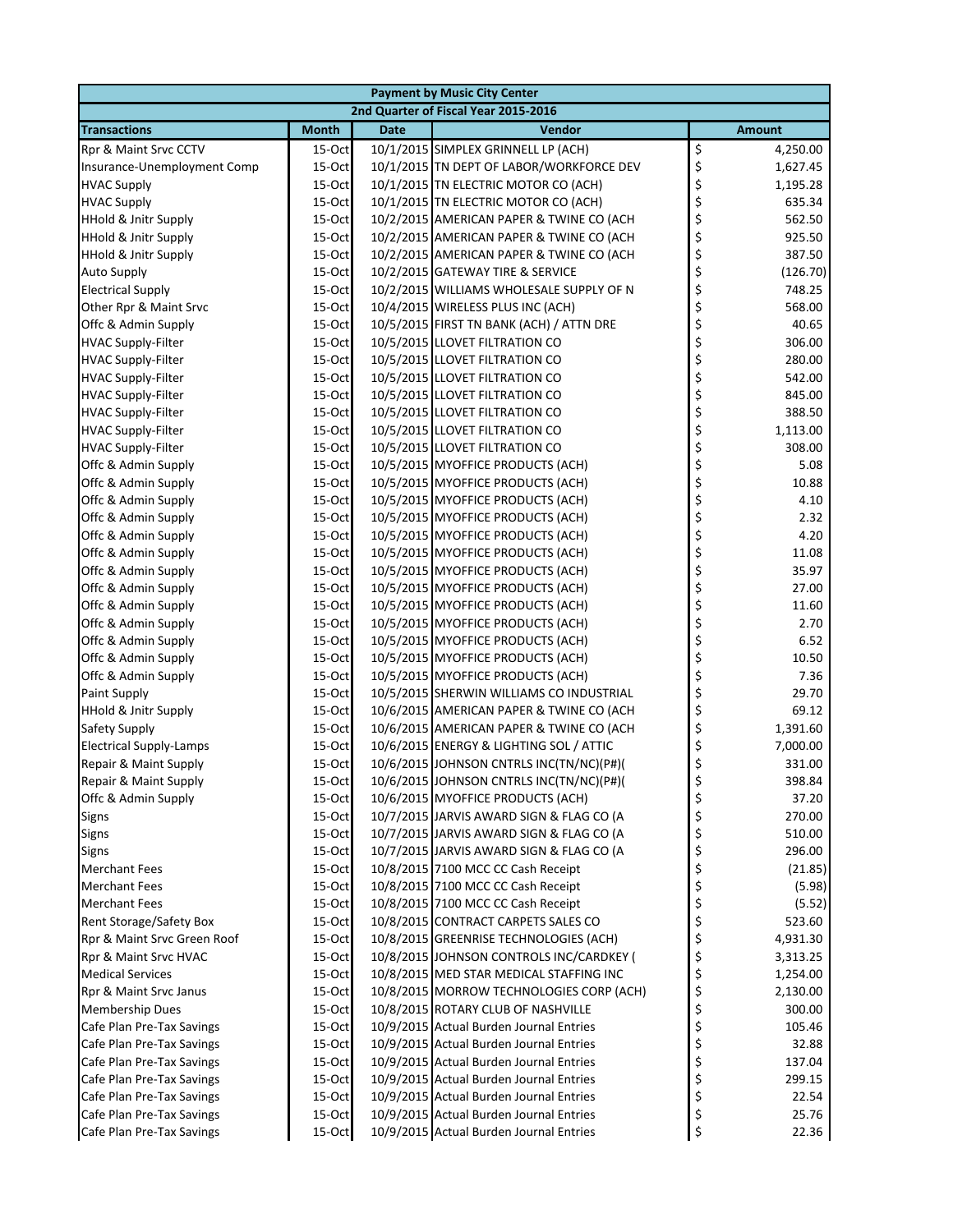| <b>Payment by Music City Center</b> |              |             |                                          |                |  |  |
|-------------------------------------|--------------|-------------|------------------------------------------|----------------|--|--|
|                                     |              |             | 2nd Quarter of Fiscal Year 2015-2016     |                |  |  |
| <b>Transactions</b>                 | <b>Month</b> | <b>Date</b> | Vendor                                   | <b>Amount</b>  |  |  |
| Rpr & Maint Srvc CCTV               | 15-Oct       |             | 10/1/2015 SIMPLEX GRINNELL LP (ACH)      | \$<br>4,250.00 |  |  |
| Insurance-Unemployment Comp         | 15-Oct       |             | 10/1/2015 TN DEPT OF LABOR/WORKFORCE DEV | \$<br>1,627.45 |  |  |
| <b>HVAC Supply</b>                  | 15-Oct       |             | 10/1/2015 TN ELECTRIC MOTOR CO (ACH)     | \$<br>1,195.28 |  |  |
| <b>HVAC Supply</b>                  | 15-Oct       |             | 10/1/2015 TN ELECTRIC MOTOR CO (ACH)     | \$<br>635.34   |  |  |
| <b>HHold &amp; Jnitr Supply</b>     | 15-Oct       |             | 10/2/2015 AMERICAN PAPER & TWINE CO (ACH | \$<br>562.50   |  |  |
| <b>HHold &amp; Jnitr Supply</b>     | 15-Oct       |             | 10/2/2015 AMERICAN PAPER & TWINE CO (ACH | \$<br>925.50   |  |  |
| <b>HHold &amp; Jnitr Supply</b>     | 15-Oct       |             | 10/2/2015 AMERICAN PAPER & TWINE CO (ACH | \$<br>387.50   |  |  |
| <b>Auto Supply</b>                  | $15$ -Oct    |             | 10/2/2015 GATEWAY TIRE & SERVICE         | \$<br>(126.70) |  |  |
| <b>Electrical Supply</b>            | 15-Oct       |             | 10/2/2015 WILLIAMS WHOLESALE SUPPLY OF N | \$<br>748.25   |  |  |
| Other Rpr & Maint Srvc              | 15-Oct       |             | 10/4/2015 WIRELESS PLUS INC (ACH)        | \$<br>568.00   |  |  |
| Offc & Admin Supply                 | 15-Oct       |             | 10/5/2015 FIRST TN BANK (ACH) / ATTN DRE | \$<br>40.65    |  |  |
| <b>HVAC Supply-Filter</b>           | 15-Oct       |             | 10/5/2015 LLOVET FILTRATION CO           | \$<br>306.00   |  |  |
| <b>HVAC Supply-Filter</b>           | 15-Oct       |             | 10/5/2015 LLOVET FILTRATION CO           | \$<br>280.00   |  |  |
| <b>HVAC Supply-Filter</b>           | 15-Oct       |             | 10/5/2015 LLOVET FILTRATION CO           | \$<br>542.00   |  |  |
| <b>HVAC Supply-Filter</b>           | 15-Oct       |             | 10/5/2015 LLOVET FILTRATION CO           | \$<br>845.00   |  |  |
| <b>HVAC Supply-Filter</b>           | 15-Oct       |             | 10/5/2015 LLOVET FILTRATION CO           | \$<br>388.50   |  |  |
| <b>HVAC Supply-Filter</b>           | $15$ -Oct    |             | 10/5/2015 LLOVET FILTRATION CO           | \$<br>1,113.00 |  |  |
| <b>HVAC Supply-Filter</b>           | 15-Oct       |             | 10/5/2015 LLOVET FILTRATION CO           | \$<br>308.00   |  |  |
| Offc & Admin Supply                 | 15-Oct       |             | 10/5/2015 MYOFFICE PRODUCTS (ACH)        | \$<br>5.08     |  |  |
| Offc & Admin Supply                 | 15-Oct       |             | 10/5/2015 MYOFFICE PRODUCTS (ACH)        | \$<br>10.88    |  |  |
| Offc & Admin Supply                 | 15-Oct       |             | 10/5/2015 MYOFFICE PRODUCTS (ACH)        | \$<br>4.10     |  |  |
| Offc & Admin Supply                 | 15-Oct       |             | 10/5/2015 MYOFFICE PRODUCTS (ACH)        | \$<br>2.32     |  |  |
| Offc & Admin Supply                 | 15-Oct       |             | 10/5/2015 MYOFFICE PRODUCTS (ACH)        | \$<br>4.20     |  |  |
| Offc & Admin Supply                 | 15-Oct       |             | 10/5/2015 MYOFFICE PRODUCTS (ACH)        | \$<br>11.08    |  |  |
| Offc & Admin Supply                 | $15$ -Oct    |             | 10/5/2015 MYOFFICE PRODUCTS (ACH)        | \$<br>35.97    |  |  |
| Offc & Admin Supply                 | 15-Oct       |             | 10/5/2015 MYOFFICE PRODUCTS (ACH)        | \$<br>27.00    |  |  |
| Offc & Admin Supply                 | 15-Oct       |             | 10/5/2015 MYOFFICE PRODUCTS (ACH)        | \$<br>11.60    |  |  |
| Offc & Admin Supply                 | 15-Oct       |             | 10/5/2015 MYOFFICE PRODUCTS (ACH)        | \$<br>2.70     |  |  |
| Offc & Admin Supply                 | 15-Oct       |             | 10/5/2015 MYOFFICE PRODUCTS (ACH)        | \$<br>6.52     |  |  |
| Offc & Admin Supply                 | 15-Oct       |             | 10/5/2015 MYOFFICE PRODUCTS (ACH)        | \$<br>10.50    |  |  |
| Offc & Admin Supply                 | 15-Oct       |             | 10/5/2015 MYOFFICE PRODUCTS (ACH)        | \$<br>7.36     |  |  |
| <b>Paint Supply</b>                 | 15-Oct       |             | 10/5/2015 SHERWIN WILLIAMS CO INDUSTRIAL | \$<br>29.70    |  |  |
| <b>HHold &amp; Jnitr Supply</b>     | $15$ -Oct    |             | 10/6/2015 AMERICAN PAPER & TWINE CO (ACH | \$<br>69.12    |  |  |
| Safety Supply                       | 15-Oct       |             | 10/6/2015 AMERICAN PAPER & TWINE CO (ACH | \$<br>1,391.60 |  |  |
| <b>Electrical Supply-Lamps</b>      | 15-Oct       |             | 10/6/2015 ENERGY & LIGHTING SOL / ATTIC  | \$<br>7,000.00 |  |  |
| Repair & Maint Supply               | 15-Oct       |             | 10/6/2015 JOHNSON CNTRLS INC(TN/NC)(P#)( | \$<br>331.00   |  |  |
| Repair & Maint Supply               | 15-Oct       |             | 10/6/2015 JOHNSON CNTRLS INC(TN/NC)(P#)( | 398.84         |  |  |
| Offc & Admin Supply                 | 15-Oct       |             | 10/6/2015 MYOFFICE PRODUCTS (ACH)        | \$<br>37.20    |  |  |
| Signs                               | $15$ -Oct    |             | 10/7/2015 JARVIS AWARD SIGN & FLAG CO (A | \$<br>270.00   |  |  |
| <b>Signs</b>                        | $15$ -Oct    |             | 10/7/2015 JARVIS AWARD SIGN & FLAG CO (A | \$<br>510.00   |  |  |
| <b>Signs</b>                        | $15$ -Oct    |             | 10/7/2015 JARVIS AWARD SIGN & FLAG CO (A | \$<br>296.00   |  |  |
| <b>Merchant Fees</b>                | $15$ -Oct    |             | 10/8/2015 7100 MCC CC Cash Receipt       | \$<br>(21.85)  |  |  |
| <b>Merchant Fees</b>                | 15-Oct       |             | 10/8/2015 7100 MCC CC Cash Receipt       | \$<br>(5.98)   |  |  |
| <b>Merchant Fees</b>                | 15-Oct       |             | 10/8/2015 7100 MCC CC Cash Receipt       | \$<br>(5.52)   |  |  |
| Rent Storage/Safety Box             | 15-Oct       |             | 10/8/2015 CONTRACT CARPETS SALES CO      | \$<br>523.60   |  |  |
| Rpr & Maint Srvc Green Roof         | 15-Oct       |             | 10/8/2015 GREENRISE TECHNOLOGIES (ACH)   | \$<br>4,931.30 |  |  |
| Rpr & Maint Srvc HVAC               | 15-Oct       |             | 10/8/2015 JOHNSON CONTROLS INC/CARDKEY ( | \$<br>3,313.25 |  |  |
| <b>Medical Services</b>             | $15$ -Oct    |             | 10/8/2015 MED STAR MEDICAL STAFFING INC  | \$<br>1,254.00 |  |  |
| Rpr & Maint Srvc Janus              | $15$ -Oct    |             | 10/8/2015 MORROW TECHNOLOGIES CORP (ACH) | \$<br>2,130.00 |  |  |
| <b>Membership Dues</b>              | $15$ -Oct    |             | 10/8/2015 ROTARY CLUB OF NASHVILLE       | \$<br>300.00   |  |  |
| Cafe Plan Pre-Tax Savings           | $15$ -Oct    |             | 10/9/2015 Actual Burden Journal Entries  | \$<br>105.46   |  |  |
| Cafe Plan Pre-Tax Savings           | 15-Oct       |             | 10/9/2015 Actual Burden Journal Entries  | \$<br>32.88    |  |  |
| Cafe Plan Pre-Tax Savings           | 15-Oct       |             | 10/9/2015 Actual Burden Journal Entries  | \$<br>137.04   |  |  |
| Cafe Plan Pre-Tax Savings           | $15$ -Oct    |             | 10/9/2015 Actual Burden Journal Entries  | \$<br>299.15   |  |  |
| Cafe Plan Pre-Tax Savings           | 15-Oct       |             | 10/9/2015 Actual Burden Journal Entries  | \$<br>22.54    |  |  |
| Cafe Plan Pre-Tax Savings           | 15-Oct       |             | 10/9/2015 Actual Burden Journal Entries  | \$<br>25.76    |  |  |
| Cafe Plan Pre-Tax Savings           | 15-Oct       |             | 10/9/2015 Actual Burden Journal Entries  | \$<br>22.36    |  |  |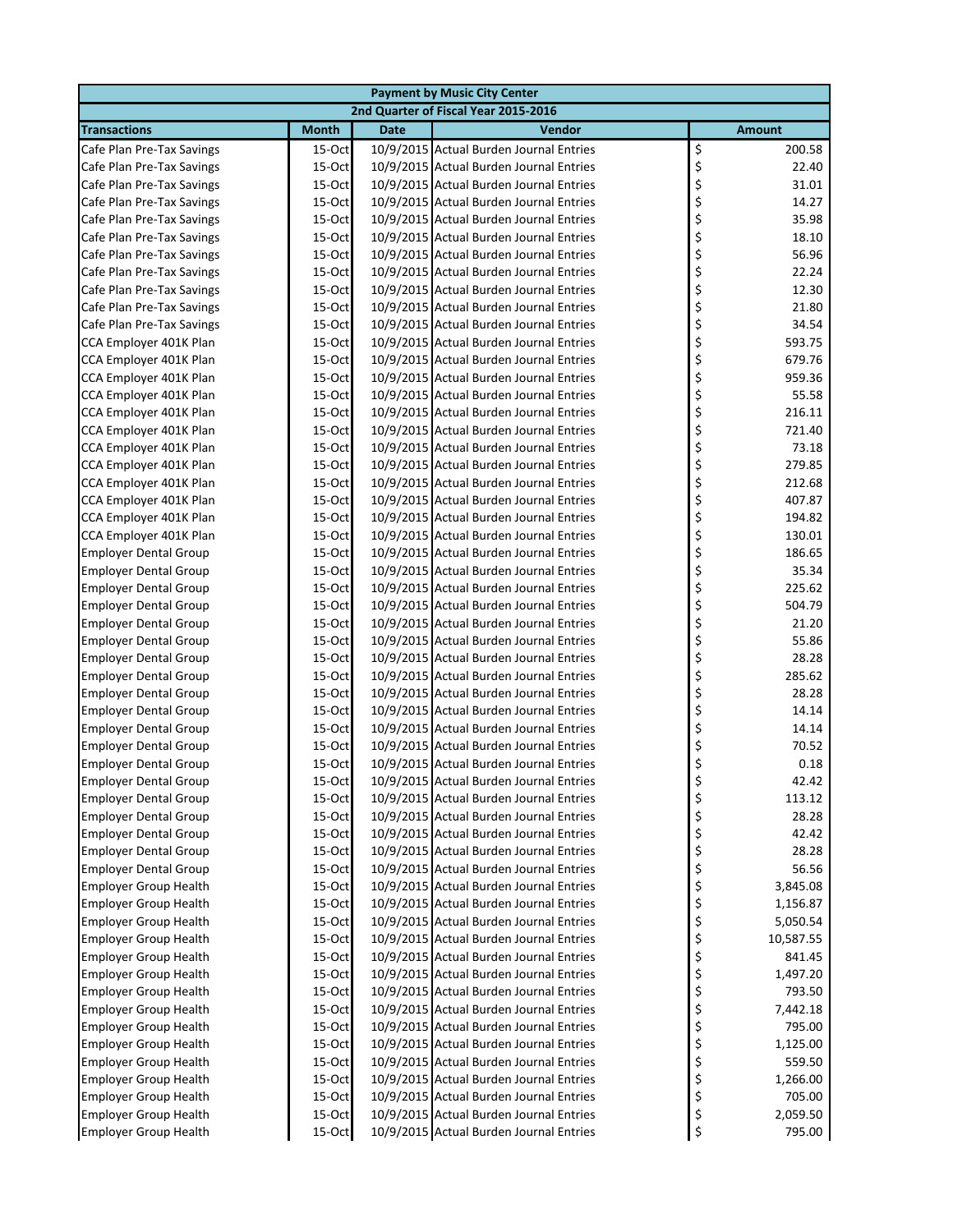| <b>Payment by Music City Center</b>                          |                        |             |                                                                                    |                      |  |  |
|--------------------------------------------------------------|------------------------|-------------|------------------------------------------------------------------------------------|----------------------|--|--|
|                                                              |                        |             | 2nd Quarter of Fiscal Year 2015-2016                                               |                      |  |  |
| <b>Transactions</b>                                          | <b>Month</b>           | <b>Date</b> | Vendor                                                                             | <b>Amount</b>        |  |  |
| Cafe Plan Pre-Tax Savings                                    | 15-Oct                 |             | 10/9/2015 Actual Burden Journal Entries                                            | \$<br>200.58         |  |  |
| Cafe Plan Pre-Tax Savings                                    | 15-Oct                 |             | 10/9/2015 Actual Burden Journal Entries                                            | \$<br>22.40          |  |  |
| Cafe Plan Pre-Tax Savings                                    | 15-Oct                 |             | 10/9/2015 Actual Burden Journal Entries                                            | \$<br>31.01          |  |  |
| Cafe Plan Pre-Tax Savings                                    | 15-Oct                 |             | 10/9/2015 Actual Burden Journal Entries                                            | \$<br>14.27          |  |  |
| Cafe Plan Pre-Tax Savings                                    | 15-Oct                 |             | 10/9/2015 Actual Burden Journal Entries                                            | \$<br>35.98          |  |  |
| Cafe Plan Pre-Tax Savings                                    | 15-Oct                 |             | 10/9/2015 Actual Burden Journal Entries                                            | \$<br>18.10          |  |  |
| Cafe Plan Pre-Tax Savings                                    | 15-Oct                 |             | 10/9/2015 Actual Burden Journal Entries                                            | \$<br>56.96          |  |  |
| Cafe Plan Pre-Tax Savings                                    | $15$ -Oct              |             | 10/9/2015 Actual Burden Journal Entries                                            | \$<br>22.24          |  |  |
| Cafe Plan Pre-Tax Savings                                    | 15-Oct                 |             | 10/9/2015 Actual Burden Journal Entries                                            | \$<br>12.30          |  |  |
| Cafe Plan Pre-Tax Savings                                    | 15-Oct                 |             | 10/9/2015 Actual Burden Journal Entries                                            | \$<br>21.80          |  |  |
| Cafe Plan Pre-Tax Savings                                    | 15-Oct                 |             | 10/9/2015 Actual Burden Journal Entries                                            | \$<br>34.54          |  |  |
| CCA Employer 401K Plan                                       | 15-Oct                 |             | 10/9/2015 Actual Burden Journal Entries                                            | \$<br>593.75         |  |  |
| CCA Employer 401K Plan                                       | 15-Oct                 |             | 10/9/2015 Actual Burden Journal Entries                                            | \$<br>679.76         |  |  |
| CCA Employer 401K Plan                                       | 15-Oct                 |             | 10/9/2015 Actual Burden Journal Entries                                            | \$<br>959.36         |  |  |
| CCA Employer 401K Plan                                       | 15-Oct                 |             | 10/9/2015 Actual Burden Journal Entries                                            | \$<br>55.58          |  |  |
| CCA Employer 401K Plan                                       | $15$ -Oct              |             | 10/9/2015 Actual Burden Journal Entries                                            | \$<br>216.11         |  |  |
| CCA Employer 401K Plan                                       | 15-Oct                 |             | 10/9/2015 Actual Burden Journal Entries                                            | \$<br>721.40         |  |  |
| CCA Employer 401K Plan                                       | 15-Oct                 |             | 10/9/2015 Actual Burden Journal Entries                                            | \$<br>73.18          |  |  |
| CCA Employer 401K Plan                                       | 15-Oct                 |             | 10/9/2015 Actual Burden Journal Entries                                            | \$<br>279.85         |  |  |
| CCA Employer 401K Plan                                       | 15-Oct                 |             | 10/9/2015 Actual Burden Journal Entries                                            | \$<br>212.68         |  |  |
| CCA Employer 401K Plan                                       | 15-Oct                 |             | 10/9/2015 Actual Burden Journal Entries                                            | \$<br>407.87         |  |  |
| CCA Employer 401K Plan                                       | 15-Oct                 |             | 10/9/2015 Actual Burden Journal Entries                                            | \$<br>194.82         |  |  |
| CCA Employer 401K Plan                                       | 15-Oct                 |             | 10/9/2015 Actual Burden Journal Entries                                            | \$<br>130.01         |  |  |
| <b>Employer Dental Group</b>                                 | 15-Oct                 |             | 10/9/2015 Actual Burden Journal Entries                                            | \$<br>186.65         |  |  |
| <b>Employer Dental Group</b>                                 | $15$ -Oct              |             | 10/9/2015 Actual Burden Journal Entries                                            | \$<br>35.34          |  |  |
| <b>Employer Dental Group</b>                                 | 15-Oct                 |             | 10/9/2015 Actual Burden Journal Entries                                            | \$<br>225.62         |  |  |
| <b>Employer Dental Group</b>                                 | 15-Oct                 |             | 10/9/2015 Actual Burden Journal Entries                                            | \$<br>504.79         |  |  |
| <b>Employer Dental Group</b>                                 | 15-Oct                 |             | 10/9/2015 Actual Burden Journal Entries                                            | \$<br>21.20          |  |  |
| <b>Employer Dental Group</b>                                 | 15-Oct                 |             | 10/9/2015 Actual Burden Journal Entries                                            | \$<br>55.86          |  |  |
| <b>Employer Dental Group</b>                                 | 15-Oct                 |             | 10/9/2015 Actual Burden Journal Entries                                            | \$<br>28.28          |  |  |
| <b>Employer Dental Group</b>                                 | $15$ -Oct              |             | 10/9/2015 Actual Burden Journal Entries                                            | \$<br>285.62         |  |  |
| <b>Employer Dental Group</b>                                 | 15-Oct                 |             | 10/9/2015 Actual Burden Journal Entries                                            | \$<br>28.28          |  |  |
| <b>Employer Dental Group</b>                                 | $15$ -Oct              |             | 10/9/2015 Actual Burden Journal Entries                                            | \$<br>14.14          |  |  |
| <b>Employer Dental Group</b>                                 | 15-Oct                 |             | 10/9/2015 Actual Burden Journal Entries                                            | \$<br>14.14          |  |  |
| <b>Employer Dental Group</b>                                 | 15-Oct<br>15-Oct       |             | 10/9/2015 Actual Burden Journal Entries                                            | \$<br>70.52          |  |  |
| <b>Employer Dental Group</b>                                 |                        |             | 10/9/2015 Actual Burden Journal Entries                                            | \$<br>0.18           |  |  |
| <b>Employer Dental Group</b>                                 | 15-Oct                 |             | 10/9/2015 Actual Burden Journal Entries                                            | 42.42                |  |  |
| <b>Employer Dental Group</b>                                 | 15-Oct                 |             | 10/9/2015 Actual Burden Journal Entries                                            | \$<br>113.12         |  |  |
| <b>Employer Dental Group</b>                                 | $15$ -Oct              |             | 10/9/2015 Actual Burden Journal Entries                                            | \$<br>28.28          |  |  |
| <b>Employer Dental Group</b>                                 | $15$ -Oct              |             | 10/9/2015 Actual Burden Journal Entries<br>10/9/2015 Actual Burden Journal Entries | \$<br>42.42<br>28.28 |  |  |
| <b>Employer Dental Group</b><br><b>Employer Dental Group</b> | $15$ -Oct<br>$15$ -Oct |             | 10/9/2015 Actual Burden Journal Entries                                            | \$<br>\$<br>56.56    |  |  |
| <b>Employer Group Health</b>                                 | 15-Oct                 |             | 10/9/2015 Actual Burden Journal Entries                                            | \$<br>3,845.08       |  |  |
| <b>Employer Group Health</b>                                 | 15-Oct                 |             | 10/9/2015 Actual Burden Journal Entries                                            | \$<br>1,156.87       |  |  |
| <b>Employer Group Health</b>                                 | $15$ -Oct              |             | 10/9/2015 Actual Burden Journal Entries                                            | \$<br>5,050.54       |  |  |
| <b>Employer Group Health</b>                                 | 15-Oct                 |             | 10/9/2015 Actual Burden Journal Entries                                            | \$<br>10,587.55      |  |  |
| <b>Employer Group Health</b>                                 | $15$ -Oct              |             | 10/9/2015 Actual Burden Journal Entries                                            | \$<br>841.45         |  |  |
| <b>Employer Group Health</b>                                 | 15-Oct                 |             | 10/9/2015 Actual Burden Journal Entries                                            | \$<br>1,497.20       |  |  |
|                                                              |                        |             | 10/9/2015 Actual Burden Journal Entries                                            | \$<br>793.50         |  |  |
| <b>Employer Group Health</b><br><b>Employer Group Health</b> | $15$ -Oct<br>$15$ -Oct |             | 10/9/2015 Actual Burden Journal Entries                                            | \$<br>7,442.18       |  |  |
| <b>Employer Group Health</b>                                 | $15$ -Oct              |             | 10/9/2015 Actual Burden Journal Entries                                            | \$<br>795.00         |  |  |
| <b>Employer Group Health</b>                                 | 15-Oct                 |             | 10/9/2015 Actual Burden Journal Entries                                            | \$<br>1,125.00       |  |  |
| <b>Employer Group Health</b>                                 | 15-Oct                 |             | 10/9/2015 Actual Burden Journal Entries                                            | \$<br>559.50         |  |  |
| <b>Employer Group Health</b>                                 | $15$ -Oct              |             | 10/9/2015 Actual Burden Journal Entries                                            | \$<br>1,266.00       |  |  |
| <b>Employer Group Health</b>                                 | 15-Oct                 |             | 10/9/2015 Actual Burden Journal Entries                                            | \$<br>705.00         |  |  |
| <b>Employer Group Health</b>                                 | $15$ -Oct              |             | 10/9/2015 Actual Burden Journal Entries                                            | \$<br>2,059.50       |  |  |
| <b>Employer Group Health</b>                                 | 15-Oct                 |             | 10/9/2015 Actual Burden Journal Entries                                            | \$<br>795.00         |  |  |
|                                                              |                        |             |                                                                                    |                      |  |  |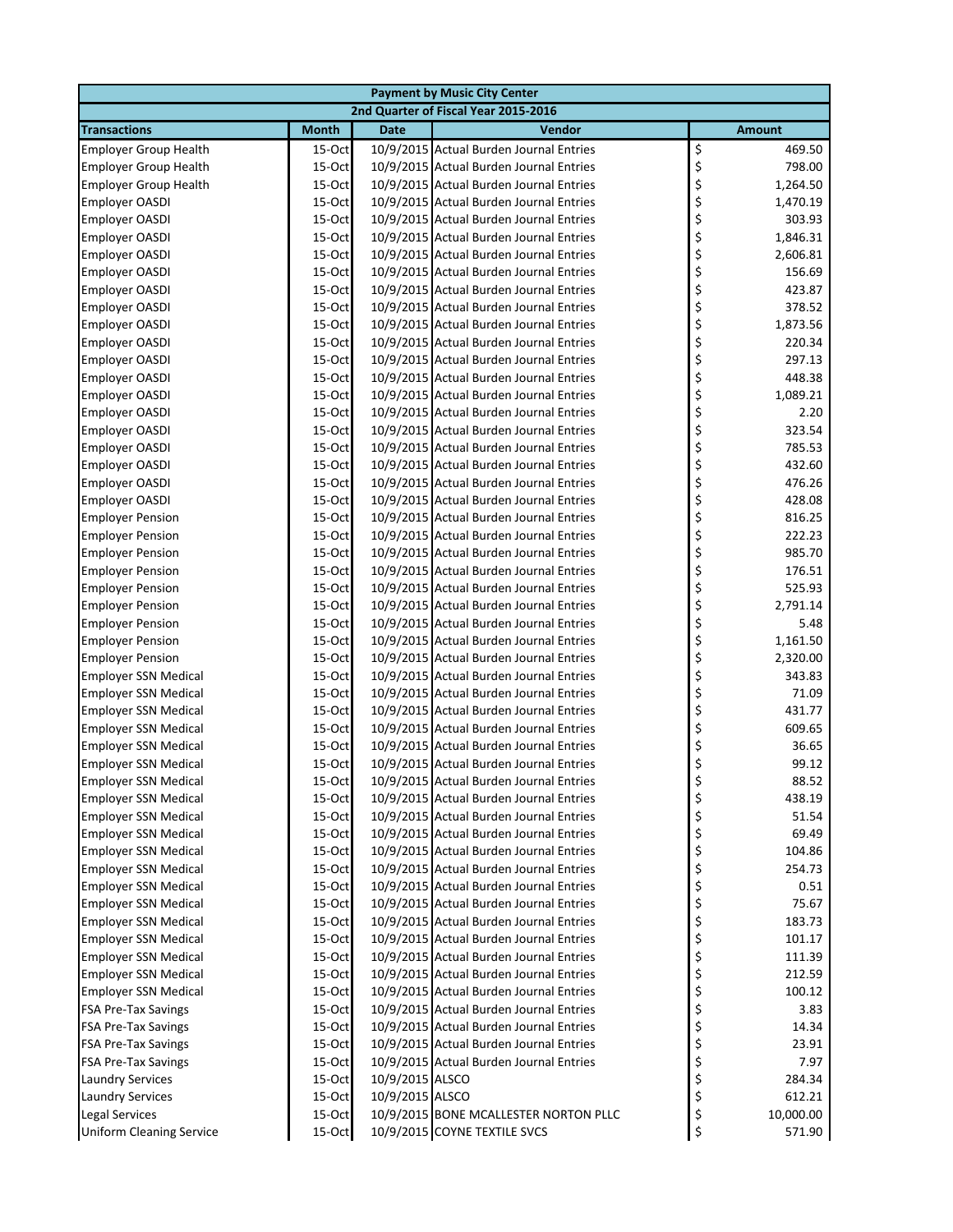| <b>Payment by Music City Center</b>                        |                  |                 |                                                                                    |          |                 |  |  |
|------------------------------------------------------------|------------------|-----------------|------------------------------------------------------------------------------------|----------|-----------------|--|--|
|                                                            |                  |                 | 2nd Quarter of Fiscal Year 2015-2016                                               |          |                 |  |  |
| <b>Transactions</b>                                        | <b>Month</b>     | <b>Date</b>     | Vendor                                                                             |          | <b>Amount</b>   |  |  |
| <b>Employer Group Health</b>                               | 15-Oct           |                 | 10/9/2015 Actual Burden Journal Entries                                            | \$       | 469.50          |  |  |
| <b>Employer Group Health</b>                               | 15-Oct           |                 | 10/9/2015 Actual Burden Journal Entries                                            | \$       | 798.00          |  |  |
| <b>Employer Group Health</b>                               | 15-Oct           |                 | 10/9/2015 Actual Burden Journal Entries                                            | \$       | 1,264.50        |  |  |
| <b>Employer OASDI</b>                                      | 15-Oct           |                 | 10/9/2015 Actual Burden Journal Entries                                            | \$       | 1,470.19        |  |  |
| <b>Employer OASDI</b>                                      | 15-Oct           |                 | 10/9/2015 Actual Burden Journal Entries                                            | \$       | 303.93          |  |  |
| <b>Employer OASDI</b>                                      | 15-Oct           |                 | 10/9/2015 Actual Burden Journal Entries                                            | \$       | 1,846.31        |  |  |
| <b>Employer OASDI</b>                                      | 15-Oct           |                 | 10/9/2015 Actual Burden Journal Entries                                            | \$       | 2,606.81        |  |  |
| <b>Employer OASDI</b>                                      | 15-Oct           |                 | 10/9/2015 Actual Burden Journal Entries                                            | \$       | 156.69          |  |  |
| <b>Employer OASDI</b>                                      | 15-Oct           |                 | 10/9/2015 Actual Burden Journal Entries                                            | \$       | 423.87          |  |  |
| <b>Employer OASDI</b>                                      | 15-Oct           |                 | 10/9/2015 Actual Burden Journal Entries                                            | \$       | 378.52          |  |  |
| <b>Employer OASDI</b>                                      | 15-Oct           |                 | 10/9/2015 Actual Burden Journal Entries                                            | \$       | 1,873.56        |  |  |
| <b>Employer OASDI</b>                                      | 15-Oct           |                 | 10/9/2015 Actual Burden Journal Entries                                            | \$       | 220.34          |  |  |
| <b>Employer OASDI</b>                                      | 15-Oct           |                 | 10/9/2015 Actual Burden Journal Entries                                            | \$       | 297.13          |  |  |
| <b>Employer OASDI</b>                                      | 15-Oct           |                 | 10/9/2015 Actual Burden Journal Entries                                            | \$       | 448.38          |  |  |
| <b>Employer OASDI</b>                                      | 15-Oct           |                 | 10/9/2015 Actual Burden Journal Entries                                            | \$       | 1,089.21        |  |  |
| Employer OASDI                                             | 15-Oct           |                 | 10/9/2015 Actual Burden Journal Entries                                            | \$       | 2.20            |  |  |
| <b>Employer OASDI</b>                                      | 15-Oct           |                 | 10/9/2015 Actual Burden Journal Entries                                            | \$       | 323.54          |  |  |
| <b>Employer OASDI</b>                                      | 15-Oct           |                 | 10/9/2015 Actual Burden Journal Entries                                            | \$       | 785.53          |  |  |
| <b>Employer OASDI</b>                                      | 15-Oct           |                 | 10/9/2015 Actual Burden Journal Entries                                            | \$       | 432.60          |  |  |
| Employer OASDI                                             | 15-Oct           |                 | 10/9/2015 Actual Burden Journal Entries                                            | \$       | 476.26          |  |  |
| <b>Employer OASDI</b>                                      | 15-Oct           |                 | 10/9/2015 Actual Burden Journal Entries                                            | \$       | 428.08          |  |  |
| <b>Employer Pension</b>                                    | 15-Oct           |                 | 10/9/2015 Actual Burden Journal Entries                                            | \$       | 816.25          |  |  |
| <b>Employer Pension</b>                                    | 15-Oct           |                 | 10/9/2015 Actual Burden Journal Entries                                            | \$       | 222.23          |  |  |
| <b>Employer Pension</b>                                    | 15-Oct           |                 | 10/9/2015 Actual Burden Journal Entries                                            | \$       | 985.70          |  |  |
| <b>Employer Pension</b>                                    | 15-Oct           |                 | 10/9/2015 Actual Burden Journal Entries                                            | \$       | 176.51          |  |  |
| <b>Employer Pension</b>                                    | 15-Oct           |                 | 10/9/2015 Actual Burden Journal Entries                                            | \$       | 525.93          |  |  |
| <b>Employer Pension</b>                                    | 15-Oct           |                 | 10/9/2015 Actual Burden Journal Entries                                            | \$       | 2,791.14        |  |  |
| <b>Employer Pension</b>                                    | 15-Oct           |                 | 10/9/2015 Actual Burden Journal Entries                                            | \$       | 5.48            |  |  |
| <b>Employer Pension</b>                                    | 15-Oct           |                 | 10/9/2015 Actual Burden Journal Entries                                            | \$       | 1,161.50        |  |  |
| <b>Employer Pension</b>                                    | 15-Oct           |                 | 10/9/2015 Actual Burden Journal Entries                                            | \$       | 2,320.00        |  |  |
| <b>Employer SSN Medical</b>                                | 15-Oct           |                 | 10/9/2015 Actual Burden Journal Entries                                            | \$       | 343.83          |  |  |
| <b>Employer SSN Medical</b>                                | 15-Oct           |                 | 10/9/2015 Actual Burden Journal Entries<br>10/9/2015 Actual Burden Journal Entries | \$       | 71.09           |  |  |
| <b>Employer SSN Medical</b>                                | 15-Oct           |                 |                                                                                    | \$       | 431.77          |  |  |
| <b>Employer SSN Medical</b>                                | 15-Oct<br>15-Oct |                 | 10/9/2015 Actual Burden Journal Entries<br>10/9/2015 Actual Burden Journal Entries | \$<br>\$ | 609.65<br>36.65 |  |  |
| <b>Employer SSN Medical</b><br><b>Employer SSN Medical</b> | 15-Oct           |                 | 10/9/2015 Actual Burden Journal Entries                                            | \$       | 99.12           |  |  |
| <b>Employer SSN Medical</b>                                | 15-Oct           |                 | 10/9/2015 Actual Burden Journal Entries                                            |          | 88.52           |  |  |
| <b>Employer SSN Medical</b>                                | 15-Oct           |                 | 10/9/2015 Actual Burden Journal Entries                                            | \$       | 438.19          |  |  |
| <b>Employer SSN Medical</b>                                | 15-Oct           |                 | 10/9/2015 Actual Burden Journal Entries                                            | \$       | 51.54           |  |  |
| <b>Employer SSN Medical</b>                                | 15-Oct           |                 | 10/9/2015 Actual Burden Journal Entries                                            | \$       | 69.49           |  |  |
| <b>Employer SSN Medical</b>                                | 15-Oct           |                 | 10/9/2015 Actual Burden Journal Entries                                            | \$       | 104.86          |  |  |
| <b>Employer SSN Medical</b>                                | 15-Oct           |                 | 10/9/2015 Actual Burden Journal Entries                                            | \$       | 254.73          |  |  |
| <b>Employer SSN Medical</b>                                | 15-Oct           |                 | 10/9/2015 Actual Burden Journal Entries                                            | \$       | 0.51            |  |  |
| <b>Employer SSN Medical</b>                                | 15-Oct           |                 | 10/9/2015 Actual Burden Journal Entries                                            | \$       | 75.67           |  |  |
| <b>Employer SSN Medical</b>                                | 15-Oct           |                 | 10/9/2015 Actual Burden Journal Entries                                            | \$       | 183.73          |  |  |
| <b>Employer SSN Medical</b>                                | 15-Oct           |                 | 10/9/2015 Actual Burden Journal Entries                                            | \$       | 101.17          |  |  |
| <b>Employer SSN Medical</b>                                | 15-Oct           |                 | 10/9/2015 Actual Burden Journal Entries                                            | \$       | 111.39          |  |  |
| <b>Employer SSN Medical</b>                                | 15-Oct           |                 | 10/9/2015 Actual Burden Journal Entries                                            | \$       | 212.59          |  |  |
| <b>Employer SSN Medical</b>                                | 15-Oct           |                 | 10/9/2015 Actual Burden Journal Entries                                            | \$       | 100.12          |  |  |
| <b>FSA Pre-Tax Savings</b>                                 | 15-Oct           |                 | 10/9/2015 Actual Burden Journal Entries                                            | \$       | 3.83            |  |  |
| <b>FSA Pre-Tax Savings</b>                                 | 15-Oct           |                 | 10/9/2015 Actual Burden Journal Entries                                            | \$       | 14.34           |  |  |
| <b>FSA Pre-Tax Savings</b>                                 | 15-Oct           |                 | 10/9/2015 Actual Burden Journal Entries                                            | \$       | 23.91           |  |  |
| <b>FSA Pre-Tax Savings</b>                                 | 15-Oct           |                 | 10/9/2015 Actual Burden Journal Entries                                            | \$       | 7.97            |  |  |
| <b>Laundry Services</b>                                    | 15-Oct           | 10/9/2015 ALSCO |                                                                                    | \$       | 284.34          |  |  |
| <b>Laundry Services</b>                                    | 15-Oct           | 10/9/2015 ALSCO |                                                                                    | \$       | 612.21          |  |  |
| <b>Legal Services</b>                                      | 15-Oct           |                 | 10/9/2015 BONE MCALLESTER NORTON PLLC                                              | \$       | 10,000.00       |  |  |
| <b>Uniform Cleaning Service</b>                            | 15-Oct           |                 | 10/9/2015 COYNE TEXTILE SVCS                                                       | \$       | 571.90          |  |  |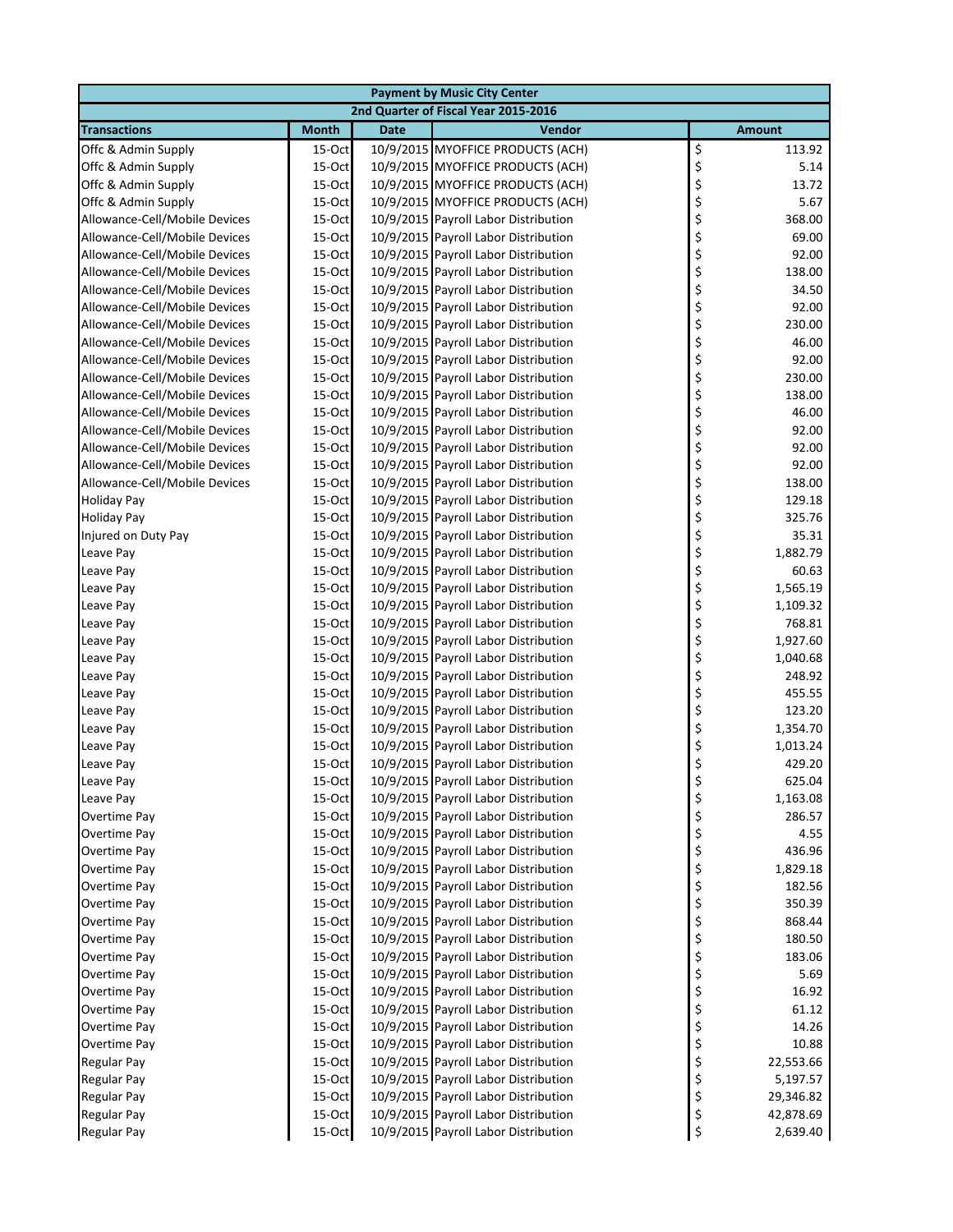|                               | <b>Payment by Music City Center</b> |             |                                                                              |                          |  |  |  |
|-------------------------------|-------------------------------------|-------------|------------------------------------------------------------------------------|--------------------------|--|--|--|
|                               |                                     |             | 2nd Quarter of Fiscal Year 2015-2016                                         |                          |  |  |  |
| <b>Transactions</b>           | <b>Month</b>                        | <b>Date</b> | Vendor                                                                       | <b>Amount</b>            |  |  |  |
| Offc & Admin Supply           | $15-Oct$                            |             | 10/9/2015 MYOFFICE PRODUCTS (ACH)                                            | \$<br>113.92             |  |  |  |
| Offc & Admin Supply           | 15-Oct                              |             | 10/9/2015 MYOFFICE PRODUCTS (ACH)                                            | \$<br>5.14               |  |  |  |
| Offc & Admin Supply           | 15-Oct                              |             | 10/9/2015 MYOFFICE PRODUCTS (ACH)                                            | \$<br>13.72              |  |  |  |
| Offc & Admin Supply           | 15-Oct                              |             | 10/9/2015 MYOFFICE PRODUCTS (ACH)                                            | \$<br>5.67               |  |  |  |
| Allowance-Cell/Mobile Devices | 15-Oct                              |             | 10/9/2015 Payroll Labor Distribution                                         | \$<br>368.00             |  |  |  |
| Allowance-Cell/Mobile Devices | 15-Oct                              |             | 10/9/2015 Payroll Labor Distribution                                         | \$<br>69.00              |  |  |  |
| Allowance-Cell/Mobile Devices | $15$ -Oct                           |             | 10/9/2015 Payroll Labor Distribution                                         | \$<br>92.00              |  |  |  |
| Allowance-Cell/Mobile Devices | $15-Oct$                            |             | 10/9/2015 Payroll Labor Distribution                                         | \$<br>138.00             |  |  |  |
| Allowance-Cell/Mobile Devices | $15-Oct$                            |             | 10/9/2015 Payroll Labor Distribution                                         | \$<br>34.50              |  |  |  |
| Allowance-Cell/Mobile Devices | $15-Oct$                            |             | 10/9/2015 Payroll Labor Distribution                                         | \$<br>92.00              |  |  |  |
| Allowance-Cell/Mobile Devices | $15-Oct$                            |             | 10/9/2015 Payroll Labor Distribution                                         | \$<br>230.00             |  |  |  |
| Allowance-Cell/Mobile Devices | 15-Oct                              |             | 10/9/2015 Payroll Labor Distribution                                         | \$<br>46.00              |  |  |  |
| Allowance-Cell/Mobile Devices | 15-Oct                              |             | 10/9/2015 Payroll Labor Distribution                                         | \$<br>92.00              |  |  |  |
| Allowance-Cell/Mobile Devices | 15-Oct                              |             | 10/9/2015 Payroll Labor Distribution                                         | \$<br>230.00             |  |  |  |
| Allowance-Cell/Mobile Devices | 15-Oct                              |             | 10/9/2015 Payroll Labor Distribution                                         | \$<br>138.00             |  |  |  |
| Allowance-Cell/Mobile Devices | 15-Oct                              |             | 10/9/2015 Payroll Labor Distribution                                         | \$<br>46.00              |  |  |  |
| Allowance-Cell/Mobile Devices | $15-Oct$                            |             | 10/9/2015 Payroll Labor Distribution                                         | \$<br>92.00              |  |  |  |
| Allowance-Cell/Mobile Devices | $15-Oct$                            |             | 10/9/2015 Payroll Labor Distribution                                         | \$<br>92.00              |  |  |  |
| Allowance-Cell/Mobile Devices | 15-Oct                              |             | 10/9/2015 Payroll Labor Distribution                                         | \$<br>92.00              |  |  |  |
| Allowance-Cell/Mobile Devices | 15-Oct                              |             | 10/9/2015 Payroll Labor Distribution                                         | \$<br>138.00             |  |  |  |
| <b>Holiday Pay</b>            | 15-Oct                              |             | 10/9/2015 Payroll Labor Distribution                                         | \$<br>129.18             |  |  |  |
| <b>Holiday Pay</b>            | 15-Oct                              |             | 10/9/2015 Payroll Labor Distribution                                         | \$<br>325.76             |  |  |  |
| Injured on Duty Pay           | 15-Oct                              |             | 10/9/2015 Payroll Labor Distribution                                         | \$<br>35.31              |  |  |  |
| Leave Pay                     | 15-Oct                              |             | 10/9/2015 Payroll Labor Distribution                                         | \$<br>1,882.79           |  |  |  |
| Leave Pay                     | 15-Oct                              |             | 10/9/2015 Payroll Labor Distribution                                         | \$<br>60.63              |  |  |  |
| Leave Pay                     | $15-Oct$                            |             | 10/9/2015 Payroll Labor Distribution                                         | \$<br>1,565.19           |  |  |  |
| Leave Pay                     | 15-Oct                              |             | 10/9/2015 Payroll Labor Distribution                                         | \$<br>1,109.32           |  |  |  |
| Leave Pay                     | $15-Oct$                            |             | 10/9/2015 Payroll Labor Distribution                                         | \$<br>768.81             |  |  |  |
| Leave Pay                     | 15-Oct                              |             | 10/9/2015 Payroll Labor Distribution                                         | \$<br>1,927.60           |  |  |  |
| Leave Pay                     | $15$ -Oct                           |             | 10/9/2015 Payroll Labor Distribution                                         | \$<br>1,040.68           |  |  |  |
| Leave Pay                     | 15-Oct                              |             | 10/9/2015 Payroll Labor Distribution                                         | \$<br>248.92             |  |  |  |
| Leave Pay                     | $15$ -Oct                           |             | 10/9/2015 Payroll Labor Distribution                                         | \$<br>455.55             |  |  |  |
| Leave Pay                     | $15-Oct$                            |             | 10/9/2015 Payroll Labor Distribution                                         | \$<br>123.20             |  |  |  |
| Leave Pay                     | $15-Oct$                            |             | 10/9/2015 Payroll Labor Distribution                                         | \$<br>1,354.70           |  |  |  |
| Leave Pay                     | 15-Oct<br>15-Oct                    |             | 10/9/2015 Payroll Labor Distribution<br>10/9/2015 Payroll Labor Distribution | \$<br>1,013.24<br>429.20 |  |  |  |
| Leave Pay<br>Leave Pay        | 15-Oct                              |             | 10/9/2015 Payroll Labor Distribution                                         | \$<br>625.04             |  |  |  |
|                               |                                     |             | 10/9/2015 Payroll Labor Distribution                                         | Ş                        |  |  |  |
| Leave Pay<br>Overtime Pay     | 15-Oct<br>15-Oct                    |             | 10/9/2015 Payroll Labor Distribution                                         | \$<br>1,163.08<br>286.57 |  |  |  |
| Overtime Pay                  | $15$ -Oct                           |             | 10/9/2015 Payroll Labor Distribution                                         | \$<br>\$<br>4.55         |  |  |  |
| Overtime Pay                  | 15-Oct                              |             | 10/9/2015 Payroll Labor Distribution                                         | \$<br>436.96             |  |  |  |
| Overtime Pay                  | $15-Oct$                            |             | 10/9/2015 Payroll Labor Distribution                                         | \$<br>1,829.18           |  |  |  |
| Overtime Pay                  | $15-Oct$                            |             | 10/9/2015 Payroll Labor Distribution                                         | \$<br>182.56             |  |  |  |
| Overtime Pay                  | 15-Oct                              |             | 10/9/2015 Payroll Labor Distribution                                         | \$<br>350.39             |  |  |  |
| Overtime Pay                  | 15-Oct                              |             | 10/9/2015 Payroll Labor Distribution                                         | \$<br>868.44             |  |  |  |
| Overtime Pay                  | 15-Oct                              |             | 10/9/2015 Payroll Labor Distribution                                         | \$<br>180.50             |  |  |  |
| Overtime Pay                  | 15-Oct                              |             | 10/9/2015 Payroll Labor Distribution                                         | \$<br>183.06             |  |  |  |
| Overtime Pay                  | 15-Oct                              |             | 10/9/2015 Payroll Labor Distribution                                         | \$<br>5.69               |  |  |  |
| Overtime Pay                  | $15$ -Oct                           |             | 10/9/2015 Payroll Labor Distribution                                         | \$<br>16.92              |  |  |  |
| Overtime Pay                  | $15$ -Oct                           |             | 10/9/2015 Payroll Labor Distribution                                         | \$<br>61.12              |  |  |  |
| Overtime Pay                  | $15-Oct$                            |             | 10/9/2015 Payroll Labor Distribution                                         | \$<br>14.26              |  |  |  |
| Overtime Pay                  | 15-Oct                              |             | 10/9/2015 Payroll Labor Distribution                                         | \$<br>10.88              |  |  |  |
| Regular Pay                   | $15$ -Oct                           |             | 10/9/2015 Payroll Labor Distribution                                         | \$<br>22,553.66          |  |  |  |
| Regular Pay                   | 15-Oct                              |             | 10/9/2015 Payroll Labor Distribution                                         | \$<br>5,197.57           |  |  |  |
| Regular Pay                   | $15$ -Oct                           |             | 10/9/2015 Payroll Labor Distribution                                         | \$<br>29,346.82          |  |  |  |
| <b>Regular Pay</b>            | 15-Oct                              |             | 10/9/2015 Payroll Labor Distribution                                         | \$<br>42,878.69          |  |  |  |
| <b>Regular Pay</b>            | 15-Oct                              |             | 10/9/2015 Payroll Labor Distribution                                         | \$<br>2,639.40           |  |  |  |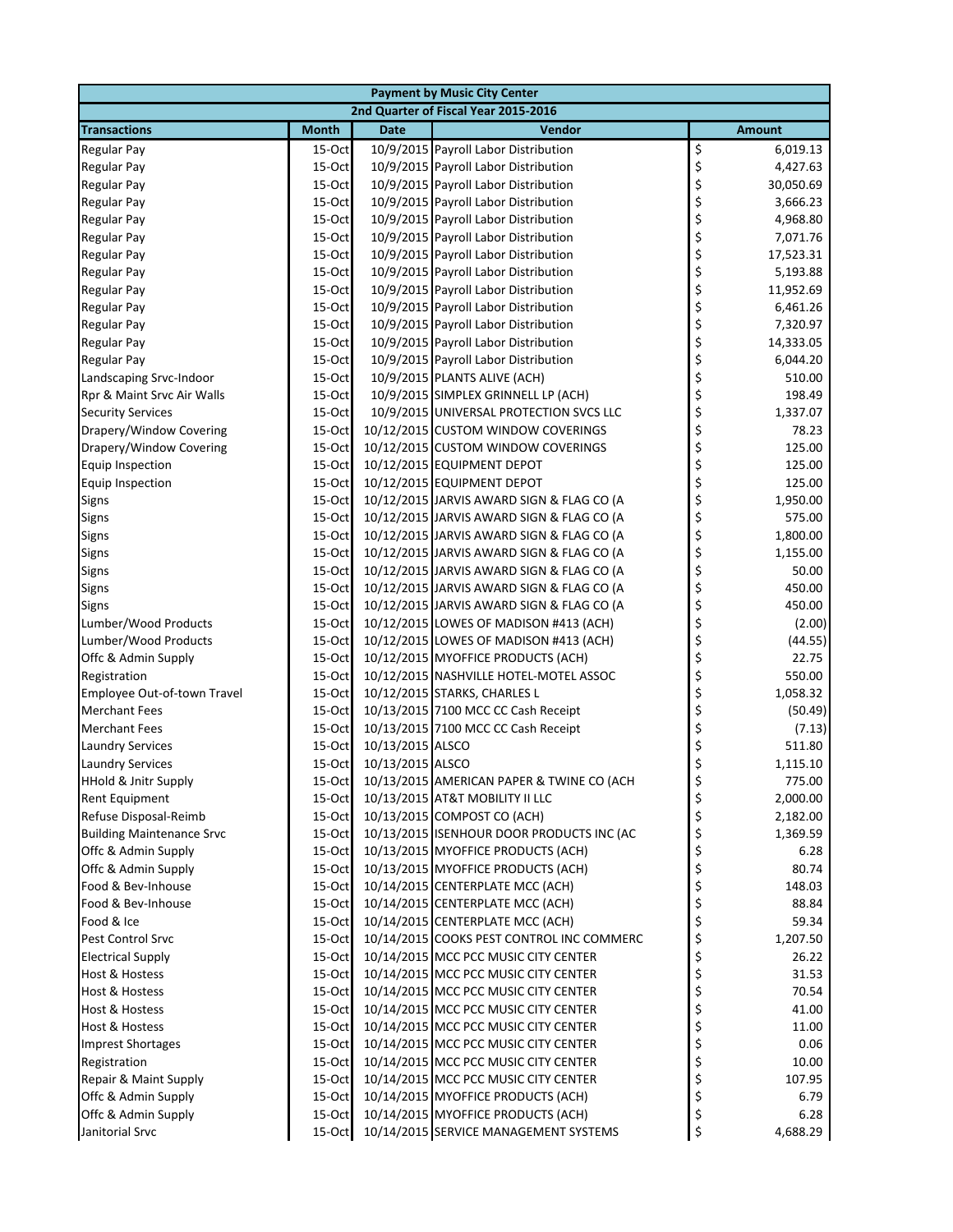| <b>Payment by Music City Center</b> |              |                  |                                                  |    |               |  |
|-------------------------------------|--------------|------------------|--------------------------------------------------|----|---------------|--|
|                                     |              |                  | 2nd Quarter of Fiscal Year 2015-2016             |    |               |  |
| <b>Transactions</b>                 | <b>Month</b> | <b>Date</b>      | Vendor                                           |    | <b>Amount</b> |  |
| <b>Regular Pay</b>                  | 15-Oct       |                  | 10/9/2015 Payroll Labor Distribution             | \$ | 6,019.13      |  |
| <b>Regular Pay</b>                  | 15-Oct       |                  | 10/9/2015 Payroll Labor Distribution             | \$ | 4,427.63      |  |
| <b>Regular Pay</b>                  | 15-Oct       |                  | 10/9/2015 Payroll Labor Distribution             | \$ | 30,050.69     |  |
| <b>Regular Pay</b>                  | 15-Oct       |                  | 10/9/2015 Payroll Labor Distribution             | \$ | 3,666.23      |  |
| <b>Regular Pay</b>                  | 15-Oct       |                  | 10/9/2015 Payroll Labor Distribution             | \$ | 4,968.80      |  |
| <b>Regular Pay</b>                  | 15-Oct       |                  | 10/9/2015 Payroll Labor Distribution             | \$ | 7,071.76      |  |
| <b>Regular Pay</b>                  | 15-Oct       |                  | 10/9/2015 Payroll Labor Distribution             | \$ | 17,523.31     |  |
| <b>Regular Pay</b>                  | 15-Oct       |                  | 10/9/2015 Payroll Labor Distribution             | \$ | 5,193.88      |  |
| <b>Regular Pay</b>                  | 15-Oct       |                  | 10/9/2015 Payroll Labor Distribution             | \$ | 11,952.69     |  |
| <b>Regular Pay</b>                  | 15-Oct       |                  | 10/9/2015 Payroll Labor Distribution             | \$ | 6,461.26      |  |
| <b>Regular Pay</b>                  | 15-Oct       |                  | 10/9/2015 Payroll Labor Distribution             | \$ | 7,320.97      |  |
| <b>Regular Pay</b>                  | 15-Oct       |                  | 10/9/2015 Payroll Labor Distribution             | \$ | 14,333.05     |  |
| <b>Regular Pay</b>                  | 15-Oct       |                  | 10/9/2015 Payroll Labor Distribution             | \$ | 6,044.20      |  |
| Landscaping Srvc-Indoor             | 15-Oct       |                  | 10/9/2015 PLANTS ALIVE (ACH)                     | \$ | 510.00        |  |
| Rpr & Maint Srvc Air Walls          | 15-Oct       |                  | 10/9/2015 SIMPLEX GRINNELL LP (ACH)              | \$ | 198.49        |  |
| <b>Security Services</b>            | 15-Oct       |                  | 10/9/2015 UNIVERSAL PROTECTION SVCS LLC          | \$ | 1,337.07      |  |
| Drapery/Window Covering             | 15-Oct       |                  | 10/12/2015 CUSTOM WINDOW COVERINGS               | \$ | 78.23         |  |
| Drapery/Window Covering             | 15-Oct       |                  | 10/12/2015 CUSTOM WINDOW COVERINGS               | \$ | 125.00        |  |
| <b>Equip Inspection</b>             | 15-Oct       |                  | 10/12/2015 EQUIPMENT DEPOT                       | \$ | 125.00        |  |
| <b>Equip Inspection</b>             | 15-Oct       |                  | 10/12/2015 EQUIPMENT DEPOT                       | \$ | 125.00        |  |
| Signs                               | 15-Oct       |                  | 10/12/2015 JARVIS AWARD SIGN & FLAG CO (A        | \$ | 1,950.00      |  |
| Signs                               | 15-Oct       |                  | 10/12/2015 JARVIS AWARD SIGN & FLAG CO (A        | \$ | 575.00        |  |
| Signs                               | 15-Oct       |                  | 10/12/2015 JARVIS AWARD SIGN & FLAG CO (A        | \$ | 1,800.00      |  |
| Signs                               | 15-Oct       |                  | 10/12/2015 JARVIS AWARD SIGN & FLAG CO (A        | \$ | 1,155.00      |  |
| <b>Signs</b>                        | 15-Oct       |                  | 10/12/2015 JARVIS AWARD SIGN & FLAG CO (A        | \$ | 50.00         |  |
| Signs                               | 15-Oct       |                  | 10/12/2015 JARVIS AWARD SIGN & FLAG CO (A        | \$ | 450.00        |  |
| Signs                               | 15-Oct       |                  | 10/12/2015 JARVIS AWARD SIGN & FLAG CO (A        | \$ | 450.00        |  |
| Lumber/Wood Products                | 15-Oct       |                  | 10/12/2015 LOWES OF MADISON #413 (ACH)           | \$ | (2.00)        |  |
| Lumber/Wood Products                | 15-Oct       |                  | 10/12/2015 LOWES OF MADISON #413 (ACH)           | \$ | (44.55)       |  |
| Offc & Admin Supply                 | 15-Oct       |                  | 10/12/2015 MYOFFICE PRODUCTS (ACH)               | \$ | 22.75         |  |
| Registration                        | 15-Oct       |                  | 10/12/2015 NASHVILLE HOTEL-MOTEL ASSOC           | \$ | 550.00        |  |
| Employee Out-of-town Travel         | 15-Oct       |                  | 10/12/2015 STARKS, CHARLES L                     | \$ | 1,058.32      |  |
| <b>Merchant Fees</b>                | 15-Oct       |                  | 10/13/2015 7100 MCC CC Cash Receipt              | \$ | (50.49)       |  |
| <b>Merchant Fees</b>                | 15-Oct       |                  | 10/13/2015 7100 MCC CC Cash Receipt              | \$ | (7.13)        |  |
| <b>Laundry Services</b>             | 15-Oct       | 10/13/2015 ALSCO |                                                  | \$ | 511.80        |  |
| <b>Laundry Services</b>             | 15-Oct       | 10/13/2015 ALSCO |                                                  | \$ | 1,115.10      |  |
| <b>HHold &amp; Jnitr Supply</b>     |              |                  | 15-Oct 10/13/2015 AMERICAN PAPER & TWINE CO (ACH | Ş  | 775.00        |  |
| <b>Rent Equipment</b>               | 15-Oct       |                  | 10/13/2015 AT&T MOBILITY II LLC                  | \$ | 2,000.00      |  |
| Refuse Disposal-Reimb               | $15$ -Oct    |                  | 10/13/2015 COMPOST CO (ACH)                      | \$ | 2,182.00      |  |
| <b>Building Maintenance Srvc</b>    | 15-Oct       |                  | 10/13/2015 ISENHOUR DOOR PRODUCTS INC (AC        | \$ | 1,369.59      |  |
| Offc & Admin Supply                 | $15$ -Oct    |                  | 10/13/2015 MYOFFICE PRODUCTS (ACH)               | \$ | 6.28          |  |
| Offc & Admin Supply                 | 15-Oct       |                  | 10/13/2015 MYOFFICE PRODUCTS (ACH)               | \$ | 80.74         |  |
| Food & Bev-Inhouse                  | $15$ -Oct    |                  | 10/14/2015 CENTERPLATE MCC (ACH)                 | \$ | 148.03        |  |
| Food & Bev-Inhouse                  | 15-Oct       |                  | 10/14/2015 CENTERPLATE MCC (ACH)                 | \$ | 88.84         |  |
| Food & Ice                          | 15-Oct       |                  | 10/14/2015 CENTERPLATE MCC (ACH)                 | \$ | 59.34         |  |
| Pest Control Srvc                   | 15-Oct       |                  | 10/14/2015 COOKS PEST CONTROL INC COMMERC        | \$ | 1,207.50      |  |
| <b>Electrical Supply</b>            | 15-Oct       |                  | 10/14/2015 MCC PCC MUSIC CITY CENTER             | \$ | 26.22         |  |
| <b>Host &amp; Hostess</b>           | 15-Oct       |                  | 10/14/2015 MCC PCC MUSIC CITY CENTER             | \$ | 31.53         |  |
| Host & Hostess                      | 15-Oct       |                  | 10/14/2015 MCC PCC MUSIC CITY CENTER             | \$ | 70.54         |  |
| Host & Hostess                      | 15-Oct       |                  | 10/14/2015 MCC PCC MUSIC CITY CENTER             | \$ | 41.00         |  |
| Host & Hostess                      | $15$ -Oct    |                  | 10/14/2015 MCC PCC MUSIC CITY CENTER             | \$ | 11.00         |  |
| <b>Imprest Shortages</b>            | $15$ -Oct    |                  | 10/14/2015 MCC PCC MUSIC CITY CENTER             | \$ | 0.06          |  |
| Registration                        | 15-Oct       |                  | 10/14/2015 MCC PCC MUSIC CITY CENTER             | \$ | 10.00         |  |
| Repair & Maint Supply               | 15-Oct       |                  | 10/14/2015 MCC PCC MUSIC CITY CENTER             | \$ | 107.95        |  |
| Offc & Admin Supply                 | 15-Oct       |                  | 10/14/2015 MYOFFICE PRODUCTS (ACH)               | \$ | 6.79          |  |
| Offc & Admin Supply                 | 15-Oct       |                  | 10/14/2015 MYOFFICE PRODUCTS (ACH)               | \$ | 6.28          |  |
| Janitorial Srvc                     | 15-Oct       |                  | 10/14/2015 SERVICE MANAGEMENT SYSTEMS            | \$ | 4,688.29      |  |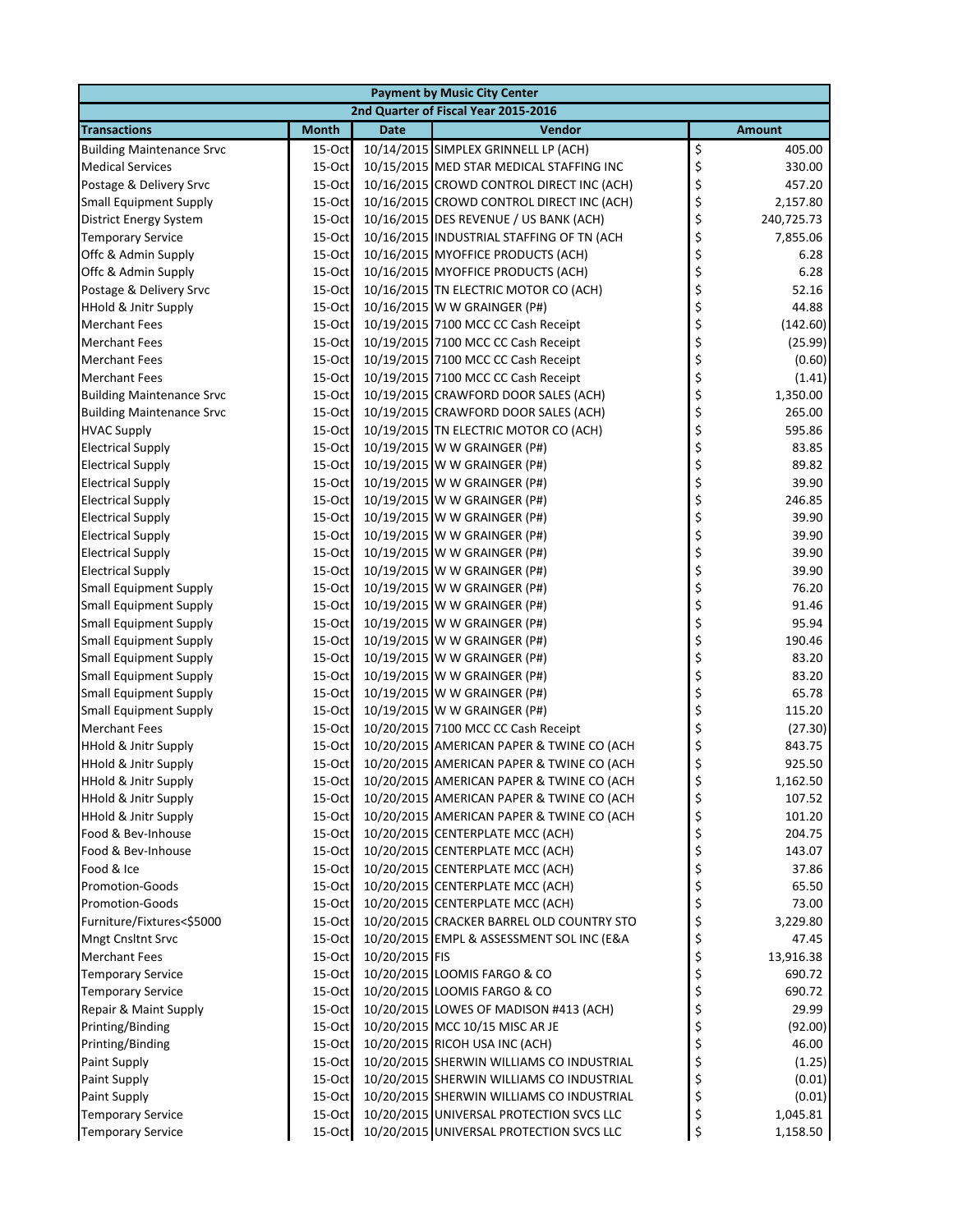| <b>Payment by Music City Center</b> |              |                |                                                  |                  |  |  |
|-------------------------------------|--------------|----------------|--------------------------------------------------|------------------|--|--|
|                                     |              |                | 2nd Quarter of Fiscal Year 2015-2016             |                  |  |  |
| <b>Transactions</b>                 | <b>Month</b> | <b>Date</b>    | Vendor                                           | <b>Amount</b>    |  |  |
| <b>Building Maintenance Srvc</b>    | $15$ -Oct    |                | 10/14/2015 SIMPLEX GRINNELL LP (ACH)             | \$<br>405.00     |  |  |
| <b>Medical Services</b>             | 15-Oct       |                | 10/15/2015 MED STAR MEDICAL STAFFING INC         | \$<br>330.00     |  |  |
| Postage & Delivery Srvc             | 15-Oct       |                | 10/16/2015 CROWD CONTROL DIRECT INC (ACH)        | \$<br>457.20     |  |  |
| <b>Small Equipment Supply</b>       | 15-Oct       |                | 10/16/2015 CROWD CONTROL DIRECT INC (ACH)        | \$<br>2,157.80   |  |  |
| <b>District Energy System</b>       | 15-Oct       |                | 10/16/2015 DES REVENUE / US BANK (ACH)           | \$<br>240,725.73 |  |  |
| <b>Temporary Service</b>            | 15-Oct       |                | 10/16/2015 INDUSTRIAL STAFFING OF TN (ACH        | \$<br>7,855.06   |  |  |
| Offc & Admin Supply                 | 15-Oct       |                | 10/16/2015 MYOFFICE PRODUCTS (ACH)               | \$<br>6.28       |  |  |
| Offc & Admin Supply                 | 15-Oct       |                | 10/16/2015 MYOFFICE PRODUCTS (ACH)               | \$<br>6.28       |  |  |
| Postage & Delivery Srvc             | 15-Oct       |                | 10/16/2015 TN ELECTRIC MOTOR CO (ACH)            | \$<br>52.16      |  |  |
| <b>HHold &amp; Jnitr Supply</b>     | 15-Oct       |                | 10/16/2015 W W GRAINGER (P#)                     | \$<br>44.88      |  |  |
| <b>Merchant Fees</b>                | 15-Oct       |                | 10/19/2015 7100 MCC CC Cash Receipt              | \$<br>(142.60)   |  |  |
| <b>Merchant Fees</b>                | 15-Oct       |                | 10/19/2015 7100 MCC CC Cash Receipt              | \$<br>(25.99)    |  |  |
| <b>Merchant Fees</b>                | 15-Oct       |                | 10/19/2015 7100 MCC CC Cash Receipt              | \$<br>(0.60)     |  |  |
| <b>Merchant Fees</b>                | 15-Oct       |                | 10/19/2015 7100 MCC CC Cash Receipt              | \$<br>(1.41)     |  |  |
| <b>Building Maintenance Srvc</b>    | $15$ -Oct    |                | 10/19/2015 CRAWFORD DOOR SALES (ACH)             | \$<br>1,350.00   |  |  |
| <b>Building Maintenance Srvc</b>    | 15-Oct       |                | 10/19/2015 CRAWFORD DOOR SALES (ACH)             | \$<br>265.00     |  |  |
| <b>HVAC Supply</b>                  | $15$ -Oct    |                | 10/19/2015 TN ELECTRIC MOTOR CO (ACH)            | \$<br>595.86     |  |  |
| <b>Electrical Supply</b>            | 15-Oct       |                | 10/19/2015 W W GRAINGER (P#)                     | \$<br>83.85      |  |  |
| <b>Electrical Supply</b>            | 15-Oct       |                | 10/19/2015 W W GRAINGER (P#)                     | \$<br>89.82      |  |  |
| <b>Electrical Supply</b>            | 15-Oct       |                | 10/19/2015 W W GRAINGER (P#)                     | \$<br>39.90      |  |  |
| <b>Electrical Supply</b>            | 15-Oct       |                | 10/19/2015 W W GRAINGER (P#)                     | \$<br>246.85     |  |  |
| <b>Electrical Supply</b>            | 15-Oct       |                | 10/19/2015 W W GRAINGER (P#)                     | \$<br>39.90      |  |  |
| <b>Electrical Supply</b>            | 15-Oct       |                | 10/19/2015 W W GRAINGER (P#)                     | \$<br>39.90      |  |  |
| <b>Electrical Supply</b>            | 15-Oct       |                | 10/19/2015 W W GRAINGER (P#)                     | \$<br>39.90      |  |  |
| <b>Electrical Supply</b>            | 15-Oct       |                | 10/19/2015 W W GRAINGER (P#)                     | \$<br>39.90      |  |  |
| <b>Small Equipment Supply</b>       | $15$ -Oct    |                | 10/19/2015 W W GRAINGER (P#)                     | \$<br>76.20      |  |  |
| <b>Small Equipment Supply</b>       | 15-Oct       |                | 10/19/2015 W W GRAINGER (P#)                     | \$<br>91.46      |  |  |
| <b>Small Equipment Supply</b>       | 15-Oct       |                | 10/19/2015 W W GRAINGER (P#)                     | \$<br>95.94      |  |  |
| <b>Small Equipment Supply</b>       | 15-Oct       |                | 10/19/2015 W W GRAINGER (P#)                     | \$<br>190.46     |  |  |
| <b>Small Equipment Supply</b>       | 15-Oct       |                | 10/19/2015 W W GRAINGER (P#)                     | \$<br>83.20      |  |  |
| <b>Small Equipment Supply</b>       | 15-Oct       |                | 10/19/2015 W W GRAINGER (P#)                     | \$<br>83.20      |  |  |
| <b>Small Equipment Supply</b>       | 15-Oct       |                | 10/19/2015 W W GRAINGER (P#)                     | \$<br>65.78      |  |  |
| <b>Small Equipment Supply</b>       | $15$ -Oct    |                | 10/19/2015 W W GRAINGER (P#)                     | \$<br>115.20     |  |  |
| <b>Merchant Fees</b>                | 15-Oct       |                | 10/20/2015 7100 MCC CC Cash Receipt              | \$<br>(27.30)    |  |  |
| <b>HHold &amp; Jnitr Supply</b>     | 15-Oct       |                | 10/20/2015 AMERICAN PAPER & TWINE CO (ACH        | \$<br>843.75     |  |  |
| HHold & Jnitr Supply                | 15-Oct       |                | 10/20/2015 AMERICAN PAPER & TWINE CO (ACH        | \$<br>925.50     |  |  |
| <b>HHold &amp; Jnitr Supply</b>     |              |                | 15-Oct 10/20/2015 AMERICAN PAPER & TWINE CO (ACH | 1,162.50<br>Ç    |  |  |
| <b>HHold &amp; Jnitr Supply</b>     | 15-Oct       |                | 10/20/2015 AMERICAN PAPER & TWINE CO (ACH        | \$<br>107.52     |  |  |
| <b>HHold &amp; Jnitr Supply</b>     | 15-Oct       |                | 10/20/2015 AMERICAN PAPER & TWINE CO (ACH        | \$<br>101.20     |  |  |
| Food & Bev-Inhouse                  | 15-Oct       |                | 10/20/2015 CENTERPLATE MCC (ACH)                 | \$<br>204.75     |  |  |
| Food & Bev-Inhouse                  | $15$ -Oct    |                | 10/20/2015 CENTERPLATE MCC (ACH)                 | \$<br>143.07     |  |  |
| Food & Ice                          | $15$ -Oct    |                | 10/20/2015 CENTERPLATE MCC (ACH)                 | \$<br>37.86      |  |  |
| Promotion-Goods                     | 15-Oct       |                | 10/20/2015 CENTERPLATE MCC (ACH)                 | \$<br>65.50      |  |  |
| <b>Promotion-Goods</b>              | 15-Oct       |                | 10/20/2015 CENTERPLATE MCC (ACH)                 | \$<br>73.00      |  |  |
| Furniture/Fixtures<\$5000           | 15-Oct       |                | 10/20/2015 CRACKER BARREL OLD COUNTRY STO        | \$<br>3,229.80   |  |  |
| Mngt Cnsltnt Srvc                   | 15-Oct       |                | 10/20/2015 EMPL & ASSESSMENT SOL INC (E&A        | \$<br>47.45      |  |  |
| <b>Merchant Fees</b>                | 15-Oct       | 10/20/2015 FIS |                                                  | \$<br>13,916.38  |  |  |
| <b>Temporary Service</b>            | 15-Oct       |                | 10/20/2015 LOOMIS FARGO & CO                     | \$<br>690.72     |  |  |
| <b>Temporary Service</b>            | 15-Oct       |                | 10/20/2015 LOOMIS FARGO & CO                     | \$<br>690.72     |  |  |
| Repair & Maint Supply               | 15-Oct       |                | 10/20/2015 LOWES OF MADISON #413 (ACH)           | \$<br>29.99      |  |  |
| Printing/Binding                    | $15$ -Oct    |                | 10/20/2015 MCC 10/15 MISC AR JE                  | \$<br>(92.00)    |  |  |
| Printing/Binding                    | 15-Oct       |                | 10/20/2015 RICOH USA INC (ACH)                   | \$<br>46.00      |  |  |
| <b>Paint Supply</b>                 | 15-Oct       |                | 10/20/2015 SHERWIN WILLIAMS CO INDUSTRIAL        | \$<br>(1.25)     |  |  |
| <b>Paint Supply</b>                 | 15-Oct       |                | 10/20/2015 SHERWIN WILLIAMS CO INDUSTRIAL        | \$<br>(0.01)     |  |  |
| <b>Paint Supply</b>                 | 15-Oct       |                | 10/20/2015 SHERWIN WILLIAMS CO INDUSTRIAL        | \$<br>(0.01)     |  |  |
| <b>Temporary Service</b>            | 15-Oct       |                | 10/20/2015 UNIVERSAL PROTECTION SVCS LLC         | \$<br>1,045.81   |  |  |
| <b>Temporary Service</b>            | 15-Oct       |                | 10/20/2015 UNIVERSAL PROTECTION SVCS LLC         | \$<br>1,158.50   |  |  |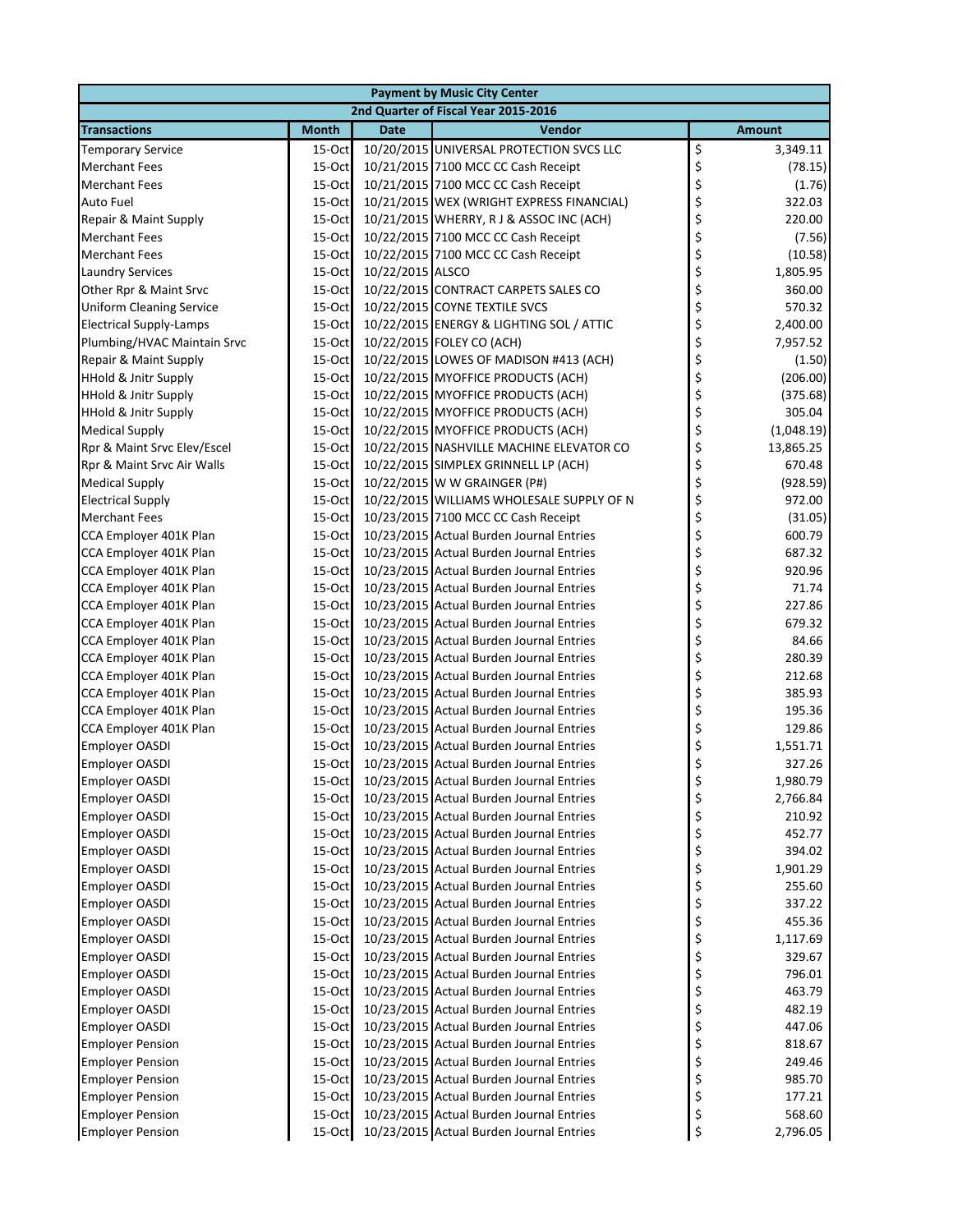| <b>Payment by Music City Center</b> |              |                  |                                           |    |               |  |
|-------------------------------------|--------------|------------------|-------------------------------------------|----|---------------|--|
|                                     |              |                  | 2nd Quarter of Fiscal Year 2015-2016      |    |               |  |
| <b>Transactions</b>                 | <b>Month</b> | <b>Date</b>      | Vendor                                    |    | <b>Amount</b> |  |
| <b>Temporary Service</b>            | $15-Oct$     |                  | 10/20/2015 UNIVERSAL PROTECTION SVCS LLC  | \$ | 3,349.11      |  |
| <b>Merchant Fees</b>                | $15-Oct$     |                  | 10/21/2015 7100 MCC CC Cash Receipt       | \$ | (78.15)       |  |
| <b>Merchant Fees</b>                | 15-Oct       |                  | 10/21/2015 7100 MCC CC Cash Receipt       | \$ | (1.76)        |  |
| Auto Fuel                           | 15-Oct       |                  | 10/21/2015 WEX (WRIGHT EXPRESS FINANCIAL) | \$ | 322.03        |  |
| Repair & Maint Supply               | 15-Oct       |                  | 10/21/2015 WHERRY, RJ & ASSOC INC (ACH)   | \$ | 220.00        |  |
| <b>Merchant Fees</b>                | 15-Oct       |                  | 10/22/2015 7100 MCC CC Cash Receipt       | \$ | (7.56)        |  |
| <b>Merchant Fees</b>                | 15-Oct       |                  | 10/22/2015 7100 MCC CC Cash Receipt       | \$ | (10.58)       |  |
| <b>Laundry Services</b>             | $15-Oct$     | 10/22/2015 ALSCO |                                           | \$ | 1,805.95      |  |
| Other Rpr & Maint Srvc              | 15-Oct       |                  | 10/22/2015 CONTRACT CARPETS SALES CO      | \$ | 360.00        |  |
| <b>Uniform Cleaning Service</b>     | $15-Oct$     |                  | 10/22/2015 COYNE TEXTILE SVCS             | \$ | 570.32        |  |
| <b>Electrical Supply-Lamps</b>      | 15-Oct       |                  | 10/22/2015 ENERGY & LIGHTING SOL / ATTIC  | \$ | 2,400.00      |  |
| Plumbing/HVAC Maintain Srvc         | 15-Oct       |                  | 10/22/2015 FOLEY CO (ACH)                 | \$ | 7,957.52      |  |
| Repair & Maint Supply               | 15-Oct       |                  | 10/22/2015 LOWES OF MADISON #413 (ACH)    | \$ | (1.50)        |  |
| <b>HHold &amp; Jnitr Supply</b>     | 15-Oct       |                  | 10/22/2015 MYOFFICE PRODUCTS (ACH)        | \$ | (206.00)      |  |
| <b>HHold &amp; Jnitr Supply</b>     | 15-Oct       |                  | 10/22/2015 MYOFFICE PRODUCTS (ACH)        | \$ | (375.68)      |  |
| HHold & Jnitr Supply                | $15-Oct$     |                  | 10/22/2015 MYOFFICE PRODUCTS (ACH)        | \$ | 305.04        |  |
| <b>Medical Supply</b>               | 15-Oct       |                  | 10/22/2015 MYOFFICE PRODUCTS (ACH)        | \$ | (1,048.19)    |  |
| Rpr & Maint Srvc Elev/Escel         | 15-Oct       |                  | 10/22/2015 NASHVILLE MACHINE ELEVATOR CO  | \$ | 13,865.25     |  |
| Rpr & Maint Srvc Air Walls          | 15-Oct       |                  | 10/22/2015 SIMPLEX GRINNELL LP (ACH)      | \$ | 670.48        |  |
| <b>Medical Supply</b>               | 15-Oct       |                  | 10/22/2015 W W GRAINGER (P#)              | \$ | (928.59)      |  |
| <b>Electrical Supply</b>            | 15-Oct       |                  | 10/22/2015 WILLIAMS WHOLESALE SUPPLY OF N | \$ | 972.00        |  |
| <b>Merchant Fees</b>                | 15-Oct       |                  | 10/23/2015 7100 MCC CC Cash Receipt       | \$ | (31.05)       |  |
| CCA Employer 401K Plan              | 15-Oct       |                  | 10/23/2015 Actual Burden Journal Entries  | \$ | 600.79        |  |
| CCA Employer 401K Plan              | $15-Oct$     |                  | 10/23/2015 Actual Burden Journal Entries  | \$ | 687.32        |  |
| CCA Employer 401K Plan              | $15-Oct$     |                  | 10/23/2015 Actual Burden Journal Entries  | \$ | 920.96        |  |
| CCA Employer 401K Plan              | 15-Oct       |                  | 10/23/2015 Actual Burden Journal Entries  | \$ | 71.74         |  |
| CCA Employer 401K Plan              | 15-Oct       |                  | 10/23/2015 Actual Burden Journal Entries  | \$ | 227.86        |  |
| CCA Employer 401K Plan              | 15-Oct       |                  | 10/23/2015 Actual Burden Journal Entries  | \$ | 679.32        |  |
| CCA Employer 401K Plan              | 15-Oct       |                  | 10/23/2015 Actual Burden Journal Entries  | \$ | 84.66         |  |
| CCA Employer 401K Plan              | 15-Oct       |                  | 10/23/2015 Actual Burden Journal Entries  | \$ | 280.39        |  |
| CCA Employer 401K Plan              | $15-Oct$     |                  | 10/23/2015 Actual Burden Journal Entries  | \$ | 212.68        |  |
| CCA Employer 401K Plan              | 15-Oct       |                  | 10/23/2015 Actual Burden Journal Entries  | \$ | 385.93        |  |
| CCA Employer 401K Plan              | $15-Oct$     |                  | 10/23/2015 Actual Burden Journal Entries  | \$ | 195.36        |  |
| CCA Employer 401K Plan              | 15-Oct       |                  | 10/23/2015 Actual Burden Journal Entries  | \$ | 129.86        |  |
| <b>Employer OASDI</b>               | 15-Oct       |                  | 10/23/2015 Actual Burden Journal Entries  | \$ | 1,551.71      |  |
| <b>Employer OASDI</b>               | 15-Oct       |                  | 10/23/2015 Actual Burden Journal Entries  | \$ | 327.26        |  |
| Employer OASDI                      | $15-Oct$     |                  | 10/23/2015 Actual Burden Journal Entries  |    | 1,980.79      |  |
| <b>Employer OASDI</b>               | $15$ -Oct    |                  | 10/23/2015 Actual Burden Journal Entries  | \$ | 2,766.84      |  |
| <b>Employer OASDI</b>               | $15-Oct$     |                  | 10/23/2015 Actual Burden Journal Entries  | \$ | 210.92        |  |
| <b>Employer OASDI</b>               | $15-Oct$     |                  | 10/23/2015 Actual Burden Journal Entries  | \$ | 452.77        |  |
| <b>Employer OASDI</b>               | $15-Oct$     |                  | 10/23/2015 Actual Burden Journal Entries  | \$ | 394.02        |  |
| <b>Employer OASDI</b>               | $15-Oct$     |                  | 10/23/2015 Actual Burden Journal Entries  | \$ | 1,901.29      |  |
| <b>Employer OASDI</b>               | 15-Oct       |                  | 10/23/2015 Actual Burden Journal Entries  | \$ | 255.60        |  |
| <b>Employer OASDI</b>               | 15-Oct       |                  | 10/23/2015 Actual Burden Journal Entries  | \$ | 337.22        |  |
| <b>Employer OASDI</b>               | 15-Oct       |                  | 10/23/2015 Actual Burden Journal Entries  | \$ | 455.36        |  |
| <b>Employer OASDI</b>               | 15-Oct       |                  | 10/23/2015 Actual Burden Journal Entries  | \$ | 1,117.69      |  |
| <b>Employer OASDI</b>               | 15-Oct       |                  | 10/23/2015 Actual Burden Journal Entries  | \$ | 329.67        |  |
| <b>Employer OASDI</b>               | 15-Oct       |                  | 10/23/2015 Actual Burden Journal Entries  | \$ | 796.01        |  |
| <b>Employer OASDI</b>               | 15-Oct       |                  | 10/23/2015 Actual Burden Journal Entries  | \$ | 463.79        |  |
| <b>Employer OASDI</b>               | $15-Oct$     |                  | 10/23/2015 Actual Burden Journal Entries  | \$ | 482.19        |  |
| <b>Employer OASDI</b>               | 15-Oct       |                  | 10/23/2015 Actual Burden Journal Entries  | \$ | 447.06        |  |
| <b>Employer Pension</b>             | $15-Oct$     |                  | 10/23/2015 Actual Burden Journal Entries  | \$ | 818.67        |  |
| <b>Employer Pension</b>             | 15-Oct       |                  | 10/23/2015 Actual Burden Journal Entries  | \$ | 249.46        |  |
| <b>Employer Pension</b>             | $15-Oct$     |                  | 10/23/2015 Actual Burden Journal Entries  | \$ | 985.70        |  |
| <b>Employer Pension</b>             | 15-Oct       |                  | 10/23/2015 Actual Burden Journal Entries  | \$ | 177.21        |  |
| <b>Employer Pension</b>             | 15-Oct       |                  | 10/23/2015 Actual Burden Journal Entries  | \$ | 568.60        |  |
| <b>Employer Pension</b>             | 15-Oct       |                  | 10/23/2015 Actual Burden Journal Entries  | \$ | 2,796.05      |  |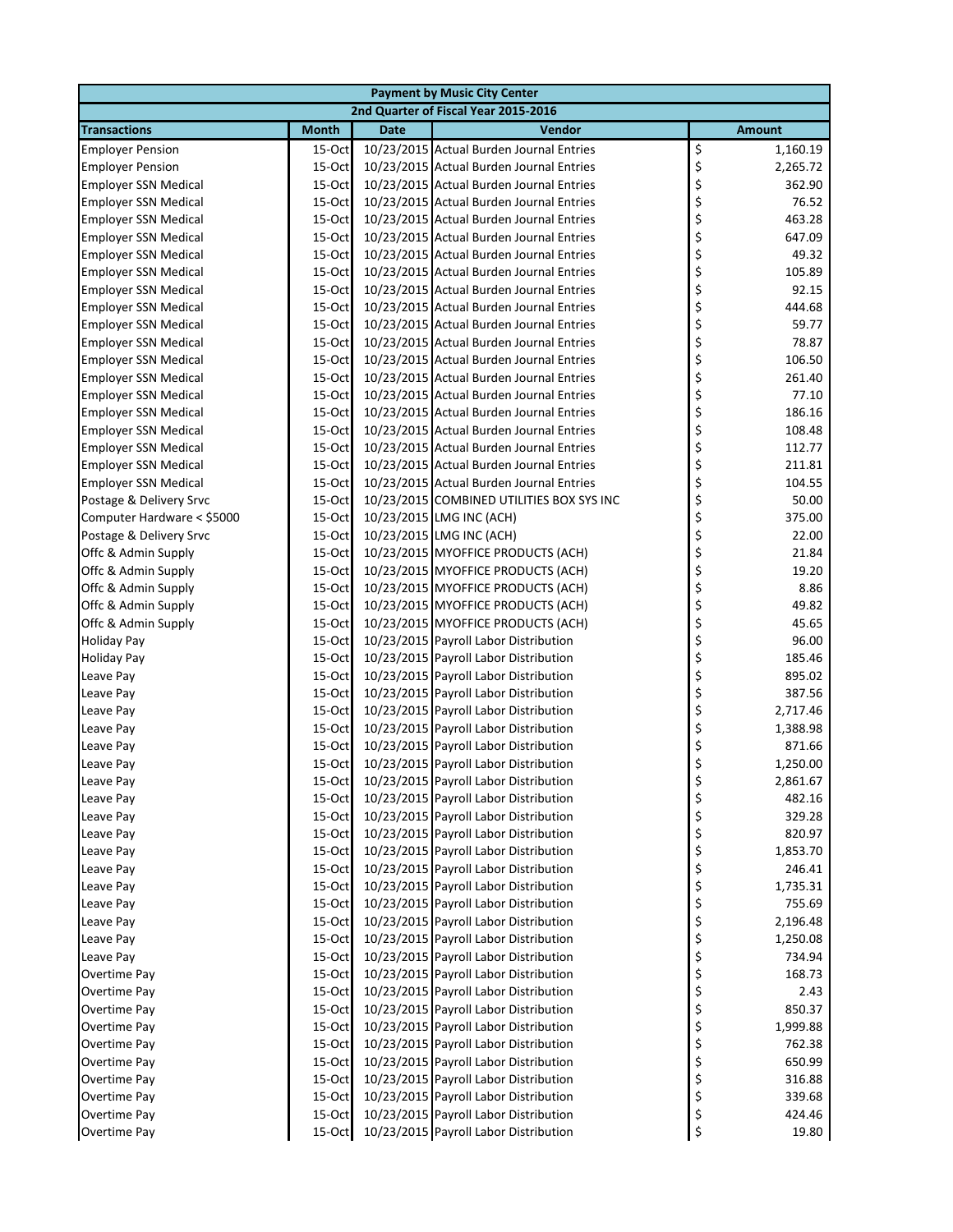| <b>Payment by Music City Center</b>        |                                      |             |                                                                          |          |               |  |  |  |
|--------------------------------------------|--------------------------------------|-------------|--------------------------------------------------------------------------|----------|---------------|--|--|--|
|                                            | 2nd Quarter of Fiscal Year 2015-2016 |             |                                                                          |          |               |  |  |  |
| <b>Transactions</b>                        | <b>Month</b>                         | <b>Date</b> | Vendor                                                                   |          | <b>Amount</b> |  |  |  |
| <b>Employer Pension</b>                    | $15-Oct$                             |             | 10/23/2015 Actual Burden Journal Entries                                 | \$       | 1,160.19      |  |  |  |
| <b>Employer Pension</b>                    | 15-Oct                               |             | 10/23/2015 Actual Burden Journal Entries                                 | \$       | 2,265.72      |  |  |  |
| <b>Employer SSN Medical</b>                | 15-Oct                               |             | 10/23/2015 Actual Burden Journal Entries                                 | \$       | 362.90        |  |  |  |
| <b>Employer SSN Medical</b>                | 15-Oct                               |             | 10/23/2015 Actual Burden Journal Entries                                 | \$       | 76.52         |  |  |  |
| <b>Employer SSN Medical</b>                | 15-Oct                               |             | 10/23/2015 Actual Burden Journal Entries                                 | \$       | 463.28        |  |  |  |
| <b>Employer SSN Medical</b>                | 15-Oct                               |             | 10/23/2015 Actual Burden Journal Entries                                 | \$       | 647.09        |  |  |  |
| <b>Employer SSN Medical</b>                | 15-Oct                               |             | 10/23/2015 Actual Burden Journal Entries                                 | \$       | 49.32         |  |  |  |
| <b>Employer SSN Medical</b>                | 15-Oct                               |             | 10/23/2015 Actual Burden Journal Entries                                 | \$       | 105.89        |  |  |  |
| <b>Employer SSN Medical</b>                | $15$ -Oct                            |             | 10/23/2015 Actual Burden Journal Entries                                 | \$       | 92.15         |  |  |  |
| <b>Employer SSN Medical</b>                | 15-Oct                               |             | 10/23/2015 Actual Burden Journal Entries                                 | \$       | 444.68        |  |  |  |
| <b>Employer SSN Medical</b>                | 15-Oct                               |             | 10/23/2015 Actual Burden Journal Entries                                 | \$       | 59.77         |  |  |  |
| <b>Employer SSN Medical</b>                | 15-Oct                               |             | 10/23/2015 Actual Burden Journal Entries                                 | \$       | 78.87         |  |  |  |
| <b>Employer SSN Medical</b>                | 15-Oct                               |             | 10/23/2015 Actual Burden Journal Entries                                 | \$       | 106.50        |  |  |  |
| <b>Employer SSN Medical</b>                | 15-Oct                               |             | 10/23/2015 Actual Burden Journal Entries                                 | \$       | 261.40        |  |  |  |
| <b>Employer SSN Medical</b>                | 15-Oct                               |             | 10/23/2015 Actual Burden Journal Entries                                 | \$       | 77.10         |  |  |  |
| <b>Employer SSN Medical</b>                | 15-Oct                               |             | 10/23/2015 Actual Burden Journal Entries                                 | \$       | 186.16        |  |  |  |
| <b>Employer SSN Medical</b>                | $15$ -Oct                            |             | 10/23/2015 Actual Burden Journal Entries                                 | \$       | 108.48        |  |  |  |
| <b>Employer SSN Medical</b>                | 15-Oct                               |             | 10/23/2015 Actual Burden Journal Entries                                 | \$       | 112.77        |  |  |  |
| <b>Employer SSN Medical</b>                | 15-Oct                               |             | 10/23/2015 Actual Burden Journal Entries                                 | \$       | 211.81        |  |  |  |
| <b>Employer SSN Medical</b>                | 15-Oct                               |             | 10/23/2015 Actual Burden Journal Entries                                 | \$       | 104.55        |  |  |  |
| Postage & Delivery Srvc                    | 15-Oct                               |             | 10/23/2015 COMBINED UTILITIES BOX SYS INC                                | \$       | 50.00         |  |  |  |
| Computer Hardware < \$5000                 | 15-Oct                               |             | 10/23/2015 LMG INC (ACH)                                                 | \$       | 375.00        |  |  |  |
| Postage & Delivery Srvc                    | 15-Oct                               |             | 10/23/2015 LMG INC (ACH)                                                 | \$       | 22.00         |  |  |  |
| Offc & Admin Supply                        | 15-Oct                               |             | 10/23/2015 MYOFFICE PRODUCTS (ACH)                                       | \$       | 21.84         |  |  |  |
| Offc & Admin Supply                        | 15-Oct                               |             | 10/23/2015 MYOFFICE PRODUCTS (ACH)                                       | \$       | 19.20         |  |  |  |
| Offc & Admin Supply<br>Offc & Admin Supply | $15$ -Oct<br>15-Oct                  |             | 10/23/2015 MYOFFICE PRODUCTS (ACH)<br>10/23/2015 MYOFFICE PRODUCTS (ACH) | \$<br>\$ | 8.86<br>49.82 |  |  |  |
| Offc & Admin Supply                        | 15-Oct                               |             | 10/23/2015 MYOFFICE PRODUCTS (ACH)                                       | \$       | 45.65         |  |  |  |
| <b>Holiday Pay</b>                         | 15-Oct                               |             | 10/23/2015 Payroll Labor Distribution                                    | \$       | 96.00         |  |  |  |
| <b>Holiday Pay</b>                         | 15-Oct                               |             | 10/23/2015 Payroll Labor Distribution                                    | \$       | 185.46        |  |  |  |
| Leave Pay                                  | 15-Oct                               |             | 10/23/2015 Payroll Labor Distribution                                    | \$       | 895.02        |  |  |  |
| Leave Pay                                  | 15-Oct                               |             | 10/23/2015 Payroll Labor Distribution                                    | \$       | 387.56        |  |  |  |
| Leave Pay                                  | $15$ -Oct                            |             | 10/23/2015 Payroll Labor Distribution                                    | \$       | 2,717.46      |  |  |  |
| Leave Pay                                  | $15$ -Oct                            |             | 10/23/2015 Payroll Labor Distribution                                    | \$       | 1,388.98      |  |  |  |
| Leave Pay                                  | 15-Oct                               |             | 10/23/2015 Payroll Labor Distribution                                    | \$       | 871.66        |  |  |  |
| Leave Pay                                  | 15-Oct                               |             | 10/23/2015 Payroll Labor Distribution                                    | \$       | 1,250.00      |  |  |  |
| Leave Pay                                  |                                      |             | 15-Oct 10/23/2015 Payroll Labor Distribution                             | \$       | 2,861.67      |  |  |  |
| Leave Pay                                  | 15-Oct                               |             | 10/23/2015 Payroll Labor Distribution                                    | \$       | 482.16        |  |  |  |
| Leave Pay                                  | 15-Oct                               |             | 10/23/2015 Payroll Labor Distribution                                    | \$       | 329.28        |  |  |  |
| Leave Pay                                  | $15$ -Oct                            |             | 10/23/2015 Payroll Labor Distribution                                    | \$       | 820.97        |  |  |  |
| Leave Pay                                  | $15$ -Oct                            |             | 10/23/2015 Payroll Labor Distribution                                    | \$       | 1,853.70      |  |  |  |
| Leave Pay                                  | $15$ -Oct                            |             | 10/23/2015 Payroll Labor Distribution                                    | \$       | 246.41        |  |  |  |
| Leave Pay                                  | $15$ -Oct                            |             | 10/23/2015 Payroll Labor Distribution                                    | \$       | 1,735.31      |  |  |  |
| Leave Pay                                  | $15$ -Oct                            |             | 10/23/2015 Payroll Labor Distribution                                    | \$       | 755.69        |  |  |  |
| Leave Pay                                  | 15-Oct                               |             | 10/23/2015 Payroll Labor Distribution                                    | \$       | 2,196.48      |  |  |  |
| Leave Pay                                  | 15-Oct                               |             | 10/23/2015 Payroll Labor Distribution                                    | \$       | 1,250.08      |  |  |  |
| Leave Pay                                  | 15-Oct                               |             | 10/23/2015 Payroll Labor Distribution                                    | \$       | 734.94        |  |  |  |
| Overtime Pay                               | $15$ -Oct                            |             | 10/23/2015 Payroll Labor Distribution                                    | \$       | 168.73        |  |  |  |
| Overtime Pay                               | 15-Oct                               |             | 10/23/2015 Payroll Labor Distribution                                    | \$       | 2.43          |  |  |  |
| Overtime Pay                               | $15$ -Oct                            |             | 10/23/2015 Payroll Labor Distribution                                    | \$       | 850.37        |  |  |  |
| Overtime Pay                               | $15$ -Oct                            |             | 10/23/2015 Payroll Labor Distribution                                    | \$       | 1,999.88      |  |  |  |
| Overtime Pay                               | $15$ -Oct                            |             | 10/23/2015 Payroll Labor Distribution                                    | \$       | 762.38        |  |  |  |
| Overtime Pay                               | 15-Oct                               |             | 10/23/2015 Payroll Labor Distribution                                    | \$       | 650.99        |  |  |  |
| Overtime Pay                               | 15-Oct                               |             | 10/23/2015 Payroll Labor Distribution                                    | \$       | 316.88        |  |  |  |
| Overtime Pay                               | 15-Oct                               |             | 10/23/2015 Payroll Labor Distribution                                    | \$       | 339.68        |  |  |  |
| Overtime Pay                               | 15-Oct                               |             | 10/23/2015 Payroll Labor Distribution                                    | \$       | 424.46        |  |  |  |
| Overtime Pay                               | 15-Oct                               |             | 10/23/2015 Payroll Labor Distribution                                    | \$       | 19.80         |  |  |  |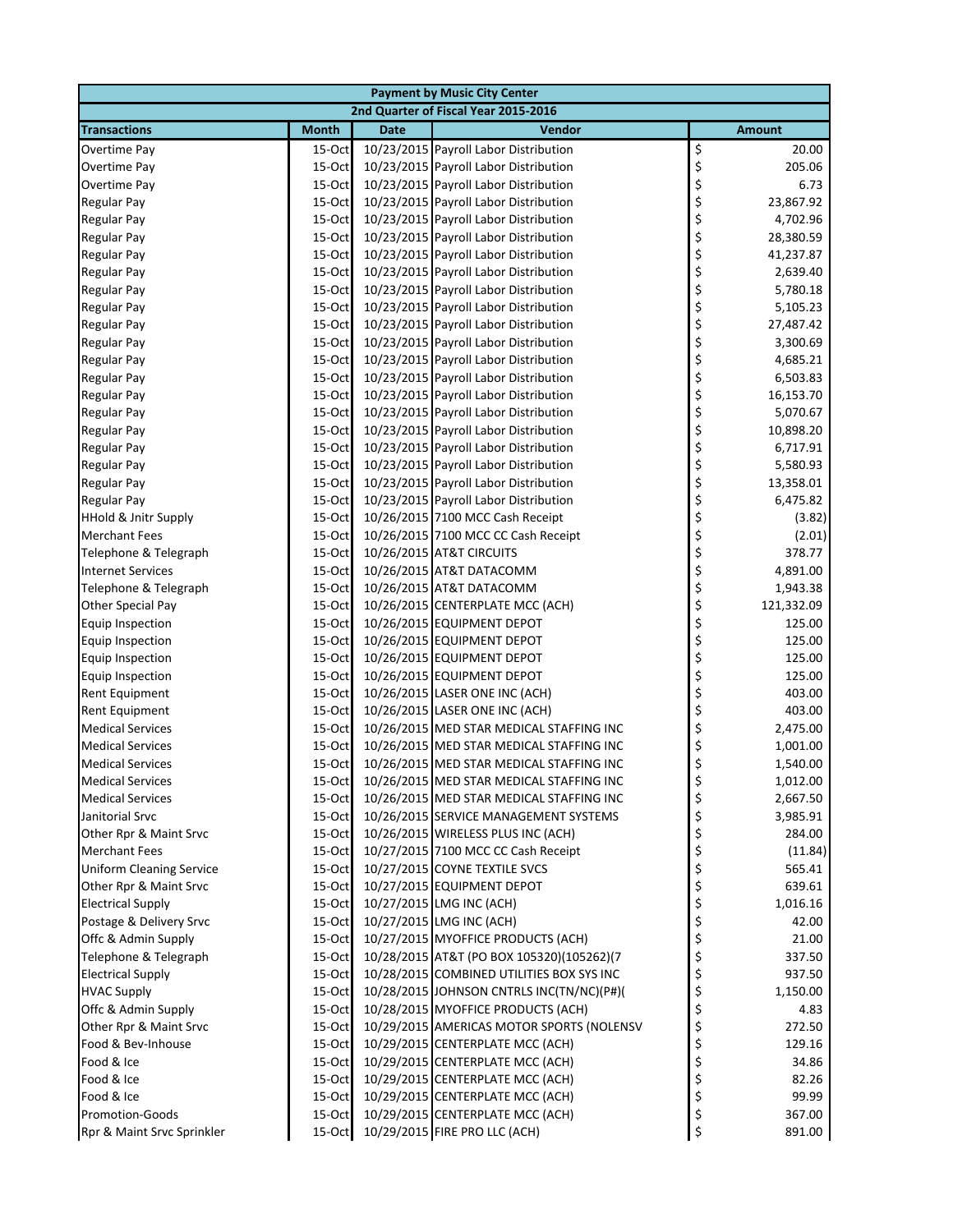|                                                    |                     |             | <b>Payment by Music City Center</b>                    |          |                   |
|----------------------------------------------------|---------------------|-------------|--------------------------------------------------------|----------|-------------------|
|                                                    |                     |             | 2nd Quarter of Fiscal Year 2015-2016                   |          |                   |
| <b>Transactions</b>                                | <b>Month</b>        | <b>Date</b> | Vendor                                                 |          | <b>Amount</b>     |
| Overtime Pay                                       | $15-Oct$            |             | 10/23/2015 Payroll Labor Distribution                  | \$       | 20.00             |
| Overtime Pay                                       | 15-Oct              |             | 10/23/2015 Payroll Labor Distribution                  | \$       | 205.06            |
| Overtime Pay                                       | 15-Oct              |             | 10/23/2015 Payroll Labor Distribution                  | \$       | 6.73              |
| Regular Pay                                        | 15-Oct              |             | 10/23/2015 Payroll Labor Distribution                  | \$       | 23,867.92         |
| <b>Regular Pay</b>                                 | 15-Oct              |             | 10/23/2015 Payroll Labor Distribution                  | \$       | 4,702.96          |
| <b>Regular Pay</b>                                 | 15-Oct              |             | 10/23/2015 Payroll Labor Distribution                  | \$       | 28,380.59         |
| <b>Regular Pay</b>                                 | 15-Oct              |             | 10/23/2015 Payroll Labor Distribution                  | \$       | 41,237.87         |
| <b>Regular Pay</b>                                 | 15-Oct              |             | 10/23/2015 Payroll Labor Distribution                  | \$       | 2,639.40          |
| <b>Regular Pay</b>                                 | 15-Oct              |             | 10/23/2015 Payroll Labor Distribution                  | \$       | 5,780.18          |
| <b>Regular Pay</b>                                 | 15-Oct              |             | 10/23/2015 Payroll Labor Distribution                  | \$       | 5,105.23          |
| <b>Regular Pay</b>                                 | $15$ -Oct           |             | 10/23/2015 Payroll Labor Distribution                  | \$       | 27,487.42         |
| <b>Regular Pay</b>                                 | 15-Oct              |             | 10/23/2015 Payroll Labor Distribution                  | \$       | 3,300.69          |
| <b>Regular Pay</b>                                 | 15-Oct              |             | 10/23/2015 Payroll Labor Distribution                  | \$       | 4,685.21          |
| <b>Regular Pay</b>                                 | 15-Oct              |             | 10/23/2015 Payroll Labor Distribution                  | \$       | 6,503.83          |
| <b>Regular Pay</b>                                 | 15-Oct              |             | 10/23/2015 Payroll Labor Distribution                  | \$       | 16,153.70         |
| <b>Regular Pay</b>                                 | $15$ -Oct           |             | 10/23/2015 Payroll Labor Distribution                  | \$       | 5,070.67          |
| <b>Regular Pay</b>                                 | 15-Oct              |             | 10/23/2015 Payroll Labor Distribution                  | \$       | 10,898.20         |
| <b>Regular Pay</b>                                 | $15$ -Oct           |             | 10/23/2015 Payroll Labor Distribution                  | \$       | 6,717.91          |
| <b>Regular Pay</b>                                 | 15-Oct              |             | 10/23/2015 Payroll Labor Distribution                  | \$       | 5,580.93          |
| <b>Regular Pay</b>                                 | 15-Oct              |             | 10/23/2015 Payroll Labor Distribution                  | \$       | 13,358.01         |
| <b>Regular Pay</b>                                 | 15-Oct              |             | 10/23/2015 Payroll Labor Distribution                  | \$       | 6,475.82          |
| <b>HHold &amp; Jnitr Supply</b>                    | 15-Oct              |             | 10/26/2015 7100 MCC Cash Receipt                       | \$       | (3.82)            |
| <b>Merchant Fees</b>                               | 15-Oct              |             | 10/26/2015 7100 MCC CC Cash Receipt                    | \$       | (2.01)            |
| Telephone & Telegraph                              | 15-Oct              |             | 10/26/2015 AT&T CIRCUITS                               | \$       | 378.77            |
| <b>Internet Services</b>                           | 15-Oct              |             | 10/26/2015 AT&T DATACOMM                               | \$       | 4,891.00          |
| Telephone & Telegraph                              | 15-Oct              |             | 10/26/2015 AT&T DATACOMM                               | \$       | 1,943.38          |
| <b>Other Special Pay</b>                           | 15-Oct              |             | 10/26/2015 CENTERPLATE MCC (ACH)                       | \$       | 121,332.09        |
| <b>Equip Inspection</b>                            | 15-Oct              |             | 10/26/2015 EQUIPMENT DEPOT                             | \$       | 125.00            |
| <b>Equip Inspection</b>                            | 15-Oct              |             | 10/26/2015 EQUIPMENT DEPOT                             | \$       | 125.00            |
| <b>Equip Inspection</b>                            | 15-Oct              |             | 10/26/2015 EQUIPMENT DEPOT                             | \$       | 125.00            |
| <b>Equip Inspection</b>                            | 15-Oct              |             | 10/26/2015 EQUIPMENT DEPOT                             | \$       | 125.00            |
| <b>Rent Equipment</b>                              | 15-Oct              |             | 10/26/2015 LASER ONE INC (ACH)                         | \$       | 403.00            |
| <b>Rent Equipment</b>                              | 15-Oct              |             | 10/26/2015 LASER ONE INC (ACH)                         | \$       | 403.00            |
| <b>Medical Services</b>                            | $15$ -Oct           |             | 10/26/2015 MED STAR MEDICAL STAFFING INC               | \$       | 2,475.00          |
| <b>Medical Services</b>                            | 15-Oct              |             | 10/26/2015 MED STAR MEDICAL STAFFING INC               | \$       | 1,001.00          |
| <b>Medical Services</b>                            | 15-Oct              |             | 10/26/2015 MED STAR MEDICAL STAFFING INC               | \$       | 1,540.00          |
| <b>Medical Services</b>                            |                     |             | 15-Oct 10/26/2015 MED STAR MEDICAL STAFFING INC        |          | 1,012.00          |
| <b>Medical Services</b>                            | 15-Oct              |             | 10/26/2015 MED STAR MEDICAL STAFFING INC               | Ş<br>\$  | 2,667.50          |
| Janitorial Srvc                                    | 15-Oct              |             | 10/26/2015 SERVICE MANAGEMENT SYSTEMS                  | \$       | 3,985.91          |
| Other Rpr & Maint Srvc                             | 15-Oct              |             | 10/26/2015 WIRELESS PLUS INC (ACH)                     | \$       | 284.00            |
| <b>Merchant Fees</b>                               | $15$ -Oct           |             | 10/27/2015 7100 MCC CC Cash Receipt                    | \$       | (11.84)           |
|                                                    |                     |             | 10/27/2015 COYNE TEXTILE SVCS                          | \$       | 565.41            |
| <b>Uniform Cleaning Service</b>                    | $15$ -Oct           |             |                                                        | \$       | 639.61            |
| Other Rpr & Maint Srvc<br><b>Electrical Supply</b> | $15$ -Oct<br>15-Oct |             | 10/27/2015 EQUIPMENT DEPOT<br>10/27/2015 LMG INC (ACH) | \$       |                   |
| Postage & Delivery Srvc                            | 15-Oct              |             | 10/27/2015 LMG INC (ACH)                               |          | 1,016.16<br>42.00 |
| Offc & Admin Supply                                | 15-Oct              |             | 10/27/2015 MYOFFICE PRODUCTS (ACH)                     | \$       | 21.00             |
| Telephone & Telegraph                              | 15-Oct              |             | 10/28/2015 AT&T (PO BOX 105320)(105262)(7              | \$       | 337.50            |
|                                                    |                     |             |                                                        | \$<br>\$ |                   |
| <b>Electrical Supply</b>                           | 15-Oct              |             | 10/28/2015 COMBINED UTILITIES BOX SYS INC              |          | 937.50            |
| <b>HVAC Supply</b>                                 | 15-Oct              |             | 10/28/2015 JOHNSON CNTRLS INC(TN/NC)(P#)(              | \$       | 1,150.00          |
| Offc & Admin Supply                                | 15-Oct              |             | 10/28/2015 MYOFFICE PRODUCTS (ACH)                     | \$       | 4.83              |
| Other Rpr & Maint Srvc                             | $15$ -Oct           |             | 10/29/2015 AMERICAS MOTOR SPORTS (NOLENSV              | \$       | 272.50            |
| Food & Bev-Inhouse                                 | $15$ -Oct           |             | 10/29/2015 CENTERPLATE MCC (ACH)                       | \$       | 129.16            |
| Food & Ice                                         | 15-Oct              |             | 10/29/2015 CENTERPLATE MCC (ACH)                       | \$       | 34.86             |
| Food & Ice                                         | 15-Oct              |             | 10/29/2015 CENTERPLATE MCC (ACH)                       | \$       | 82.26             |
| Food & Ice                                         | 15-Oct              |             | 10/29/2015 CENTERPLATE MCC (ACH)                       | \$       | 99.99             |
| <b>Promotion-Goods</b>                             | 15-Oct              |             | 10/29/2015 CENTERPLATE MCC (ACH)                       | \$       | 367.00            |
| Rpr & Maint Srvc Sprinkler                         | 15-Oct              |             | 10/29/2015 FIRE PRO LLC (ACH)                          | \$       | 891.00            |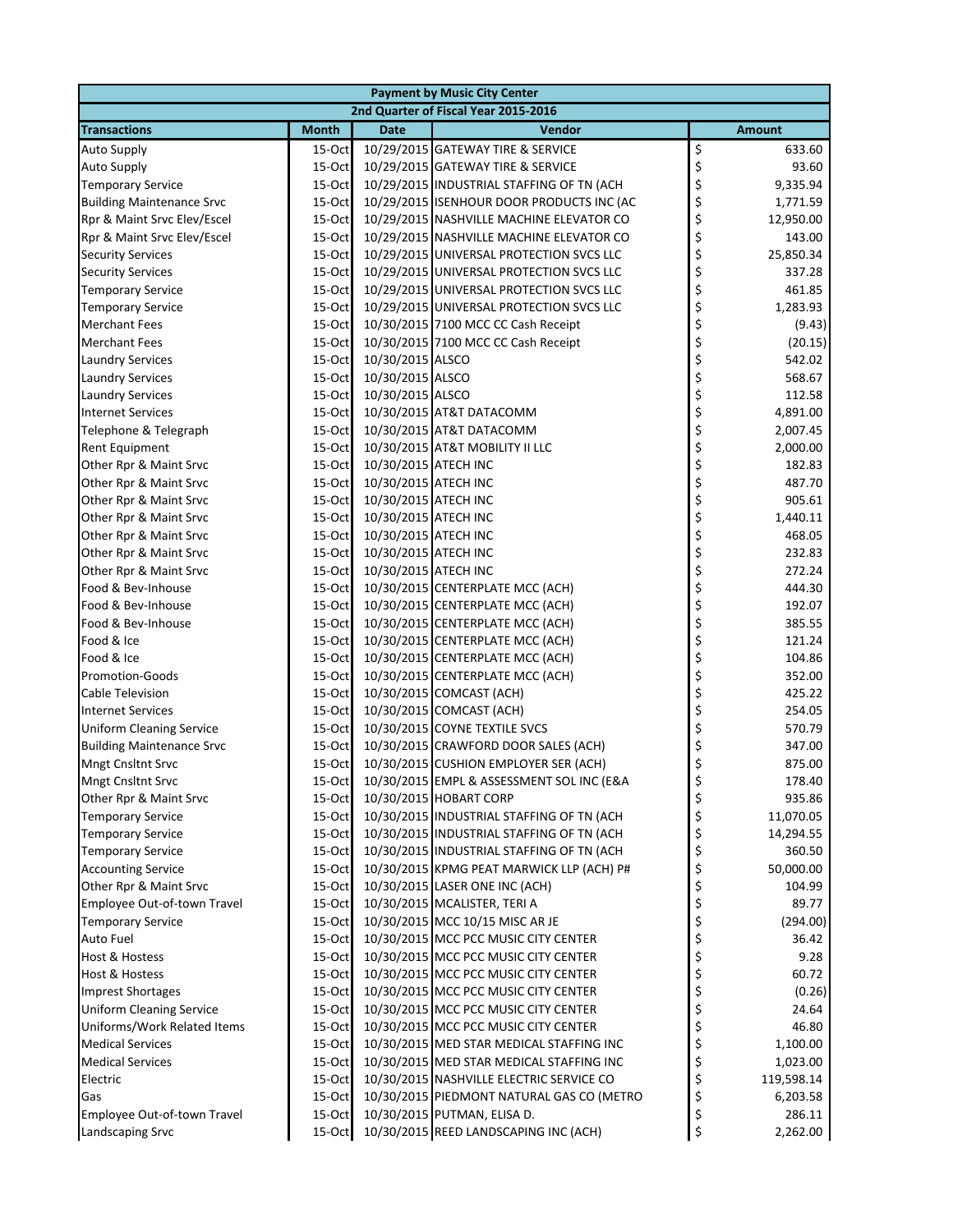| <b>Payment by Music City Center</b> |              |                      |                                           |    |               |  |
|-------------------------------------|--------------|----------------------|-------------------------------------------|----|---------------|--|
|                                     |              |                      | 2nd Quarter of Fiscal Year 2015-2016      |    |               |  |
| <b>Transactions</b>                 | <b>Month</b> | <b>Date</b>          | Vendor                                    |    | <b>Amount</b> |  |
| <b>Auto Supply</b>                  | $15-Oct$     |                      | 10/29/2015 GATEWAY TIRE & SERVICE         | \$ | 633.60        |  |
| <b>Auto Supply</b>                  | 15-Oct       |                      | 10/29/2015 GATEWAY TIRE & SERVICE         | \$ | 93.60         |  |
| <b>Temporary Service</b>            | 15-Oct       |                      | 10/29/2015 INDUSTRIAL STAFFING OF TN (ACH | \$ | 9,335.94      |  |
| <b>Building Maintenance Srvc</b>    | $15-Oct$     |                      | 10/29/2015 ISENHOUR DOOR PRODUCTS INC (AC | \$ | 1,771.59      |  |
| Rpr & Maint Srvc Elev/Escel         | 15-Oct       |                      | 10/29/2015 NASHVILLE MACHINE ELEVATOR CO  | \$ | 12,950.00     |  |
| Rpr & Maint Srvc Elev/Escel         | $15-Oct$     |                      | 10/29/2015 NASHVILLE MACHINE ELEVATOR CO  | \$ | 143.00        |  |
| <b>Security Services</b>            | 15-Oct       |                      | 10/29/2015 UNIVERSAL PROTECTION SVCS LLC  | \$ | 25,850.34     |  |
| <b>Security Services</b>            | $15-Oct$     |                      | 10/29/2015 UNIVERSAL PROTECTION SVCS LLC  | \$ | 337.28        |  |
| <b>Temporary Service</b>            | 15-Oct       |                      | 10/29/2015 UNIVERSAL PROTECTION SVCS LLC  | \$ | 461.85        |  |
| <b>Temporary Service</b>            | $15-Oct$     |                      | 10/29/2015 UNIVERSAL PROTECTION SVCS LLC  | \$ | 1,283.93      |  |
| <b>Merchant Fees</b>                | 15-Oct       |                      | 10/30/2015 7100 MCC CC Cash Receipt       | \$ | (9.43)        |  |
| <b>Merchant Fees</b>                | 15-Oct       |                      | 10/30/2015 7100 MCC CC Cash Receipt       | \$ | (20.15)       |  |
| <b>Laundry Services</b>             | 15-Oct       | 10/30/2015 ALSCO     |                                           | \$ | 542.02        |  |
| <b>Laundry Services</b>             | 15-Oct       | 10/30/2015 ALSCO     |                                           | \$ | 568.67        |  |
| <b>Laundry Services</b>             | 15-Oct       | 10/30/2015 ALSCO     |                                           | \$ | 112.58        |  |
| <b>Internet Services</b>            | $15-Oct$     |                      | 10/30/2015 AT&T DATACOMM                  | \$ | 4,891.00      |  |
| Telephone & Telegraph               | 15-Oct       |                      | 10/30/2015 AT&T DATACOMM                  | \$ | 2,007.45      |  |
| Rent Equipment                      | 15-Oct       |                      | 10/30/2015 AT&T MOBILITY II LLC           | \$ | 2,000.00      |  |
| Other Rpr & Maint Srvc              | 15-Oct       | 10/30/2015 ATECH INC |                                           | \$ | 182.83        |  |
| Other Rpr & Maint Srvc              | 15-Oct       | 10/30/2015 ATECH INC |                                           | \$ | 487.70        |  |
| Other Rpr & Maint Srvc              | 15-Oct       | 10/30/2015 ATECH INC |                                           | \$ | 905.61        |  |
| Other Rpr & Maint Srvc              | 15-Oct       | 10/30/2015 ATECH INC |                                           | \$ | 1,440.11      |  |
| Other Rpr & Maint Srvc              | 15-Oct       | 10/30/2015 ATECH INC |                                           | \$ | 468.05        |  |
| Other Rpr & Maint Srvc              | $15-Oct$     | 10/30/2015 ATECH INC |                                           | \$ | 232.83        |  |
| Other Rpr & Maint Srvc              | $15-Oct$     | 10/30/2015 ATECH INC |                                           | \$ | 272.24        |  |
| Food & Bev-Inhouse                  | 15-Oct       |                      | 10/30/2015 CENTERPLATE MCC (ACH)          | \$ | 444.30        |  |
| Food & Bev-Inhouse                  | $15-Oct$     |                      | 10/30/2015 CENTERPLATE MCC (ACH)          | \$ | 192.07        |  |
| Food & Bev-Inhouse                  | 15-Oct       |                      | 10/30/2015 CENTERPLATE MCC (ACH)          | \$ | 385.55        |  |
| Food & Ice                          | $15-Oct$     |                      | 10/30/2015 CENTERPLATE MCC (ACH)          | \$ | 121.24        |  |
| Food & Ice                          | 15-Oct       |                      | 10/30/2015 CENTERPLATE MCC (ACH)          | \$ | 104.86        |  |
| <b>Promotion-Goods</b>              | $15-Oct$     |                      | 10/30/2015 CENTERPLATE MCC (ACH)          | \$ | 352.00        |  |
| <b>Cable Television</b>             | 15-Oct       |                      | 10/30/2015 COMCAST (ACH)                  | \$ | 425.22        |  |
| <b>Internet Services</b>            | $15-Oct$     |                      | 10/30/2015 COMCAST (ACH)                  | \$ | 254.05        |  |
| <b>Uniform Cleaning Service</b>     | 15-Oct       |                      | 10/30/2015 COYNE TEXTILE SVCS             | \$ | 570.79        |  |
| <b>Building Maintenance Srvc</b>    | 15-Oct       |                      | 10/30/2015 CRAWFORD DOOR SALES (ACH)      | \$ | 347.00        |  |
| <b>Mngt Cnsltnt Srvc</b>            | 15-Oct       |                      | 10/30/2015 CUSHION EMPLOYER SER (ACH)     | \$ | 875.00        |  |
| Mngt Cnsltnt Srvc                   | $15-Oct$     |                      | 10/30/2015 EMPL & ASSESSMENT SOL INC (E&A |    | 178.40        |  |
| Other Rpr & Maint Srvc              | 15-Oct       |                      | 10/30/2015 HOBART CORP                    | \$ | 935.86        |  |
| <b>Temporary Service</b>            | 15-Oct       |                      | 10/30/2015 INDUSTRIAL STAFFING OF TN (ACH | \$ | 11,070.05     |  |
| <b>Temporary Service</b>            | 15-Oct       |                      | 10/30/2015 INDUSTRIAL STAFFING OF TN (ACH | \$ | 14,294.55     |  |
| <b>Temporary Service</b>            | $15-Oct$     |                      | 10/30/2015 INDUSTRIAL STAFFING OF TN (ACH | \$ | 360.50        |  |
| <b>Accounting Service</b>           | $15-Oct$     |                      | 10/30/2015 KPMG PEAT MARWICK LLP (ACH) P# | \$ | 50,000.00     |  |
| Other Rpr & Maint Srvc              | 15-Oct       |                      | 10/30/2015 LASER ONE INC (ACH)            | \$ | 104.99        |  |
| Employee Out-of-town Travel         | 15-Oct       |                      | 10/30/2015 MCALISTER, TERI A              | \$ | 89.77         |  |
| <b>Temporary Service</b>            | 15-Oct       |                      | 10/30/2015 MCC 10/15 MISC AR JE           | \$ | (294.00)      |  |
| Auto Fuel                           | 15-Oct       |                      | 10/30/2015 MCC PCC MUSIC CITY CENTER      | \$ | 36.42         |  |
| <b>Host &amp; Hostess</b>           | 15-Oct       |                      | 10/30/2015 MCC PCC MUSIC CITY CENTER      | \$ | 9.28          |  |
| Host & Hostess                      | 15-Oct       |                      | 10/30/2015 MCC PCC MUSIC CITY CENTER      | \$ | 60.72         |  |
| <b>Imprest Shortages</b>            | 15-Oct       |                      | 10/30/2015 MCC PCC MUSIC CITY CENTER      | \$ | (0.26)        |  |
| <b>Uniform Cleaning Service</b>     | $15-Oct$     |                      | 10/30/2015 MCC PCC MUSIC CITY CENTER      | \$ | 24.64         |  |
| Uniforms/Work Related Items         | 15-Oct       |                      | 10/30/2015 MCC PCC MUSIC CITY CENTER      | \$ | 46.80         |  |
| <b>Medical Services</b>             | $15-Oct$     |                      | 10/30/2015 MED STAR MEDICAL STAFFING INC  | \$ | 1,100.00      |  |
| <b>Medical Services</b>             | 15-Oct       |                      | 10/30/2015 MED STAR MEDICAL STAFFING INC  | \$ | 1,023.00      |  |
| Electric                            | $15$ -Oct    |                      | 10/30/2015 NASHVILLE ELECTRIC SERVICE CO  | \$ | 119,598.14    |  |
| Gas                                 | 15-Oct       |                      | 10/30/2015 PIEDMONT NATURAL GAS CO (METRO | \$ | 6,203.58      |  |
| Employee Out-of-town Travel         | 15-Oct       |                      | 10/30/2015 PUTMAN, ELISA D.               | \$ | 286.11        |  |
| Landscaping Srvc                    | 15-Oct       |                      | 10/30/2015 REED LANDSCAPING INC (ACH)     | \$ | 2,262.00      |  |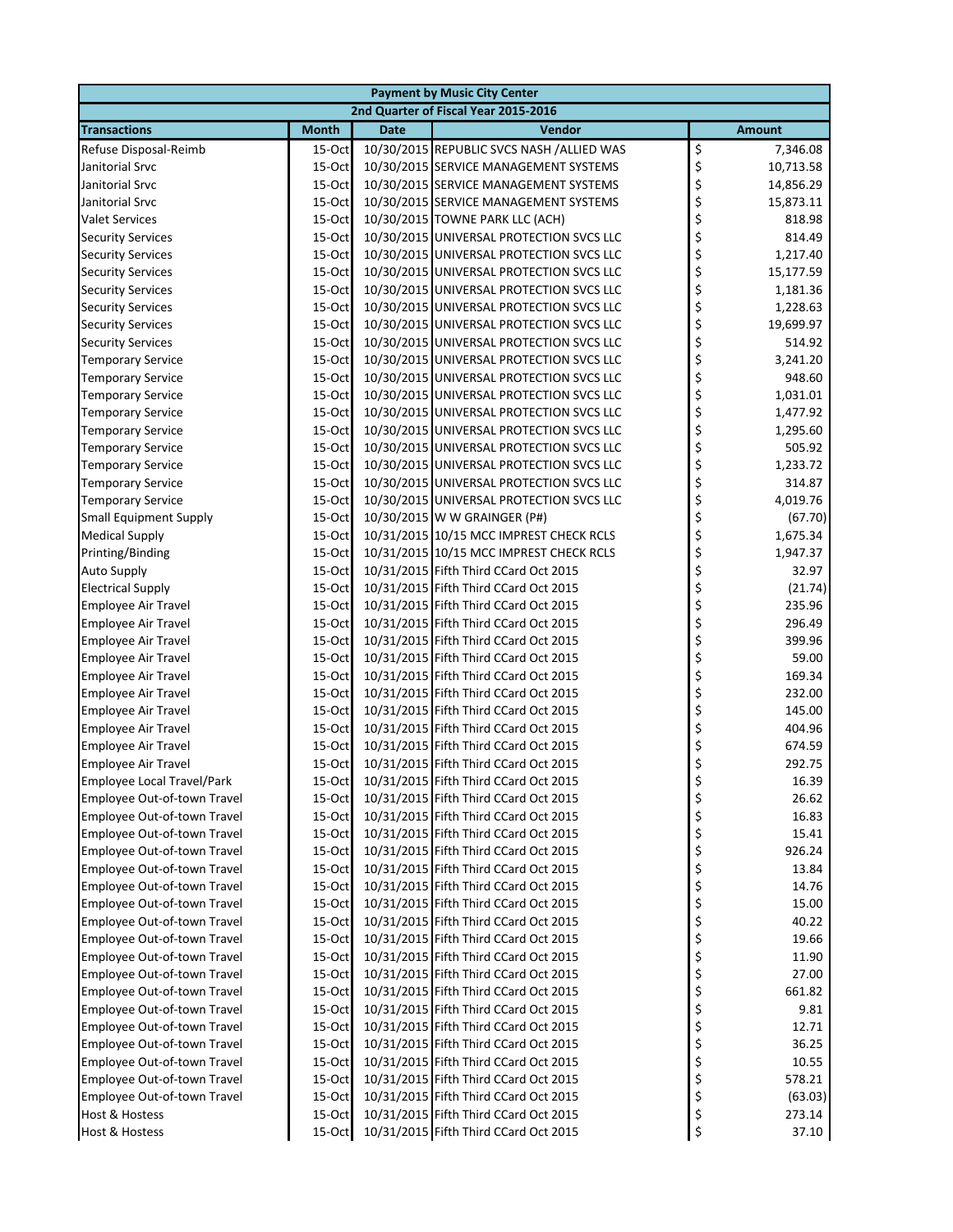| <b>Payment by Music City Center</b> |                                      |             |                                           |               |           |  |  |
|-------------------------------------|--------------------------------------|-------------|-------------------------------------------|---------------|-----------|--|--|
|                                     | 2nd Quarter of Fiscal Year 2015-2016 |             |                                           |               |           |  |  |
| <b>Transactions</b>                 | <b>Month</b>                         | <b>Date</b> | Vendor                                    | <b>Amount</b> |           |  |  |
| Refuse Disposal-Reimb               | 15-Oct                               |             | 10/30/2015 REPUBLIC SVCS NASH /ALLIED WAS | \$            | 7,346.08  |  |  |
| Janitorial Srvc                     | 15-Oct                               |             | 10/30/2015 SERVICE MANAGEMENT SYSTEMS     | \$            | 10,713.58 |  |  |
| Janitorial Srvc                     | 15-Oct                               |             | 10/30/2015 SERVICE MANAGEMENT SYSTEMS     | \$            | 14,856.29 |  |  |
| Janitorial Srvc                     | 15-Oct                               |             | 10/30/2015 SERVICE MANAGEMENT SYSTEMS     | \$            | 15,873.11 |  |  |
| <b>Valet Services</b>               | 15-Oct                               |             | 10/30/2015 TOWNE PARK LLC (ACH)           | \$            | 818.98    |  |  |
| <b>Security Services</b>            | 15-Oct                               |             | 10/30/2015 UNIVERSAL PROTECTION SVCS LLC  | \$            | 814.49    |  |  |
| <b>Security Services</b>            | 15-Oct                               |             | 10/30/2015 UNIVERSAL PROTECTION SVCS LLC  | \$            | 1,217.40  |  |  |
| <b>Security Services</b>            | 15-Oct                               |             | 10/30/2015 UNIVERSAL PROTECTION SVCS LLC  | \$            | 15,177.59 |  |  |
| <b>Security Services</b>            | 15-Oct                               |             | 10/30/2015 UNIVERSAL PROTECTION SVCS LLC  | \$            | 1,181.36  |  |  |
| <b>Security Services</b>            | 15-Oct                               |             | 10/30/2015 UNIVERSAL PROTECTION SVCS LLC  | \$            | 1,228.63  |  |  |
| <b>Security Services</b>            | 15-Oct                               |             | 10/30/2015 UNIVERSAL PROTECTION SVCS LLC  | \$            | 19,699.97 |  |  |
| <b>Security Services</b>            | 15-Oct                               |             | 10/30/2015 UNIVERSAL PROTECTION SVCS LLC  | \$            | 514.92    |  |  |
| <b>Temporary Service</b>            | 15-Oct                               |             | 10/30/2015 UNIVERSAL PROTECTION SVCS LLC  | \$            | 3,241.20  |  |  |
| <b>Temporary Service</b>            | 15-Oct                               |             | 10/30/2015 UNIVERSAL PROTECTION SVCS LLC  | \$            | 948.60    |  |  |
| <b>Temporary Service</b>            | 15-Oct                               |             | 10/30/2015 UNIVERSAL PROTECTION SVCS LLC  | \$            | 1,031.01  |  |  |
| <b>Temporary Service</b>            | 15-Oct                               |             | 10/30/2015 UNIVERSAL PROTECTION SVCS LLC  | \$            | 1,477.92  |  |  |
| <b>Temporary Service</b>            | 15-Oct                               |             | 10/30/2015 UNIVERSAL PROTECTION SVCS LLC  | \$            | 1,295.60  |  |  |
| <b>Temporary Service</b>            | 15-Oct                               |             | 10/30/2015 UNIVERSAL PROTECTION SVCS LLC  | \$            | 505.92    |  |  |
| <b>Temporary Service</b>            | 15-Oct                               |             | 10/30/2015 UNIVERSAL PROTECTION SVCS LLC  | \$            | 1,233.72  |  |  |
| <b>Temporary Service</b>            | 15-Oct                               |             | 10/30/2015 UNIVERSAL PROTECTION SVCS LLC  | \$            | 314.87    |  |  |
| <b>Temporary Service</b>            | 15-Oct                               |             | 10/30/2015 UNIVERSAL PROTECTION SVCS LLC  | \$            | 4,019.76  |  |  |
| <b>Small Equipment Supply</b>       | 15-Oct                               |             | 10/30/2015 W W GRAINGER (P#)              | \$            | (67.70)   |  |  |
| <b>Medical Supply</b>               | 15-Oct                               |             | 10/31/2015 10/15 MCC IMPREST CHECK RCLS   | \$            | 1,675.34  |  |  |
| Printing/Binding                    | 15-Oct                               |             | 10/31/2015 10/15 MCC IMPREST CHECK RCLS   | \$            | 1,947.37  |  |  |
| <b>Auto Supply</b>                  | 15-Oct                               |             | 10/31/2015 Fifth Third CCard Oct 2015     | \$            | 32.97     |  |  |
| <b>Electrical Supply</b>            | 15-Oct                               |             | 10/31/2015 Fifth Third CCard Oct 2015     | \$            | (21.74)   |  |  |
| <b>Employee Air Travel</b>          | 15-Oct                               |             | 10/31/2015 Fifth Third CCard Oct 2015     | \$            | 235.96    |  |  |
| Employee Air Travel                 | 15-Oct                               |             | 10/31/2015 Fifth Third CCard Oct 2015     | \$            | 296.49    |  |  |
| <b>Employee Air Travel</b>          | 15-Oct                               |             | 10/31/2015 Fifth Third CCard Oct 2015     | \$            | 399.96    |  |  |
| <b>Employee Air Travel</b>          | 15-Oct                               |             | 10/31/2015 Fifth Third CCard Oct 2015     | \$            | 59.00     |  |  |
| <b>Employee Air Travel</b>          | 15-Oct                               |             | 10/31/2015 Fifth Third CCard Oct 2015     | \$            | 169.34    |  |  |
| <b>Employee Air Travel</b>          | 15-Oct                               |             | 10/31/2015 Fifth Third CCard Oct 2015     | \$            | 232.00    |  |  |
| <b>Employee Air Travel</b>          | 15-Oct                               |             | 10/31/2015 Fifth Third CCard Oct 2015     | \$            | 145.00    |  |  |
| <b>Employee Air Travel</b>          | 15-Oct                               |             | 10/31/2015 Fifth Third CCard Oct 2015     | \$            | 404.96    |  |  |
| Employee Air Travel                 | 15-Oct                               |             | 10/31/2015 Fifth Third CCard Oct 2015     | \$            | 674.59    |  |  |
| <b>Employee Air Travel</b>          | 15-Oct                               |             | 10/31/2015 Fifth Third CCard Oct 2015     | \$            | 292.75    |  |  |
| Employee Local Travel/Park          | 15-Oct                               |             | 10/31/2015 Fifth Third CCard Oct 2015     | P             | 16.39     |  |  |
| Employee Out-of-town Travel         | 15-Oct                               |             | 10/31/2015 Fifth Third CCard Oct 2015     | \$            | 26.62     |  |  |
| Employee Out-of-town Travel         | 15-Oct                               |             | 10/31/2015 Fifth Third CCard Oct 2015     | \$            | 16.83     |  |  |
| Employee Out-of-town Travel         | $15$ -Oct                            |             | 10/31/2015 Fifth Third CCard Oct 2015     | \$            | 15.41     |  |  |
| Employee Out-of-town Travel         | $15$ -Oct                            |             | 10/31/2015 Fifth Third CCard Oct 2015     | \$            | 926.24    |  |  |
| Employee Out-of-town Travel         | $15$ -Oct                            |             | 10/31/2015 Fifth Third CCard Oct 2015     | \$            | 13.84     |  |  |
| Employee Out-of-town Travel         | 15-Oct                               |             | 10/31/2015 Fifth Third CCard Oct 2015     | \$            | 14.76     |  |  |
| Employee Out-of-town Travel         | 15-Oct                               |             | 10/31/2015 Fifth Third CCard Oct 2015     | \$            | 15.00     |  |  |
| Employee Out-of-town Travel         | 15-Oct                               |             | 10/31/2015 Fifth Third CCard Oct 2015     | \$            | 40.22     |  |  |
| Employee Out-of-town Travel         | $15$ -Oct                            |             | 10/31/2015 Fifth Third CCard Oct 2015     | \$            | 19.66     |  |  |
| Employee Out-of-town Travel         | 15-Oct                               |             | 10/31/2015 Fifth Third CCard Oct 2015     | \$            | 11.90     |  |  |
| Employee Out-of-town Travel         | $15$ -Oct                            |             | 10/31/2015 Fifth Third CCard Oct 2015     | \$            | 27.00     |  |  |
| Employee Out-of-town Travel         | $15$ -Oct                            |             | 10/31/2015 Fifth Third CCard Oct 2015     | \$            | 661.82    |  |  |
| Employee Out-of-town Travel         | $15$ -Oct                            |             | 10/31/2015 Fifth Third CCard Oct 2015     | \$            | 9.81      |  |  |
| Employee Out-of-town Travel         | 15-Oct                               |             | 10/31/2015 Fifth Third CCard Oct 2015     | \$            | 12.71     |  |  |
| Employee Out-of-town Travel         | 15-Oct                               |             | 10/31/2015 Fifth Third CCard Oct 2015     | \$            | 36.25     |  |  |
| Employee Out-of-town Travel         | $15$ -Oct                            |             | 10/31/2015 Fifth Third CCard Oct 2015     | \$            | 10.55     |  |  |
| Employee Out-of-town Travel         | $15$ -Oct                            |             | 10/31/2015 Fifth Third CCard Oct 2015     | \$            | 578.21    |  |  |
| Employee Out-of-town Travel         | 15-Oct                               |             | 10/31/2015 Fifth Third CCard Oct 2015     | \$            | (63.03)   |  |  |
| Host & Hostess                      | 15-Oct                               |             | 10/31/2015 Fifth Third CCard Oct 2015     | \$            | 273.14    |  |  |
| <b>Host &amp; Hostess</b>           | 15-Oct                               |             | 10/31/2015 Fifth Third CCard Oct 2015     | \$            | 37.10     |  |  |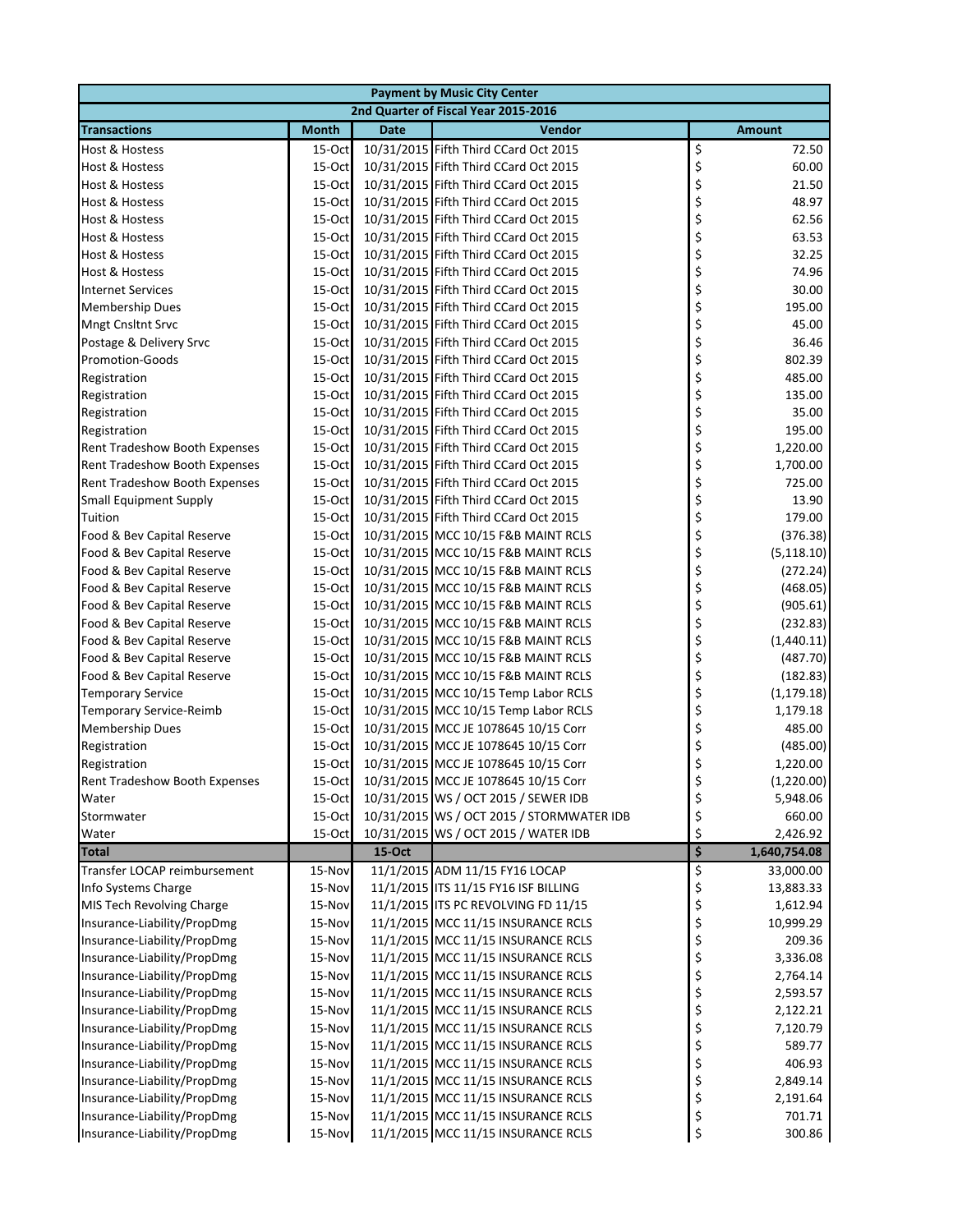|                                                          |                    |             | <b>Payment by Music City Center</b>                                        |          |                      |
|----------------------------------------------------------|--------------------|-------------|----------------------------------------------------------------------------|----------|----------------------|
|                                                          |                    |             | 2nd Quarter of Fiscal Year 2015-2016                                       |          |                      |
| <b>Transactions</b>                                      | <b>Month</b>       | <b>Date</b> | Vendor                                                                     |          | <b>Amount</b>        |
| Host & Hostess                                           | $15-Oct$           |             | 10/31/2015 Fifth Third CCard Oct 2015                                      | \$       | 72.50                |
| Host & Hostess                                           | $15-Oct$           |             | 10/31/2015 Fifth Third CCard Oct 2015                                      | \$       | 60.00                |
| Host & Hostess                                           | $15-Oct$           |             | 10/31/2015 Fifth Third CCard Oct 2015                                      | \$       | 21.50                |
| Host & Hostess                                           | $15-Oct$           |             | 10/31/2015 Fifth Third CCard Oct 2015                                      | \$       | 48.97                |
| Host & Hostess                                           | 15-Oct             |             | 10/31/2015 Fifth Third CCard Oct 2015                                      | \$       | 62.56                |
| Host & Hostess                                           | 15-Oct             |             | 10/31/2015 Fifth Third CCard Oct 2015                                      | \$       | 63.53                |
| Host & Hostess                                           | 15-Oct             |             | 10/31/2015 Fifth Third CCard Oct 2015                                      | \$       | 32.25                |
| <b>Host &amp; Hostess</b>                                | 15-Oct             |             | 10/31/2015 Fifth Third CCard Oct 2015                                      | \$       | 74.96                |
| <b>Internet Services</b>                                 | 15-Oct             |             | 10/31/2015 Fifth Third CCard Oct 2015                                      | \$       | 30.00                |
| Membership Dues                                          | 15-Oct             |             | 10/31/2015 Fifth Third CCard Oct 2015                                      | \$       | 195.00               |
| <b>Mngt Cnsltnt Srvc</b>                                 | $15-Oct$           |             | 10/31/2015 Fifth Third CCard Oct 2015                                      | \$       | 45.00                |
| Postage & Delivery Srvc                                  | 15-Oct             |             | 10/31/2015 Fifth Third CCard Oct 2015                                      | \$       | 36.46                |
| Promotion-Goods                                          | 15-Oct             |             | 10/31/2015 Fifth Third CCard Oct 2015                                      | \$       | 802.39               |
| Registration                                             | 15-Oct             |             | 10/31/2015 Fifth Third CCard Oct 2015                                      | \$       | 485.00               |
| Registration                                             | 15-Oct             |             | 10/31/2015 Fifth Third CCard Oct 2015                                      | \$       | 135.00               |
| Registration                                             | 15-Oct             |             | 10/31/2015 Fifth Third CCard Oct 2015                                      | \$       | 35.00                |
| Registration                                             | 15-Oct             |             | 10/31/2015 Fifth Third CCard Oct 2015                                      | \$       | 195.00               |
| Rent Tradeshow Booth Expenses                            | 15-Oct             |             | 10/31/2015 Fifth Third CCard Oct 2015                                      | \$       | 1,220.00             |
| Rent Tradeshow Booth Expenses                            | $15-Oct$           |             | 10/31/2015 Fifth Third CCard Oct 2015                                      | \$       | 1,700.00             |
| Rent Tradeshow Booth Expenses                            | 15-Oct             |             | 10/31/2015 Fifth Third CCard Oct 2015                                      | \$       | 725.00               |
| <b>Small Equipment Supply</b>                            | 15-Oct             |             | 10/31/2015 Fifth Third CCard Oct 2015                                      | \$       | 13.90                |
| Tuition                                                  | 15-Oct             |             | 10/31/2015 Fifth Third CCard Oct 2015                                      | \$       | 179.00               |
| Food & Bev Capital Reserve                               | $15$ -Oct          |             | 10/31/2015 MCC 10/15 F&B MAINT RCLS                                        | \$       | (376.38)             |
| Food & Bev Capital Reserve                               | 15-Oct             |             | 10/31/2015 MCC 10/15 F&B MAINT RCLS                                        | \$       | (5, 118.10)          |
| Food & Bev Capital Reserve                               | 15-Oct             |             | 10/31/2015 MCC 10/15 F&B MAINT RCLS                                        | \$       | (272.24)             |
| Food & Bev Capital Reserve                               | 15-Oct             |             | 10/31/2015 MCC 10/15 F&B MAINT RCLS                                        | \$       | (468.05)             |
| Food & Bev Capital Reserve                               | $15-Oct$           |             | 10/31/2015 MCC 10/15 F&B MAINT RCLS                                        | \$<br>\$ | (905.61)             |
| Food & Bev Capital Reserve                               | $15-Oct$           |             | 10/31/2015 MCC 10/15 F&B MAINT RCLS                                        | \$       | (232.83)             |
| Food & Bev Capital Reserve<br>Food & Bev Capital Reserve | $15-Oct$<br>15-Oct |             | 10/31/2015 MCC 10/15 F&B MAINT RCLS<br>10/31/2015 MCC 10/15 F&B MAINT RCLS | \$       | (1,440.11)           |
| Food & Bev Capital Reserve                               | 15-Oct             |             | 10/31/2015 MCC 10/15 F&B MAINT RCLS                                        | \$       | (487.70)<br>(182.83) |
| <b>Temporary Service</b>                                 | 15-Oct             |             | 10/31/2015 MCC 10/15 Temp Labor RCLS                                       | \$       | (1, 179.18)          |
| Temporary Service-Reimb                                  | 15-Oct             |             | 10/31/2015 MCC 10/15 Temp Labor RCLS                                       | \$       | 1,179.18             |
| <b>Membership Dues</b>                                   | 15-Oct             |             | 10/31/2015 MCC JE 1078645 10/15 Corr                                       | \$       | 485.00               |
| Registration                                             | 15-Oct             |             | 10/31/2015 MCC JE 1078645 10/15 Corr                                       | \$       | (485.00)             |
| Registration                                             | 15-Oct             |             | 10/31/2015 MCC JE 1078645 10/15 Corr                                       | \$       | 1,220.00             |
| Rent Tradeshow Booth Expenses                            | 15-Oct             |             | 10/31/2015 MCC JE 1078645 10/15 Corr                                       |          | (1, 220.00)          |
| Water                                                    | 15-Oct             |             | 10/31/2015 WS / OCT 2015 / SEWER IDB                                       | Ş<br>\$  | 5,948.06             |
| Stormwater                                               | 15-Oct             |             | 10/31/2015 WS / OCT 2015 / STORMWATER IDB                                  | \$       | 660.00               |
| Water                                                    | 15-Oct             |             | 10/31/2015 WS / OCT 2015 / WATER IDB                                       | \$       | 2,426.92             |
| <b>Total</b>                                             |                    | 15-Oct      |                                                                            | \$       | 1,640,754.08         |
| Transfer LOCAP reimbursement                             | 15-Nov             |             | 11/1/2015 ADM 11/15 FY16 LOCAP                                             | \$       | 33,000.00            |
| Info Systems Charge                                      | 15-Nov             |             | 11/1/2015 ITS 11/15 FY16 ISF BILLING                                       | \$       | 13,883.33            |
| MIS Tech Revolving Charge                                | 15-Nov             |             | 11/1/2015 ITS PC REVOLVING FD 11/15                                        | \$       | 1,612.94             |
| Insurance-Liability/PropDmg                              | 15-Nov             |             | 11/1/2015 MCC 11/15 INSURANCE RCLS                                         | \$       | 10,999.29            |
| Insurance-Liability/PropDmg                              | 15-Nov             |             | 11/1/2015 MCC 11/15 INSURANCE RCLS                                         | \$       | 209.36               |
| Insurance-Liability/PropDmg                              | 15-Nov             |             | 11/1/2015 MCC 11/15 INSURANCE RCLS                                         | \$       | 3,336.08             |
| Insurance-Liability/PropDmg                              | 15-Nov             |             | 11/1/2015 MCC 11/15 INSURANCE RCLS                                         | \$       | 2,764.14             |
| Insurance-Liability/PropDmg                              | 15-Nov             |             | 11/1/2015 MCC 11/15 INSURANCE RCLS                                         | \$       | 2,593.57             |
| Insurance-Liability/PropDmg                              | 15-Nov             |             | 11/1/2015 MCC 11/15 INSURANCE RCLS                                         |          | 2,122.21             |
| Insurance-Liability/PropDmg                              | 15-Nov             |             | 11/1/2015 MCC 11/15 INSURANCE RCLS                                         | \$<br>\$ | 7,120.79             |
| Insurance-Liability/PropDmg                              | 15-Nov             |             | 11/1/2015 MCC 11/15 INSURANCE RCLS                                         | \$       | 589.77               |
| Insurance-Liability/PropDmg                              | 15-Nov             |             | 11/1/2015 MCC 11/15 INSURANCE RCLS                                         | \$       | 406.93               |
| Insurance-Liability/PropDmg                              | 15-Nov             |             | 11/1/2015 MCC 11/15 INSURANCE RCLS                                         | \$       | 2,849.14             |
| Insurance-Liability/PropDmg                              | 15-Nov             |             | 11/1/2015 MCC 11/15 INSURANCE RCLS                                         | \$       | 2,191.64             |
| Insurance-Liability/PropDmg                              | 15-Nov             |             | 11/1/2015 MCC 11/15 INSURANCE RCLS                                         | \$       | 701.71               |
| Insurance-Liability/PropDmg                              | 15-Nov             |             | 11/1/2015 MCC 11/15 INSURANCE RCLS                                         | \$       | 300.86               |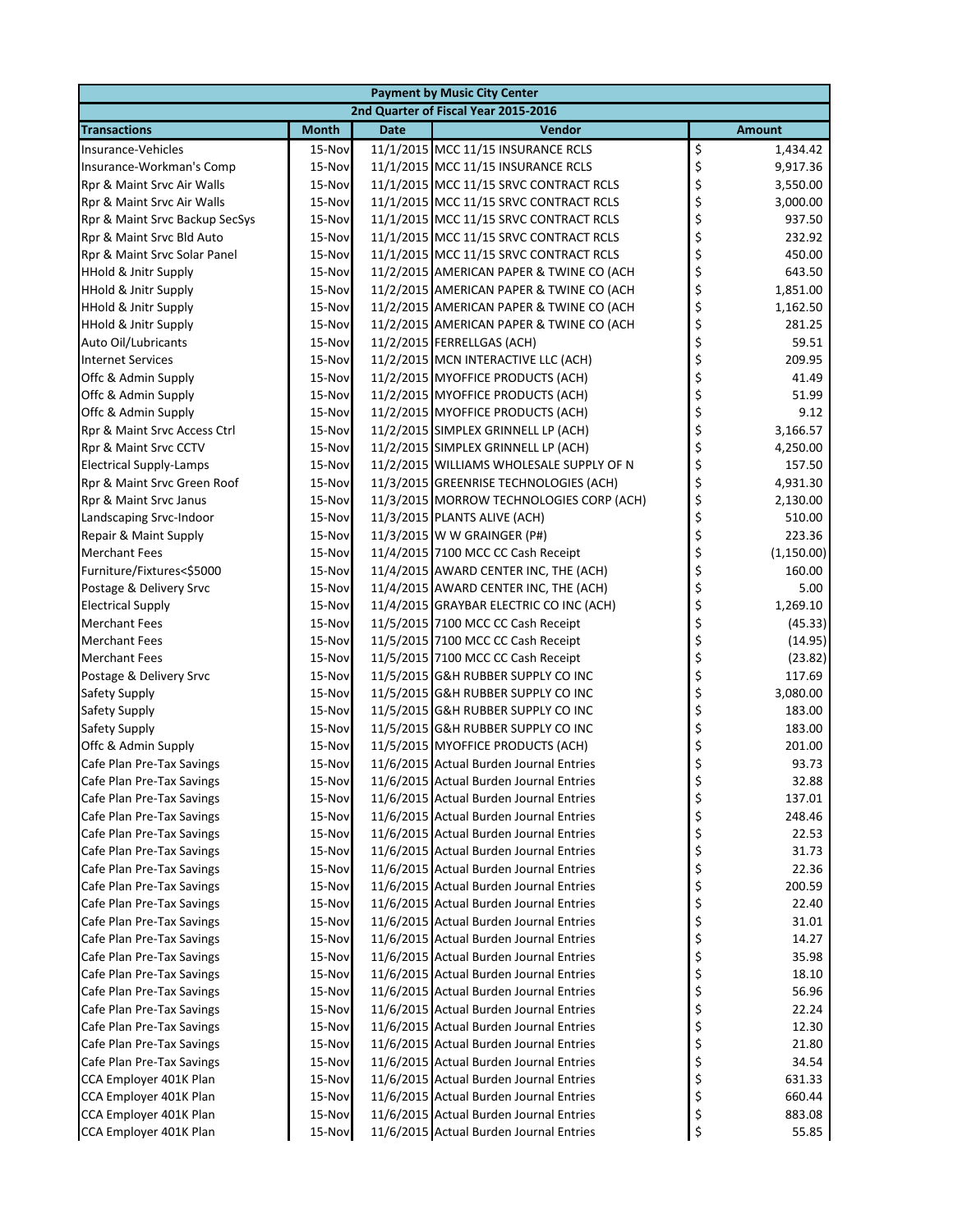|                                 |              |             | <b>Payment by Music City Center</b>      |               |             |
|---------------------------------|--------------|-------------|------------------------------------------|---------------|-------------|
|                                 |              |             | 2nd Quarter of Fiscal Year 2015-2016     |               |             |
| <b>Transactions</b>             | <b>Month</b> | <b>Date</b> | Vendor                                   | <b>Amount</b> |             |
| Insurance-Vehicles              | 15-Nov       |             | 11/1/2015 MCC 11/15 INSURANCE RCLS       | \$            | 1,434.42    |
| Insurance-Workman's Comp        | 15-Nov       |             | 11/1/2015 MCC 11/15 INSURANCE RCLS       | \$            | 9,917.36    |
| Rpr & Maint Srvc Air Walls      | 15-Nov       |             | 11/1/2015 MCC 11/15 SRVC CONTRACT RCLS   | \$            | 3,550.00    |
| Rpr & Maint Srvc Air Walls      | 15-Nov       |             | 11/1/2015 MCC 11/15 SRVC CONTRACT RCLS   | \$            | 3,000.00    |
| Rpr & Maint Srvc Backup SecSys  | 15-Nov       |             | 11/1/2015 MCC 11/15 SRVC CONTRACT RCLS   | \$            | 937.50      |
| Rpr & Maint Srvc Bld Auto       | 15-Nov       |             | 11/1/2015 MCC 11/15 SRVC CONTRACT RCLS   | \$            | 232.92      |
| Rpr & Maint Srvc Solar Panel    | 15-Nov       |             | 11/1/2015 MCC 11/15 SRVC CONTRACT RCLS   | \$            | 450.00      |
| <b>HHold &amp; Jnitr Supply</b> | 15-Nov       |             | 11/2/2015 AMERICAN PAPER & TWINE CO (ACH | \$            | 643.50      |
| <b>HHold &amp; Jnitr Supply</b> | 15-Nov       |             | 11/2/2015 AMERICAN PAPER & TWINE CO (ACH | \$            | 1,851.00    |
| <b>HHold &amp; Jnitr Supply</b> | 15-Nov       |             | 11/2/2015 AMERICAN PAPER & TWINE CO (ACH | \$            | 1,162.50    |
| <b>HHold &amp; Jnitr Supply</b> | 15-Nov       |             | 11/2/2015 AMERICAN PAPER & TWINE CO (ACH | \$            | 281.25      |
| Auto Oil/Lubricants             | 15-Nov       |             | 11/2/2015 FERRELLGAS (ACH)               | \$            | 59.51       |
| <b>Internet Services</b>        | 15-Nov       |             | 11/2/2015 MCN INTERACTIVE LLC (ACH)      | \$            | 209.95      |
| Offc & Admin Supply             | 15-Nov       |             | 11/2/2015 MYOFFICE PRODUCTS (ACH)        | \$            | 41.49       |
| Offc & Admin Supply             | 15-Nov       |             | 11/2/2015 MYOFFICE PRODUCTS (ACH)        | \$            | 51.99       |
| Offc & Admin Supply             | 15-Nov       |             | 11/2/2015 MYOFFICE PRODUCTS (ACH)        | \$            | 9.12        |
| Rpr & Maint Srvc Access Ctrl    | 15-Nov       |             | 11/2/2015 SIMPLEX GRINNELL LP (ACH)      | \$            | 3,166.57    |
| Rpr & Maint Srvc CCTV           | 15-Nov       |             | 11/2/2015 SIMPLEX GRINNELL LP (ACH)      | \$            | 4,250.00    |
| <b>Electrical Supply-Lamps</b>  | 15-Nov       |             | 11/2/2015 WILLIAMS WHOLESALE SUPPLY OF N | \$            | 157.50      |
| Rpr & Maint Srvc Green Roof     | 15-Nov       |             | 11/3/2015 GREENRISE TECHNOLOGIES (ACH)   | \$            | 4,931.30    |
| Rpr & Maint Srvc Janus          | 15-Nov       |             | 11/3/2015 MORROW TECHNOLOGIES CORP (ACH) | \$            | 2,130.00    |
| Landscaping Srvc-Indoor         | 15-Nov       |             | 11/3/2015 PLANTS ALIVE (ACH)             | \$            | 510.00      |
| Repair & Maint Supply           | 15-Nov       |             | 11/3/2015 W W GRAINGER (P#)              | \$            | 223.36      |
| <b>Merchant Fees</b>            | 15-Nov       |             | 11/4/2015 7100 MCC CC Cash Receipt       | \$            | (1, 150.00) |
| Furniture/Fixtures<\$5000       | 15-Nov       |             | 11/4/2015 AWARD CENTER INC, THE (ACH)    | \$            | 160.00      |
| Postage & Delivery Srvc         | 15-Nov       |             | 11/4/2015 AWARD CENTER INC, THE (ACH)    | \$            | 5.00        |
| <b>Electrical Supply</b>        | 15-Nov       |             | 11/4/2015 GRAYBAR ELECTRIC CO INC (ACH)  | \$            | 1,269.10    |
| <b>Merchant Fees</b>            | 15-Nov       |             | 11/5/2015 7100 MCC CC Cash Receipt       | \$            | (45.33)     |
| <b>Merchant Fees</b>            | 15-Nov       |             | 11/5/2015 7100 MCC CC Cash Receipt       | \$            | (14.95)     |
| <b>Merchant Fees</b>            | 15-Nov       |             | 11/5/2015 7100 MCC CC Cash Receipt       | \$            | (23.82)     |
| Postage & Delivery Srvc         | 15-Nov       |             | 11/5/2015 G&H RUBBER SUPPLY CO INC       | \$            | 117.69      |
| Safety Supply                   | 15-Nov       |             | 11/5/2015 G&H RUBBER SUPPLY CO INC       | \$            | 3,080.00    |
| Safety Supply                   | 15-Nov       |             | 11/5/2015 G&H RUBBER SUPPLY CO INC       | \$            | 183.00      |
| Safety Supply                   | 15-Nov       |             | 11/5/2015 G&H RUBBER SUPPLY CO INC       | \$            | 183.00      |
| Offc & Admin Supply             | 15-Nov       |             | 11/5/2015 MYOFFICE PRODUCTS (ACH)        | \$            | 201.00      |
| Cafe Plan Pre-Tax Savings       | 15-Nov       |             | 11/6/2015 Actual Burden Journal Entries  | \$            | 93.73       |
| Cafe Plan Pre-Tax Savings       | 15-Nov       |             | 11/6/2015 Actual Burden Journal Entries  |               | 32.88       |
| Cafe Plan Pre-Tax Savings       | 15-Nov       |             | 11/6/2015 Actual Burden Journal Entries  | \$            | 137.01      |
| Cafe Plan Pre-Tax Savings       | 15-Nov       |             | 11/6/2015 Actual Burden Journal Entries  | \$            | 248.46      |
| Cafe Plan Pre-Tax Savings       | 15-Nov       |             | 11/6/2015 Actual Burden Journal Entries  | \$            | 22.53       |
| Cafe Plan Pre-Tax Savings       | 15-Nov       |             | 11/6/2015 Actual Burden Journal Entries  | \$            | 31.73       |
| Cafe Plan Pre-Tax Savings       | 15-Nov       |             | 11/6/2015 Actual Burden Journal Entries  | \$            | 22.36       |
| Cafe Plan Pre-Tax Savings       | 15-Nov       |             | 11/6/2015 Actual Burden Journal Entries  | \$            | 200.59      |
| Cafe Plan Pre-Tax Savings       | 15-Nov       |             | 11/6/2015 Actual Burden Journal Entries  | \$            | 22.40       |
| Cafe Plan Pre-Tax Savings       | 15-Nov       |             | 11/6/2015 Actual Burden Journal Entries  | \$            | 31.01       |
| Cafe Plan Pre-Tax Savings       | 15-Nov       |             | 11/6/2015 Actual Burden Journal Entries  | \$            | 14.27       |
| Cafe Plan Pre-Tax Savings       | 15-Nov       |             | 11/6/2015 Actual Burden Journal Entries  | \$            | 35.98       |
| Cafe Plan Pre-Tax Savings       | 15-Nov       |             | 11/6/2015 Actual Burden Journal Entries  | \$            | 18.10       |
| Cafe Plan Pre-Tax Savings       | 15-Nov       |             | 11/6/2015 Actual Burden Journal Entries  | \$            | 56.96       |
| Cafe Plan Pre-Tax Savings       | 15-Nov       |             | 11/6/2015 Actual Burden Journal Entries  | \$            | 22.24       |
| Cafe Plan Pre-Tax Savings       | 15-Nov       |             | 11/6/2015 Actual Burden Journal Entries  | \$            | 12.30       |
| Cafe Plan Pre-Tax Savings       | 15-Nov       |             | 11/6/2015 Actual Burden Journal Entries  | \$            | 21.80       |
| Cafe Plan Pre-Tax Savings       | 15-Nov       |             | 11/6/2015 Actual Burden Journal Entries  | \$            | 34.54       |
| CCA Employer 401K Plan          | 15-Nov       |             | 11/6/2015 Actual Burden Journal Entries  | \$            | 631.33      |
| CCA Employer 401K Plan          | 15-Nov       |             | 11/6/2015 Actual Burden Journal Entries  | \$            | 660.44      |
| CCA Employer 401K Plan          | 15-Nov       |             | 11/6/2015 Actual Burden Journal Entries  | \$            | 883.08      |
| CCA Employer 401K Plan          | 15-Nov       |             | 11/6/2015 Actual Burden Journal Entries  | \$            | 55.85       |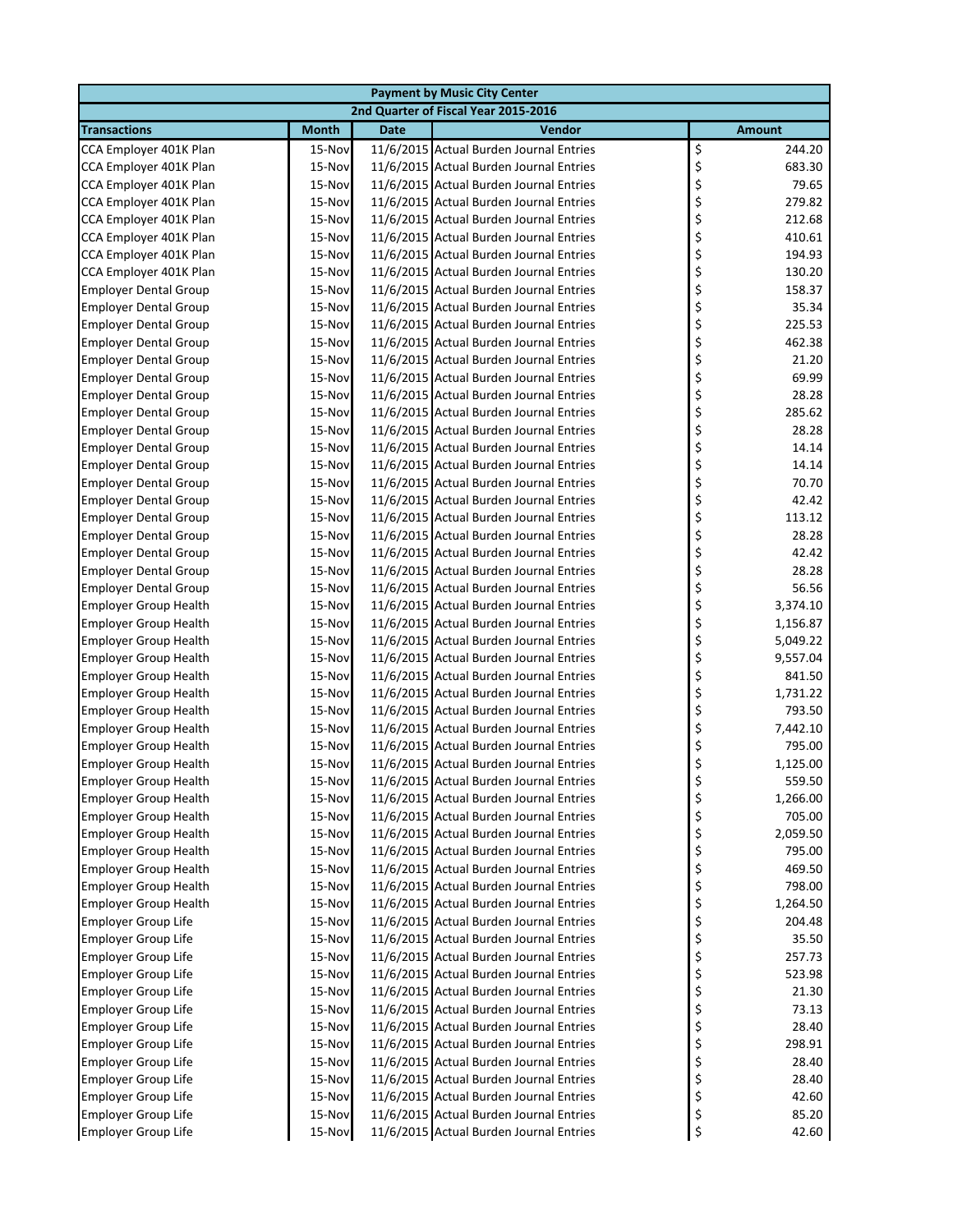|                                                              | <b>Payment by Music City Center</b> |             |                                                                                    |                                |  |  |  |
|--------------------------------------------------------------|-------------------------------------|-------------|------------------------------------------------------------------------------------|--------------------------------|--|--|--|
|                                                              |                                     |             | 2nd Quarter of Fiscal Year 2015-2016                                               |                                |  |  |  |
| <b>Transactions</b>                                          | <b>Month</b>                        | <b>Date</b> | Vendor                                                                             | <b>Amount</b>                  |  |  |  |
| CCA Employer 401K Plan                                       | 15-Nov                              |             | 11/6/2015 Actual Burden Journal Entries                                            | \$<br>244.20                   |  |  |  |
| CCA Employer 401K Plan                                       | 15-Nov                              |             | 11/6/2015 Actual Burden Journal Entries                                            | \$<br>683.30                   |  |  |  |
| CCA Employer 401K Plan                                       | 15-Nov                              |             | 11/6/2015 Actual Burden Journal Entries                                            | \$<br>79.65                    |  |  |  |
| CCA Employer 401K Plan                                       | 15-Nov                              |             | 11/6/2015 Actual Burden Journal Entries                                            | \$<br>279.82                   |  |  |  |
| CCA Employer 401K Plan                                       | 15-Nov                              |             | 11/6/2015 Actual Burden Journal Entries                                            | \$<br>212.68                   |  |  |  |
| CCA Employer 401K Plan                                       | 15-Nov                              |             | 11/6/2015 Actual Burden Journal Entries                                            | \$<br>410.61                   |  |  |  |
| CCA Employer 401K Plan                                       | 15-Nov                              |             | 11/6/2015 Actual Burden Journal Entries                                            | \$<br>194.93                   |  |  |  |
| CCA Employer 401K Plan                                       | 15-Nov                              |             | 11/6/2015 Actual Burden Journal Entries                                            | \$<br>130.20                   |  |  |  |
| <b>Employer Dental Group</b>                                 | 15-Nov                              |             | 11/6/2015 Actual Burden Journal Entries                                            | \$<br>158.37                   |  |  |  |
| <b>Employer Dental Group</b>                                 | 15-Nov                              |             | 11/6/2015 Actual Burden Journal Entries                                            | \$<br>35.34                    |  |  |  |
| <b>Employer Dental Group</b>                                 | 15-Nov                              |             | 11/6/2015 Actual Burden Journal Entries                                            | \$<br>225.53                   |  |  |  |
| <b>Employer Dental Group</b>                                 | 15-Nov                              |             | 11/6/2015 Actual Burden Journal Entries                                            | \$<br>462.38                   |  |  |  |
| <b>Employer Dental Group</b>                                 | 15-Nov                              |             | 11/6/2015 Actual Burden Journal Entries                                            | \$<br>21.20                    |  |  |  |
| <b>Employer Dental Group</b>                                 | 15-Nov                              |             | 11/6/2015 Actual Burden Journal Entries                                            | \$<br>69.99                    |  |  |  |
| <b>Employer Dental Group</b>                                 | 15-Nov                              |             | 11/6/2015 Actual Burden Journal Entries                                            | \$<br>28.28                    |  |  |  |
| <b>Employer Dental Group</b>                                 | 15-Nov                              |             | 11/6/2015 Actual Burden Journal Entries                                            | \$<br>285.62                   |  |  |  |
| <b>Employer Dental Group</b>                                 | 15-Nov                              |             | 11/6/2015 Actual Burden Journal Entries                                            | \$<br>28.28                    |  |  |  |
| <b>Employer Dental Group</b>                                 | 15-Nov                              |             | 11/6/2015 Actual Burden Journal Entries                                            | \$<br>14.14                    |  |  |  |
| <b>Employer Dental Group</b>                                 | 15-Nov                              |             | 11/6/2015 Actual Burden Journal Entries                                            | \$<br>14.14                    |  |  |  |
| <b>Employer Dental Group</b>                                 | 15-Nov                              |             | 11/6/2015 Actual Burden Journal Entries                                            | \$<br>70.70                    |  |  |  |
| <b>Employer Dental Group</b>                                 | 15-Nov                              |             | 11/6/2015 Actual Burden Journal Entries                                            | \$<br>42.42                    |  |  |  |
| <b>Employer Dental Group</b>                                 | 15-Nov                              |             | 11/6/2015 Actual Burden Journal Entries                                            | \$<br>113.12                   |  |  |  |
| <b>Employer Dental Group</b>                                 | 15-Nov                              |             | 11/6/2015 Actual Burden Journal Entries                                            | \$<br>28.28                    |  |  |  |
| <b>Employer Dental Group</b>                                 | 15-Nov                              |             | 11/6/2015 Actual Burden Journal Entries                                            | \$<br>42.42                    |  |  |  |
| <b>Employer Dental Group</b>                                 | 15-Nov                              |             | 11/6/2015 Actual Burden Journal Entries                                            | \$<br>28.28                    |  |  |  |
| <b>Employer Dental Group</b>                                 | 15-Nov                              |             | 11/6/2015 Actual Burden Journal Entries                                            | \$<br>56.56                    |  |  |  |
| <b>Employer Group Health</b>                                 | 15-Nov                              |             | 11/6/2015 Actual Burden Journal Entries                                            | \$<br>3,374.10                 |  |  |  |
| <b>Employer Group Health</b>                                 | 15-Nov                              |             | 11/6/2015 Actual Burden Journal Entries                                            | \$<br>1,156.87                 |  |  |  |
| <b>Employer Group Health</b>                                 | 15-Nov                              |             | 11/6/2015 Actual Burden Journal Entries                                            | \$<br>5,049.22                 |  |  |  |
| <b>Employer Group Health</b>                                 | 15-Nov<br>15-Nov                    |             | 11/6/2015 Actual Burden Journal Entries<br>11/6/2015 Actual Burden Journal Entries | \$<br>9,557.04<br>\$<br>841.50 |  |  |  |
| <b>Employer Group Health</b><br><b>Employer Group Health</b> | 15-Nov                              |             | 11/6/2015 Actual Burden Journal Entries                                            | \$<br>1,731.22                 |  |  |  |
| <b>Employer Group Health</b>                                 | 15-Nov                              |             | 11/6/2015 Actual Burden Journal Entries                                            | \$<br>793.50                   |  |  |  |
| <b>Employer Group Health</b>                                 | 15-Nov                              |             | 11/6/2015 Actual Burden Journal Entries                                            | \$<br>7,442.10                 |  |  |  |
| <b>Employer Group Health</b>                                 | 15-Nov                              |             | 11/6/2015 Actual Burden Journal Entries                                            | \$<br>795.00                   |  |  |  |
| <b>Employer Group Health</b>                                 | 15-Nov                              |             | 11/6/2015 Actual Burden Journal Entries                                            | \$<br>1,125.00                 |  |  |  |
| <b>Employer Group Health</b>                                 | 15-Nov                              |             | 11/6/2015 Actual Burden Journal Entries                                            | 559.50                         |  |  |  |
| <b>Employer Group Health</b>                                 | 15-Nov                              |             | 11/6/2015 Actual Burden Journal Entries                                            | \$<br>1,266.00                 |  |  |  |
| <b>Employer Group Health</b>                                 | 15-Nov                              |             | 11/6/2015 Actual Burden Journal Entries                                            | \$<br>705.00                   |  |  |  |
| <b>Employer Group Health</b>                                 | 15-Nov                              |             | 11/6/2015 Actual Burden Journal Entries                                            | \$<br>2,059.50                 |  |  |  |
| <b>Employer Group Health</b>                                 | 15-Nov                              |             | 11/6/2015 Actual Burden Journal Entries                                            | \$<br>795.00                   |  |  |  |
| <b>Employer Group Health</b>                                 | 15-Nov                              |             | 11/6/2015 Actual Burden Journal Entries                                            | \$<br>469.50                   |  |  |  |
| <b>Employer Group Health</b>                                 | 15-Nov                              |             | 11/6/2015 Actual Burden Journal Entries                                            | \$<br>798.00                   |  |  |  |
| <b>Employer Group Health</b>                                 | 15-Nov                              |             | 11/6/2015 Actual Burden Journal Entries                                            | \$<br>1,264.50                 |  |  |  |
| <b>Employer Group Life</b>                                   | 15-Nov                              |             | 11/6/2015 Actual Burden Journal Entries                                            | \$<br>204.48                   |  |  |  |
| <b>Employer Group Life</b>                                   | 15-Nov                              |             | 11/6/2015 Actual Burden Journal Entries                                            | \$<br>35.50                    |  |  |  |
| <b>Employer Group Life</b>                                   | 15-Nov                              |             | 11/6/2015 Actual Burden Journal Entries                                            | \$<br>257.73                   |  |  |  |
| <b>Employer Group Life</b>                                   | 15-Nov                              |             | 11/6/2015 Actual Burden Journal Entries                                            | \$<br>523.98                   |  |  |  |
| <b>Employer Group Life</b>                                   | 15-Nov                              |             | 11/6/2015 Actual Burden Journal Entries                                            | \$<br>21.30                    |  |  |  |
| <b>Employer Group Life</b>                                   | 15-Nov                              |             | 11/6/2015 Actual Burden Journal Entries                                            | \$<br>73.13                    |  |  |  |
| <b>Employer Group Life</b>                                   | 15-Nov                              |             | 11/6/2015 Actual Burden Journal Entries                                            | \$<br>28.40                    |  |  |  |
| <b>Employer Group Life</b>                                   | 15-Nov                              |             | 11/6/2015 Actual Burden Journal Entries                                            | \$<br>298.91                   |  |  |  |
| <b>Employer Group Life</b>                                   | 15-Nov                              |             | 11/6/2015 Actual Burden Journal Entries                                            | \$<br>28.40                    |  |  |  |
| <b>Employer Group Life</b>                                   | 15-Nov                              |             | 11/6/2015 Actual Burden Journal Entries                                            | \$<br>28.40                    |  |  |  |
| <b>Employer Group Life</b>                                   | 15-Nov                              |             | 11/6/2015 Actual Burden Journal Entries                                            | \$<br>42.60                    |  |  |  |
| <b>Employer Group Life</b>                                   | 15-Nov                              |             | 11/6/2015 Actual Burden Journal Entries                                            | \$<br>85.20                    |  |  |  |
| Employer Group Life                                          | 15-Nov                              |             | 11/6/2015 Actual Burden Journal Entries                                            | \$<br>42.60                    |  |  |  |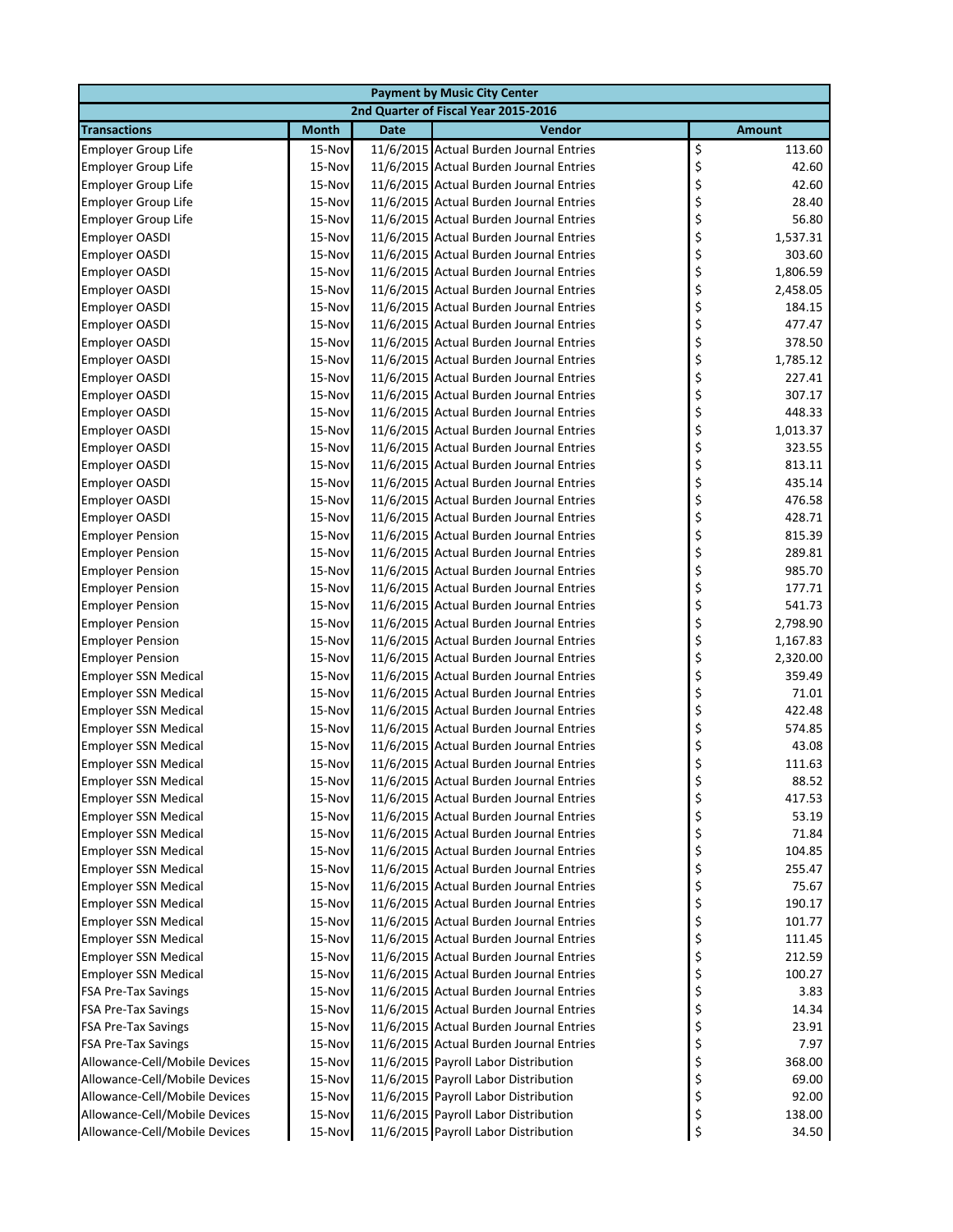|                               |                                      |             | <b>Payment by Music City Center</b>     |    |               |  |  |
|-------------------------------|--------------------------------------|-------------|-----------------------------------------|----|---------------|--|--|
|                               | 2nd Quarter of Fiscal Year 2015-2016 |             |                                         |    |               |  |  |
| <b>Transactions</b>           | <b>Month</b>                         | <b>Date</b> | Vendor                                  |    | <b>Amount</b> |  |  |
| Employer Group Life           | 15-Nov                               |             | 11/6/2015 Actual Burden Journal Entries | \$ | 113.60        |  |  |
| <b>Employer Group Life</b>    | 15-Nov                               |             | 11/6/2015 Actual Burden Journal Entries | \$ | 42.60         |  |  |
| <b>Employer Group Life</b>    | 15-Nov                               |             | 11/6/2015 Actual Burden Journal Entries | \$ | 42.60         |  |  |
| <b>Employer Group Life</b>    | 15-Nov                               |             | 11/6/2015 Actual Burden Journal Entries | \$ | 28.40         |  |  |
| <b>Employer Group Life</b>    | 15-Nov                               |             | 11/6/2015 Actual Burden Journal Entries | \$ | 56.80         |  |  |
| Employer OASDI                | 15-Nov                               |             | 11/6/2015 Actual Burden Journal Entries | \$ | 1,537.31      |  |  |
| Employer OASDI                | 15-Nov                               |             | 11/6/2015 Actual Burden Journal Entries | \$ | 303.60        |  |  |
| Employer OASDI                | 15-Nov                               |             | 11/6/2015 Actual Burden Journal Entries | \$ | 1,806.59      |  |  |
| Employer OASDI                | 15-Nov                               |             | 11/6/2015 Actual Burden Journal Entries | \$ | 2,458.05      |  |  |
| <b>Employer OASDI</b>         | 15-Nov                               |             | 11/6/2015 Actual Burden Journal Entries | \$ | 184.15        |  |  |
| <b>Employer OASDI</b>         | 15-Nov                               |             | 11/6/2015 Actual Burden Journal Entries | \$ | 477.47        |  |  |
| <b>Employer OASDI</b>         | 15-Nov                               |             | 11/6/2015 Actual Burden Journal Entries | \$ | 378.50        |  |  |
| <b>Employer OASDI</b>         | 15-Nov                               |             | 11/6/2015 Actual Burden Journal Entries | \$ | 1,785.12      |  |  |
| <b>Employer OASDI</b>         | 15-Nov                               |             | 11/6/2015 Actual Burden Journal Entries | \$ | 227.41        |  |  |
| Employer OASDI                | 15-Nov                               |             | 11/6/2015 Actual Burden Journal Entries | \$ | 307.17        |  |  |
| Employer OASDI                | 15-Nov                               |             | 11/6/2015 Actual Burden Journal Entries | \$ | 448.33        |  |  |
| Employer OASDI                | 15-Nov                               |             | 11/6/2015 Actual Burden Journal Entries | \$ | 1,013.37      |  |  |
| Employer OASDI                | 15-Nov                               |             | 11/6/2015 Actual Burden Journal Entries | \$ | 323.55        |  |  |
| <b>Employer OASDI</b>         | 15-Nov                               |             | 11/6/2015 Actual Burden Journal Entries | \$ | 813.11        |  |  |
| <b>Employer OASDI</b>         | 15-Nov                               |             | 11/6/2015 Actual Burden Journal Entries | \$ | 435.14        |  |  |
| <b>Employer OASDI</b>         | 15-Nov                               |             | 11/6/2015 Actual Burden Journal Entries | \$ | 476.58        |  |  |
| <b>Employer OASDI</b>         | 15-Nov                               |             | 11/6/2015 Actual Burden Journal Entries | \$ | 428.71        |  |  |
| <b>Employer Pension</b>       | 15-Nov                               |             | 11/6/2015 Actual Burden Journal Entries | \$ | 815.39        |  |  |
| <b>Employer Pension</b>       | 15-Nov                               |             | 11/6/2015 Actual Burden Journal Entries | \$ | 289.81        |  |  |
| <b>Employer Pension</b>       | 15-Nov                               |             | 11/6/2015 Actual Burden Journal Entries | \$ | 985.70        |  |  |
| <b>Employer Pension</b>       | 15-Nov                               |             | 11/6/2015 Actual Burden Journal Entries | \$ | 177.71        |  |  |
| <b>Employer Pension</b>       | 15-Nov                               |             | 11/6/2015 Actual Burden Journal Entries | \$ | 541.73        |  |  |
| <b>Employer Pension</b>       | 15-Nov                               |             | 11/6/2015 Actual Burden Journal Entries | \$ | 2,798.90      |  |  |
| <b>Employer Pension</b>       | 15-Nov                               |             | 11/6/2015 Actual Burden Journal Entries | \$ | 1,167.83      |  |  |
| <b>Employer Pension</b>       | 15-Nov                               |             | 11/6/2015 Actual Burden Journal Entries | \$ | 2,320.00      |  |  |
| <b>Employer SSN Medical</b>   | 15-Nov                               |             | 11/6/2015 Actual Burden Journal Entries | \$ | 359.49        |  |  |
| <b>Employer SSN Medical</b>   | 15-Nov                               |             | 11/6/2015 Actual Burden Journal Entries | \$ | 71.01         |  |  |
| <b>Employer SSN Medical</b>   | 15-Nov                               |             | 11/6/2015 Actual Burden Journal Entries | \$ | 422.48        |  |  |
| <b>Employer SSN Medical</b>   | 15-Nov                               |             | 11/6/2015 Actual Burden Journal Entries | \$ | 574.85        |  |  |
| <b>Employer SSN Medical</b>   | 15-Nov                               |             | 11/6/2015 Actual Burden Journal Entries | \$ | 43.08         |  |  |
| <b>Employer SSN Medical</b>   | 15-Nov                               |             | 11/6/2015 Actual Burden Journal Entries | \$ | 111.63        |  |  |
| <b>Employer SSN Medical</b>   | 15-Nov                               |             | 11/6/2015 Actual Burden Journal Entries | Ç  | 88.52         |  |  |
| <b>Employer SSN Medical</b>   | 15-Nov                               |             | 11/6/2015 Actual Burden Journal Entries | \$ | 417.53        |  |  |
| <b>Employer SSN Medical</b>   | 15-Nov                               |             | 11/6/2015 Actual Burden Journal Entries | \$ | 53.19         |  |  |
| <b>Employer SSN Medical</b>   | 15-Nov                               |             | 11/6/2015 Actual Burden Journal Entries | \$ | 71.84         |  |  |
| <b>Employer SSN Medical</b>   | 15-Nov                               |             | 11/6/2015 Actual Burden Journal Entries | \$ | 104.85        |  |  |
| <b>Employer SSN Medical</b>   | 15-Nov                               |             | 11/6/2015 Actual Burden Journal Entries | \$ | 255.47        |  |  |
| <b>Employer SSN Medical</b>   | 15-Nov                               |             | 11/6/2015 Actual Burden Journal Entries | \$ | 75.67         |  |  |
| <b>Employer SSN Medical</b>   | 15-Nov                               |             | 11/6/2015 Actual Burden Journal Entries | \$ | 190.17        |  |  |
| <b>Employer SSN Medical</b>   | 15-Nov                               |             | 11/6/2015 Actual Burden Journal Entries | \$ | 101.77        |  |  |
| Employer SSN Medical          | 15-Nov                               |             | 11/6/2015 Actual Burden Journal Entries | \$ | 111.45        |  |  |
| <b>Employer SSN Medical</b>   | 15-Nov                               |             | 11/6/2015 Actual Burden Journal Entries | \$ | 212.59        |  |  |
| <b>Employer SSN Medical</b>   | 15-Nov                               |             | 11/6/2015 Actual Burden Journal Entries | \$ | 100.27        |  |  |
| <b>FSA Pre-Tax Savings</b>    | 15-Nov                               |             | 11/6/2015 Actual Burden Journal Entries | \$ | 3.83          |  |  |
| <b>FSA Pre-Tax Savings</b>    | 15-Nov                               |             | 11/6/2015 Actual Burden Journal Entries | \$ | 14.34         |  |  |
| <b>FSA Pre-Tax Savings</b>    | 15-Nov                               |             | 11/6/2015 Actual Burden Journal Entries | \$ | 23.91         |  |  |
| <b>FSA Pre-Tax Savings</b>    | 15-Nov                               |             | 11/6/2015 Actual Burden Journal Entries | \$ | 7.97          |  |  |
| Allowance-Cell/Mobile Devices | 15-Nov                               |             | 11/6/2015 Payroll Labor Distribution    | \$ | 368.00        |  |  |
| Allowance-Cell/Mobile Devices | 15-Nov                               |             | 11/6/2015 Payroll Labor Distribution    | \$ | 69.00         |  |  |
| Allowance-Cell/Mobile Devices | 15-Nov                               |             | 11/6/2015 Payroll Labor Distribution    | \$ | 92.00         |  |  |
| Allowance-Cell/Mobile Devices | 15-Nov                               |             | 11/6/2015 Payroll Labor Distribution    | \$ | 138.00        |  |  |
| Allowance-Cell/Mobile Devices | 15-Nov                               |             | 11/6/2015 Payroll Labor Distribution    | \$ | 34.50         |  |  |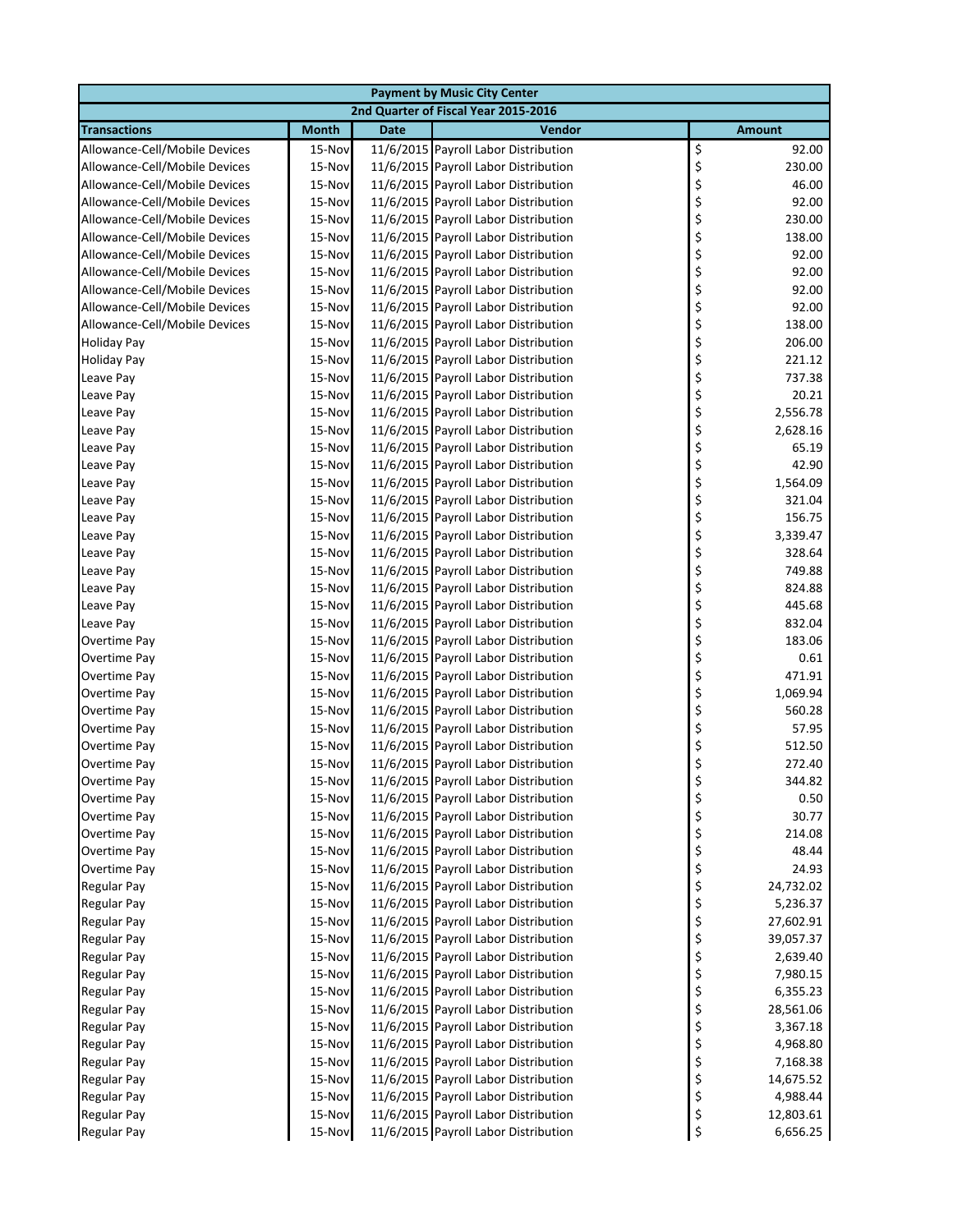|                               |              |             | <b>Payment by Music City Center</b>  |                 |
|-------------------------------|--------------|-------------|--------------------------------------|-----------------|
|                               |              |             | 2nd Quarter of Fiscal Year 2015-2016 |                 |
| <b>Transactions</b>           | <b>Month</b> | <b>Date</b> | Vendor                               | <b>Amount</b>   |
| Allowance-Cell/Mobile Devices | 15-Nov       |             | 11/6/2015 Payroll Labor Distribution | \$<br>92.00     |
| Allowance-Cell/Mobile Devices | 15-Nov       |             | 11/6/2015 Payroll Labor Distribution | \$<br>230.00    |
| Allowance-Cell/Mobile Devices | 15-Nov       |             | 11/6/2015 Payroll Labor Distribution | \$<br>46.00     |
| Allowance-Cell/Mobile Devices | 15-Nov       |             | 11/6/2015 Payroll Labor Distribution | \$<br>92.00     |
| Allowance-Cell/Mobile Devices | 15-Nov       |             | 11/6/2015 Payroll Labor Distribution | \$<br>230.00    |
| Allowance-Cell/Mobile Devices | 15-Nov       |             | 11/6/2015 Payroll Labor Distribution | \$<br>138.00    |
| Allowance-Cell/Mobile Devices | 15-Nov       |             | 11/6/2015 Payroll Labor Distribution | \$<br>92.00     |
| Allowance-Cell/Mobile Devices | 15-Nov       |             | 11/6/2015 Payroll Labor Distribution | \$<br>92.00     |
| Allowance-Cell/Mobile Devices | 15-Nov       |             | 11/6/2015 Payroll Labor Distribution | \$<br>92.00     |
| Allowance-Cell/Mobile Devices | 15-Nov       |             | 11/6/2015 Payroll Labor Distribution | \$<br>92.00     |
| Allowance-Cell/Mobile Devices | 15-Nov       |             | 11/6/2015 Payroll Labor Distribution | \$<br>138.00    |
| <b>Holiday Pay</b>            | 15-Nov       |             | 11/6/2015 Payroll Labor Distribution | \$<br>206.00    |
| <b>Holiday Pay</b>            | 15-Nov       |             | 11/6/2015 Payroll Labor Distribution | \$<br>221.12    |
| Leave Pay                     | 15-Nov       |             | 11/6/2015 Payroll Labor Distribution | \$<br>737.38    |
| Leave Pay                     | 15-Nov       |             | 11/6/2015 Payroll Labor Distribution | \$<br>20.21     |
| Leave Pay                     | 15-Nov       |             | 11/6/2015 Payroll Labor Distribution | \$<br>2,556.78  |
| Leave Pay                     | 15-Nov       |             | 11/6/2015 Payroll Labor Distribution | \$<br>2,628.16  |
| Leave Pay                     | 15-Nov       |             | 11/6/2015 Payroll Labor Distribution | \$<br>65.19     |
| Leave Pay                     | 15-Nov       |             | 11/6/2015 Payroll Labor Distribution | \$<br>42.90     |
| Leave Pay                     | 15-Nov       |             | 11/6/2015 Payroll Labor Distribution | \$<br>1,564.09  |
| Leave Pay                     | 15-Nov       |             | 11/6/2015 Payroll Labor Distribution | \$<br>321.04    |
| Leave Pay                     | 15-Nov       |             | 11/6/2015 Payroll Labor Distribution | \$<br>156.75    |
| Leave Pay                     | 15-Nov       |             | 11/6/2015 Payroll Labor Distribution | \$<br>3,339.47  |
| Leave Pay                     | 15-Nov       |             | 11/6/2015 Payroll Labor Distribution | \$<br>328.64    |
| Leave Pay                     | 15-Nov       |             | 11/6/2015 Payroll Labor Distribution | \$<br>749.88    |
| Leave Pay                     | 15-Nov       |             | 11/6/2015 Payroll Labor Distribution | \$<br>824.88    |
| Leave Pay                     | 15-Nov       |             | 11/6/2015 Payroll Labor Distribution | \$<br>445.68    |
| Leave Pay                     | 15-Nov       |             | 11/6/2015 Payroll Labor Distribution | \$<br>832.04    |
| Overtime Pay                  | 15-Nov       |             | 11/6/2015 Payroll Labor Distribution | \$<br>183.06    |
| Overtime Pay                  | 15-Nov       |             | 11/6/2015 Payroll Labor Distribution | \$<br>0.61      |
| Overtime Pay                  | 15-Nov       |             | 11/6/2015 Payroll Labor Distribution | \$<br>471.91    |
| Overtime Pay                  | 15-Nov       |             | 11/6/2015 Payroll Labor Distribution | \$<br>1,069.94  |
| Overtime Pay                  | 15-Nov       |             | 11/6/2015 Payroll Labor Distribution | \$<br>560.28    |
| Overtime Pay                  | 15-Nov       |             | 11/6/2015 Payroll Labor Distribution | \$<br>57.95     |
| Overtime Pay                  | 15-Nov       |             | 11/6/2015 Payroll Labor Distribution | \$<br>512.50    |
| Overtime Pay                  | 15-Nov       |             | 11/6/2015 Payroll Labor Distribution | \$<br>272.40    |
| Overtime Pay                  | 15-Nov       |             | 11/6/2015 Payroll Labor Distribution | 344.82<br>P     |
| Overtime Pay                  | 15-Nov       |             | 11/6/2015 Payroll Labor Distribution | \$<br>0.50      |
| Overtime Pay                  | 15-Nov       |             | 11/6/2015 Payroll Labor Distribution | \$<br>30.77     |
| Overtime Pay                  | 15-Nov       |             | 11/6/2015 Payroll Labor Distribution | \$<br>214.08    |
| Overtime Pay                  | 15-Nov       |             | 11/6/2015 Payroll Labor Distribution | \$<br>48.44     |
| Overtime Pay                  | 15-Nov       |             | 11/6/2015 Payroll Labor Distribution | \$<br>24.93     |
| <b>Regular Pay</b>            | 15-Nov       |             | 11/6/2015 Payroll Labor Distribution | \$<br>24,732.02 |
| Regular Pay                   | 15-Nov       |             | 11/6/2015 Payroll Labor Distribution | \$<br>5,236.37  |
| Regular Pay                   | 15-Nov       |             | 11/6/2015 Payroll Labor Distribution | \$<br>27,602.91 |
| <b>Regular Pay</b>            | 15-Nov       |             | 11/6/2015 Payroll Labor Distribution | \$<br>39,057.37 |
| <b>Regular Pay</b>            | 15-Nov       |             | 11/6/2015 Payroll Labor Distribution | \$<br>2,639.40  |
| <b>Regular Pay</b>            | 15-Nov       |             | 11/6/2015 Payroll Labor Distribution | \$<br>7,980.15  |
| Regular Pay                   | 15-Nov       |             | 11/6/2015 Payroll Labor Distribution | \$<br>6,355.23  |
| <b>Regular Pay</b>            | 15-Nov       |             | 11/6/2015 Payroll Labor Distribution | \$<br>28,561.06 |
| <b>Regular Pay</b>            | 15-Nov       |             | 11/6/2015 Payroll Labor Distribution | \$<br>3,367.18  |
| <b>Regular Pay</b>            | 15-Nov       |             | 11/6/2015 Payroll Labor Distribution | \$<br>4,968.80  |
| <b>Regular Pay</b>            | 15-Nov       |             | 11/6/2015 Payroll Labor Distribution | \$<br>7,168.38  |
| Regular Pay                   | 15-Nov       |             | 11/6/2015 Payroll Labor Distribution | \$<br>14,675.52 |
| <b>Regular Pay</b>            | 15-Nov       |             | 11/6/2015 Payroll Labor Distribution | \$<br>4,988.44  |
| <b>Regular Pay</b>            | 15-Nov       |             | 11/6/2015 Payroll Labor Distribution | \$<br>12,803.61 |
| <b>Regular Pay</b>            | 15-Nov       |             | 11/6/2015 Payroll Labor Distribution | \$<br>6,656.25  |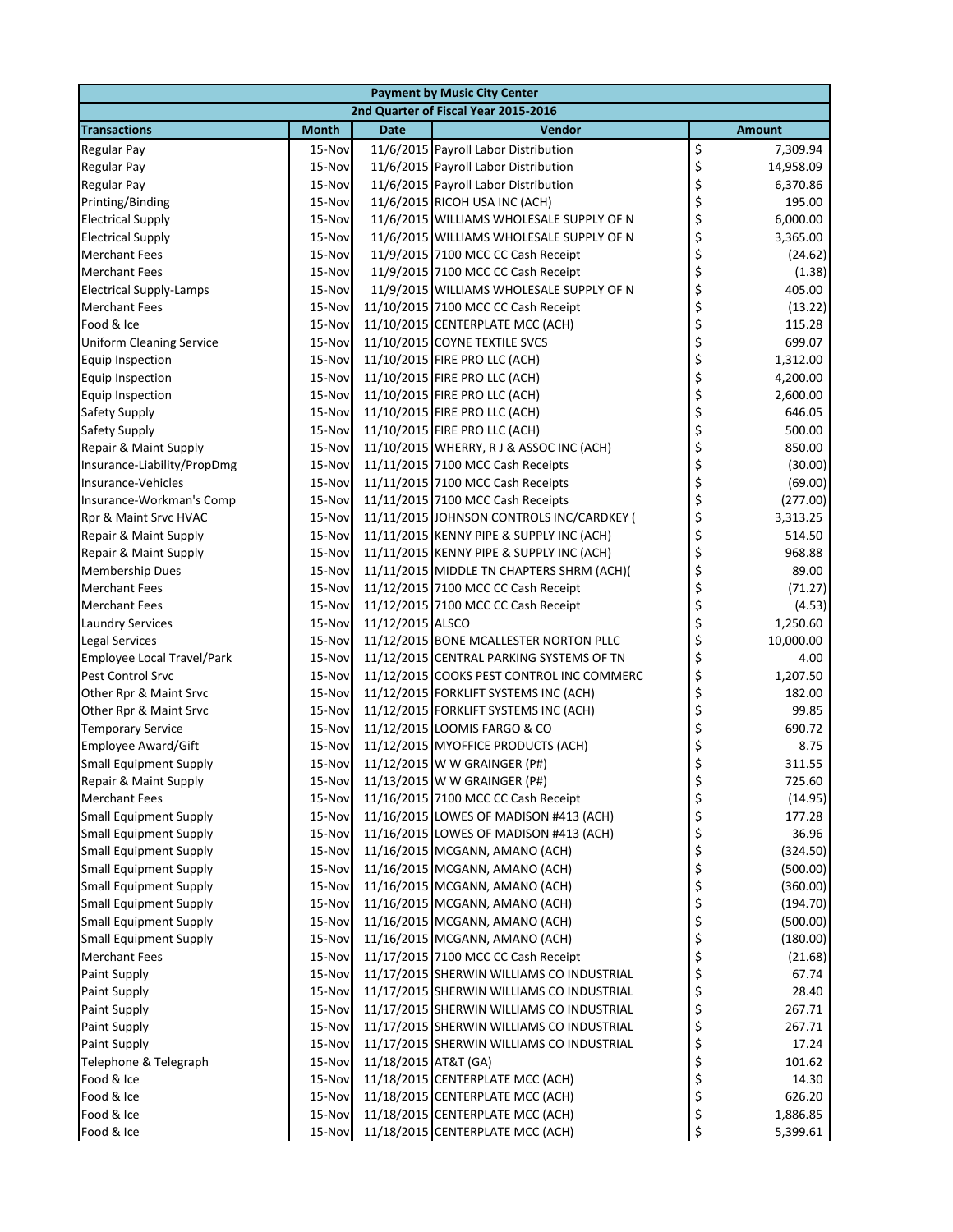|                                 | <b>Payment by Music City Center</b>  |                      |                                           |    |               |  |  |
|---------------------------------|--------------------------------------|----------------------|-------------------------------------------|----|---------------|--|--|
|                                 | 2nd Quarter of Fiscal Year 2015-2016 |                      |                                           |    |               |  |  |
| <b>Transactions</b>             | <b>Month</b>                         | <b>Date</b>          | Vendor                                    |    | <b>Amount</b> |  |  |
| <b>Regular Pay</b>              | 15-Nov                               |                      | 11/6/2015 Payroll Labor Distribution      | \$ | 7,309.94      |  |  |
| <b>Regular Pay</b>              | 15-Nov                               |                      | 11/6/2015 Payroll Labor Distribution      | \$ | 14,958.09     |  |  |
| <b>Regular Pay</b>              | 15-Nov                               |                      | 11/6/2015 Payroll Labor Distribution      | \$ | 6,370.86      |  |  |
| Printing/Binding                | 15-Nov                               |                      | 11/6/2015 RICOH USA INC (ACH)             | \$ | 195.00        |  |  |
| <b>Electrical Supply</b>        | 15-Nov                               |                      | 11/6/2015 WILLIAMS WHOLESALE SUPPLY OF N  | \$ | 6,000.00      |  |  |
| <b>Electrical Supply</b>        | 15-Nov                               |                      | 11/6/2015 WILLIAMS WHOLESALE SUPPLY OF N  | \$ | 3,365.00      |  |  |
| <b>Merchant Fees</b>            | 15-Nov                               |                      | 11/9/2015 7100 MCC CC Cash Receipt        | \$ | (24.62)       |  |  |
| <b>Merchant Fees</b>            | 15-Nov                               |                      | 11/9/2015 7100 MCC CC Cash Receipt        | \$ | (1.38)        |  |  |
| <b>Electrical Supply-Lamps</b>  | 15-Nov                               |                      | 11/9/2015 WILLIAMS WHOLESALE SUPPLY OF N  | \$ | 405.00        |  |  |
| <b>Merchant Fees</b>            | 15-Nov                               |                      | 11/10/2015 7100 MCC CC Cash Receipt       | \$ | (13.22)       |  |  |
| Food & Ice                      | 15-Nov                               |                      | 11/10/2015 CENTERPLATE MCC (ACH)          | \$ | 115.28        |  |  |
| <b>Uniform Cleaning Service</b> | 15-Nov                               |                      | 11/10/2015 COYNE TEXTILE SVCS             | \$ | 699.07        |  |  |
| <b>Equip Inspection</b>         | 15-Nov                               |                      | 11/10/2015 FIRE PRO LLC (ACH)             | \$ | 1,312.00      |  |  |
| <b>Equip Inspection</b>         | 15-Nov                               |                      | 11/10/2015 FIRE PRO LLC (ACH)             | \$ | 4,200.00      |  |  |
| <b>Equip Inspection</b>         | 15-Nov                               |                      | 11/10/2015 FIRE PRO LLC (ACH)             | \$ | 2,600.00      |  |  |
| Safety Supply                   | 15-Nov                               |                      | 11/10/2015 FIRE PRO LLC (ACH)             | \$ | 646.05        |  |  |
| Safety Supply                   | 15-Nov                               |                      | 11/10/2015 FIRE PRO LLC (ACH)             | \$ | 500.00        |  |  |
| Repair & Maint Supply           | 15-Nov                               |                      | 11/10/2015 WHERRY, RJ & ASSOC INC (ACH)   | \$ | 850.00        |  |  |
| Insurance-Liability/PropDmg     | 15-Nov                               |                      | 11/11/2015 7100 MCC Cash Receipts         | \$ | (30.00)       |  |  |
| Insurance-Vehicles              | 15-Nov                               |                      | 11/11/2015 7100 MCC Cash Receipts         | \$ | (69.00)       |  |  |
| Insurance-Workman's Comp        | 15-Nov                               |                      | 11/11/2015 7100 MCC Cash Receipts         | \$ | (277.00)      |  |  |
| Rpr & Maint Srvc HVAC           | 15-Nov                               |                      | 11/11/2015 JOHNSON CONTROLS INC/CARDKEY ( | \$ | 3,313.25      |  |  |
| Repair & Maint Supply           | 15-Nov                               |                      | 11/11/2015 KENNY PIPE & SUPPLY INC (ACH)  | \$ | 514.50        |  |  |
| Repair & Maint Supply           | 15-Nov                               |                      | 11/11/2015 KENNY PIPE & SUPPLY INC (ACH)  | \$ | 968.88        |  |  |
| <b>Membership Dues</b>          | 15-Nov                               |                      | 11/11/2015 MIDDLE TN CHAPTERS SHRM (ACH)( | \$ | 89.00         |  |  |
| <b>Merchant Fees</b>            | 15-Nov                               |                      | 11/12/2015 7100 MCC CC Cash Receipt       | \$ | (71.27)       |  |  |
| <b>Merchant Fees</b>            | 15-Nov                               |                      | 11/12/2015 7100 MCC CC Cash Receipt       | \$ | (4.53)        |  |  |
| <b>Laundry Services</b>         | 15-Nov                               | 11/12/2015 ALSCO     |                                           | \$ | 1,250.60      |  |  |
| <b>Legal Services</b>           | 15-Nov                               |                      | 11/12/2015 BONE MCALLESTER NORTON PLLC    | \$ | 10,000.00     |  |  |
| Employee Local Travel/Park      | 15-Nov                               |                      | 11/12/2015 CENTRAL PARKING SYSTEMS OF TN  | \$ | 4.00          |  |  |
| <b>Pest Control Srvc</b>        | 15-Nov                               |                      | 11/12/2015 COOKS PEST CONTROL INC COMMERC | \$ | 1,207.50      |  |  |
| Other Rpr & Maint Srvc          | 15-Nov                               |                      | 11/12/2015 FORKLIFT SYSTEMS INC (ACH)     | \$ | 182.00        |  |  |
| Other Rpr & Maint Srvc          | 15-Nov                               |                      | 11/12/2015 FORKLIFT SYSTEMS INC (ACH)     | \$ | 99.85         |  |  |
| <b>Temporary Service</b>        | 15-Nov                               |                      | 11/12/2015 LOOMIS FARGO & CO              | \$ | 690.72        |  |  |
| <b>Employee Award/Gift</b>      | 15-Nov                               |                      | 11/12/2015 MYOFFICE PRODUCTS (ACH)        | \$ | 8.75          |  |  |
| <b>Small Equipment Supply</b>   | 15-Nov                               |                      | 11/12/2015 W W GRAINGER (P#)              | \$ | 311.55        |  |  |
| Repair & Maint Supply           |                                      |                      | 15-Nov 11/13/2015 W W GRAINGER (P#)       | Ç  | 725.60        |  |  |
| <b>Merchant Fees</b>            | 15-Nov                               |                      | 11/16/2015 7100 MCC CC Cash Receipt       | \$ | (14.95)       |  |  |
| <b>Small Equipment Supply</b>   | 15-Nov                               |                      | 11/16/2015 LOWES OF MADISON #413 (ACH)    | \$ | 177.28        |  |  |
| <b>Small Equipment Supply</b>   | 15-Nov                               |                      | 11/16/2015 LOWES OF MADISON #413 (ACH)    | \$ | 36.96         |  |  |
| <b>Small Equipment Supply</b>   | 15-Nov                               |                      | 11/16/2015 MCGANN, AMANO (ACH)            | \$ | (324.50)      |  |  |
| <b>Small Equipment Supply</b>   | 15-Nov                               |                      | 11/16/2015 MCGANN, AMANO (ACH)            | \$ | (500.00)      |  |  |
| <b>Small Equipment Supply</b>   | 15-Nov                               |                      | 11/16/2015 MCGANN, AMANO (ACH)            | \$ | (360.00)      |  |  |
| <b>Small Equipment Supply</b>   | 15-Nov                               |                      | 11/16/2015 MCGANN, AMANO (ACH)            | \$ | (194.70)      |  |  |
| <b>Small Equipment Supply</b>   | 15-Nov                               |                      | 11/16/2015 MCGANN, AMANO (ACH)            | \$ | (500.00)      |  |  |
| <b>Small Equipment Supply</b>   | 15-Nov                               |                      | 11/16/2015 MCGANN, AMANO (ACH)            | \$ | (180.00)      |  |  |
| <b>Merchant Fees</b>            | 15-Nov                               |                      | 11/17/2015 7100 MCC CC Cash Receipt       | \$ | (21.68)       |  |  |
| <b>Paint Supply</b>             | 15-Nov                               |                      | 11/17/2015 SHERWIN WILLIAMS CO INDUSTRIAL | \$ | 67.74         |  |  |
| <b>Paint Supply</b>             | 15-Nov                               |                      | 11/17/2015 SHERWIN WILLIAMS CO INDUSTRIAL | \$ | 28.40         |  |  |
| <b>Paint Supply</b>             | 15-Nov                               |                      | 11/17/2015 SHERWIN WILLIAMS CO INDUSTRIAL | \$ | 267.71        |  |  |
| <b>Paint Supply</b>             | 15-Nov                               |                      | 11/17/2015 SHERWIN WILLIAMS CO INDUSTRIAL | \$ | 267.71        |  |  |
| <b>Paint Supply</b>             | 15-Nov                               |                      | 11/17/2015 SHERWIN WILLIAMS CO INDUSTRIAL | \$ | 17.24         |  |  |
| Telephone & Telegraph           | 15-Nov                               | 11/18/2015 AT&T (GA) |                                           | \$ | 101.62        |  |  |
| Food & Ice                      | 15-Nov                               |                      | 11/18/2015 CENTERPLATE MCC (ACH)          | \$ | 14.30         |  |  |
| Food & Ice                      | 15-Nov                               |                      | 11/18/2015 CENTERPLATE MCC (ACH)          | \$ | 626.20        |  |  |
| Food & Ice                      | 15-Nov                               |                      | 11/18/2015 CENTERPLATE MCC (ACH)          | \$ | 1,886.85      |  |  |
| Food & Ice                      | 15-Nov                               |                      | 11/18/2015 CENTERPLATE MCC (ACH)          | \$ | 5,399.61      |  |  |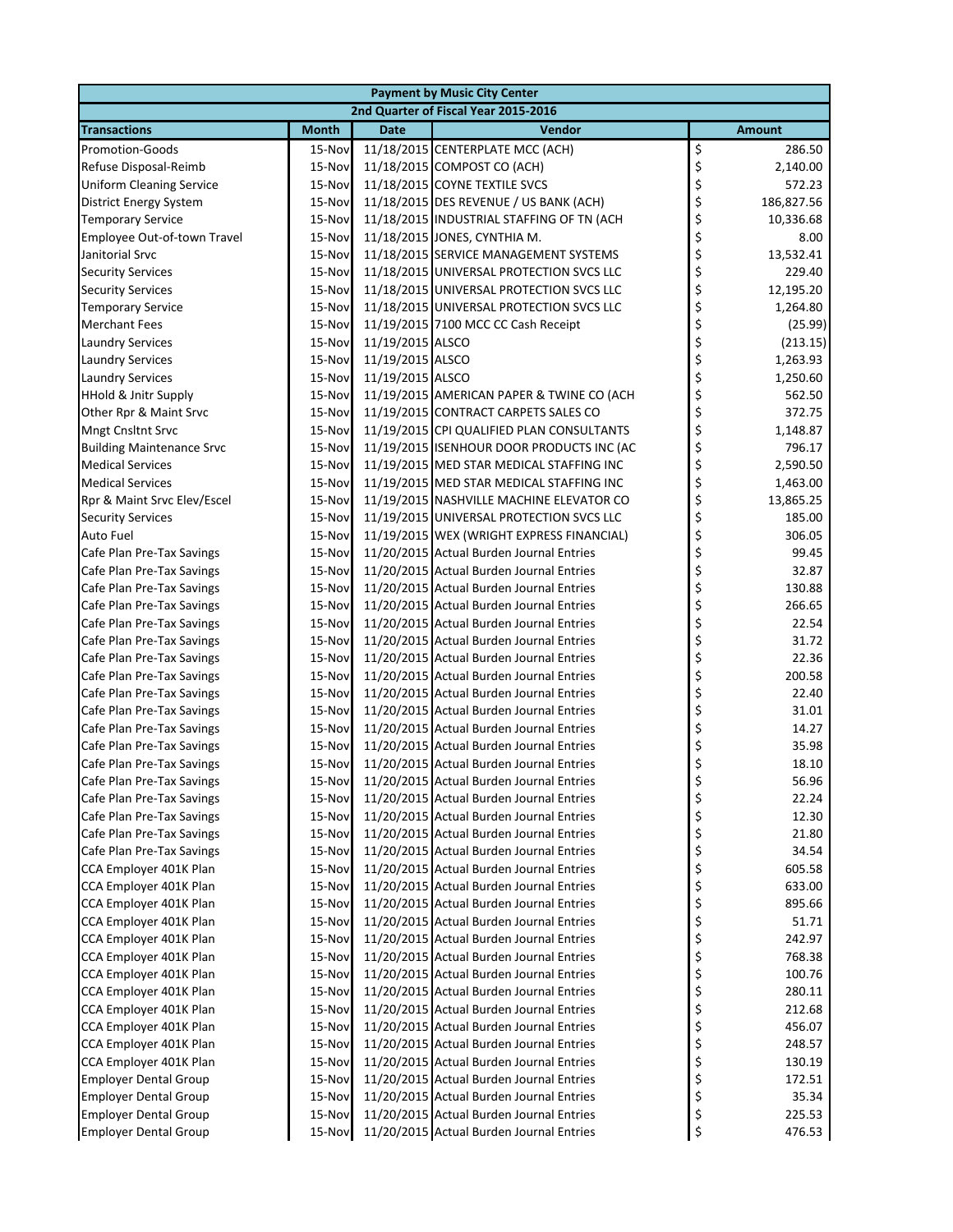|                                                        |                                      |                  | <b>Payment by Music City Center</b>                                                  |          |                 |  |  |
|--------------------------------------------------------|--------------------------------------|------------------|--------------------------------------------------------------------------------------|----------|-----------------|--|--|
|                                                        | 2nd Quarter of Fiscal Year 2015-2016 |                  |                                                                                      |          |                 |  |  |
| <b>Transactions</b>                                    | <b>Month</b>                         | <b>Date</b>      | <b>Vendor</b>                                                                        |          | <b>Amount</b>   |  |  |
| <b>Promotion-Goods</b>                                 | 15-Nov                               |                  | 11/18/2015 CENTERPLATE MCC (ACH)                                                     | \$       | 286.50          |  |  |
| Refuse Disposal-Reimb                                  | 15-Nov                               |                  | 11/18/2015 COMPOST CO (ACH)                                                          | \$       | 2,140.00        |  |  |
| <b>Uniform Cleaning Service</b>                        | 15-Nov                               |                  | 11/18/2015 COYNE TEXTILE SVCS                                                        | \$       | 572.23          |  |  |
| District Energy System                                 | 15-Nov                               |                  | 11/18/2015 DES REVENUE / US BANK (ACH)                                               | \$       | 186,827.56      |  |  |
| <b>Temporary Service</b>                               | 15-Nov                               |                  | 11/18/2015 INDUSTRIAL STAFFING OF TN (ACH                                            | \$       | 10,336.68       |  |  |
| Employee Out-of-town Travel                            | 15-Nov                               |                  | 11/18/2015 JONES, CYNTHIA M.                                                         | \$       | 8.00            |  |  |
| Janitorial Srvc                                        | 15-Nov                               |                  | 11/18/2015 SERVICE MANAGEMENT SYSTEMS                                                | \$       | 13,532.41       |  |  |
| <b>Security Services</b>                               | 15-Nov                               |                  | 11/18/2015 UNIVERSAL PROTECTION SVCS LLC                                             | \$       | 229.40          |  |  |
| <b>Security Services</b>                               | 15-Nov                               |                  | 11/18/2015 UNIVERSAL PROTECTION SVCS LLC                                             | \$       | 12,195.20       |  |  |
| <b>Temporary Service</b>                               | 15-Nov                               |                  | 11/18/2015 UNIVERSAL PROTECTION SVCS LLC                                             | \$       | 1,264.80        |  |  |
| <b>Merchant Fees</b>                                   | 15-Nov                               |                  | 11/19/2015 7100 MCC CC Cash Receipt                                                  | \$       | (25.99)         |  |  |
| <b>Laundry Services</b>                                | 15-Nov                               | 11/19/2015 ALSCO |                                                                                      | \$       | (213.15)        |  |  |
| <b>Laundry Services</b>                                | 15-Nov                               | 11/19/2015 ALSCO |                                                                                      | \$       | 1,263.93        |  |  |
| <b>Laundry Services</b>                                | 15-Nov                               | 11/19/2015 ALSCO |                                                                                      | \$       | 1,250.60        |  |  |
| <b>HHold &amp; Jnitr Supply</b>                        | 15-Nov                               |                  | 11/19/2015 AMERICAN PAPER & TWINE CO (ACH                                            | \$       | 562.50          |  |  |
| Other Rpr & Maint Srvc                                 | 15-Nov                               |                  | 11/19/2015 CONTRACT CARPETS SALES CO                                                 | \$       | 372.75          |  |  |
| Mngt Cnsltnt Srvc                                      | 15-Nov                               |                  | 11/19/2015 CPI QUALIFIED PLAN CONSULTANTS                                            | \$       | 1,148.87        |  |  |
| <b>Building Maintenance Srvc</b>                       | 15-Nov                               |                  | 11/19/2015 ISENHOUR DOOR PRODUCTS INC (AC                                            | \$       | 796.17          |  |  |
| <b>Medical Services</b>                                | 15-Nov                               |                  | 11/19/2015 MED STAR MEDICAL STAFFING INC                                             | \$       | 2,590.50        |  |  |
| <b>Medical Services</b>                                | 15-Nov                               |                  | 11/19/2015 MED STAR MEDICAL STAFFING INC                                             | \$       | 1,463.00        |  |  |
| Rpr & Maint Srvc Elev/Escel                            | 15-Nov                               |                  | 11/19/2015 NASHVILLE MACHINE ELEVATOR CO                                             | \$       | 13,865.25       |  |  |
| <b>Security Services</b>                               | 15-Nov                               |                  | 11/19/2015 UNIVERSAL PROTECTION SVCS LLC                                             | \$       | 185.00          |  |  |
| <b>Auto Fuel</b>                                       | 15-Nov                               |                  | 11/19/2015 WEX (WRIGHT EXPRESS FINANCIAL)                                            | \$       | 306.05          |  |  |
| Cafe Plan Pre-Tax Savings                              | 15-Nov                               |                  | 11/20/2015 Actual Burden Journal Entries                                             | \$       | 99.45           |  |  |
| Cafe Plan Pre-Tax Savings                              | 15-Nov                               |                  | 11/20/2015 Actual Burden Journal Entries                                             | \$       | 32.87           |  |  |
| Cafe Plan Pre-Tax Savings                              | 15-Nov                               |                  | 11/20/2015 Actual Burden Journal Entries                                             | \$       | 130.88          |  |  |
| Cafe Plan Pre-Tax Savings                              | 15-Nov                               |                  | 11/20/2015 Actual Burden Journal Entries                                             | \$       | 266.65          |  |  |
| Cafe Plan Pre-Tax Savings                              | 15-Nov                               |                  | 11/20/2015 Actual Burden Journal Entries                                             | \$       | 22.54           |  |  |
| Cafe Plan Pre-Tax Savings                              | 15-Nov                               |                  | 11/20/2015 Actual Burden Journal Entries                                             | \$       | 31.72           |  |  |
| Cafe Plan Pre-Tax Savings                              | 15-Nov                               |                  | 11/20/2015 Actual Burden Journal Entries                                             | \$       | 22.36           |  |  |
| Cafe Plan Pre-Tax Savings<br>Cafe Plan Pre-Tax Savings | 15-Nov                               |                  | 11/20/2015 Actual Burden Journal Entries<br>11/20/2015 Actual Burden Journal Entries | \$<br>\$ | 200.58<br>22.40 |  |  |
|                                                        | 15-Nov<br>15-Nov                     |                  | 11/20/2015 Actual Burden Journal Entries                                             | \$       | 31.01           |  |  |
| Cafe Plan Pre-Tax Savings<br>Cafe Plan Pre-Tax Savings | 15-Nov                               |                  | 11/20/2015 Actual Burden Journal Entries                                             | \$       | 14.27           |  |  |
| Cafe Plan Pre-Tax Savings                              | 15-Nov                               |                  | 11/20/2015 Actual Burden Journal Entries                                             | \$       | 35.98           |  |  |
| Cafe Plan Pre-Tax Savings                              | 15-Nov                               |                  | 11/20/2015 Actual Burden Journal Entries                                             | \$       | 18.10           |  |  |
| Cafe Plan Pre-Tax Savings                              |                                      |                  | 15-Nov 11/20/2015 Actual Burden Journal Entries                                      |          | 56.96           |  |  |
| Cafe Plan Pre-Tax Savings                              | 15-Nov                               |                  | 11/20/2015 Actual Burden Journal Entries                                             | \$       | 22.24           |  |  |
| Cafe Plan Pre-Tax Savings                              | 15-Nov                               |                  | 11/20/2015 Actual Burden Journal Entries                                             | \$       | 12.30           |  |  |
| Cafe Plan Pre-Tax Savings                              | 15-Nov                               |                  | 11/20/2015 Actual Burden Journal Entries                                             | \$       | 21.80           |  |  |
| Cafe Plan Pre-Tax Savings                              | 15-Nov                               |                  | 11/20/2015 Actual Burden Journal Entries                                             | \$       | 34.54           |  |  |
| CCA Employer 401K Plan                                 | 15-Nov                               |                  | 11/20/2015 Actual Burden Journal Entries                                             | \$       | 605.58          |  |  |
| CCA Employer 401K Plan                                 | 15-Nov                               |                  | 11/20/2015 Actual Burden Journal Entries                                             | \$       | 633.00          |  |  |
| CCA Employer 401K Plan                                 | 15-Nov                               |                  | 11/20/2015 Actual Burden Journal Entries                                             | \$       | 895.66          |  |  |
| CCA Employer 401K Plan                                 | 15-Nov                               |                  | 11/20/2015 Actual Burden Journal Entries                                             | \$       | 51.71           |  |  |
| CCA Employer 401K Plan                                 | 15-Nov                               |                  | 11/20/2015 Actual Burden Journal Entries                                             | \$       | 242.97          |  |  |
| CCA Employer 401K Plan                                 | 15-Nov                               |                  | 11/20/2015 Actual Burden Journal Entries                                             | \$       | 768.38          |  |  |
| CCA Employer 401K Plan                                 | 15-Nov                               |                  | 11/20/2015 Actual Burden Journal Entries                                             | \$       | 100.76          |  |  |
| CCA Employer 401K Plan                                 | 15-Nov                               |                  | 11/20/2015 Actual Burden Journal Entries                                             | \$       | 280.11          |  |  |
| CCA Employer 401K Plan                                 | 15-Nov                               |                  | 11/20/2015 Actual Burden Journal Entries                                             | \$       | 212.68          |  |  |
| CCA Employer 401K Plan                                 | 15-Nov                               |                  | 11/20/2015 Actual Burden Journal Entries                                             | \$       | 456.07          |  |  |
| CCA Employer 401K Plan                                 | 15-Nov                               |                  | 11/20/2015 Actual Burden Journal Entries                                             | \$       | 248.57          |  |  |
| CCA Employer 401K Plan                                 | 15-Nov                               |                  | 11/20/2015 Actual Burden Journal Entries                                             | \$       | 130.19          |  |  |
| <b>Employer Dental Group</b>                           | 15-Nov                               |                  | 11/20/2015 Actual Burden Journal Entries                                             | \$       | 172.51          |  |  |
| <b>Employer Dental Group</b>                           | 15-Nov                               |                  | 11/20/2015 Actual Burden Journal Entries                                             | \$       | 35.34           |  |  |
| <b>Employer Dental Group</b>                           | 15-Nov                               |                  | 11/20/2015 Actual Burden Journal Entries                                             | \$       | 225.53          |  |  |
| <b>Employer Dental Group</b>                           | 15-Nov                               |                  | 11/20/2015 Actual Burden Journal Entries                                             | \$       | 476.53          |  |  |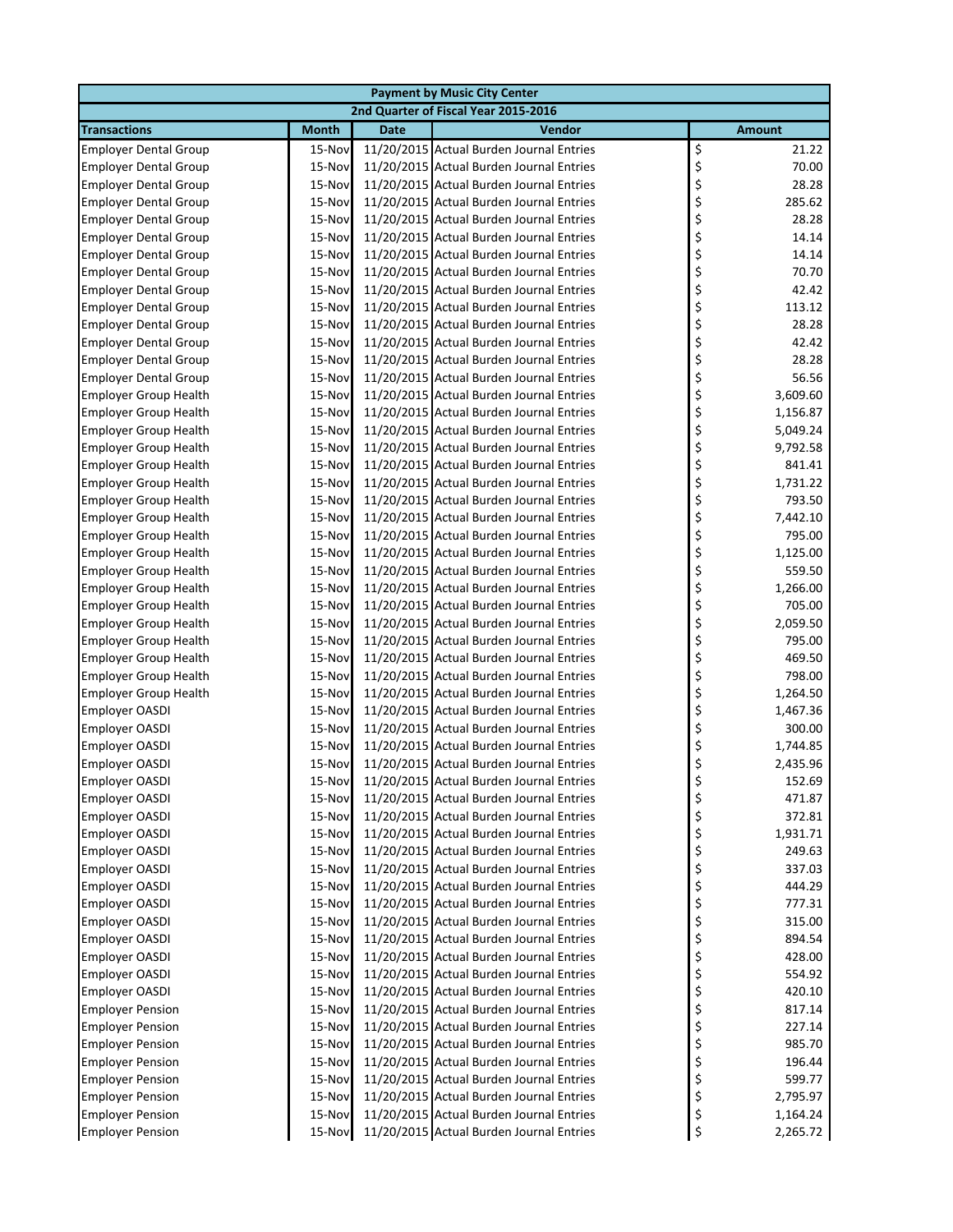|                              |              |             | <b>Payment by Music City Center</b>      |               |          |
|------------------------------|--------------|-------------|------------------------------------------|---------------|----------|
|                              |              |             | 2nd Quarter of Fiscal Year 2015-2016     |               |          |
| <b>Transactions</b>          | <b>Month</b> | <b>Date</b> | Vendor                                   | <b>Amount</b> |          |
| <b>Employer Dental Group</b> | 15-Nov       |             | 11/20/2015 Actual Burden Journal Entries | \$            | 21.22    |
| <b>Employer Dental Group</b> | 15-Nov       |             | 11/20/2015 Actual Burden Journal Entries | \$            | 70.00    |
| <b>Employer Dental Group</b> | 15-Nov       |             | 11/20/2015 Actual Burden Journal Entries | \$            | 28.28    |
| <b>Employer Dental Group</b> | 15-Nov       |             | 11/20/2015 Actual Burden Journal Entries | \$            | 285.62   |
| <b>Employer Dental Group</b> | 15-Nov       |             | 11/20/2015 Actual Burden Journal Entries | \$            | 28.28    |
| <b>Employer Dental Group</b> | 15-Nov       |             | 11/20/2015 Actual Burden Journal Entries | \$            | 14.14    |
| <b>Employer Dental Group</b> | 15-Nov       |             | 11/20/2015 Actual Burden Journal Entries | \$            | 14.14    |
| <b>Employer Dental Group</b> | 15-Nov       |             | 11/20/2015 Actual Burden Journal Entries | \$            | 70.70    |
| <b>Employer Dental Group</b> | 15-Nov       |             | 11/20/2015 Actual Burden Journal Entries | \$            | 42.42    |
| <b>Employer Dental Group</b> | 15-Nov       |             | 11/20/2015 Actual Burden Journal Entries | \$            | 113.12   |
| <b>Employer Dental Group</b> | 15-Nov       |             | 11/20/2015 Actual Burden Journal Entries | \$            | 28.28    |
| <b>Employer Dental Group</b> | 15-Nov       |             | 11/20/2015 Actual Burden Journal Entries | \$            | 42.42    |
| <b>Employer Dental Group</b> | 15-Nov       |             | 11/20/2015 Actual Burden Journal Entries | \$            | 28.28    |
| <b>Employer Dental Group</b> | 15-Nov       |             | 11/20/2015 Actual Burden Journal Entries | \$            | 56.56    |
| <b>Employer Group Health</b> | 15-Nov       |             | 11/20/2015 Actual Burden Journal Entries | \$            | 3,609.60 |
| <b>Employer Group Health</b> | 15-Nov       |             | 11/20/2015 Actual Burden Journal Entries | \$            | 1,156.87 |
| <b>Employer Group Health</b> | 15-Nov       |             | 11/20/2015 Actual Burden Journal Entries | \$            | 5,049.24 |
| <b>Employer Group Health</b> | 15-Nov       |             | 11/20/2015 Actual Burden Journal Entries | \$            | 9,792.58 |
| <b>Employer Group Health</b> | 15-Nov       |             | 11/20/2015 Actual Burden Journal Entries | \$            | 841.41   |
| <b>Employer Group Health</b> | 15-Nov       |             | 11/20/2015 Actual Burden Journal Entries | \$            | 1,731.22 |
| <b>Employer Group Health</b> | 15-Nov       |             | 11/20/2015 Actual Burden Journal Entries | \$            | 793.50   |
| <b>Employer Group Health</b> | 15-Nov       |             | 11/20/2015 Actual Burden Journal Entries | \$            | 7,442.10 |
| <b>Employer Group Health</b> | 15-Nov       |             | 11/20/2015 Actual Burden Journal Entries | \$            | 795.00   |
| <b>Employer Group Health</b> | 15-Nov       |             | 11/20/2015 Actual Burden Journal Entries | \$            | 1,125.00 |
| <b>Employer Group Health</b> | 15-Nov       |             | 11/20/2015 Actual Burden Journal Entries | \$            | 559.50   |
| <b>Employer Group Health</b> | 15-Nov       |             | 11/20/2015 Actual Burden Journal Entries | \$            | 1,266.00 |
| <b>Employer Group Health</b> | 15-Nov       |             | 11/20/2015 Actual Burden Journal Entries | \$            | 705.00   |
| <b>Employer Group Health</b> | 15-Nov       |             | 11/20/2015 Actual Burden Journal Entries | \$            | 2,059.50 |
| <b>Employer Group Health</b> | 15-Nov       |             | 11/20/2015 Actual Burden Journal Entries | \$            | 795.00   |
| <b>Employer Group Health</b> | 15-Nov       |             | 11/20/2015 Actual Burden Journal Entries | \$            | 469.50   |
| <b>Employer Group Health</b> | 15-Nov       |             | 11/20/2015 Actual Burden Journal Entries | \$            | 798.00   |
| <b>Employer Group Health</b> | 15-Nov       |             | 11/20/2015 Actual Burden Journal Entries | \$            | 1,264.50 |
| Employer OASDI               | 15-Nov       |             | 11/20/2015 Actual Burden Journal Entries | \$            | 1,467.36 |
| <b>Employer OASDI</b>        | 15-Nov       |             | 11/20/2015 Actual Burden Journal Entries | \$            | 300.00   |
| <b>Employer OASDI</b>        | 15-Nov       |             | 11/20/2015 Actual Burden Journal Entries | \$            | 1,744.85 |
| Employer OASDI               | 15-Nov       |             | 11/20/2015 Actual Burden Journal Entries | \$            | 2,435.96 |
| Employer OASDI               | 15-Nov       |             | 11/20/2015 Actual Burden Journal Entries |               | 152.69   |
| <b>Employer OASDI</b>        | 15-Nov       |             | 11/20/2015 Actual Burden Journal Entries | \$            | 471.87   |
| <b>Employer OASDI</b>        | 15-Nov       |             | 11/20/2015 Actual Burden Journal Entries | \$            | 372.81   |
| <b>Employer OASDI</b>        | 15-Nov       |             | 11/20/2015 Actual Burden Journal Entries | \$            | 1,931.71 |
| <b>Employer OASDI</b>        | 15-Nov       |             | 11/20/2015 Actual Burden Journal Entries | \$            | 249.63   |
| <b>Employer OASDI</b>        | 15-Nov       |             | 11/20/2015 Actual Burden Journal Entries | \$            | 337.03   |
| <b>Employer OASDI</b>        | 15-Nov       |             | 11/20/2015 Actual Burden Journal Entries | \$            | 444.29   |
| <b>Employer OASDI</b>        | 15-Nov       |             | 11/20/2015 Actual Burden Journal Entries | \$            | 777.31   |
| <b>Employer OASDI</b>        | 15-Nov       |             | 11/20/2015 Actual Burden Journal Entries | \$            | 315.00   |
| <b>Employer OASDI</b>        | 15-Nov       |             | 11/20/2015 Actual Burden Journal Entries | \$            | 894.54   |
| <b>Employer OASDI</b>        | 15-Nov       |             | 11/20/2015 Actual Burden Journal Entries | \$            | 428.00   |
| Employer OASDI               | 15-Nov       |             | 11/20/2015 Actual Burden Journal Entries | \$            | 554.92   |
| <b>Employer OASDI</b>        | 15-Nov       |             | 11/20/2015 Actual Burden Journal Entries | \$            | 420.10   |
| <b>Employer Pension</b>      | 15-Nov       |             | 11/20/2015 Actual Burden Journal Entries | \$            | 817.14   |
| <b>Employer Pension</b>      | 15-Nov       |             | 11/20/2015 Actual Burden Journal Entries | \$            | 227.14   |
| <b>Employer Pension</b>      | 15-Nov       |             | 11/20/2015 Actual Burden Journal Entries | \$            | 985.70   |
| <b>Employer Pension</b>      | 15-Nov       |             | 11/20/2015 Actual Burden Journal Entries | \$            | 196.44   |
| <b>Employer Pension</b>      | 15-Nov       |             | 11/20/2015 Actual Burden Journal Entries | \$            | 599.77   |
| <b>Employer Pension</b>      | 15-Nov       |             | 11/20/2015 Actual Burden Journal Entries | \$            | 2,795.97 |
| <b>Employer Pension</b>      | 15-Nov       |             | 11/20/2015 Actual Burden Journal Entries | \$            | 1,164.24 |
| <b>Employer Pension</b>      | 15-Nov       |             | 11/20/2015 Actual Burden Journal Entries | \$            | 2,265.72 |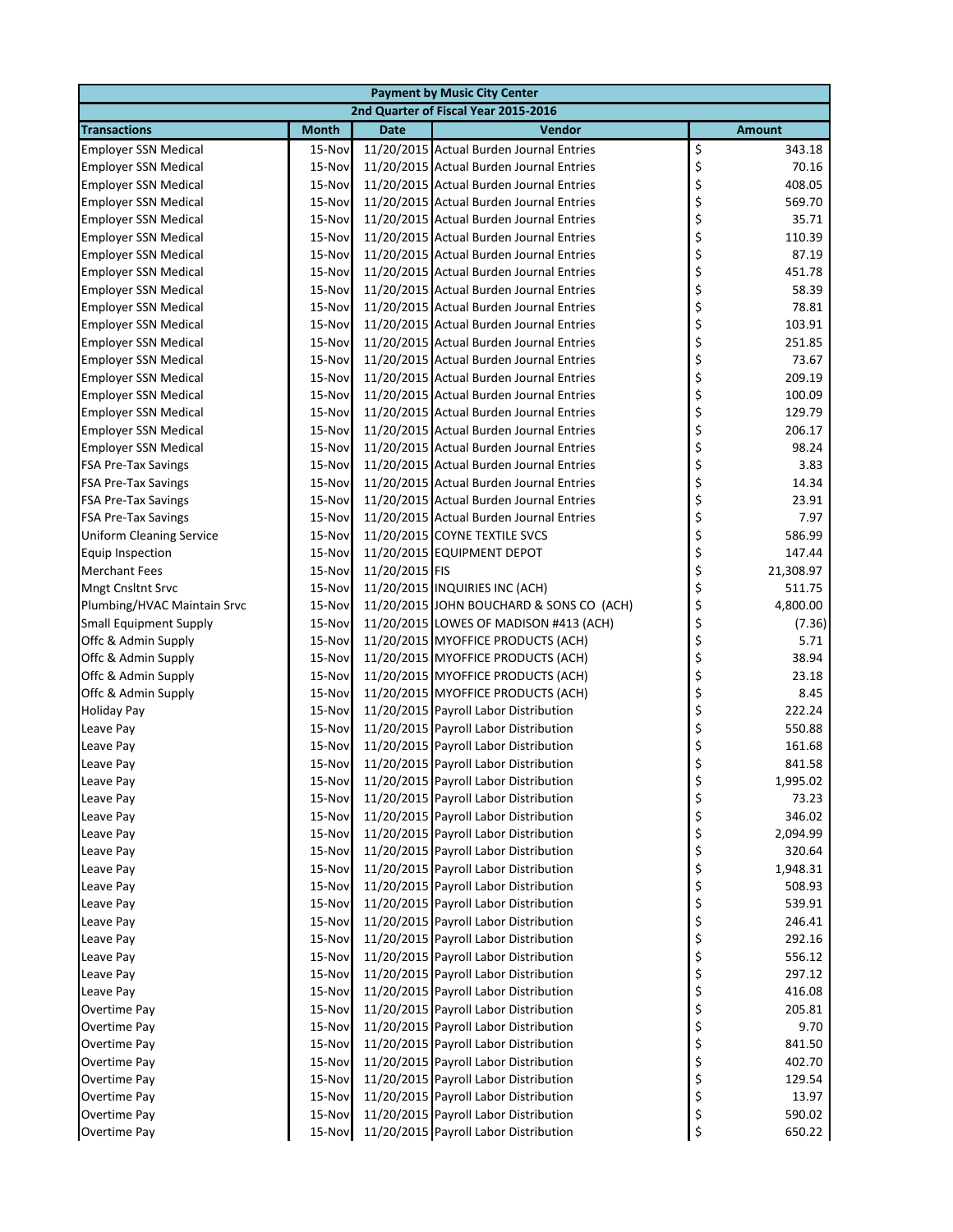|                                      |              |                | <b>Payment by Music City Center</b>      |    |               |  |
|--------------------------------------|--------------|----------------|------------------------------------------|----|---------------|--|
| 2nd Quarter of Fiscal Year 2015-2016 |              |                |                                          |    |               |  |
| <b>Transactions</b>                  | <b>Month</b> | <b>Date</b>    | Vendor                                   |    | <b>Amount</b> |  |
| <b>Employer SSN Medical</b>          | 15-Nov       |                | 11/20/2015 Actual Burden Journal Entries | \$ | 343.18        |  |
| <b>Employer SSN Medical</b>          | 15-Nov       |                | 11/20/2015 Actual Burden Journal Entries | \$ | 70.16         |  |
| <b>Employer SSN Medical</b>          | 15-Nov       |                | 11/20/2015 Actual Burden Journal Entries | \$ | 408.05        |  |
| <b>Employer SSN Medical</b>          | 15-Nov       |                | 11/20/2015 Actual Burden Journal Entries | \$ | 569.70        |  |
| <b>Employer SSN Medical</b>          | 15-Nov       |                | 11/20/2015 Actual Burden Journal Entries | \$ | 35.71         |  |
| <b>Employer SSN Medical</b>          | 15-Nov       |                | 11/20/2015 Actual Burden Journal Entries | \$ | 110.39        |  |
| <b>Employer SSN Medical</b>          | 15-Nov       |                | 11/20/2015 Actual Burden Journal Entries | \$ | 87.19         |  |
| <b>Employer SSN Medical</b>          | 15-Nov       |                | 11/20/2015 Actual Burden Journal Entries | \$ | 451.78        |  |
| <b>Employer SSN Medical</b>          | 15-Nov       |                | 11/20/2015 Actual Burden Journal Entries | \$ | 58.39         |  |
| <b>Employer SSN Medical</b>          | 15-Nov       |                | 11/20/2015 Actual Burden Journal Entries | \$ | 78.81         |  |
| <b>Employer SSN Medical</b>          | 15-Nov       |                | 11/20/2015 Actual Burden Journal Entries | \$ | 103.91        |  |
| <b>Employer SSN Medical</b>          | 15-Nov       |                | 11/20/2015 Actual Burden Journal Entries | \$ | 251.85        |  |
| <b>Employer SSN Medical</b>          | 15-Nov       |                | 11/20/2015 Actual Burden Journal Entries | \$ | 73.67         |  |
| <b>Employer SSN Medical</b>          | 15-Nov       |                | 11/20/2015 Actual Burden Journal Entries | \$ | 209.19        |  |
| <b>Employer SSN Medical</b>          | 15-Nov       |                | 11/20/2015 Actual Burden Journal Entries | \$ | 100.09        |  |
| <b>Employer SSN Medical</b>          | 15-Nov       |                | 11/20/2015 Actual Burden Journal Entries | \$ | 129.79        |  |
| <b>Employer SSN Medical</b>          | 15-Nov       |                | 11/20/2015 Actual Burden Journal Entries | \$ | 206.17        |  |
| <b>Employer SSN Medical</b>          | 15-Nov       |                | 11/20/2015 Actual Burden Journal Entries | \$ | 98.24         |  |
| <b>FSA Pre-Tax Savings</b>           | 15-Nov       |                | 11/20/2015 Actual Burden Journal Entries | \$ | 3.83          |  |
| <b>FSA Pre-Tax Savings</b>           | 15-Nov       |                | 11/20/2015 Actual Burden Journal Entries | \$ | 14.34         |  |
| <b>FSA Pre-Tax Savings</b>           | 15-Nov       |                | 11/20/2015 Actual Burden Journal Entries | \$ | 23.91         |  |
| <b>FSA Pre-Tax Savings</b>           | 15-Nov       |                | 11/20/2015 Actual Burden Journal Entries | \$ | 7.97          |  |
| <b>Uniform Cleaning Service</b>      | 15-Nov       |                | 11/20/2015 COYNE TEXTILE SVCS            | \$ | 586.99        |  |
| <b>Equip Inspection</b>              | 15-Nov       |                | 11/20/2015 EQUIPMENT DEPOT               | \$ | 147.44        |  |
| <b>Merchant Fees</b>                 | 15-Nov       | 11/20/2015 FIS |                                          | \$ | 21,308.97     |  |
| Mngt Cnsltnt Srvc                    | 15-Nov       |                | 11/20/2015 INQUIRIES INC (ACH)           | \$ | 511.75        |  |
| Plumbing/HVAC Maintain Srvc          | 15-Nov       |                | 11/20/2015 JOHN BOUCHARD & SONS CO (ACH) | \$ | 4,800.00      |  |
| <b>Small Equipment Supply</b>        | 15-Nov       |                | 11/20/2015 LOWES OF MADISON #413 (ACH)   | \$ | (7.36)        |  |
| Offc & Admin Supply                  | 15-Nov       |                | 11/20/2015 MYOFFICE PRODUCTS (ACH)       | \$ | 5.71          |  |
| Offc & Admin Supply                  | 15-Nov       |                | 11/20/2015 MYOFFICE PRODUCTS (ACH)       | \$ | 38.94         |  |
| Offc & Admin Supply                  | 15-Nov       |                | 11/20/2015 MYOFFICE PRODUCTS (ACH)       | \$ | 23.18         |  |
| Offc & Admin Supply                  | 15-Nov       |                | 11/20/2015 MYOFFICE PRODUCTS (ACH)       | \$ | 8.45          |  |
| <b>Holiday Pay</b>                   | 15-Nov       |                | 11/20/2015 Payroll Labor Distribution    | \$ | 222.24        |  |
| Leave Pay                            | 15-Nov       |                | 11/20/2015 Payroll Labor Distribution    | \$ | 550.88        |  |
| Leave Pay                            | 15-Nov       |                | 11/20/2015 Payroll Labor Distribution    | \$ | 161.68        |  |
| Leave Pay                            | 15-Nov       |                | 11/20/2015 Payroll Labor Distribution    | \$ | 841.58        |  |
| Leave Pay                            | 15-Nov       |                | 11/20/2015 Payroll Labor Distribution    | Ş  | 1,995.02      |  |
| Leave Pay                            | 15-Nov       |                | 11/20/2015 Payroll Labor Distribution    | \$ | 73.23         |  |
| Leave Pay                            | 15-Nov       |                | 11/20/2015 Payroll Labor Distribution    | \$ | 346.02        |  |
| Leave Pay                            | 15-Nov       |                | 11/20/2015 Payroll Labor Distribution    | \$ | 2,094.99      |  |
| Leave Pay                            | 15-Nov       |                | 11/20/2015 Payroll Labor Distribution    | \$ | 320.64        |  |
| Leave Pay                            | 15-Nov       |                | 11/20/2015 Payroll Labor Distribution    | \$ | 1,948.31      |  |
| Leave Pay                            | 15-Nov       |                | 11/20/2015 Payroll Labor Distribution    | \$ | 508.93        |  |
| Leave Pay                            | 15-Nov       |                | 11/20/2015 Payroll Labor Distribution    | \$ | 539.91        |  |
| Leave Pay                            | 15-Nov       |                | 11/20/2015 Payroll Labor Distribution    | \$ | 246.41        |  |
| Leave Pay                            | 15-Nov       |                | 11/20/2015 Payroll Labor Distribution    | \$ | 292.16        |  |
| Leave Pay                            | 15-Nov       |                | 11/20/2015 Payroll Labor Distribution    | \$ | 556.12        |  |
| Leave Pay                            | 15-Nov       |                | 11/20/2015 Payroll Labor Distribution    | \$ | 297.12        |  |
| Leave Pay                            | 15-Nov       |                | 11/20/2015 Payroll Labor Distribution    | \$ | 416.08        |  |
| Overtime Pay                         | 15-Nov       |                | 11/20/2015 Payroll Labor Distribution    | \$ | 205.81        |  |
| Overtime Pay                         | 15-Nov       |                | 11/20/2015 Payroll Labor Distribution    | \$ | 9.70          |  |
| Overtime Pay                         | 15-Nov       |                | 11/20/2015 Payroll Labor Distribution    | \$ | 841.50        |  |
| Overtime Pay                         | 15-Nov       |                | 11/20/2015 Payroll Labor Distribution    | \$ | 402.70        |  |
| Overtime Pay                         | 15-Nov       |                | 11/20/2015 Payroll Labor Distribution    | \$ | 129.54        |  |
| Overtime Pay                         | 15-Nov       |                | 11/20/2015 Payroll Labor Distribution    | \$ | 13.97         |  |
| Overtime Pay                         | 15-Nov       |                | 11/20/2015 Payroll Labor Distribution    | \$ | 590.02        |  |
| Overtime Pay                         | 15-Nov       |                | 11/20/2015 Payroll Labor Distribution    | \$ | 650.22        |  |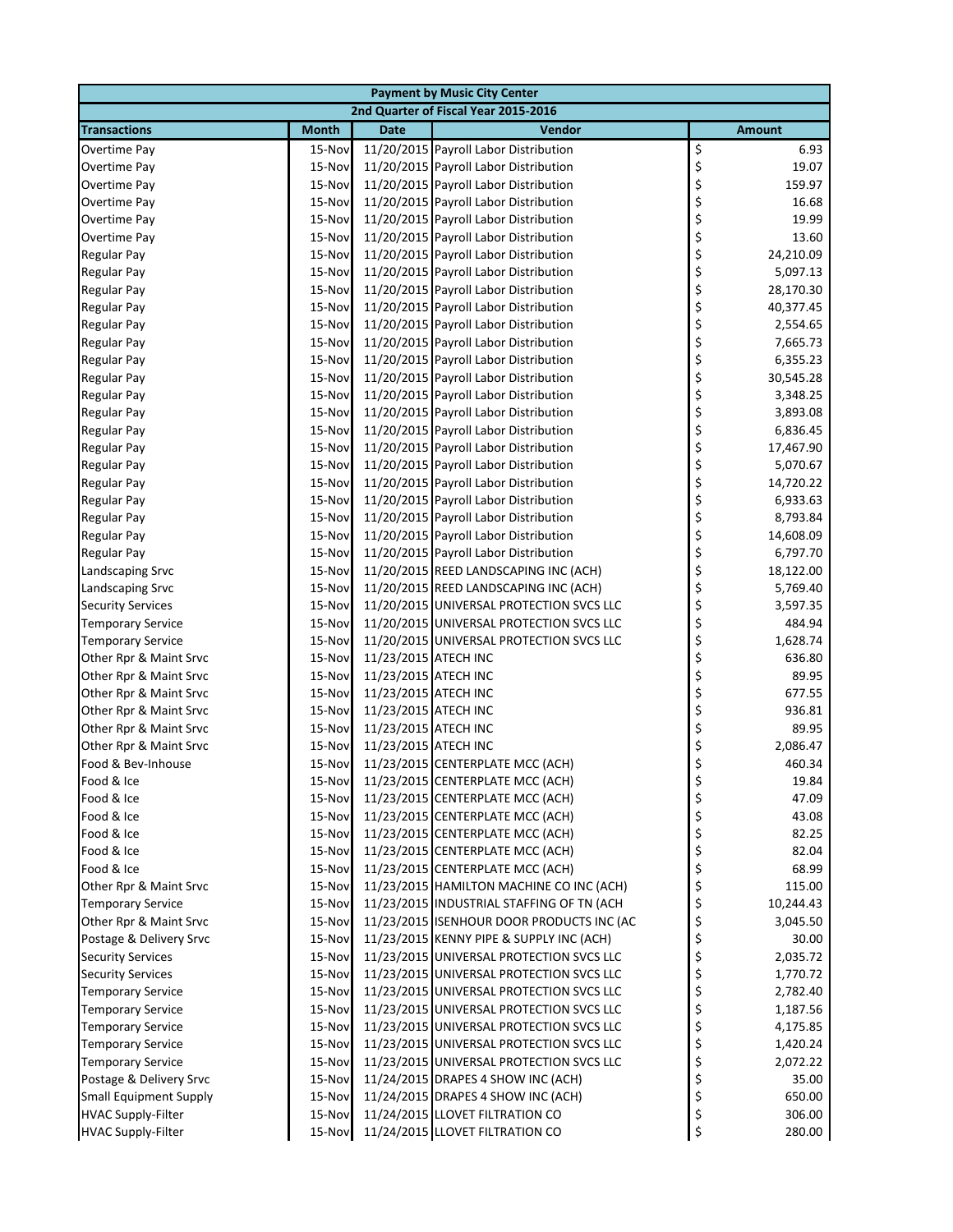|                               |              |                      | <b>Payment by Music City Center</b>       |                 |
|-------------------------------|--------------|----------------------|-------------------------------------------|-----------------|
|                               |              |                      | 2nd Quarter of Fiscal Year 2015-2016      |                 |
| <b>Transactions</b>           | <b>Month</b> | <b>Date</b>          | <b>Vendor</b>                             | <b>Amount</b>   |
| Overtime Pay                  | 15-Nov       |                      | 11/20/2015 Payroll Labor Distribution     | \$<br>6.93      |
| Overtime Pay                  | 15-Nov       |                      | 11/20/2015 Payroll Labor Distribution     | \$<br>19.07     |
| Overtime Pay                  | 15-Nov       |                      | 11/20/2015 Payroll Labor Distribution     | \$<br>159.97    |
| Overtime Pay                  | 15-Nov       |                      | 11/20/2015 Payroll Labor Distribution     | \$<br>16.68     |
| Overtime Pay                  | 15-Nov       |                      | 11/20/2015 Payroll Labor Distribution     | \$<br>19.99     |
| Overtime Pay                  | 15-Nov       |                      | 11/20/2015 Payroll Labor Distribution     | \$<br>13.60     |
| <b>Regular Pay</b>            | 15-Nov       |                      | 11/20/2015 Payroll Labor Distribution     | \$<br>24,210.09 |
| <b>Regular Pay</b>            | 15-Nov       |                      | 11/20/2015 Payroll Labor Distribution     | \$<br>5,097.13  |
| <b>Regular Pay</b>            | 15-Nov       |                      | 11/20/2015 Payroll Labor Distribution     | \$<br>28,170.30 |
| <b>Regular Pay</b>            | 15-Nov       |                      | 11/20/2015 Payroll Labor Distribution     | \$<br>40,377.45 |
| <b>Regular Pay</b>            | 15-Nov       |                      | 11/20/2015 Payroll Labor Distribution     | \$<br>2,554.65  |
| <b>Regular Pay</b>            | 15-Nov       |                      | 11/20/2015 Payroll Labor Distribution     | \$<br>7,665.73  |
| <b>Regular Pay</b>            | 15-Nov       |                      | 11/20/2015 Payroll Labor Distribution     | \$<br>6,355.23  |
| <b>Regular Pay</b>            | 15-Nov       |                      | 11/20/2015 Payroll Labor Distribution     | \$<br>30,545.28 |
| <b>Regular Pay</b>            | 15-Nov       |                      | 11/20/2015 Payroll Labor Distribution     | \$<br>3,348.25  |
| <b>Regular Pay</b>            | 15-Nov       |                      | 11/20/2015 Payroll Labor Distribution     | \$<br>3,893.08  |
| <b>Regular Pay</b>            | 15-Nov       |                      | 11/20/2015 Payroll Labor Distribution     | \$<br>6,836.45  |
| <b>Regular Pay</b>            | 15-Nov       |                      | 11/20/2015 Payroll Labor Distribution     | \$<br>17,467.90 |
| <b>Regular Pay</b>            | 15-Nov       |                      | 11/20/2015 Payroll Labor Distribution     | \$<br>5,070.67  |
| <b>Regular Pay</b>            | 15-Nov       |                      | 11/20/2015 Payroll Labor Distribution     | \$<br>14,720.22 |
| <b>Regular Pay</b>            | 15-Nov       |                      | 11/20/2015 Payroll Labor Distribution     | \$<br>6,933.63  |
| <b>Regular Pay</b>            | 15-Nov       |                      | 11/20/2015 Payroll Labor Distribution     | \$<br>8,793.84  |
| <b>Regular Pay</b>            | 15-Nov       |                      | 11/20/2015 Payroll Labor Distribution     | \$<br>14,608.09 |
| <b>Regular Pay</b>            | 15-Nov       |                      | 11/20/2015 Payroll Labor Distribution     | \$<br>6,797.70  |
| <b>Landscaping Srvc</b>       | 15-Nov       |                      | 11/20/2015 REED LANDSCAPING INC (ACH)     | \$<br>18,122.00 |
| <b>Landscaping Srvc</b>       | 15-Nov       |                      | 11/20/2015 REED LANDSCAPING INC (ACH)     | \$<br>5,769.40  |
| <b>Security Services</b>      | 15-Nov       |                      | 11/20/2015 UNIVERSAL PROTECTION SVCS LLC  | \$<br>3,597.35  |
| <b>Temporary Service</b>      | 15-Nov       |                      | 11/20/2015 UNIVERSAL PROTECTION SVCS LLC  | \$<br>484.94    |
| <b>Temporary Service</b>      | 15-Nov       |                      | 11/20/2015 UNIVERSAL PROTECTION SVCS LLC  | \$<br>1,628.74  |
| Other Rpr & Maint Srvc        | 15-Nov       | 11/23/2015 ATECH INC |                                           | \$<br>636.80    |
| Other Rpr & Maint Srvc        | 15-Nov       | 11/23/2015 ATECH INC |                                           | \$<br>89.95     |
| Other Rpr & Maint Srvc        | 15-Nov       | 11/23/2015 ATECH INC |                                           | \$<br>677.55    |
| Other Rpr & Maint Srvc        | 15-Nov       | 11/23/2015 ATECH INC |                                           | \$<br>936.81    |
| Other Rpr & Maint Srvc        | 15-Nov       | 11/23/2015 ATECH INC |                                           | \$<br>89.95     |
| Other Rpr & Maint Srvc        | 15-Nov       | 11/23/2015 ATECH INC |                                           | \$<br>2,086.47  |
| Food & Bev-Inhouse            | 15-Nov       |                      | 11/23/2015 CENTERPLATE MCC (ACH)          | \$<br>460.34    |
| Food & Ice                    | 15-Nov       |                      | 11/23/2015 CENTERPLATE MCC (ACH)          | 19.84<br>?      |
| Food & Ice                    | 15-Nov       |                      | 11/23/2015 CENTERPLATE MCC (ACH)          | \$<br>47.09     |
| Food & Ice                    | 15-Nov       |                      | 11/23/2015 CENTERPLATE MCC (ACH)          | \$<br>43.08     |
| Food & Ice                    | 15-Nov       |                      | 11/23/2015 CENTERPLATE MCC (ACH)          | \$<br>82.25     |
| Food & Ice                    | 15-Nov       |                      | 11/23/2015 CENTERPLATE MCC (ACH)          | \$<br>82.04     |
| Food & Ice                    | 15-Nov       |                      | 11/23/2015 CENTERPLATE MCC (ACH)          | \$<br>68.99     |
| Other Rpr & Maint Srvc        | 15-Nov       |                      | 11/23/2015 HAMILTON MACHINE CO INC (ACH)  | \$<br>115.00    |
| <b>Temporary Service</b>      | 15-Nov       |                      | 11/23/2015 INDUSTRIAL STAFFING OF TN (ACH | \$<br>10,244.43 |
| Other Rpr & Maint Srvc        | 15-Nov       |                      | 11/23/2015 ISENHOUR DOOR PRODUCTS INC (AC | \$<br>3,045.50  |
| Postage & Delivery Srvc       | 15-Nov       |                      | 11/23/2015 KENNY PIPE & SUPPLY INC (ACH)  | \$<br>30.00     |
| <b>Security Services</b>      | 15-Nov       |                      | 11/23/2015 UNIVERSAL PROTECTION SVCS LLC  | \$<br>2,035.72  |
| <b>Security Services</b>      | 15-Nov       |                      | 11/23/2015 UNIVERSAL PROTECTION SVCS LLC  | \$<br>1,770.72  |
| <b>Temporary Service</b>      | 15-Nov       |                      | 11/23/2015 UNIVERSAL PROTECTION SVCS LLC  | \$<br>2,782.40  |
| <b>Temporary Service</b>      | 15-Nov       |                      | 11/23/2015 UNIVERSAL PROTECTION SVCS LLC  | \$<br>1,187.56  |
| <b>Temporary Service</b>      | 15-Nov       |                      | 11/23/2015 UNIVERSAL PROTECTION SVCS LLC  | \$<br>4,175.85  |
| <b>Temporary Service</b>      | 15-Nov       |                      | 11/23/2015 UNIVERSAL PROTECTION SVCS LLC  | \$<br>1,420.24  |
| <b>Temporary Service</b>      | 15-Nov       |                      | 11/23/2015 UNIVERSAL PROTECTION SVCS LLC  | \$<br>2,072.22  |
| Postage & Delivery Srvc       | 15-Nov       |                      | 11/24/2015 DRAPES 4 SHOW INC (ACH)        | \$<br>35.00     |
| <b>Small Equipment Supply</b> | 15-Nov       |                      | 11/24/2015 DRAPES 4 SHOW INC (ACH)        | \$<br>650.00    |
| <b>HVAC Supply-Filter</b>     | 15-Nov       |                      | 11/24/2015 LLOVET FILTRATION CO           | \$<br>306.00    |
| <b>HVAC Supply-Filter</b>     | 15-Nov       |                      | 11/24/2015 LLOVET FILTRATION CO           | \$<br>280.00    |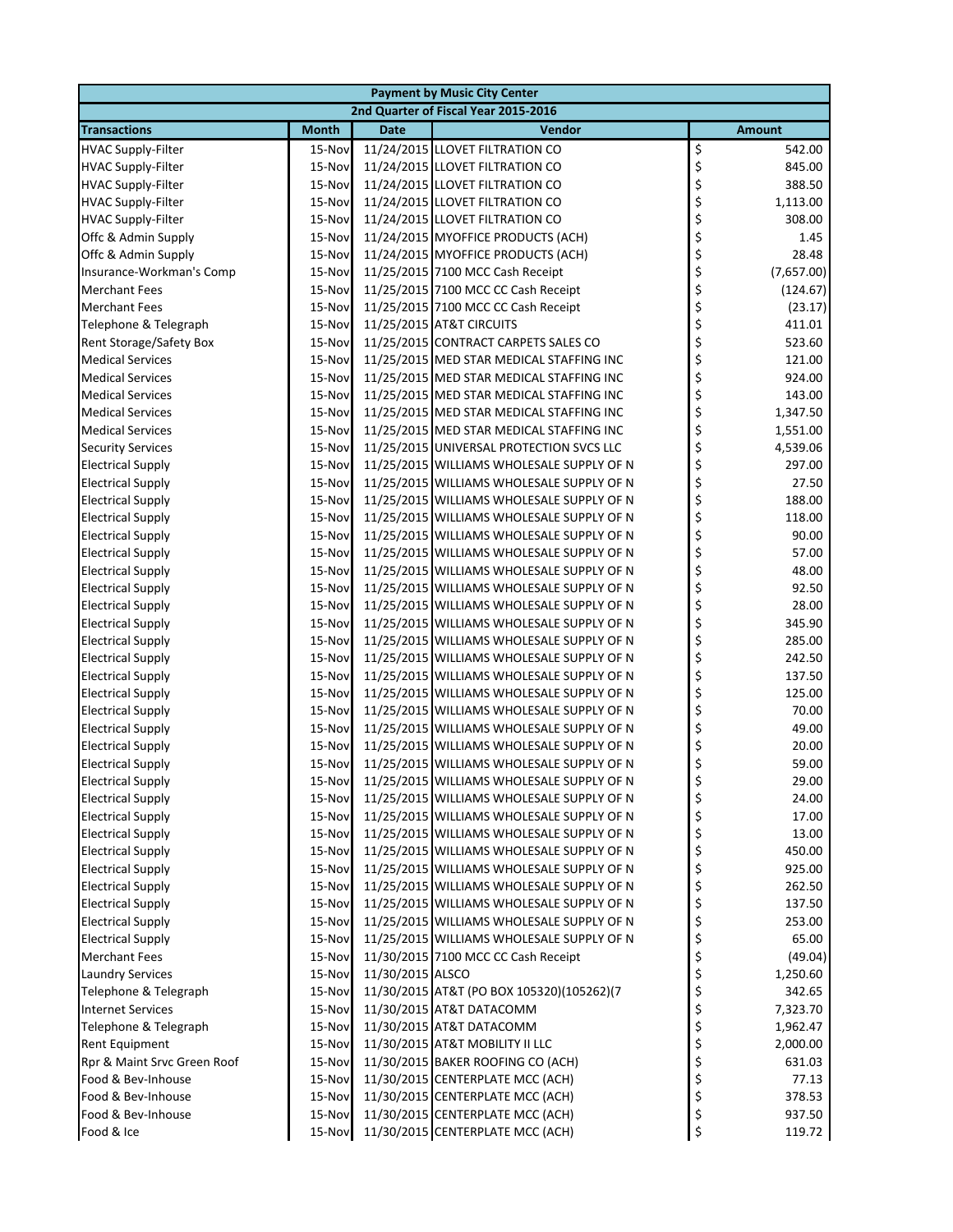| <b>Payment by Music City Center</b> |                                      |                  |                                           |    |               |  |  |
|-------------------------------------|--------------------------------------|------------------|-------------------------------------------|----|---------------|--|--|
|                                     | 2nd Quarter of Fiscal Year 2015-2016 |                  |                                           |    |               |  |  |
| <b>Transactions</b>                 | <b>Month</b>                         | <b>Date</b>      | <b>Vendor</b>                             |    | <b>Amount</b> |  |  |
| <b>HVAC Supply-Filter</b>           | 15-Nov                               |                  | 11/24/2015 LLOVET FILTRATION CO           | \$ | 542.00        |  |  |
| <b>HVAC Supply-Filter</b>           | 15-Nov                               |                  | 11/24/2015 LLOVET FILTRATION CO           | \$ | 845.00        |  |  |
| <b>HVAC Supply-Filter</b>           | 15-Nov                               |                  | 11/24/2015 LLOVET FILTRATION CO           | \$ | 388.50        |  |  |
| <b>HVAC Supply-Filter</b>           | 15-Nov                               |                  | 11/24/2015 LLOVET FILTRATION CO           | \$ | 1,113.00      |  |  |
| <b>HVAC Supply-Filter</b>           | 15-Nov                               |                  | 11/24/2015 LLOVET FILTRATION CO           | \$ | 308.00        |  |  |
| Offc & Admin Supply                 | 15-Nov                               |                  | 11/24/2015 MYOFFICE PRODUCTS (ACH)        | \$ | 1.45          |  |  |
| Offc & Admin Supply                 | 15-Nov                               |                  | 11/24/2015 MYOFFICE PRODUCTS (ACH)        | \$ | 28.48         |  |  |
| Insurance-Workman's Comp            | 15-Nov                               |                  | 11/25/2015 7100 MCC Cash Receipt          | \$ | (7,657.00)    |  |  |
| <b>Merchant Fees</b>                | 15-Nov                               |                  | 11/25/2015 7100 MCC CC Cash Receipt       | \$ | (124.67)      |  |  |
| <b>Merchant Fees</b>                | 15-Nov                               |                  | 11/25/2015 7100 MCC CC Cash Receipt       | \$ | (23.17)       |  |  |
| Telephone & Telegraph               | 15-Nov                               |                  | 11/25/2015 AT&T CIRCUITS                  | \$ | 411.01        |  |  |
| Rent Storage/Safety Box             | 15-Nov                               |                  | 11/25/2015 CONTRACT CARPETS SALES CO      | \$ | 523.60        |  |  |
| <b>Medical Services</b>             | 15-Nov                               |                  | 11/25/2015 MED STAR MEDICAL STAFFING INC  | \$ | 121.00        |  |  |
| <b>Medical Services</b>             | 15-Nov                               |                  | 11/25/2015 MED STAR MEDICAL STAFFING INC  | \$ | 924.00        |  |  |
| <b>Medical Services</b>             | 15-Nov                               |                  | 11/25/2015 MED STAR MEDICAL STAFFING INC  | \$ | 143.00        |  |  |
| <b>Medical Services</b>             | 15-Nov                               |                  | 11/25/2015 MED STAR MEDICAL STAFFING INC  | \$ | 1,347.50      |  |  |
| <b>Medical Services</b>             | 15-Nov                               |                  | 11/25/2015 MED STAR MEDICAL STAFFING INC  | \$ | 1,551.00      |  |  |
| <b>Security Services</b>            | 15-Nov                               |                  | 11/25/2015 UNIVERSAL PROTECTION SVCS LLC  | \$ | 4,539.06      |  |  |
| <b>Electrical Supply</b>            | 15-Nov                               |                  | 11/25/2015 WILLIAMS WHOLESALE SUPPLY OF N | \$ | 297.00        |  |  |
| <b>Electrical Supply</b>            | 15-Nov                               |                  | 11/25/2015 WILLIAMS WHOLESALE SUPPLY OF N | \$ | 27.50         |  |  |
| <b>Electrical Supply</b>            | 15-Nov                               |                  | 11/25/2015 WILLIAMS WHOLESALE SUPPLY OF N | \$ | 188.00        |  |  |
| <b>Electrical Supply</b>            | 15-Nov                               |                  | 11/25/2015 WILLIAMS WHOLESALE SUPPLY OF N | \$ | 118.00        |  |  |
| <b>Electrical Supply</b>            | 15-Nov                               |                  | 11/25/2015 WILLIAMS WHOLESALE SUPPLY OF N | \$ | 90.00         |  |  |
| <b>Electrical Supply</b>            | 15-Nov                               |                  | 11/25/2015 WILLIAMS WHOLESALE SUPPLY OF N | \$ | 57.00         |  |  |
| <b>Electrical Supply</b>            | 15-Nov                               |                  | 11/25/2015 WILLIAMS WHOLESALE SUPPLY OF N | \$ | 48.00         |  |  |
| <b>Electrical Supply</b>            | 15-Nov                               |                  | 11/25/2015 WILLIAMS WHOLESALE SUPPLY OF N | \$ | 92.50         |  |  |
| <b>Electrical Supply</b>            | 15-Nov                               |                  | 11/25/2015 WILLIAMS WHOLESALE SUPPLY OF N | \$ | 28.00         |  |  |
| <b>Electrical Supply</b>            | 15-Nov                               |                  | 11/25/2015 WILLIAMS WHOLESALE SUPPLY OF N | \$ | 345.90        |  |  |
| <b>Electrical Supply</b>            | 15-Nov                               |                  | 11/25/2015 WILLIAMS WHOLESALE SUPPLY OF N | \$ | 285.00        |  |  |
| <b>Electrical Supply</b>            | 15-Nov                               |                  | 11/25/2015 WILLIAMS WHOLESALE SUPPLY OF N | \$ | 242.50        |  |  |
| <b>Electrical Supply</b>            | 15-Nov                               |                  | 11/25/2015 WILLIAMS WHOLESALE SUPPLY OF N | \$ | 137.50        |  |  |
| <b>Electrical Supply</b>            | 15-Nov                               |                  | 11/25/2015 WILLIAMS WHOLESALE SUPPLY OF N | \$ | 125.00        |  |  |
| <b>Electrical Supply</b>            | 15-Nov                               |                  | 11/25/2015 WILLIAMS WHOLESALE SUPPLY OF N | \$ | 70.00         |  |  |
| <b>Electrical Supply</b>            | 15-Nov                               |                  | 11/25/2015 WILLIAMS WHOLESALE SUPPLY OF N | \$ | 49.00         |  |  |
| <b>Electrical Supply</b>            | 15-Nov                               |                  | 11/25/2015 WILLIAMS WHOLESALE SUPPLY OF N | \$ | 20.00         |  |  |
| <b>Electrical Supply</b>            | 15-Nov                               |                  | 11/25/2015 WILLIAMS WHOLESALE SUPPLY OF N | \$ | 59.00         |  |  |
| <b>Electrical Supply</b>            | 15-Nov                               |                  | 11/25/2015 WILLIAMS WHOLESALE SUPPLY OF N |    | 29.00         |  |  |
| <b>Electrical Supply</b>            | 15-Nov                               |                  | 11/25/2015 WILLIAMS WHOLESALE SUPPLY OF N | \$ | 24.00         |  |  |
| <b>Electrical Supply</b>            | 15-Nov                               |                  | 11/25/2015 WILLIAMS WHOLESALE SUPPLY OF N | \$ | 17.00         |  |  |
| <b>Electrical Supply</b>            | 15-Nov                               |                  | 11/25/2015 WILLIAMS WHOLESALE SUPPLY OF N | \$ | 13.00         |  |  |
| <b>Electrical Supply</b>            | 15-Nov                               |                  | 11/25/2015 WILLIAMS WHOLESALE SUPPLY OF N | \$ | 450.00        |  |  |
| <b>Electrical Supply</b>            | 15-Nov                               |                  | 11/25/2015 WILLIAMS WHOLESALE SUPPLY OF N | \$ | 925.00        |  |  |
| <b>Electrical Supply</b>            | 15-Nov                               |                  | 11/25/2015 WILLIAMS WHOLESALE SUPPLY OF N | \$ | 262.50        |  |  |
| <b>Electrical Supply</b>            | 15-Nov                               |                  | 11/25/2015 WILLIAMS WHOLESALE SUPPLY OF N | \$ | 137.50        |  |  |
| <b>Electrical Supply</b>            | 15-Nov                               |                  | 11/25/2015 WILLIAMS WHOLESALE SUPPLY OF N | \$ | 253.00        |  |  |
| <b>Electrical Supply</b>            | 15-Nov                               |                  | 11/25/2015 WILLIAMS WHOLESALE SUPPLY OF N | \$ | 65.00         |  |  |
| <b>Merchant Fees</b>                | 15-Nov                               |                  | 11/30/2015 7100 MCC CC Cash Receipt       | \$ | (49.04)       |  |  |
| <b>Laundry Services</b>             | 15-Nov                               | 11/30/2015 ALSCO |                                           | \$ | 1,250.60      |  |  |
| Telephone & Telegraph               | 15-Nov                               |                  | 11/30/2015 AT&T (PO BOX 105320)(105262)(7 | \$ | 342.65        |  |  |
| <b>Internet Services</b>            | 15-Nov                               |                  | 11/30/2015 AT&T DATACOMM                  | \$ | 7,323.70      |  |  |
| Telephone & Telegraph               | 15-Nov                               |                  | 11/30/2015 AT&T DATACOMM                  | \$ | 1,962.47      |  |  |
| Rent Equipment                      | 15-Nov                               |                  | 11/30/2015 AT&T MOBILITY II LLC           | \$ | 2,000.00      |  |  |
| Rpr & Maint Srvc Green Roof         | 15-Nov                               |                  | 11/30/2015 BAKER ROOFING CO (ACH)         | \$ | 631.03        |  |  |
| Food & Bev-Inhouse                  | 15-Nov                               |                  | 11/30/2015 CENTERPLATE MCC (ACH)          | \$ | 77.13         |  |  |
| Food & Bev-Inhouse                  | 15-Nov                               |                  | 11/30/2015 CENTERPLATE MCC (ACH)          | \$ | 378.53        |  |  |
| Food & Bev-Inhouse                  | 15-Nov                               |                  | 11/30/2015 CENTERPLATE MCC (ACH)          | \$ | 937.50        |  |  |
| Food & Ice                          | 15-Nov                               |                  | 11/30/2015 CENTERPLATE MCC (ACH)          | \$ | 119.72        |  |  |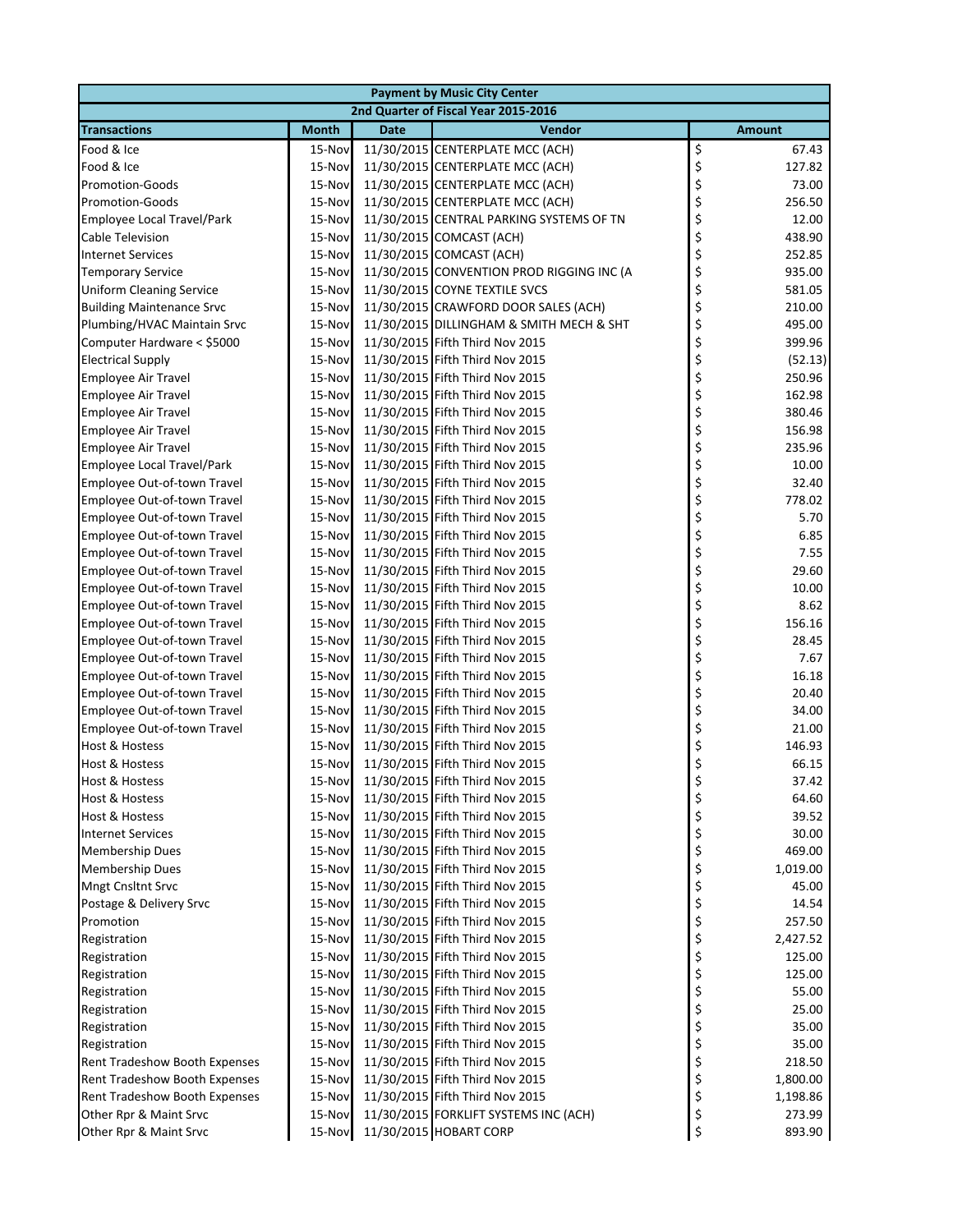|                                  | <b>Payment by Music City Center</b> |             |                                           |          |                    |  |  |
|----------------------------------|-------------------------------------|-------------|-------------------------------------------|----------|--------------------|--|--|
|                                  |                                     |             | 2nd Quarter of Fiscal Year 2015-2016      |          |                    |  |  |
| <b>Transactions</b>              | <b>Month</b>                        | <b>Date</b> | Vendor                                    |          | <b>Amount</b>      |  |  |
| Food & Ice                       | 15-Nov                              |             | 11/30/2015 CENTERPLATE MCC (ACH)          | \$       | 67.43              |  |  |
| Food & Ice                       | 15-Nov                              |             | 11/30/2015 CENTERPLATE MCC (ACH)          | \$       | 127.82             |  |  |
| <b>Promotion-Goods</b>           | 15-Nov                              |             | 11/30/2015 CENTERPLATE MCC (ACH)          | \$       | 73.00              |  |  |
| <b>Promotion-Goods</b>           | 15-Nov                              |             | 11/30/2015 CENTERPLATE MCC (ACH)          | \$       | 256.50             |  |  |
| Employee Local Travel/Park       | 15-Nov                              |             | 11/30/2015 CENTRAL PARKING SYSTEMS OF TN  | \$       | 12.00              |  |  |
| <b>Cable Television</b>          | 15-Nov                              |             | 11/30/2015 COMCAST (ACH)                  | \$       | 438.90             |  |  |
| <b>Internet Services</b>         | 15-Nov                              |             | 11/30/2015 COMCAST (ACH)                  | \$       | 252.85             |  |  |
| <b>Temporary Service</b>         | 15-Nov                              |             | 11/30/2015 CONVENTION PROD RIGGING INC (A | \$       | 935.00             |  |  |
| <b>Uniform Cleaning Service</b>  | 15-Nov                              |             | 11/30/2015 COYNE TEXTILE SVCS             | \$       | 581.05             |  |  |
| <b>Building Maintenance Srvc</b> | 15-Nov                              |             | 11/30/2015 CRAWFORD DOOR SALES (ACH)      | \$       | 210.00             |  |  |
| Plumbing/HVAC Maintain Srvc      | 15-Nov                              |             | 11/30/2015 DILLINGHAM & SMITH MECH & SHT  | \$       | 495.00             |  |  |
| Computer Hardware < \$5000       | 15-Nov                              |             | 11/30/2015 Fifth Third Nov 2015           | \$       | 399.96             |  |  |
| <b>Electrical Supply</b>         | 15-Nov                              |             | 11/30/2015 Fifth Third Nov 2015           | \$       | (52.13)            |  |  |
| <b>Employee Air Travel</b>       | 15-Nov                              |             | 11/30/2015 Fifth Third Nov 2015           | \$       | 250.96             |  |  |
| <b>Employee Air Travel</b>       | 15-Nov                              |             | 11/30/2015 Fifth Third Nov 2015           | \$       | 162.98             |  |  |
| <b>Employee Air Travel</b>       | 15-Nov                              |             | 11/30/2015 Fifth Third Nov 2015           | \$       | 380.46             |  |  |
| <b>Employee Air Travel</b>       | 15-Nov                              |             | 11/30/2015 Fifth Third Nov 2015           | \$       | 156.98             |  |  |
| <b>Employee Air Travel</b>       | 15-Nov                              |             | 11/30/2015 Fifth Third Nov 2015           | \$       | 235.96             |  |  |
| Employee Local Travel/Park       | 15-Nov                              |             | 11/30/2015 Fifth Third Nov 2015           | \$       | 10.00              |  |  |
| Employee Out-of-town Travel      | 15-Nov                              |             | 11/30/2015 Fifth Third Nov 2015           | \$       | 32.40              |  |  |
| Employee Out-of-town Travel      | 15-Nov                              |             | 11/30/2015 Fifth Third Nov 2015           | \$       | 778.02             |  |  |
| Employee Out-of-town Travel      | 15-Nov                              |             | 11/30/2015 Fifth Third Nov 2015           | \$       | 5.70               |  |  |
| Employee Out-of-town Travel      | 15-Nov                              |             | 11/30/2015 Fifth Third Nov 2015           | \$       | 6.85               |  |  |
| Employee Out-of-town Travel      | 15-Nov                              |             | 11/30/2015 Fifth Third Nov 2015           | \$       | 7.55               |  |  |
| Employee Out-of-town Travel      | 15-Nov                              |             | 11/30/2015 Fifth Third Nov 2015           | \$       | 29.60              |  |  |
| Employee Out-of-town Travel      | 15-Nov                              |             | 11/30/2015 Fifth Third Nov 2015           | \$       | 10.00              |  |  |
| Employee Out-of-town Travel      | 15-Nov                              |             | 11/30/2015 Fifth Third Nov 2015           | \$       | 8.62               |  |  |
| Employee Out-of-town Travel      | 15-Nov                              |             | 11/30/2015 Fifth Third Nov 2015           | \$       | 156.16             |  |  |
| Employee Out-of-town Travel      | 15-Nov                              |             | 11/30/2015 Fifth Third Nov 2015           | \$       | 28.45              |  |  |
| Employee Out-of-town Travel      | 15-Nov                              |             | 11/30/2015 Fifth Third Nov 2015           | \$       | 7.67               |  |  |
| Employee Out-of-town Travel      | 15-Nov                              |             | 11/30/2015 Fifth Third Nov 2015           | \$       | 16.18              |  |  |
| Employee Out-of-town Travel      | 15-Nov                              |             | 11/30/2015 Fifth Third Nov 2015           | \$       | 20.40              |  |  |
| Employee Out-of-town Travel      | 15-Nov                              |             | 11/30/2015 Fifth Third Nov 2015           | \$       | 34.00              |  |  |
| Employee Out-of-town Travel      | 15-Nov                              |             | 11/30/2015 Fifth Third Nov 2015           | \$       | 21.00              |  |  |
| <b>Host &amp; Hostess</b>        | 15-Nov                              |             | 11/30/2015 Fifth Third Nov 2015           | \$       | 146.93             |  |  |
| <b>Host &amp; Hostess</b>        | 15-Nov                              |             | 11/30/2015 Fifth Third Nov 2015           | \$       | 66.15              |  |  |
| Host & Hostess                   | 15-Nov                              |             | 11/30/2015 Fifth Third Nov 2015           |          | 37.42              |  |  |
| Host & Hostess                   | 15-Nov                              |             | 11/30/2015 Fifth Third Nov 2015           | \$       | 64.60              |  |  |
| <b>Host &amp; Hostess</b>        | 15-Nov                              |             | 11/30/2015 Fifth Third Nov 2015           | \$       | 39.52              |  |  |
| <b>Internet Services</b>         | 15-Nov                              |             | 11/30/2015 Fifth Third Nov 2015           | \$       | 30.00              |  |  |
| <b>Membership Dues</b>           | 15-Nov                              |             | 11/30/2015 Fifth Third Nov 2015           | \$       | 469.00             |  |  |
| <b>Membership Dues</b>           | 15-Nov                              |             | 11/30/2015 Fifth Third Nov 2015           | \$       | 1,019.00           |  |  |
| Mngt Cnsltnt Srvc                | 15-Nov                              |             | 11/30/2015 Fifth Third Nov 2015           | \$       | 45.00              |  |  |
| Postage & Delivery Srvc          | 15-Nov                              |             | 11/30/2015 Fifth Third Nov 2015           |          | 14.54              |  |  |
|                                  |                                     |             | 11/30/2015 Fifth Third Nov 2015           | \$<br>\$ | 257.50             |  |  |
| Promotion<br>Registration        | 15-Nov<br>15-Nov                    |             | 11/30/2015 Fifth Third Nov 2015           |          |                    |  |  |
|                                  |                                     |             |                                           | \$<br>\$ | 2,427.52<br>125.00 |  |  |
| Registration                     | 15-Nov                              |             | 11/30/2015 Fifth Third Nov 2015           |          | 125.00             |  |  |
| Registration                     | 15-Nov                              |             | 11/30/2015 Fifth Third Nov 2015           | \$       |                    |  |  |
| Registration                     | 15-Nov                              |             | 11/30/2015 Fifth Third Nov 2015           | \$       | 55.00              |  |  |
| Registration                     | 15-Nov                              |             | 11/30/2015 Fifth Third Nov 2015           | \$       | 25.00              |  |  |
| Registration                     | 15-Nov                              |             | 11/30/2015 Fifth Third Nov 2015           | \$       | 35.00              |  |  |
| Registration                     | 15-Nov                              |             | 11/30/2015 Fifth Third Nov 2015           | \$       | 35.00              |  |  |
| Rent Tradeshow Booth Expenses    | 15-Nov                              |             | 11/30/2015 Fifth Third Nov 2015           | \$       | 218.50             |  |  |
| Rent Tradeshow Booth Expenses    | 15-Nov                              |             | 11/30/2015 Fifth Third Nov 2015           | \$       | 1,800.00           |  |  |
| Rent Tradeshow Booth Expenses    | 15-Nov                              |             | 11/30/2015 Fifth Third Nov 2015           | \$       | 1,198.86           |  |  |
| Other Rpr & Maint Srvc           | 15-Nov                              |             | 11/30/2015 FORKLIFT SYSTEMS INC (ACH)     | \$       | 273.99             |  |  |
| Other Rpr & Maint Srvc           | 15-Nov                              |             | 11/30/2015 HOBART CORP                    | \$       | 893.90             |  |  |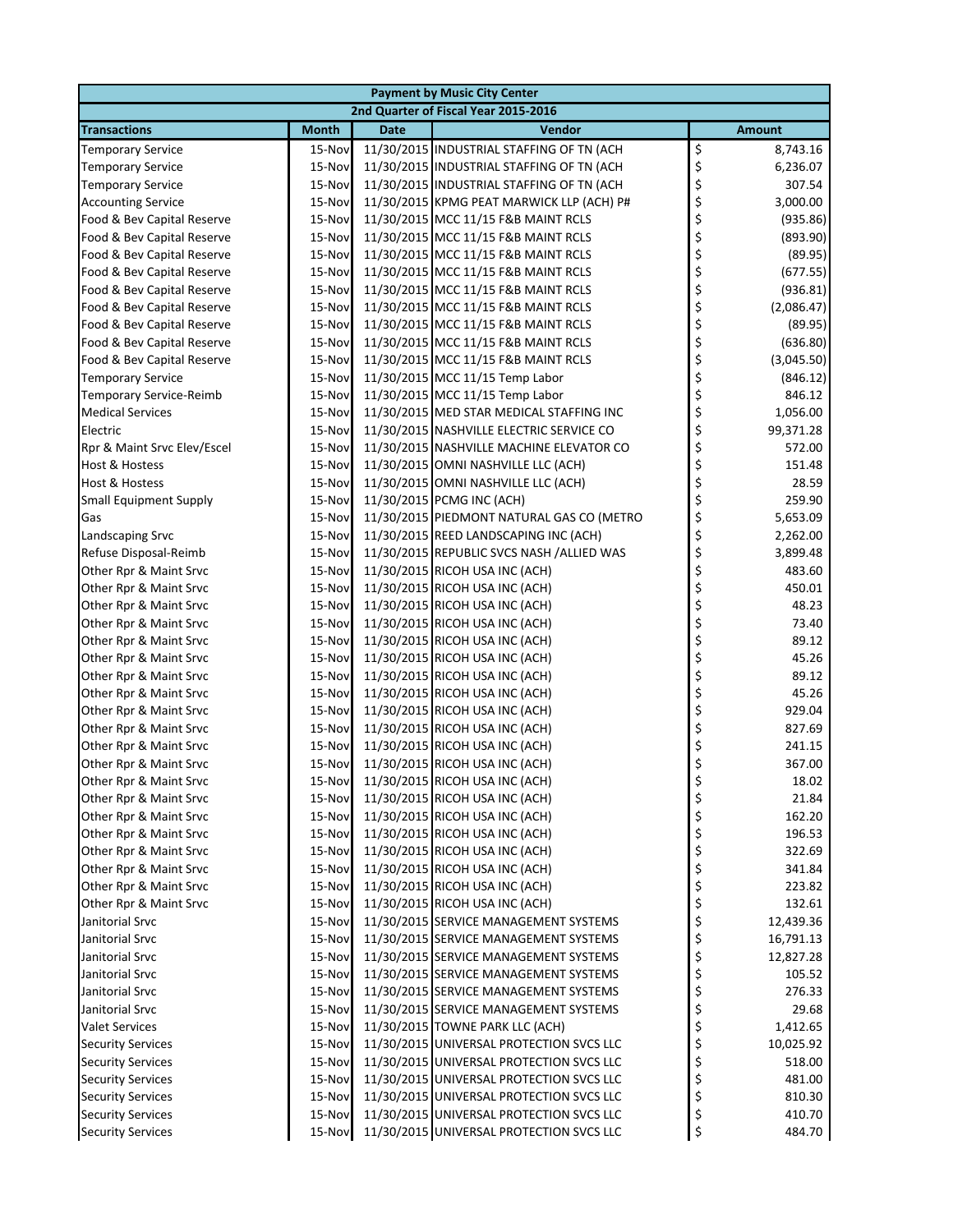| <b>Payment by Music City Center</b>              |                  |             |                                                                  |    |                  |  |  |
|--------------------------------------------------|------------------|-------------|------------------------------------------------------------------|----|------------------|--|--|
|                                                  |                  |             | 2nd Quarter of Fiscal Year 2015-2016                             |    |                  |  |  |
| <b>Transactions</b>                              | <b>Month</b>     | <b>Date</b> | Vendor                                                           |    | <b>Amount</b>    |  |  |
| <b>Temporary Service</b>                         | 15-Nov           |             | 11/30/2015 INDUSTRIAL STAFFING OF TN (ACH                        | \$ | 8,743.16         |  |  |
| <b>Temporary Service</b>                         | 15-Nov           |             | 11/30/2015 INDUSTRIAL STAFFING OF TN (ACH                        | \$ | 6,236.07         |  |  |
| <b>Temporary Service</b>                         | 15-Nov           |             | 11/30/2015 INDUSTRIAL STAFFING OF TN (ACH                        | \$ | 307.54           |  |  |
| <b>Accounting Service</b>                        | 15-Nov           |             | 11/30/2015 KPMG PEAT MARWICK LLP (ACH) P#                        | \$ | 3,000.00         |  |  |
| Food & Bev Capital Reserve                       | 15-Nov           |             | 11/30/2015 MCC 11/15 F&B MAINT RCLS                              | \$ | (935.86)         |  |  |
| Food & Bev Capital Reserve                       | 15-Nov           |             | 11/30/2015 MCC 11/15 F&B MAINT RCLS                              | \$ | (893.90)         |  |  |
| Food & Bev Capital Reserve                       | 15-Nov           |             | 11/30/2015 MCC 11/15 F&B MAINT RCLS                              | \$ | (89.95)          |  |  |
| Food & Bev Capital Reserve                       | 15-Nov           |             | 11/30/2015 MCC 11/15 F&B MAINT RCLS                              | \$ | (677.55)         |  |  |
| Food & Bev Capital Reserve                       | 15-Nov           |             | 11/30/2015 MCC 11/15 F&B MAINT RCLS                              | \$ | (936.81)         |  |  |
| Food & Bev Capital Reserve                       | 15-Nov           |             | 11/30/2015 MCC 11/15 F&B MAINT RCLS                              | \$ | (2,086.47)       |  |  |
| Food & Bev Capital Reserve                       | 15-Nov           |             | 11/30/2015 MCC 11/15 F&B MAINT RCLS                              | \$ | (89.95)          |  |  |
| Food & Bev Capital Reserve                       | 15-Nov           |             | 11/30/2015 MCC 11/15 F&B MAINT RCLS                              | \$ | (636.80)         |  |  |
| Food & Bev Capital Reserve                       | 15-Nov           |             | 11/30/2015 MCC 11/15 F&B MAINT RCLS                              | \$ | (3,045.50)       |  |  |
| <b>Temporary Service</b>                         | 15-Nov           |             | 11/30/2015 MCC 11/15 Temp Labor                                  | \$ | (846.12)         |  |  |
| <b>Temporary Service-Reimb</b>                   | 15-Nov           |             | 11/30/2015 MCC 11/15 Temp Labor                                  | \$ | 846.12           |  |  |
| <b>Medical Services</b>                          | 15-Nov           |             | 11/30/2015 MED STAR MEDICAL STAFFING INC                         | \$ | 1,056.00         |  |  |
| Electric                                         | 15-Nov           |             | 11/30/2015 NASHVILLE ELECTRIC SERVICE CO                         | \$ | 99,371.28        |  |  |
| Rpr & Maint Srvc Elev/Escel                      | 15-Nov           |             | 11/30/2015 NASHVILLE MACHINE ELEVATOR CO                         | \$ | 572.00           |  |  |
| Host & Hostess                                   | 15-Nov           |             | 11/30/2015 OMNI NASHVILLE LLC (ACH)                              | \$ | 151.48           |  |  |
| Host & Hostess                                   | 15-Nov           |             | 11/30/2015 OMNI NASHVILLE LLC (ACH)                              | \$ | 28.59            |  |  |
| <b>Small Equipment Supply</b>                    | 15-Nov           |             | 11/30/2015 PCMG INC (ACH)                                        | \$ | 259.90           |  |  |
| Gas                                              | 15-Nov           |             | 11/30/2015 PIEDMONT NATURAL GAS CO (METRO                        | \$ | 5,653.09         |  |  |
| Landscaping Srvc                                 | 15-Nov           |             | 11/30/2015 REED LANDSCAPING INC (ACH)                            | \$ | 2,262.00         |  |  |
| Refuse Disposal-Reimb                            | 15-Nov           |             | 11/30/2015 REPUBLIC SVCS NASH /ALLIED WAS                        | \$ | 3,899.48         |  |  |
| Other Rpr & Maint Srvc                           | 15-Nov           |             | 11/30/2015 RICOH USA INC (ACH)                                   | \$ | 483.60           |  |  |
| Other Rpr & Maint Srvc                           | 15-Nov           |             | 11/30/2015 RICOH USA INC (ACH)                                   | \$ | 450.01           |  |  |
| Other Rpr & Maint Srvc                           | 15-Nov           |             | 11/30/2015 RICOH USA INC (ACH)                                   | \$ | 48.23            |  |  |
| Other Rpr & Maint Srvc                           | 15-Nov           |             | 11/30/2015 RICOH USA INC (ACH)                                   | \$ | 73.40            |  |  |
| Other Rpr & Maint Srvc                           | 15-Nov           |             | 11/30/2015 RICOH USA INC (ACH)                                   | \$ | 89.12            |  |  |
| Other Rpr & Maint Srvc                           | 15-Nov           |             | 11/30/2015 RICOH USA INC (ACH)                                   | \$ | 45.26            |  |  |
| Other Rpr & Maint Srvc                           | 15-Nov           |             | 11/30/2015 RICOH USA INC (ACH)                                   | \$ | 89.12            |  |  |
| Other Rpr & Maint Srvc                           | 15-Nov           |             | 11/30/2015 RICOH USA INC (ACH)                                   | \$ | 45.26            |  |  |
| Other Rpr & Maint Srvc                           | 15-Nov           |             | 11/30/2015 RICOH USA INC (ACH)                                   | \$ | 929.04           |  |  |
| Other Rpr & Maint Srvc                           | 15-Nov<br>15-Nov |             | 11/30/2015 RICOH USA INC (ACH)<br>11/30/2015 RICOH USA INC (ACH) | \$ | 827.69<br>241.15 |  |  |
| Other Rpr & Maint Srvc                           |                  |             | 11/30/2015 RICOH USA INC (ACH)                                   | \$ | 367.00           |  |  |
| Other Rpr & Maint Srvc                           | 15-Nov           |             | 11/30/2015 RICOH USA INC (ACH)                                   | \$ | 18.02            |  |  |
| Other Rpr & Maint Srvc<br>Other Rpr & Maint Srvc | 15-Nov<br>15-Nov |             | 11/30/2015 RICOH USA INC (ACH)                                   | \$ | 21.84            |  |  |
| Other Rpr & Maint Srvc                           | 15-Nov           |             | 11/30/2015 RICOH USA INC (ACH)                                   | \$ | 162.20           |  |  |
| Other Rpr & Maint Srvc                           | 15-Nov           |             | 11/30/2015 RICOH USA INC (ACH)                                   | \$ | 196.53           |  |  |
| Other Rpr & Maint Srvc                           | 15-Nov           |             | 11/30/2015 RICOH USA INC (ACH)                                   | \$ | 322.69           |  |  |
| Other Rpr & Maint Srvc                           | 15-Nov           |             | 11/30/2015 RICOH USA INC (ACH)                                   | \$ | 341.84           |  |  |
| Other Rpr & Maint Srvc                           | 15-Nov           |             | 11/30/2015 RICOH USA INC (ACH)                                   | \$ | 223.82           |  |  |
| Other Rpr & Maint Srvc                           | 15-Nov           |             | 11/30/2015 RICOH USA INC (ACH)                                   | \$ | 132.61           |  |  |
| Janitorial Srvc                                  | 15-Nov           |             | 11/30/2015 SERVICE MANAGEMENT SYSTEMS                            | \$ | 12,439.36        |  |  |
| Janitorial Srvc                                  | 15-Nov           |             | 11/30/2015 SERVICE MANAGEMENT SYSTEMS                            | \$ | 16,791.13        |  |  |
| Janitorial Srvc                                  | 15-Nov           |             | 11/30/2015 SERVICE MANAGEMENT SYSTEMS                            | \$ | 12,827.28        |  |  |
| Janitorial Srvc                                  | 15-Nov           |             | 11/30/2015 SERVICE MANAGEMENT SYSTEMS                            | \$ | 105.52           |  |  |
| Janitorial Srvc                                  | 15-Nov           |             | 11/30/2015 SERVICE MANAGEMENT SYSTEMS                            | \$ | 276.33           |  |  |
| Janitorial Srvc                                  | 15-Nov           |             | 11/30/2015 SERVICE MANAGEMENT SYSTEMS                            | \$ | 29.68            |  |  |
| <b>Valet Services</b>                            | 15-Nov           |             | 11/30/2015 TOWNE PARK LLC (ACH)                                  | \$ | 1,412.65         |  |  |
| <b>Security Services</b>                         | 15-Nov           |             | 11/30/2015 UNIVERSAL PROTECTION SVCS LLC                         | \$ | 10,025.92        |  |  |
| <b>Security Services</b>                         | 15-Nov           |             | 11/30/2015 UNIVERSAL PROTECTION SVCS LLC                         | \$ | 518.00           |  |  |
| <b>Security Services</b>                         | 15-Nov           |             | 11/30/2015 UNIVERSAL PROTECTION SVCS LLC                         | \$ | 481.00           |  |  |
| <b>Security Services</b>                         | 15-Nov           |             | 11/30/2015 UNIVERSAL PROTECTION SVCS LLC                         | \$ | 810.30           |  |  |
| <b>Security Services</b>                         | 15-Nov           |             | 11/30/2015 UNIVERSAL PROTECTION SVCS LLC                         | \$ | 410.70           |  |  |
| <b>Security Services</b>                         | 15-Nov           |             | 11/30/2015 UNIVERSAL PROTECTION SVCS LLC                         | \$ | 484.70           |  |  |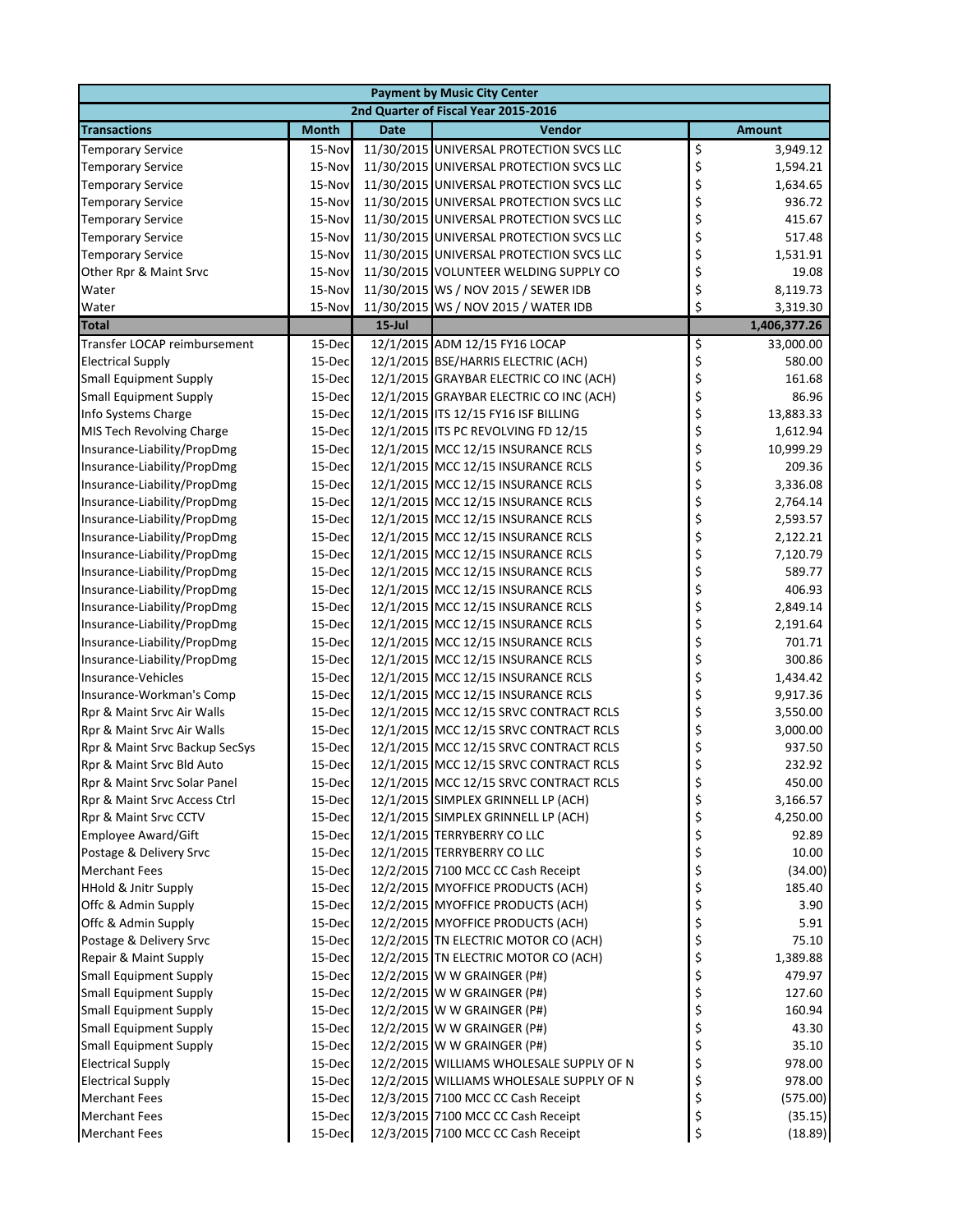|                                                             |              |             | <b>Payment by Music City Center</b>                                              |    |                  |
|-------------------------------------------------------------|--------------|-------------|----------------------------------------------------------------------------------|----|------------------|
|                                                             |              |             | 2nd Quarter of Fiscal Year 2015-2016                                             |    |                  |
| <b>Transactions</b>                                         | <b>Month</b> | <b>Date</b> | Vendor                                                                           |    | <b>Amount</b>    |
| <b>Temporary Service</b>                                    | 15-Nov       |             | 11/30/2015 UNIVERSAL PROTECTION SVCS LLC                                         | \$ | 3,949.12         |
| <b>Temporary Service</b>                                    | 15-Nov       |             | 11/30/2015 UNIVERSAL PROTECTION SVCS LLC                                         | \$ | 1,594.21         |
| <b>Temporary Service</b>                                    | 15-Nov       |             | 11/30/2015 UNIVERSAL PROTECTION SVCS LLC                                         | \$ | 1,634.65         |
| <b>Temporary Service</b>                                    | 15-Nov       |             | 11/30/2015 UNIVERSAL PROTECTION SVCS LLC                                         | \$ | 936.72           |
| <b>Temporary Service</b>                                    | 15-Nov       |             | 11/30/2015 UNIVERSAL PROTECTION SVCS LLC                                         | \$ | 415.67           |
| <b>Temporary Service</b>                                    | 15-Nov       |             | 11/30/2015 UNIVERSAL PROTECTION SVCS LLC                                         | \$ | 517.48           |
| <b>Temporary Service</b>                                    | 15-Nov       |             | 11/30/2015 UNIVERSAL PROTECTION SVCS LLC                                         | \$ | 1,531.91         |
| Other Rpr & Maint Srvc                                      | 15-Nov       |             | 11/30/2015 VOLUNTEER WELDING SUPPLY CO                                           | \$ | 19.08            |
| Water                                                       | 15-Nov       |             | 11/30/2015 WS / NOV 2015 / SEWER IDB                                             | \$ | 8,119.73         |
| Water                                                       | 15-Nov       |             | 11/30/2015 WS / NOV 2015 / WATER IDB                                             | \$ | 3,319.30         |
| <b>Total</b>                                                |              | $15$ -Jul   |                                                                                  |    | 1,406,377.26     |
| Transfer LOCAP reimbursement                                | 15-Dec       |             | 12/1/2015 ADM 12/15 FY16 LOCAP                                                   | \$ | 33,000.00        |
| <b>Electrical Supply</b>                                    | 15-Dec       |             | 12/1/2015 BSE/HARRIS ELECTRIC (ACH)                                              | \$ | 580.00           |
| <b>Small Equipment Supply</b>                               | 15-Dec       |             | 12/1/2015 GRAYBAR ELECTRIC CO INC (ACH)                                          | \$ | 161.68           |
| <b>Small Equipment Supply</b>                               | 15-Dec       |             | 12/1/2015 GRAYBAR ELECTRIC CO INC (ACH)                                          | \$ | 86.96            |
| Info Systems Charge                                         | 15-Dec       |             | 12/1/2015 ITS 12/15 FY16 ISF BILLING                                             | \$ | 13,883.33        |
| MIS Tech Revolving Charge                                   | 15-Dec       |             | 12/1/2015 ITS PC REVOLVING FD 12/15                                              | \$ | 1,612.94         |
| Insurance-Liability/PropDmg                                 | 15-Dec       |             | 12/1/2015 MCC 12/15 INSURANCE RCLS                                               | \$ | 10,999.29        |
| Insurance-Liability/PropDmg                                 | 15-Dec       |             | 12/1/2015 MCC 12/15 INSURANCE RCLS                                               | \$ | 209.36           |
| Insurance-Liability/PropDmg                                 | 15-Dec       |             | 12/1/2015 MCC 12/15 INSURANCE RCLS                                               | \$ | 3,336.08         |
| Insurance-Liability/PropDmg                                 | 15-Dec       |             | 12/1/2015 MCC 12/15 INSURANCE RCLS                                               | \$ | 2,764.14         |
| Insurance-Liability/PropDmg                                 | 15-Dec       |             | 12/1/2015 MCC 12/15 INSURANCE RCLS                                               | \$ | 2,593.57         |
| Insurance-Liability/PropDmg                                 | 15-Dec       |             | 12/1/2015 MCC 12/15 INSURANCE RCLS                                               | \$ | 2,122.21         |
| Insurance-Liability/PropDmg                                 | 15-Dec       |             | 12/1/2015 MCC 12/15 INSURANCE RCLS                                               | \$ | 7,120.79         |
| Insurance-Liability/PropDmg                                 | 15-Dec       |             | 12/1/2015 MCC 12/15 INSURANCE RCLS                                               | \$ | 589.77           |
| Insurance-Liability/PropDmg                                 | 15-Dec       |             | 12/1/2015 MCC 12/15 INSURANCE RCLS                                               | \$ | 406.93           |
| Insurance-Liability/PropDmg                                 | 15-Dec       |             | 12/1/2015 MCC 12/15 INSURANCE RCLS                                               | \$ | 2,849.14         |
| Insurance-Liability/PropDmg                                 | 15-Dec       |             | 12/1/2015 MCC 12/15 INSURANCE RCLS                                               | \$ | 2,191.64         |
| Insurance-Liability/PropDmg                                 | 15-Dec       |             | 12/1/2015 MCC 12/15 INSURANCE RCLS                                               | \$ | 701.71           |
| Insurance-Liability/PropDmg                                 | 15-Dec       |             | 12/1/2015 MCC 12/15 INSURANCE RCLS                                               | \$ | 300.86           |
| Insurance-Vehicles                                          | 15-Dec       |             | 12/1/2015 MCC 12/15 INSURANCE RCLS                                               | \$ | 1,434.42         |
| Insurance-Workman's Comp                                    | 15-Dec       |             | 12/1/2015 MCC 12/15 INSURANCE RCLS                                               | \$ | 9,917.36         |
| Rpr & Maint Srvc Air Walls                                  | 15-Dec       |             | 12/1/2015 MCC 12/15 SRVC CONTRACT RCLS                                           | \$ | 3,550.00         |
|                                                             |              |             |                                                                                  |    |                  |
| Rpr & Maint Srvc Air Walls                                  | 15-Dec       |             | 12/1/2015 MCC 12/15 SRVC CONTRACT RCLS                                           | \$ | 3,000.00         |
| Rpr & Maint Srvc Backup SecSys<br>Rpr & Maint Srvc Bld Auto | 15-Dec       |             | 12/1/2015 MCC 12/15 SRVC CONTRACT RCLS                                           | \$ | 937.50           |
|                                                             | 15-Dec       |             | 12/1/2015 MCC 12/15 SRVC CONTRACT RCLS<br>12/1/2015 MCC 12/15 SRVC CONTRACT RCLS | \$ | 232.92<br>450.00 |
| Rpr & Maint Srvc Solar Panel                                | 15-Dec       |             |                                                                                  | Ş  |                  |
| Rpr & Maint Srvc Access Ctrl                                | 15-Dec       |             | 12/1/2015 SIMPLEX GRINNELL LP (ACH)                                              | \$ | 3,166.57         |
| Rpr & Maint Srvc CCTV                                       | 15-Dec       |             | 12/1/2015 SIMPLEX GRINNELL LP (ACH)                                              | \$ | 4,250.00         |
| Employee Award/Gift                                         | 15-Dec       |             | 12/1/2015 TERRYBERRY CO LLC                                                      | \$ | 92.89            |
| Postage & Delivery Srvc                                     | 15-Dec       |             | 12/1/2015 TERRYBERRY CO LLC                                                      | \$ | 10.00            |
| <b>Merchant Fees</b>                                        | 15-Dec       |             | 12/2/2015 7100 MCC CC Cash Receipt                                               | \$ | (34.00)          |
| <b>HHold &amp; Jnitr Supply</b>                             | 15-Dec       |             | 12/2/2015 MYOFFICE PRODUCTS (ACH)                                                | \$ | 185.40           |
| Offc & Admin Supply                                         | 15-Dec       |             | 12/2/2015 MYOFFICE PRODUCTS (ACH)                                                | \$ | 3.90             |
| Offc & Admin Supply                                         | 15-Dec       |             | 12/2/2015 MYOFFICE PRODUCTS (ACH)                                                | \$ | 5.91             |
| Postage & Delivery Srvc                                     | 15-Dec       |             | 12/2/2015 TN ELECTRIC MOTOR CO (ACH)                                             | \$ | 75.10            |
| Repair & Maint Supply                                       | 15-Dec       |             | 12/2/2015 TN ELECTRIC MOTOR CO (ACH)                                             | \$ | 1,389.88         |
| <b>Small Equipment Supply</b>                               | 15-Dec       |             | 12/2/2015 W W GRAINGER (P#)                                                      | \$ | 479.97           |
| <b>Small Equipment Supply</b>                               | 15-Dec       |             | 12/2/2015 W W GRAINGER (P#)                                                      | \$ | 127.60           |
| <b>Small Equipment Supply</b>                               | 15-Dec       |             | 12/2/2015 W W GRAINGER (P#)                                                      | \$ | 160.94           |
| <b>Small Equipment Supply</b>                               | 15-Dec       |             | 12/2/2015 W W GRAINGER (P#)                                                      | \$ | 43.30            |
| <b>Small Equipment Supply</b>                               | 15-Dec       |             | 12/2/2015 W W GRAINGER (P#)                                                      | \$ | 35.10            |
| <b>Electrical Supply</b>                                    | 15-Dec       |             | 12/2/2015 WILLIAMS WHOLESALE SUPPLY OF N                                         | \$ | 978.00           |
| <b>Electrical Supply</b>                                    | 15-Dec       |             | 12/2/2015 WILLIAMS WHOLESALE SUPPLY OF N                                         | \$ | 978.00           |
| <b>Merchant Fees</b>                                        | 15-Dec       |             | 12/3/2015 7100 MCC CC Cash Receipt                                               | \$ | (575.00)         |
| <b>Merchant Fees</b>                                        | 15-Dec       |             | 12/3/2015 7100 MCC CC Cash Receipt                                               | \$ | (35.15)          |
| <b>Merchant Fees</b>                                        | 15-Dec       |             | 12/3/2015 7100 MCC CC Cash Receipt                                               | \$ | (18.89)          |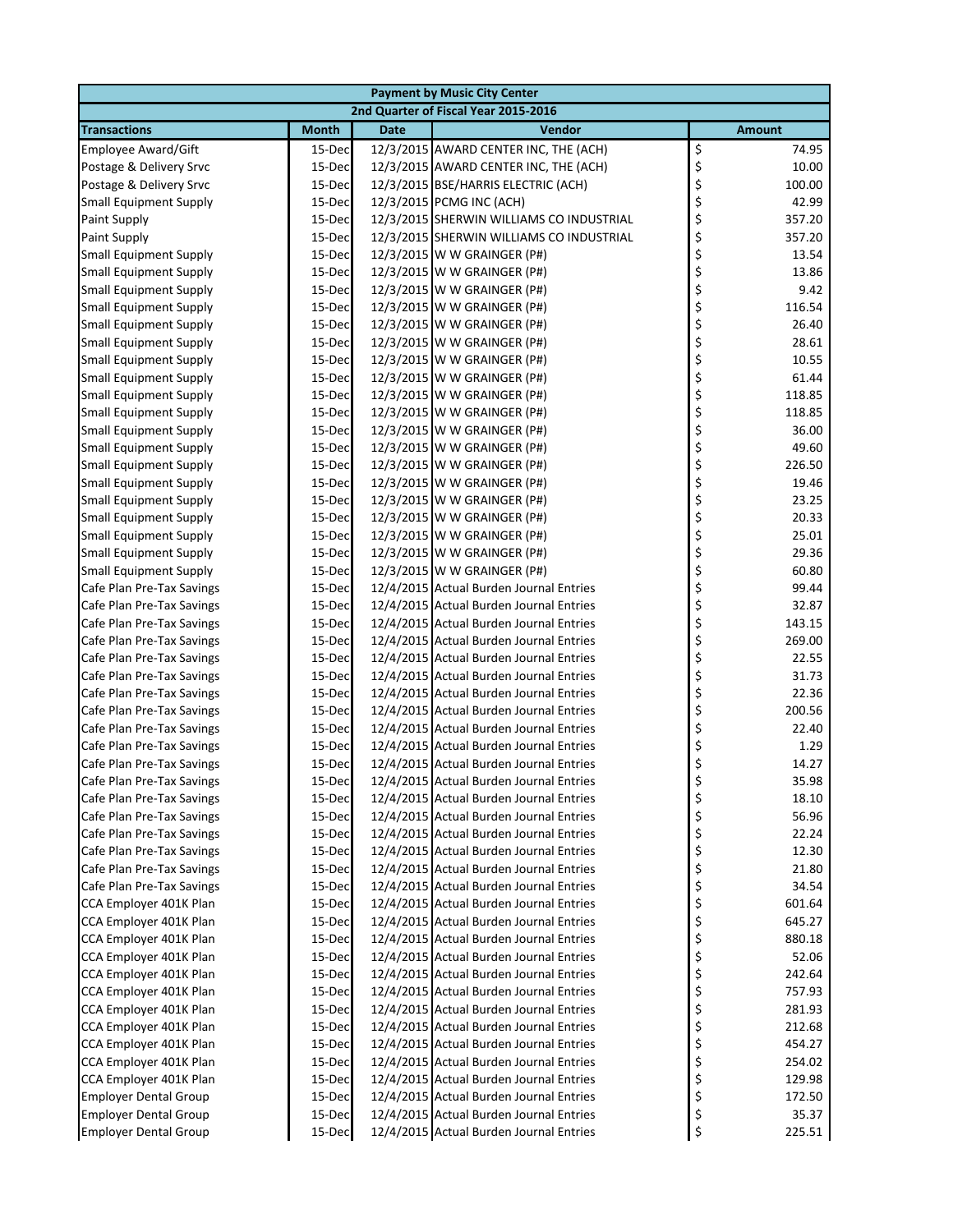| <b>Payment by Music City Center</b>  |              |             |                                          |    |               |  |  |  |
|--------------------------------------|--------------|-------------|------------------------------------------|----|---------------|--|--|--|
| 2nd Quarter of Fiscal Year 2015-2016 |              |             |                                          |    |               |  |  |  |
| <b>Transactions</b>                  | <b>Month</b> | <b>Date</b> | Vendor                                   |    | <b>Amount</b> |  |  |  |
| <b>Employee Award/Gift</b>           | 15-Dec       |             | 12/3/2015 AWARD CENTER INC, THE (ACH)    | \$ | 74.95         |  |  |  |
| Postage & Delivery Srvc              | 15-Dec       |             | 12/3/2015 AWARD CENTER INC, THE (ACH)    | \$ | 10.00         |  |  |  |
| Postage & Delivery Srvc              | 15-Dec       |             | 12/3/2015 BSE/HARRIS ELECTRIC (ACH)      | \$ | 100.00        |  |  |  |
| <b>Small Equipment Supply</b>        | 15-Dec       |             | 12/3/2015 PCMG INC (ACH)                 | \$ | 42.99         |  |  |  |
| <b>Paint Supply</b>                  | 15-Dec       |             | 12/3/2015 SHERWIN WILLIAMS CO INDUSTRIAL | \$ | 357.20        |  |  |  |
| <b>Paint Supply</b>                  | 15-Dec       |             | 12/3/2015 SHERWIN WILLIAMS CO INDUSTRIAL | \$ | 357.20        |  |  |  |
| <b>Small Equipment Supply</b>        | 15-Dec       |             | 12/3/2015 W W GRAINGER (P#)              | \$ | 13.54         |  |  |  |
| <b>Small Equipment Supply</b>        | 15-Dec       |             | 12/3/2015 W W GRAINGER (P#)              | \$ | 13.86         |  |  |  |
| <b>Small Equipment Supply</b>        | 15-Dec       |             | 12/3/2015 W W GRAINGER (P#)              | \$ | 9.42          |  |  |  |
| <b>Small Equipment Supply</b>        | 15-Dec       |             | 12/3/2015 W W GRAINGER (P#)              | \$ | 116.54        |  |  |  |
| <b>Small Equipment Supply</b>        | 15-Dec       |             | 12/3/2015 W W GRAINGER (P#)              | \$ | 26.40         |  |  |  |
| <b>Small Equipment Supply</b>        | 15-Dec       |             | 12/3/2015 W W GRAINGER (P#)              | \$ | 28.61         |  |  |  |
| <b>Small Equipment Supply</b>        | 15-Dec       |             | 12/3/2015 W W GRAINGER (P#)              | \$ | 10.55         |  |  |  |
| <b>Small Equipment Supply</b>        | 15-Dec       |             | 12/3/2015 W W GRAINGER (P#)              | \$ | 61.44         |  |  |  |
| <b>Small Equipment Supply</b>        | 15-Dec       |             | 12/3/2015 W W GRAINGER (P#)              | \$ | 118.85        |  |  |  |
| <b>Small Equipment Supply</b>        | 15-Dec       |             | 12/3/2015 W W GRAINGER (P#)              | \$ | 118.85        |  |  |  |
| <b>Small Equipment Supply</b>        | 15-Dec       |             | 12/3/2015 W W GRAINGER (P#)              | \$ | 36.00         |  |  |  |
| <b>Small Equipment Supply</b>        | 15-Dec       |             | 12/3/2015 W W GRAINGER (P#)              | \$ | 49.60         |  |  |  |
| <b>Small Equipment Supply</b>        | 15-Dec       |             | 12/3/2015 W W GRAINGER (P#)              | \$ | 226.50        |  |  |  |
| <b>Small Equipment Supply</b>        | 15-Dec       |             | 12/3/2015 W W GRAINGER (P#)              | \$ | 19.46         |  |  |  |
| <b>Small Equipment Supply</b>        | 15-Dec       |             | 12/3/2015 W W GRAINGER (P#)              | \$ | 23.25         |  |  |  |
| <b>Small Equipment Supply</b>        | 15-Dec       |             | 12/3/2015 W W GRAINGER (P#)              | \$ | 20.33         |  |  |  |
|                                      |              |             | 12/3/2015 W W GRAINGER (P#)              | \$ | 25.01         |  |  |  |
| <b>Small Equipment Supply</b>        | 15-Dec       |             |                                          |    |               |  |  |  |
| <b>Small Equipment Supply</b>        | 15-Dec       |             | 12/3/2015 W W GRAINGER (P#)              | \$ | 29.36         |  |  |  |
| <b>Small Equipment Supply</b>        | 15-Dec       |             | 12/3/2015 W W GRAINGER (P#)              | \$ | 60.80         |  |  |  |
| Cafe Plan Pre-Tax Savings            | 15-Dec       |             | 12/4/2015 Actual Burden Journal Entries  | \$ | 99.44         |  |  |  |
| Cafe Plan Pre-Tax Savings            | 15-Dec       |             | 12/4/2015 Actual Burden Journal Entries  | \$ | 32.87         |  |  |  |
| Cafe Plan Pre-Tax Savings            | 15-Dec       |             | 12/4/2015 Actual Burden Journal Entries  | \$ | 143.15        |  |  |  |
| Cafe Plan Pre-Tax Savings            | 15-Dec       |             | 12/4/2015 Actual Burden Journal Entries  | \$ | 269.00        |  |  |  |
| Cafe Plan Pre-Tax Savings            | 15-Dec       |             | 12/4/2015 Actual Burden Journal Entries  | \$ | 22.55         |  |  |  |
| Cafe Plan Pre-Tax Savings            | 15-Dec       |             | 12/4/2015 Actual Burden Journal Entries  | \$ | 31.73         |  |  |  |
| Cafe Plan Pre-Tax Savings            | 15-Dec       |             | 12/4/2015 Actual Burden Journal Entries  | \$ | 22.36         |  |  |  |
| Cafe Plan Pre-Tax Savings            | 15-Dec       |             | 12/4/2015 Actual Burden Journal Entries  | \$ | 200.56        |  |  |  |
| Cafe Plan Pre-Tax Savings            | 15-Dec       |             | 12/4/2015 Actual Burden Journal Entries  | \$ | 22.40         |  |  |  |
| Cafe Plan Pre-Tax Savings            | 15-Dec       |             | 12/4/2015 Actual Burden Journal Entries  | \$ | 1.29          |  |  |  |
| Cafe Plan Pre-Tax Savings            | 15-Dec       |             | 12/4/2015 Actual Burden Journal Entries  | \$ | 14.27         |  |  |  |
| Cafe Plan Pre-Tax Savings            | 15-Dec       |             | 12/4/2015 Actual Burden Journal Entries  |    | 35.98         |  |  |  |
| Cafe Plan Pre-Tax Savings            | 15-Dec       |             | 12/4/2015 Actual Burden Journal Entries  | \$ | 18.10         |  |  |  |
| Cafe Plan Pre-Tax Savings            | 15-Dec       |             | 12/4/2015 Actual Burden Journal Entries  | \$ | 56.96         |  |  |  |
| Cafe Plan Pre-Tax Savings            | 15-Dec       |             | 12/4/2015 Actual Burden Journal Entries  | \$ | 22.24         |  |  |  |
| Cafe Plan Pre-Tax Savings            | 15-Dec       |             | 12/4/2015 Actual Burden Journal Entries  | \$ | 12.30         |  |  |  |
| Cafe Plan Pre-Tax Savings            | 15-Dec       |             | 12/4/2015 Actual Burden Journal Entries  | \$ | 21.80         |  |  |  |
| Cafe Plan Pre-Tax Savings            | 15-Dec       |             | 12/4/2015 Actual Burden Journal Entries  | \$ | 34.54         |  |  |  |
| CCA Employer 401K Plan               | 15-Dec       |             | 12/4/2015 Actual Burden Journal Entries  | \$ | 601.64        |  |  |  |
| CCA Employer 401K Plan               | 15-Dec       |             | 12/4/2015 Actual Burden Journal Entries  | \$ | 645.27        |  |  |  |
| CCA Employer 401K Plan               | 15-Dec       |             | 12/4/2015 Actual Burden Journal Entries  | \$ | 880.18        |  |  |  |
| CCA Employer 401K Plan               | 15-Dec       |             | 12/4/2015 Actual Burden Journal Entries  | \$ | 52.06         |  |  |  |
| CCA Employer 401K Plan               | 15-Dec       |             | 12/4/2015 Actual Burden Journal Entries  | \$ | 242.64        |  |  |  |
| CCA Employer 401K Plan               | 15-Dec       |             | 12/4/2015 Actual Burden Journal Entries  | \$ | 757.93        |  |  |  |
| CCA Employer 401K Plan               | 15-Dec       |             | 12/4/2015 Actual Burden Journal Entries  | \$ | 281.93        |  |  |  |
| CCA Employer 401K Plan               | 15-Dec       |             | 12/4/2015 Actual Burden Journal Entries  | \$ | 212.68        |  |  |  |
| CCA Employer 401K Plan               | 15-Dec       |             | 12/4/2015 Actual Burden Journal Entries  | \$ | 454.27        |  |  |  |
| CCA Employer 401K Plan               | 15-Dec       |             | 12/4/2015 Actual Burden Journal Entries  | \$ | 254.02        |  |  |  |
| CCA Employer 401K Plan               | 15-Dec       |             | 12/4/2015 Actual Burden Journal Entries  | \$ | 129.98        |  |  |  |
| <b>Employer Dental Group</b>         | 15-Dec       |             | 12/4/2015 Actual Burden Journal Entries  | \$ | 172.50        |  |  |  |
| <b>Employer Dental Group</b>         | 15-Dec       |             | 12/4/2015 Actual Burden Journal Entries  | \$ | 35.37         |  |  |  |
| <b>Employer Dental Group</b>         | 15-Dec       |             | 12/4/2015 Actual Burden Journal Entries  | \$ | 225.51        |  |  |  |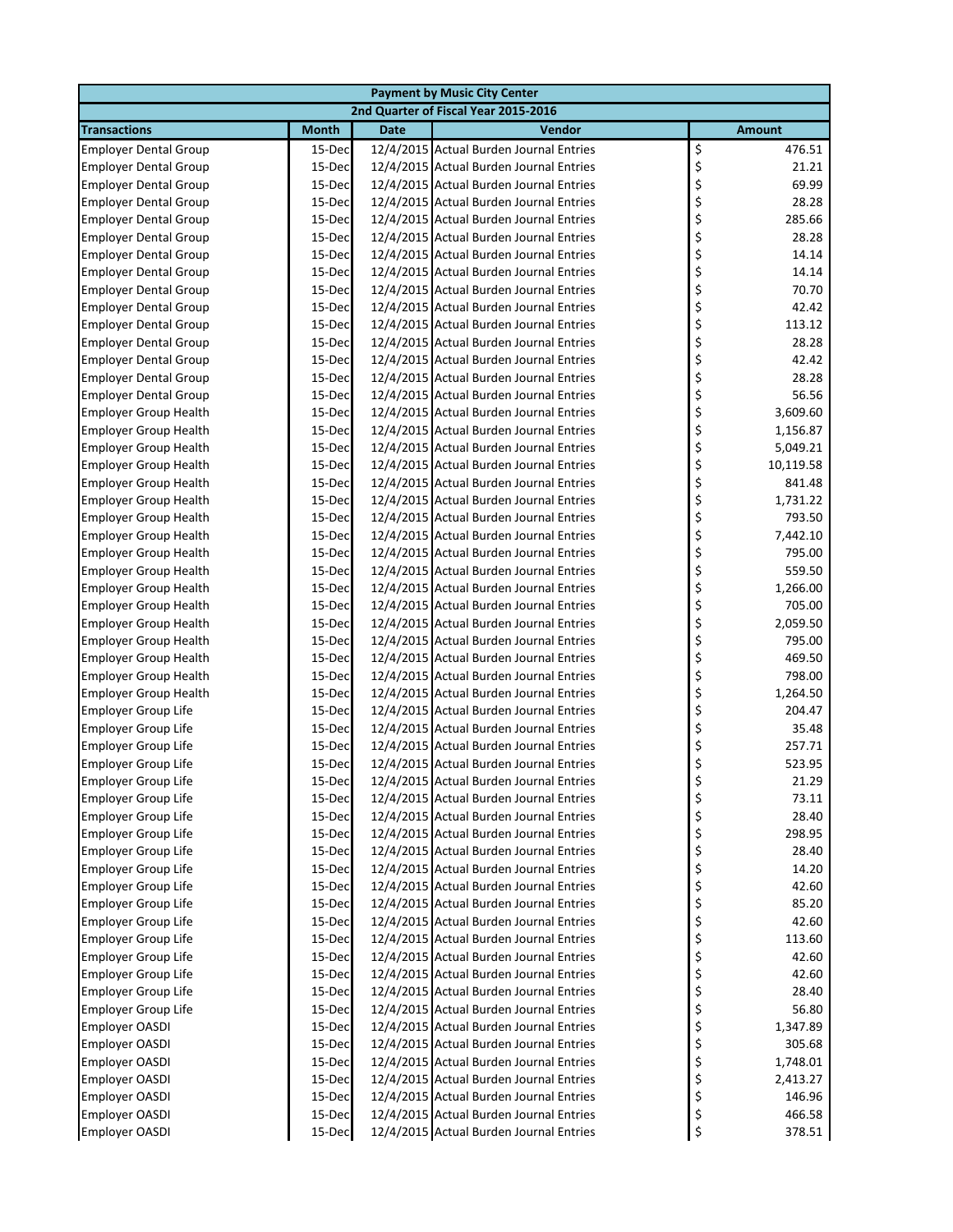|                              |              |             | <b>Payment by Music City Center</b>     |                 |  |
|------------------------------|--------------|-------------|-----------------------------------------|-----------------|--|
|                              |              |             | 2nd Quarter of Fiscal Year 2015-2016    |                 |  |
| <b>Transactions</b>          | <b>Month</b> | <b>Date</b> | Vendor                                  | <b>Amount</b>   |  |
| <b>Employer Dental Group</b> | 15-Dec       |             | 12/4/2015 Actual Burden Journal Entries | \$<br>476.51    |  |
| <b>Employer Dental Group</b> | 15-Dec       |             | 12/4/2015 Actual Burden Journal Entries | \$<br>21.21     |  |
| <b>Employer Dental Group</b> | 15-Dec       |             | 12/4/2015 Actual Burden Journal Entries | \$<br>69.99     |  |
| <b>Employer Dental Group</b> | 15-Dec       |             | 12/4/2015 Actual Burden Journal Entries | \$<br>28.28     |  |
| <b>Employer Dental Group</b> | 15-Dec       |             | 12/4/2015 Actual Burden Journal Entries | \$<br>285.66    |  |
| <b>Employer Dental Group</b> | 15-Dec       |             | 12/4/2015 Actual Burden Journal Entries | \$<br>28.28     |  |
| <b>Employer Dental Group</b> | 15-Dec       |             | 12/4/2015 Actual Burden Journal Entries | \$<br>14.14     |  |
| <b>Employer Dental Group</b> | 15-Dec       |             | 12/4/2015 Actual Burden Journal Entries | \$<br>14.14     |  |
| <b>Employer Dental Group</b> | 15-Dec       |             | 12/4/2015 Actual Burden Journal Entries | \$<br>70.70     |  |
| <b>Employer Dental Group</b> | 15-Dec       |             | 12/4/2015 Actual Burden Journal Entries | \$<br>42.42     |  |
| <b>Employer Dental Group</b> | 15-Dec       |             | 12/4/2015 Actual Burden Journal Entries | \$<br>113.12    |  |
| <b>Employer Dental Group</b> | 15-Dec       |             | 12/4/2015 Actual Burden Journal Entries | \$<br>28.28     |  |
| <b>Employer Dental Group</b> | 15-Dec       |             | 12/4/2015 Actual Burden Journal Entries | \$<br>42.42     |  |
| <b>Employer Dental Group</b> | 15-Dec       |             | 12/4/2015 Actual Burden Journal Entries | \$<br>28.28     |  |
| <b>Employer Dental Group</b> | 15-Dec       |             | 12/4/2015 Actual Burden Journal Entries | \$<br>56.56     |  |
| <b>Employer Group Health</b> | 15-Dec       |             | 12/4/2015 Actual Burden Journal Entries | \$<br>3,609.60  |  |
| <b>Employer Group Health</b> | 15-Dec       |             | 12/4/2015 Actual Burden Journal Entries | \$<br>1,156.87  |  |
| <b>Employer Group Health</b> | 15-Dec       |             | 12/4/2015 Actual Burden Journal Entries | \$<br>5,049.21  |  |
| <b>Employer Group Health</b> | 15-Dec       |             | 12/4/2015 Actual Burden Journal Entries | \$<br>10,119.58 |  |
| <b>Employer Group Health</b> | 15-Dec       |             | 12/4/2015 Actual Burden Journal Entries | \$<br>841.48    |  |
| <b>Employer Group Health</b> | 15-Dec       |             | 12/4/2015 Actual Burden Journal Entries | \$<br>1,731.22  |  |
| <b>Employer Group Health</b> | 15-Dec       |             | 12/4/2015 Actual Burden Journal Entries | \$<br>793.50    |  |
| <b>Employer Group Health</b> | 15-Dec       |             | 12/4/2015 Actual Burden Journal Entries | \$<br>7,442.10  |  |
| <b>Employer Group Health</b> | 15-Dec       |             | 12/4/2015 Actual Burden Journal Entries | \$<br>795.00    |  |
| <b>Employer Group Health</b> | 15-Dec       |             | 12/4/2015 Actual Burden Journal Entries | \$<br>559.50    |  |
| <b>Employer Group Health</b> | 15-Dec       |             | 12/4/2015 Actual Burden Journal Entries | \$<br>1,266.00  |  |
| <b>Employer Group Health</b> | 15-Dec       |             | 12/4/2015 Actual Burden Journal Entries | \$<br>705.00    |  |
| <b>Employer Group Health</b> | 15-Dec       |             | 12/4/2015 Actual Burden Journal Entries | \$<br>2,059.50  |  |
| <b>Employer Group Health</b> | 15-Dec       |             | 12/4/2015 Actual Burden Journal Entries | \$<br>795.00    |  |
| <b>Employer Group Health</b> | 15-Dec       |             | 12/4/2015 Actual Burden Journal Entries | \$<br>469.50    |  |
| <b>Employer Group Health</b> | 15-Dec       |             | 12/4/2015 Actual Burden Journal Entries | \$<br>798.00    |  |
| <b>Employer Group Health</b> | 15-Dec       |             | 12/4/2015 Actual Burden Journal Entries | \$<br>1,264.50  |  |
| <b>Employer Group Life</b>   | 15-Dec       |             | 12/4/2015 Actual Burden Journal Entries | \$<br>204.47    |  |
| <b>Employer Group Life</b>   | 15-Dec       |             | 12/4/2015 Actual Burden Journal Entries | \$<br>35.48     |  |
| <b>Employer Group Life</b>   | 15-Dec       |             | 12/4/2015 Actual Burden Journal Entries | \$<br>257.71    |  |
| <b>Employer Group Life</b>   | 15-Dec       |             | 12/4/2015 Actual Burden Journal Entries | \$<br>523.95    |  |
| <b>Employer Group Life</b>   | 15-Dec       |             | 12/4/2015 Actual Burden Journal Entries | 21.29           |  |
| <b>Employer Group Life</b>   | 15-Dec       |             | 12/4/2015 Actual Burden Journal Entries | \$<br>73.11     |  |
| <b>Employer Group Life</b>   | 15-Dec       |             | 12/4/2015 Actual Burden Journal Entries | \$<br>28.40     |  |
| <b>Employer Group Life</b>   | 15-Dec       |             | 12/4/2015 Actual Burden Journal Entries | \$<br>298.95    |  |
| <b>Employer Group Life</b>   | 15-Dec       |             | 12/4/2015 Actual Burden Journal Entries | \$<br>28.40     |  |
| <b>Employer Group Life</b>   | 15-Dec       |             | 12/4/2015 Actual Burden Journal Entries | \$<br>14.20     |  |
| Employer Group Life          | 15-Dec       |             | 12/4/2015 Actual Burden Journal Entries | \$<br>42.60     |  |
| Employer Group Life          | 15-Dec       |             | 12/4/2015 Actual Burden Journal Entries | \$<br>85.20     |  |
| <b>Employer Group Life</b>   | 15-Dec       |             | 12/4/2015 Actual Burden Journal Entries | \$<br>42.60     |  |
| <b>Employer Group Life</b>   | 15-Dec       |             | 12/4/2015 Actual Burden Journal Entries | \$<br>113.60    |  |
| <b>Employer Group Life</b>   | 15-Dec       |             | 12/4/2015 Actual Burden Journal Entries | \$<br>42.60     |  |
| <b>Employer Group Life</b>   | 15-Dec       |             | 12/4/2015 Actual Burden Journal Entries | \$<br>42.60     |  |
| Employer Group Life          | 15-Dec       |             | 12/4/2015 Actual Burden Journal Entries | \$<br>28.40     |  |
| <b>Employer Group Life</b>   | 15-Dec       |             | 12/4/2015 Actual Burden Journal Entries | \$<br>56.80     |  |
| <b>Employer OASDI</b>        | 15-Dec       |             | 12/4/2015 Actual Burden Journal Entries | \$<br>1,347.89  |  |
| <b>Employer OASDI</b>        | 15-Dec       |             | 12/4/2015 Actual Burden Journal Entries | \$<br>305.68    |  |
| <b>Employer OASDI</b>        | 15-Dec       |             | 12/4/2015 Actual Burden Journal Entries | \$<br>1,748.01  |  |
| <b>Employer OASDI</b>        | 15-Dec       |             | 12/4/2015 Actual Burden Journal Entries | \$<br>2,413.27  |  |
| <b>Employer OASDI</b>        | 15-Dec       |             | 12/4/2015 Actual Burden Journal Entries | \$<br>146.96    |  |
| Employer OASDI               | 15-Dec       |             | 12/4/2015 Actual Burden Journal Entries | \$<br>466.58    |  |
| <b>Employer OASDI</b>        | 15-Dec       |             | 12/4/2015 Actual Burden Journal Entries | \$<br>378.51    |  |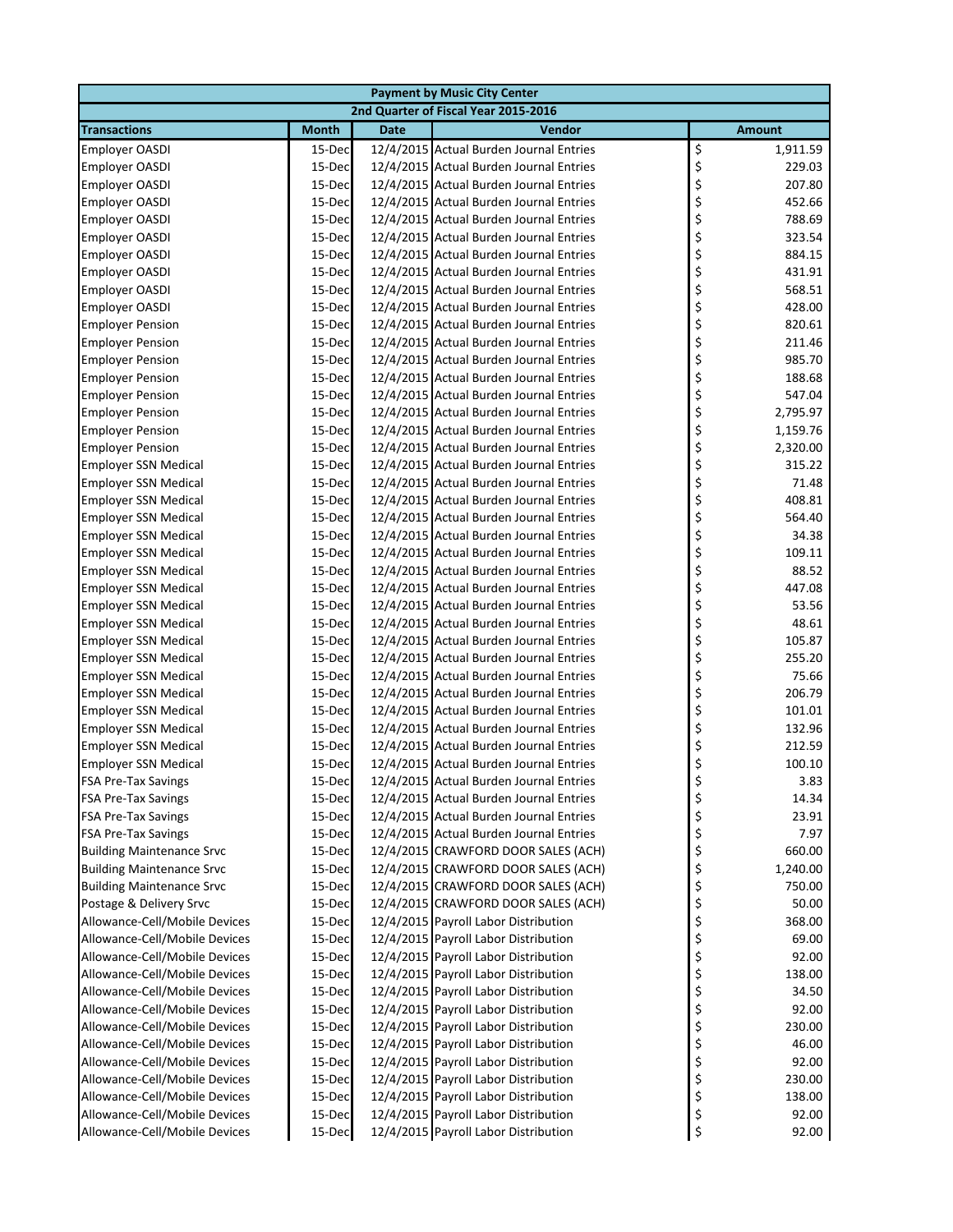| <b>Payment by Music City Center</b>                        |                  |             |                                                                                    |                       |  |  |  |  |
|------------------------------------------------------------|------------------|-------------|------------------------------------------------------------------------------------|-----------------------|--|--|--|--|
| 2nd Quarter of Fiscal Year 2015-2016                       |                  |             |                                                                                    |                       |  |  |  |  |
| <b>Transactions</b>                                        | <b>Month</b>     | <b>Date</b> | Vendor                                                                             | <b>Amount</b>         |  |  |  |  |
| <b>Employer OASDI</b>                                      | 15-Dec           |             | 12/4/2015 Actual Burden Journal Entries                                            | \$<br>1,911.59        |  |  |  |  |
| <b>Employer OASDI</b>                                      | 15-Dec           |             | 12/4/2015 Actual Burden Journal Entries                                            | \$<br>229.03          |  |  |  |  |
| <b>Employer OASDI</b>                                      | 15-Dec           |             | 12/4/2015 Actual Burden Journal Entries                                            | \$<br>207.80          |  |  |  |  |
| <b>Employer OASDI</b>                                      | 15-Dec           |             | 12/4/2015 Actual Burden Journal Entries                                            | \$<br>452.66          |  |  |  |  |
| <b>Employer OASDI</b>                                      | 15-Dec           |             | 12/4/2015 Actual Burden Journal Entries                                            | \$<br>788.69          |  |  |  |  |
| <b>Employer OASDI</b>                                      | 15-Dec           |             | 12/4/2015 Actual Burden Journal Entries                                            | \$<br>323.54          |  |  |  |  |
| <b>Employer OASDI</b>                                      | 15-Dec           |             | 12/4/2015 Actual Burden Journal Entries                                            | \$<br>884.15          |  |  |  |  |
| <b>Employer OASDI</b>                                      | 15-Dec           |             | 12/4/2015 Actual Burden Journal Entries                                            | \$<br>431.91          |  |  |  |  |
| <b>Employer OASDI</b>                                      | 15-Dec           |             | 12/4/2015 Actual Burden Journal Entries                                            | \$<br>568.51          |  |  |  |  |
| <b>Employer OASDI</b>                                      | 15-Dec           |             | 12/4/2015 Actual Burden Journal Entries                                            | \$<br>428.00          |  |  |  |  |
| <b>Employer Pension</b>                                    | 15-Dec           |             | 12/4/2015 Actual Burden Journal Entries                                            | \$<br>820.61          |  |  |  |  |
| <b>Employer Pension</b>                                    | 15-Dec           |             | 12/4/2015 Actual Burden Journal Entries                                            | \$<br>211.46          |  |  |  |  |
| <b>Employer Pension</b>                                    | 15-Dec           |             | 12/4/2015 Actual Burden Journal Entries                                            | \$<br>985.70          |  |  |  |  |
| <b>Employer Pension</b>                                    | 15-Dec           |             | 12/4/2015 Actual Burden Journal Entries                                            | \$<br>188.68          |  |  |  |  |
| <b>Employer Pension</b>                                    | 15-Dec           |             | 12/4/2015 Actual Burden Journal Entries                                            | \$<br>547.04          |  |  |  |  |
| <b>Employer Pension</b>                                    | 15-Dec           |             | 12/4/2015 Actual Burden Journal Entries                                            | \$<br>2,795.97        |  |  |  |  |
| <b>Employer Pension</b>                                    | 15-Dec           |             | 12/4/2015 Actual Burden Journal Entries                                            | \$<br>1,159.76        |  |  |  |  |
| <b>Employer Pension</b>                                    | 15-Dec           |             | 12/4/2015 Actual Burden Journal Entries                                            | \$<br>2,320.00        |  |  |  |  |
| <b>Employer SSN Medical</b>                                | 15-Dec           |             | 12/4/2015 Actual Burden Journal Entries                                            | \$<br>315.22          |  |  |  |  |
| <b>Employer SSN Medical</b>                                | 15-Dec           |             | 12/4/2015 Actual Burden Journal Entries                                            | \$<br>71.48           |  |  |  |  |
| <b>Employer SSN Medical</b>                                | 15-Dec           |             | 12/4/2015 Actual Burden Journal Entries                                            | \$<br>408.81          |  |  |  |  |
| <b>Employer SSN Medical</b>                                | 15-Dec           |             | 12/4/2015 Actual Burden Journal Entries                                            | \$<br>564.40          |  |  |  |  |
| <b>Employer SSN Medical</b>                                | 15-Dec           |             | 12/4/2015 Actual Burden Journal Entries                                            | \$<br>34.38           |  |  |  |  |
| <b>Employer SSN Medical</b>                                | 15-Dec           |             | 12/4/2015 Actual Burden Journal Entries                                            | \$<br>109.11<br>88.52 |  |  |  |  |
| <b>Employer SSN Medical</b>                                | 15-Dec           |             | 12/4/2015 Actual Burden Journal Entries<br>12/4/2015 Actual Burden Journal Entries | \$<br>447.08          |  |  |  |  |
| <b>Employer SSN Medical</b><br><b>Employer SSN Medical</b> | 15-Dec<br>15-Dec |             | 12/4/2015 Actual Burden Journal Entries                                            | \$<br>\$<br>53.56     |  |  |  |  |
| <b>Employer SSN Medical</b>                                | 15-Dec           |             | 12/4/2015 Actual Burden Journal Entries                                            | \$<br>48.61           |  |  |  |  |
| <b>Employer SSN Medical</b>                                | 15-Dec           |             | 12/4/2015 Actual Burden Journal Entries                                            | \$<br>105.87          |  |  |  |  |
| <b>Employer SSN Medical</b>                                | 15-Dec           |             | 12/4/2015 Actual Burden Journal Entries                                            | \$<br>255.20          |  |  |  |  |
| <b>Employer SSN Medical</b>                                | 15-Dec           |             | 12/4/2015 Actual Burden Journal Entries                                            | \$<br>75.66           |  |  |  |  |
| <b>Employer SSN Medical</b>                                | 15-Dec           |             | 12/4/2015 Actual Burden Journal Entries                                            | \$<br>206.79          |  |  |  |  |
| <b>Employer SSN Medical</b>                                | 15-Dec           |             | 12/4/2015 Actual Burden Journal Entries                                            | \$<br>101.01          |  |  |  |  |
| <b>Employer SSN Medical</b>                                | 15-Dec           |             | 12/4/2015 Actual Burden Journal Entries                                            | \$<br>132.96          |  |  |  |  |
| <b>Employer SSN Medical</b>                                | 15-Dec           |             | 12/4/2015 Actual Burden Journal Entries                                            | \$<br>212.59          |  |  |  |  |
| <b>Employer SSN Medical</b>                                | 15-Dec           |             | 12/4/2015 Actual Burden Journal Entries                                            | \$<br>100.10          |  |  |  |  |
| <b>FSA Pre-Tax Savings</b>                                 | 15-Dec           |             | 12/4/2015 Actual Burden Journal Entries                                            | 3.83<br>Ç             |  |  |  |  |
| <b>FSA Pre-Tax Savings</b>                                 | 15-Dec           |             | 12/4/2015 Actual Burden Journal Entries                                            | \$<br>14.34           |  |  |  |  |
| <b>FSA Pre-Tax Savings</b>                                 | 15-Dec           |             | 12/4/2015 Actual Burden Journal Entries                                            | \$<br>23.91           |  |  |  |  |
| <b>FSA Pre-Tax Savings</b>                                 | 15-Dec           |             | 12/4/2015 Actual Burden Journal Entries                                            | \$<br>7.97            |  |  |  |  |
| <b>Building Maintenance Srvc</b>                           | 15-Dec           |             | 12/4/2015 CRAWFORD DOOR SALES (ACH)                                                | \$<br>660.00          |  |  |  |  |
| <b>Building Maintenance Srvc</b>                           | 15-Dec           |             | 12/4/2015 CRAWFORD DOOR SALES (ACH)                                                | \$<br>1,240.00        |  |  |  |  |
| <b>Building Maintenance Srvc</b>                           | 15-Dec           |             | 12/4/2015 CRAWFORD DOOR SALES (ACH)                                                | \$<br>750.00          |  |  |  |  |
| Postage & Delivery Srvc                                    | 15-Dec           |             | 12/4/2015 CRAWFORD DOOR SALES (ACH)                                                | \$<br>50.00           |  |  |  |  |
| Allowance-Cell/Mobile Devices                              | 15-Dec           |             | 12/4/2015 Payroll Labor Distribution                                               | \$<br>368.00          |  |  |  |  |
| Allowance-Cell/Mobile Devices                              | 15-Dec           |             | 12/4/2015 Payroll Labor Distribution                                               | \$<br>69.00           |  |  |  |  |
| Allowance-Cell/Mobile Devices                              | 15-Dec           |             | 12/4/2015 Payroll Labor Distribution                                               | \$<br>92.00           |  |  |  |  |
| Allowance-Cell/Mobile Devices                              | 15-Dec           |             | 12/4/2015 Payroll Labor Distribution                                               | \$<br>138.00          |  |  |  |  |
| Allowance-Cell/Mobile Devices                              | 15-Dec           |             | 12/4/2015 Payroll Labor Distribution                                               | \$<br>34.50           |  |  |  |  |
| Allowance-Cell/Mobile Devices                              | 15-Dec           |             | 12/4/2015 Payroll Labor Distribution                                               | \$<br>92.00           |  |  |  |  |
| Allowance-Cell/Mobile Devices                              | 15-Dec           |             | 12/4/2015 Payroll Labor Distribution                                               | \$<br>230.00          |  |  |  |  |
| Allowance-Cell/Mobile Devices                              | 15-Dec           |             | 12/4/2015 Payroll Labor Distribution                                               | \$<br>46.00           |  |  |  |  |
| Allowance-Cell/Mobile Devices                              | 15-Dec           |             | 12/4/2015 Payroll Labor Distribution                                               | \$<br>92.00           |  |  |  |  |
| Allowance-Cell/Mobile Devices                              | 15-Dec           |             | 12/4/2015 Payroll Labor Distribution                                               | \$<br>230.00          |  |  |  |  |
| Allowance-Cell/Mobile Devices                              | 15-Dec           |             | 12/4/2015 Payroll Labor Distribution                                               | \$<br>138.00          |  |  |  |  |
| Allowance-Cell/Mobile Devices                              | 15-Dec           |             | 12/4/2015 Payroll Labor Distribution                                               | \$<br>92.00           |  |  |  |  |
| Allowance-Cell/Mobile Devices                              | 15-Dec           |             | 12/4/2015 Payroll Labor Distribution                                               | \$<br>92.00           |  |  |  |  |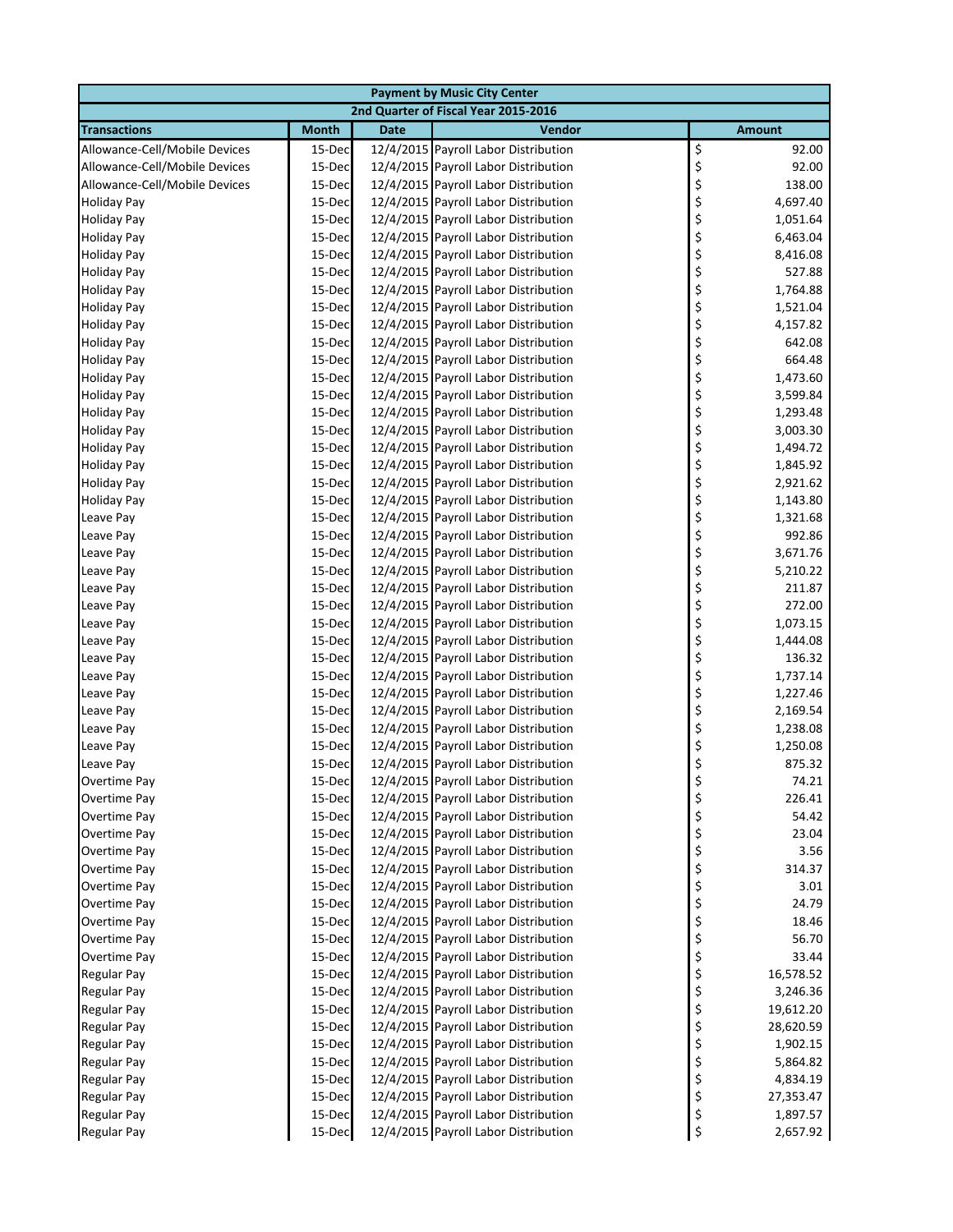| 2nd Quarter of Fiscal Year 2015-2016<br><b>Transactions</b><br><b>Month</b><br>Vendor<br><b>Date</b><br><b>Amount</b><br>\$<br>Allowance-Cell/Mobile Devices<br>12/4/2015 Payroll Labor Distribution<br>15-Dec<br>\$<br>Allowance-Cell/Mobile Devices<br>15-Dec<br>12/4/2015 Payroll Labor Distribution<br>\$<br>12/4/2015 Payroll Labor Distribution<br>Allowance-Cell/Mobile Devices<br>15-Dec<br>\$<br>12/4/2015 Payroll Labor Distribution<br>15-Dec<br><b>Holiday Pay</b><br>\$<br>12/4/2015 Payroll Labor Distribution<br><b>Holiday Pay</b><br>15-Dec<br>\$<br><b>Holiday Pay</b><br>15-Dec<br>12/4/2015 Payroll Labor Distribution | 92.00<br>92.00<br>138.00<br>4,697.40<br>1,051.64<br>6,463.04<br>8,416.08<br>527.88<br>1,764.88<br>1,521.04<br>4,157.82<br>642.08 |
|--------------------------------------------------------------------------------------------------------------------------------------------------------------------------------------------------------------------------------------------------------------------------------------------------------------------------------------------------------------------------------------------------------------------------------------------------------------------------------------------------------------------------------------------------------------------------------------------------------------------------------------------|----------------------------------------------------------------------------------------------------------------------------------|
|                                                                                                                                                                                                                                                                                                                                                                                                                                                                                                                                                                                                                                            |                                                                                                                                  |
|                                                                                                                                                                                                                                                                                                                                                                                                                                                                                                                                                                                                                                            |                                                                                                                                  |
|                                                                                                                                                                                                                                                                                                                                                                                                                                                                                                                                                                                                                                            |                                                                                                                                  |
|                                                                                                                                                                                                                                                                                                                                                                                                                                                                                                                                                                                                                                            |                                                                                                                                  |
|                                                                                                                                                                                                                                                                                                                                                                                                                                                                                                                                                                                                                                            |                                                                                                                                  |
|                                                                                                                                                                                                                                                                                                                                                                                                                                                                                                                                                                                                                                            |                                                                                                                                  |
|                                                                                                                                                                                                                                                                                                                                                                                                                                                                                                                                                                                                                                            |                                                                                                                                  |
|                                                                                                                                                                                                                                                                                                                                                                                                                                                                                                                                                                                                                                            |                                                                                                                                  |
| \$<br><b>Holiday Pay</b><br>15-Dec<br>12/4/2015 Payroll Labor Distribution                                                                                                                                                                                                                                                                                                                                                                                                                                                                                                                                                                 |                                                                                                                                  |
| \$<br><b>Holiday Pay</b><br>12/4/2015 Payroll Labor Distribution<br>15-Dec                                                                                                                                                                                                                                                                                                                                                                                                                                                                                                                                                                 |                                                                                                                                  |
| \$<br>12/4/2015 Payroll Labor Distribution<br><b>Holiday Pay</b><br>15-Dec                                                                                                                                                                                                                                                                                                                                                                                                                                                                                                                                                                 |                                                                                                                                  |
| \$<br><b>Holiday Pay</b><br>12/4/2015 Payroll Labor Distribution<br>15-Dec                                                                                                                                                                                                                                                                                                                                                                                                                                                                                                                                                                 |                                                                                                                                  |
| \$<br>15-Dec<br>12/4/2015 Payroll Labor Distribution<br><b>Holiday Pay</b>                                                                                                                                                                                                                                                                                                                                                                                                                                                                                                                                                                 |                                                                                                                                  |
| \$<br>12/4/2015 Payroll Labor Distribution<br><b>Holiday Pay</b><br>15-Dec                                                                                                                                                                                                                                                                                                                                                                                                                                                                                                                                                                 |                                                                                                                                  |
| \$<br>12/4/2015 Payroll Labor Distribution<br><b>Holiday Pay</b><br>15-Dec                                                                                                                                                                                                                                                                                                                                                                                                                                                                                                                                                                 | 664.48                                                                                                                           |
| \$<br>12/4/2015 Payroll Labor Distribution<br><b>Holiday Pay</b><br>15-Dec                                                                                                                                                                                                                                                                                                                                                                                                                                                                                                                                                                 | 1,473.60                                                                                                                         |
| \$<br><b>Holiday Pay</b><br>12/4/2015 Payroll Labor Distribution<br>15-Dec                                                                                                                                                                                                                                                                                                                                                                                                                                                                                                                                                                 | 3,599.84                                                                                                                         |
| \$<br><b>Holiday Pay</b><br>15-Dec<br>12/4/2015 Payroll Labor Distribution                                                                                                                                                                                                                                                                                                                                                                                                                                                                                                                                                                 | 1,293.48                                                                                                                         |
| \$<br>12/4/2015 Payroll Labor Distribution<br><b>Holiday Pay</b><br>15-Dec                                                                                                                                                                                                                                                                                                                                                                                                                                                                                                                                                                 | 3,003.30                                                                                                                         |
| \$<br><b>Holiday Pay</b><br>12/4/2015 Payroll Labor Distribution<br>15-Dec                                                                                                                                                                                                                                                                                                                                                                                                                                                                                                                                                                 | 1,494.72                                                                                                                         |
| \$<br><b>Holiday Pay</b><br>12/4/2015 Payroll Labor Distribution<br>15-Dec                                                                                                                                                                                                                                                                                                                                                                                                                                                                                                                                                                 | 1,845.92                                                                                                                         |
| \$<br><b>Holiday Pay</b><br>15-Dec<br>12/4/2015 Payroll Labor Distribution                                                                                                                                                                                                                                                                                                                                                                                                                                                                                                                                                                 | 2,921.62                                                                                                                         |
| \$<br>12/4/2015 Payroll Labor Distribution<br><b>Holiday Pay</b><br>15-Dec                                                                                                                                                                                                                                                                                                                                                                                                                                                                                                                                                                 | 1,143.80                                                                                                                         |
| \$<br>15-Dec<br>12/4/2015 Payroll Labor Distribution<br>Leave Pay                                                                                                                                                                                                                                                                                                                                                                                                                                                                                                                                                                          | 1,321.68                                                                                                                         |
| \$<br>12/4/2015 Payroll Labor Distribution<br>Leave Pay<br>15-Dec                                                                                                                                                                                                                                                                                                                                                                                                                                                                                                                                                                          | 992.86                                                                                                                           |
| \$<br>15-Dec<br>12/4/2015 Payroll Labor Distribution<br>Leave Pay                                                                                                                                                                                                                                                                                                                                                                                                                                                                                                                                                                          | 3,671.76                                                                                                                         |
| \$<br>12/4/2015 Payroll Labor Distribution<br>Leave Pay<br>15-Dec                                                                                                                                                                                                                                                                                                                                                                                                                                                                                                                                                                          | 5,210.22                                                                                                                         |
| \$<br>12/4/2015 Payroll Labor Distribution<br>Leave Pay<br>15-Dec                                                                                                                                                                                                                                                                                                                                                                                                                                                                                                                                                                          | 211.87                                                                                                                           |
| \$<br>12/4/2015 Payroll Labor Distribution<br>Leave Pay<br>15-Dec                                                                                                                                                                                                                                                                                                                                                                                                                                                                                                                                                                          | 272.00                                                                                                                           |
| \$<br>12/4/2015 Payroll Labor Distribution<br>15-Dec<br>Leave Pay                                                                                                                                                                                                                                                                                                                                                                                                                                                                                                                                                                          | 1,073.15                                                                                                                         |
| \$<br>12/4/2015 Payroll Labor Distribution<br>Leave Pay<br>15-Dec                                                                                                                                                                                                                                                                                                                                                                                                                                                                                                                                                                          | 1,444.08                                                                                                                         |
| \$<br>12/4/2015 Payroll Labor Distribution<br>15-Dec<br>Leave Pay                                                                                                                                                                                                                                                                                                                                                                                                                                                                                                                                                                          | 136.32                                                                                                                           |
| \$<br>15-Dec<br>12/4/2015 Payroll Labor Distribution<br>Leave Pay                                                                                                                                                                                                                                                                                                                                                                                                                                                                                                                                                                          | 1,737.14                                                                                                                         |
| \$<br>15-Dec<br>12/4/2015 Payroll Labor Distribution<br>Leave Pay                                                                                                                                                                                                                                                                                                                                                                                                                                                                                                                                                                          | 1,227.46                                                                                                                         |
| \$<br>12/4/2015 Payroll Labor Distribution<br>Leave Pay<br>15-Dec                                                                                                                                                                                                                                                                                                                                                                                                                                                                                                                                                                          | 2,169.54                                                                                                                         |
| \$<br>12/4/2015 Payroll Labor Distribution<br>Leave Pay<br>15-Dec                                                                                                                                                                                                                                                                                                                                                                                                                                                                                                                                                                          | 1,238.08                                                                                                                         |
| \$<br>15-Dec<br>12/4/2015 Payroll Labor Distribution<br>Leave Pay<br>12/4/2015 Payroll Labor Distribution                                                                                                                                                                                                                                                                                                                                                                                                                                                                                                                                  | 1,250.08<br>875.32                                                                                                               |
| \$<br>Leave Pay<br>15-Dec<br>12/4/2015 Payroll Labor Distribution                                                                                                                                                                                                                                                                                                                                                                                                                                                                                                                                                                          |                                                                                                                                  |
| 15-Dec<br>Overtime Pay<br>P<br>12/4/2015 Payroll Labor Distribution<br>15-Dec                                                                                                                                                                                                                                                                                                                                                                                                                                                                                                                                                              | 74.21<br>226.41                                                                                                                  |
| \$<br>Overtime Pay<br>\$<br>12/4/2015 Payroll Labor Distribution<br>Overtime Pay<br>15-Dec                                                                                                                                                                                                                                                                                                                                                                                                                                                                                                                                                 | 54.42                                                                                                                            |
| \$<br>12/4/2015 Payroll Labor Distribution<br>Overtime Pay<br>15-Dec                                                                                                                                                                                                                                                                                                                                                                                                                                                                                                                                                                       | 23.04                                                                                                                            |
| \$<br>12/4/2015 Payroll Labor Distribution<br>Overtime Pay<br>15-Dec                                                                                                                                                                                                                                                                                                                                                                                                                                                                                                                                                                       | 3.56                                                                                                                             |
| \$<br>12/4/2015 Payroll Labor Distribution<br>Overtime Pay<br>15-Dec                                                                                                                                                                                                                                                                                                                                                                                                                                                                                                                                                                       | 314.37                                                                                                                           |
| \$<br>Overtime Pay<br>12/4/2015 Payroll Labor Distribution<br>15-Dec                                                                                                                                                                                                                                                                                                                                                                                                                                                                                                                                                                       | 3.01                                                                                                                             |
| \$<br>12/4/2015 Payroll Labor Distribution<br>Overtime Pay<br>15-Dec                                                                                                                                                                                                                                                                                                                                                                                                                                                                                                                                                                       | 24.79                                                                                                                            |
| \$<br>12/4/2015 Payroll Labor Distribution<br>Overtime Pay<br>15-Dec                                                                                                                                                                                                                                                                                                                                                                                                                                                                                                                                                                       | 18.46                                                                                                                            |
| \$<br>12/4/2015 Payroll Labor Distribution<br>Overtime Pay<br>15-Dec                                                                                                                                                                                                                                                                                                                                                                                                                                                                                                                                                                       | 56.70                                                                                                                            |
| \$<br>12/4/2015 Payroll Labor Distribution<br>15-Dec<br>Overtime Pay                                                                                                                                                                                                                                                                                                                                                                                                                                                                                                                                                                       | 33.44                                                                                                                            |
| \$<br>12/4/2015 Payroll Labor Distribution<br><b>Regular Pay</b><br>15-Dec                                                                                                                                                                                                                                                                                                                                                                                                                                                                                                                                                                 | 16,578.52                                                                                                                        |
| \$<br>12/4/2015 Payroll Labor Distribution<br><b>Regular Pay</b><br>15-Dec                                                                                                                                                                                                                                                                                                                                                                                                                                                                                                                                                                 | 3,246.36                                                                                                                         |
| \$<br>Regular Pay<br>12/4/2015 Payroll Labor Distribution<br>15-Dec                                                                                                                                                                                                                                                                                                                                                                                                                                                                                                                                                                        | 19,612.20                                                                                                                        |
| \$<br><b>Regular Pay</b><br>12/4/2015 Payroll Labor Distribution<br>15-Dec                                                                                                                                                                                                                                                                                                                                                                                                                                                                                                                                                                 | 28,620.59                                                                                                                        |
| \$<br><b>Regular Pay</b><br>12/4/2015 Payroll Labor Distribution<br>15-Dec                                                                                                                                                                                                                                                                                                                                                                                                                                                                                                                                                                 | 1,902.15                                                                                                                         |
| \$<br>12/4/2015 Payroll Labor Distribution<br><b>Regular Pay</b><br>15-Dec                                                                                                                                                                                                                                                                                                                                                                                                                                                                                                                                                                 | 5,864.82                                                                                                                         |
| \$<br>12/4/2015 Payroll Labor Distribution<br>Regular Pay<br>15-Dec                                                                                                                                                                                                                                                                                                                                                                                                                                                                                                                                                                        | 4,834.19                                                                                                                         |
| \$<br>12/4/2015 Payroll Labor Distribution<br>Regular Pay<br>15-Dec                                                                                                                                                                                                                                                                                                                                                                                                                                                                                                                                                                        | 27,353.47                                                                                                                        |
| \$<br><b>Regular Pay</b><br>15-Dec<br>12/4/2015 Payroll Labor Distribution                                                                                                                                                                                                                                                                                                                                                                                                                                                                                                                                                                 | 1,897.57                                                                                                                         |
| \$<br>12/4/2015 Payroll Labor Distribution<br><b>Regular Pay</b><br>15-Dec                                                                                                                                                                                                                                                                                                                                                                                                                                                                                                                                                                 | 2,657.92                                                                                                                         |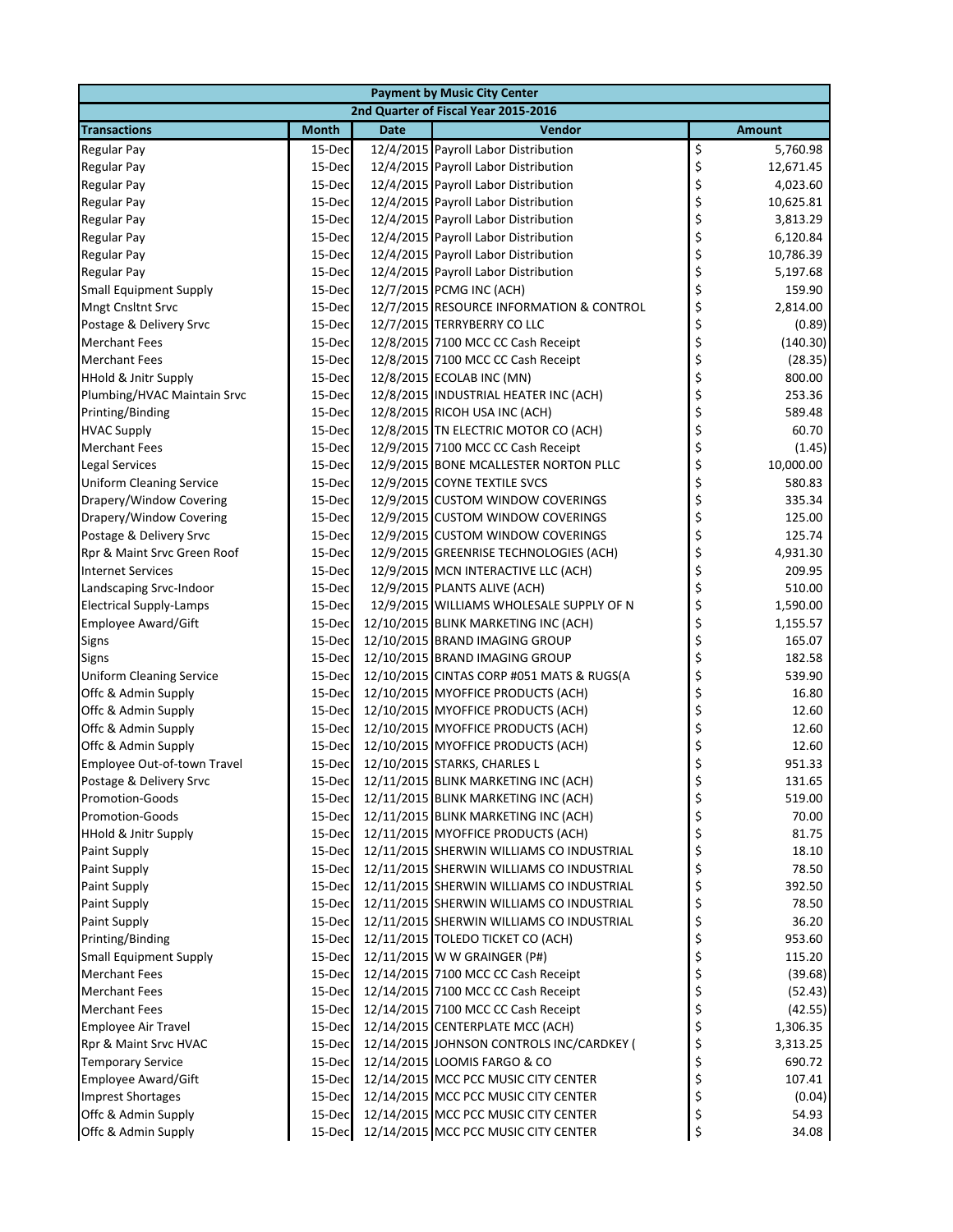|                                 | <b>Payment by Music City Center</b>  |             |                                           |                 |  |  |  |  |
|---------------------------------|--------------------------------------|-------------|-------------------------------------------|-----------------|--|--|--|--|
|                                 | 2nd Quarter of Fiscal Year 2015-2016 |             |                                           |                 |  |  |  |  |
| <b>Transactions</b>             | <b>Month</b>                         | <b>Date</b> | Vendor                                    | <b>Amount</b>   |  |  |  |  |
| <b>Regular Pay</b>              | 15-Dec                               |             | 12/4/2015 Payroll Labor Distribution      | \$<br>5,760.98  |  |  |  |  |
| <b>Regular Pay</b>              | 15-Dec                               |             | 12/4/2015 Payroll Labor Distribution      | \$<br>12,671.45 |  |  |  |  |
| <b>Regular Pay</b>              | 15-Dec                               |             | 12/4/2015 Payroll Labor Distribution      | \$<br>4,023.60  |  |  |  |  |
| <b>Regular Pay</b>              | 15-Dec                               |             | 12/4/2015 Payroll Labor Distribution      | \$<br>10,625.81 |  |  |  |  |
| Regular Pay                     | 15-Dec                               |             | 12/4/2015 Payroll Labor Distribution      | \$<br>3,813.29  |  |  |  |  |
| <b>Regular Pay</b>              | 15-Dec                               |             | 12/4/2015 Payroll Labor Distribution      | \$<br>6,120.84  |  |  |  |  |
| <b>Regular Pay</b>              | 15-Dec                               |             | 12/4/2015 Payroll Labor Distribution      | \$<br>10,786.39 |  |  |  |  |
| <b>Regular Pay</b>              | 15-Dec                               |             | 12/4/2015 Payroll Labor Distribution      | \$<br>5,197.68  |  |  |  |  |
| <b>Small Equipment Supply</b>   | 15-Dec                               |             | 12/7/2015 PCMG INC (ACH)                  | \$<br>159.90    |  |  |  |  |
| Mngt Cnsltnt Srvc               | 15-Dec                               |             | 12/7/2015 RESOURCE INFORMATION & CONTROL  | \$<br>2,814.00  |  |  |  |  |
| Postage & Delivery Srvc         | 15-Dec                               |             | 12/7/2015 TERRYBERRY CO LLC               | \$<br>(0.89)    |  |  |  |  |
| <b>Merchant Fees</b>            | 15-Dec                               |             | 12/8/2015 7100 MCC CC Cash Receipt        | \$<br>(140.30)  |  |  |  |  |
| <b>Merchant Fees</b>            | 15-Dec                               |             | 12/8/2015 7100 MCC CC Cash Receipt        | \$<br>(28.35)   |  |  |  |  |
| <b>HHold &amp; Jnitr Supply</b> | 15-Dec                               |             | 12/8/2015 ECOLAB INC (MN)                 | \$<br>800.00    |  |  |  |  |
| Plumbing/HVAC Maintain Srvc     | 15-Dec                               |             | 12/8/2015 INDUSTRIAL HEATER INC (ACH)     | \$<br>253.36    |  |  |  |  |
| Printing/Binding                | 15-Dec                               |             | 12/8/2015 RICOH USA INC (ACH)             | \$<br>589.48    |  |  |  |  |
| <b>HVAC Supply</b>              | 15-Dec                               |             | 12/8/2015 TN ELECTRIC MOTOR CO (ACH)      | \$<br>60.70     |  |  |  |  |
| <b>Merchant Fees</b>            | 15-Dec                               |             | 12/9/2015 7100 MCC CC Cash Receipt        | \$<br>(1.45)    |  |  |  |  |
| <b>Legal Services</b>           | 15-Dec                               |             | 12/9/2015 BONE MCALLESTER NORTON PLLC     | \$<br>10,000.00 |  |  |  |  |
| <b>Uniform Cleaning Service</b> | 15-Dec                               |             | 12/9/2015 COYNE TEXTILE SVCS              | \$<br>580.83    |  |  |  |  |
| Drapery/Window Covering         | 15-Dec                               |             | 12/9/2015 CUSTOM WINDOW COVERINGS         | \$<br>335.34    |  |  |  |  |
| Drapery/Window Covering         | 15-Dec                               |             | 12/9/2015 CUSTOM WINDOW COVERINGS         | \$<br>125.00    |  |  |  |  |
| Postage & Delivery Srvc         | 15-Dec                               |             | 12/9/2015 CUSTOM WINDOW COVERINGS         | \$<br>125.74    |  |  |  |  |
| Rpr & Maint Srvc Green Roof     | 15-Dec                               |             | 12/9/2015 GREENRISE TECHNOLOGIES (ACH)    | \$<br>4,931.30  |  |  |  |  |
| <b>Internet Services</b>        | 15-Dec                               |             | 12/9/2015 MCN INTERACTIVE LLC (ACH)       | \$<br>209.95    |  |  |  |  |
| Landscaping Srvc-Indoor         | 15-Dec                               |             | 12/9/2015 PLANTS ALIVE (ACH)              | \$<br>510.00    |  |  |  |  |
| <b>Electrical Supply-Lamps</b>  | 15-Dec                               |             | 12/9/2015 WILLIAMS WHOLESALE SUPPLY OF N  | \$<br>1,590.00  |  |  |  |  |
| Employee Award/Gift             | 15-Dec                               |             | 12/10/2015 BLINK MARKETING INC (ACH)      | \$<br>1,155.57  |  |  |  |  |
| Signs                           | 15-Dec                               |             | 12/10/2015 BRAND IMAGING GROUP            | \$<br>165.07    |  |  |  |  |
| Signs                           | 15-Dec                               |             | 12/10/2015 BRAND IMAGING GROUP            | \$<br>182.58    |  |  |  |  |
| <b>Uniform Cleaning Service</b> | 15-Dec                               |             | 12/10/2015 CINTAS CORP #051 MATS & RUGS(A | \$<br>539.90    |  |  |  |  |
| Offc & Admin Supply             | 15-Dec                               |             | 12/10/2015 MYOFFICE PRODUCTS (ACH)        | \$<br>16.80     |  |  |  |  |
| Offc & Admin Supply             | 15-Dec                               |             | 12/10/2015 MYOFFICE PRODUCTS (ACH)        | \$<br>12.60     |  |  |  |  |
| Offc & Admin Supply             | 15-Dec                               |             | 12/10/2015 MYOFFICE PRODUCTS (ACH)        | \$<br>12.60     |  |  |  |  |
| Offc & Admin Supply             | 15-Dec                               |             | 12/10/2015 MYOFFICE PRODUCTS (ACH)        | \$<br>12.60     |  |  |  |  |
| Employee Out-of-town Travel     | 15-Dec                               |             | 12/10/2015 STARKS, CHARLES L              | \$<br>951.33    |  |  |  |  |
| Postage & Delivery Srvc         | 15-Dec                               |             | 12/11/2015 BLINK MARKETING INC (ACH)      | 131.65<br>Ş     |  |  |  |  |
| <b>Promotion-Goods</b>          | 15-Dec                               |             | 12/11/2015 BLINK MARKETING INC (ACH)      | \$<br>519.00    |  |  |  |  |
| Promotion-Goods                 | 15-Dec                               |             | 12/11/2015 BLINK MARKETING INC (ACH)      | \$<br>70.00     |  |  |  |  |
| <b>HHold &amp; Jnitr Supply</b> | 15-Dec                               |             | 12/11/2015 MYOFFICE PRODUCTS (ACH)        | \$<br>81.75     |  |  |  |  |
| <b>Paint Supply</b>             | 15-Dec                               |             | 12/11/2015 SHERWIN WILLIAMS CO INDUSTRIAL | \$<br>18.10     |  |  |  |  |
| <b>Paint Supply</b>             | 15-Dec                               |             | 12/11/2015 SHERWIN WILLIAMS CO INDUSTRIAL | \$<br>78.50     |  |  |  |  |
| Paint Supply                    | 15-Dec                               |             | 12/11/2015 SHERWIN WILLIAMS CO INDUSTRIAL | \$<br>392.50    |  |  |  |  |
| <b>Paint Supply</b>             | 15-Dec                               |             | 12/11/2015 SHERWIN WILLIAMS CO INDUSTRIAL | \$<br>78.50     |  |  |  |  |
| <b>Paint Supply</b>             | 15-Dec                               |             | 12/11/2015 SHERWIN WILLIAMS CO INDUSTRIAL | \$<br>36.20     |  |  |  |  |
| Printing/Binding                | 15-Dec                               |             | 12/11/2015 TOLEDO TICKET CO (ACH)         | \$<br>953.60    |  |  |  |  |
| <b>Small Equipment Supply</b>   | 15-Dec                               |             | 12/11/2015 W W GRAINGER (P#)              | \$<br>115.20    |  |  |  |  |
| <b>Merchant Fees</b>            | 15-Dec                               |             | 12/14/2015 7100 MCC CC Cash Receipt       | \$<br>(39.68)   |  |  |  |  |
| <b>Merchant Fees</b>            | 15-Dec                               |             | 12/14/2015 7100 MCC CC Cash Receipt       | \$<br>(52.43)   |  |  |  |  |
| <b>Merchant Fees</b>            | 15-Dec                               |             | 12/14/2015 7100 MCC CC Cash Receipt       | \$<br>(42.55)   |  |  |  |  |
| Employee Air Travel             | 15-Dec                               |             | 12/14/2015 CENTERPLATE MCC (ACH)          | \$<br>1,306.35  |  |  |  |  |
| Rpr & Maint Srvc HVAC           | 15-Dec                               |             | 12/14/2015 JOHNSON CONTROLS INC/CARDKEY ( | \$<br>3,313.25  |  |  |  |  |
| <b>Temporary Service</b>        | 15-Dec                               |             | 12/14/2015 LOOMIS FARGO & CO              | \$<br>690.72    |  |  |  |  |
| Employee Award/Gift             | 15-Dec                               |             | 12/14/2015 MCC PCC MUSIC CITY CENTER      | \$<br>107.41    |  |  |  |  |
| <b>Imprest Shortages</b>        | 15-Dec                               |             | 12/14/2015 MCC PCC MUSIC CITY CENTER      | \$<br>(0.04)    |  |  |  |  |
| Offc & Admin Supply             | 15-Dec                               |             | 12/14/2015 MCC PCC MUSIC CITY CENTER      | \$<br>54.93     |  |  |  |  |
| Offc & Admin Supply             | 15-Dec                               |             | 12/14/2015 MCC PCC MUSIC CITY CENTER      | \$<br>34.08     |  |  |  |  |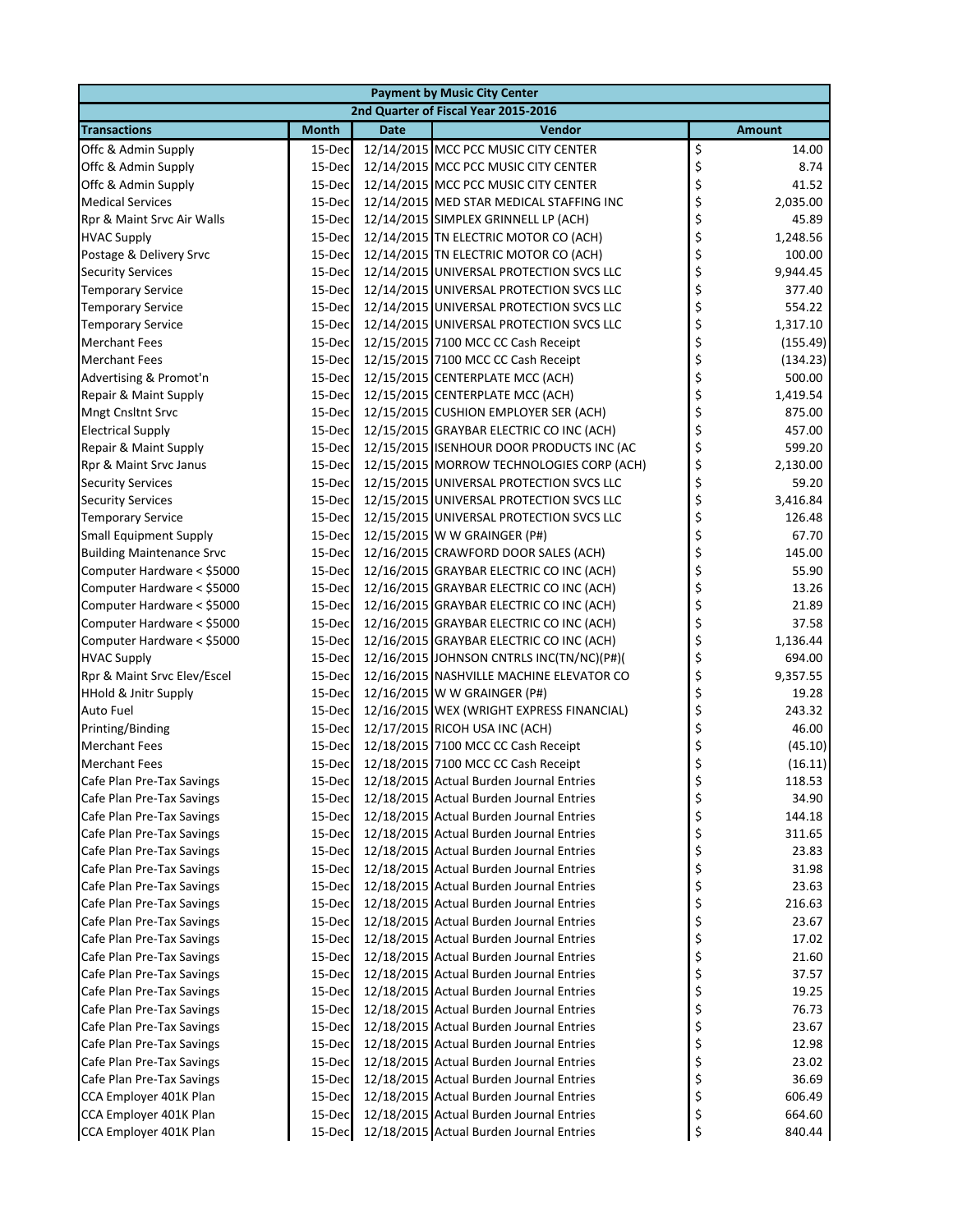| <b>Payment by Music City Center</b> |              |             |                                                 |    |               |  |  |
|-------------------------------------|--------------|-------------|-------------------------------------------------|----|---------------|--|--|
|                                     |              |             | 2nd Quarter of Fiscal Year 2015-2016            |    |               |  |  |
| <b>Transactions</b>                 | <b>Month</b> | <b>Date</b> | Vendor                                          |    | <b>Amount</b> |  |  |
| Offc & Admin Supply                 | 15-Dec       |             | 12/14/2015 MCC PCC MUSIC CITY CENTER            | \$ | 14.00         |  |  |
| Offc & Admin Supply                 | 15-Dec       |             | 12/14/2015 MCC PCC MUSIC CITY CENTER            | \$ | 8.74          |  |  |
| Offc & Admin Supply                 | 15-Dec       |             | 12/14/2015 MCC PCC MUSIC CITY CENTER            | \$ | 41.52         |  |  |
| <b>Medical Services</b>             | 15-Dec       |             | 12/14/2015 MED STAR MEDICAL STAFFING INC        | \$ | 2,035.00      |  |  |
| Rpr & Maint Srvc Air Walls          | 15-Dec       |             | 12/14/2015 SIMPLEX GRINNELL LP (ACH)            | \$ | 45.89         |  |  |
| <b>HVAC Supply</b>                  | 15-Dec       |             | 12/14/2015 TN ELECTRIC MOTOR CO (ACH)           | \$ | 1,248.56      |  |  |
| Postage & Delivery Srvc             | 15-Dec       |             | 12/14/2015 TN ELECTRIC MOTOR CO (ACH)           | \$ | 100.00        |  |  |
| <b>Security Services</b>            | 15-Dec       |             | 12/14/2015 UNIVERSAL PROTECTION SVCS LLC        | \$ | 9,944.45      |  |  |
| <b>Temporary Service</b>            | 15-Dec       |             | 12/14/2015 UNIVERSAL PROTECTION SVCS LLC        | \$ | 377.40        |  |  |
| <b>Temporary Service</b>            | 15-Dec       |             | 12/14/2015 UNIVERSAL PROTECTION SVCS LLC        | \$ | 554.22        |  |  |
| <b>Temporary Service</b>            | 15-Dec       |             | 12/14/2015 UNIVERSAL PROTECTION SVCS LLC        | \$ | 1,317.10      |  |  |
| <b>Merchant Fees</b>                | 15-Dec       |             | 12/15/2015 7100 MCC CC Cash Receipt             | \$ | (155.49)      |  |  |
| <b>Merchant Fees</b>                | 15-Dec       |             | 12/15/2015 7100 MCC CC Cash Receipt             | \$ | (134.23)      |  |  |
| Advertising & Promot'n              | 15-Dec       |             | 12/15/2015 CENTERPLATE MCC (ACH)                | \$ | 500.00        |  |  |
| Repair & Maint Supply               | 15-Dec       |             | 12/15/2015 CENTERPLATE MCC (ACH)                | \$ | 1,419.54      |  |  |
| Mngt Cnsltnt Srvc                   | 15-Dec       |             | 12/15/2015 CUSHION EMPLOYER SER (ACH)           | \$ | 875.00        |  |  |
| <b>Electrical Supply</b>            | 15-Dec       |             | 12/15/2015 GRAYBAR ELECTRIC CO INC (ACH)        | \$ | 457.00        |  |  |
| Repair & Maint Supply               | 15-Dec       |             | 12/15/2015 ISENHOUR DOOR PRODUCTS INC (AC       | \$ | 599.20        |  |  |
| Rpr & Maint Srvc Janus              | 15-Dec       |             | 12/15/2015 MORROW TECHNOLOGIES CORP (ACH)       | \$ | 2,130.00      |  |  |
| <b>Security Services</b>            | 15-Dec       |             | 12/15/2015 UNIVERSAL PROTECTION SVCS LLC        | \$ | 59.20         |  |  |
| <b>Security Services</b>            | 15-Dec       |             | 12/15/2015 UNIVERSAL PROTECTION SVCS LLC        | \$ | 3,416.84      |  |  |
| <b>Temporary Service</b>            | 15-Dec       |             | 12/15/2015 UNIVERSAL PROTECTION SVCS LLC        | \$ | 126.48        |  |  |
| <b>Small Equipment Supply</b>       | 15-Dec       |             | 12/15/2015 W W GRAINGER (P#)                    | \$ | 67.70         |  |  |
| <b>Building Maintenance Srvc</b>    | 15-Dec       |             | 12/16/2015 CRAWFORD DOOR SALES (ACH)            | \$ | 145.00        |  |  |
| Computer Hardware < \$5000          | 15-Dec       |             | 12/16/2015 GRAYBAR ELECTRIC CO INC (ACH)        | \$ | 55.90         |  |  |
| Computer Hardware < \$5000          | 15-Dec       |             | 12/16/2015 GRAYBAR ELECTRIC CO INC (ACH)        | \$ | 13.26         |  |  |
| Computer Hardware < \$5000          | 15-Dec       |             | 12/16/2015 GRAYBAR ELECTRIC CO INC (ACH)        | \$ | 21.89         |  |  |
| Computer Hardware < \$5000          | 15-Dec       |             | 12/16/2015 GRAYBAR ELECTRIC CO INC (ACH)        | \$ | 37.58         |  |  |
| Computer Hardware < \$5000          | 15-Dec       |             | 12/16/2015 GRAYBAR ELECTRIC CO INC (ACH)        | \$ | 1,136.44      |  |  |
| <b>HVAC Supply</b>                  | 15-Dec       |             | 12/16/2015 JOHNSON CNTRLS INC(TN/NC)(P#)(       | \$ | 694.00        |  |  |
| Rpr & Maint Srvc Elev/Escel         | 15-Dec       |             | 12/16/2015 NASHVILLE MACHINE ELEVATOR CO        | \$ | 9,357.55      |  |  |
| <b>HHold &amp; Jnitr Supply</b>     | 15-Dec       |             | 12/16/2015 W W GRAINGER (P#)                    | \$ | 19.28         |  |  |
| Auto Fuel                           | 15-Dec       |             | 12/16/2015 WEX (WRIGHT EXPRESS FINANCIAL)       | \$ | 243.32        |  |  |
| Printing/Binding                    | 15-Dec       |             | 12/17/2015 RICOH USA INC (ACH)                  | \$ | 46.00         |  |  |
| <b>Merchant Fees</b>                | 15-Dec       |             | 12/18/2015 7100 MCC CC Cash Receipt             | \$ | (45.10)       |  |  |
| <b>Merchant Fees</b>                | 15-Dec       |             | 12/18/2015 7100 MCC CC Cash Receipt             | \$ | (16.11)       |  |  |
| Cafe Plan Pre-Tax Savings           |              |             | 15-Dec 12/18/2015 Actual Burden Journal Entries |    | 118.53        |  |  |
| Cafe Plan Pre-Tax Savings           | 15-Dec       |             | 12/18/2015 Actual Burden Journal Entries        | \$ | 34.90         |  |  |
| Cafe Plan Pre-Tax Savings           | 15-Dec       |             | 12/18/2015 Actual Burden Journal Entries        | \$ | 144.18        |  |  |
| Cafe Plan Pre-Tax Savings           | 15-Dec       |             | 12/18/2015 Actual Burden Journal Entries        | \$ | 311.65        |  |  |
| Cafe Plan Pre-Tax Savings           | 15-Dec       |             | 12/18/2015 Actual Burden Journal Entries        | \$ | 23.83         |  |  |
| Cafe Plan Pre-Tax Savings           | 15-Dec       |             | 12/18/2015 Actual Burden Journal Entries        | \$ | 31.98         |  |  |
| Cafe Plan Pre-Tax Savings           | 15-Dec       |             | 12/18/2015 Actual Burden Journal Entries        | \$ | 23.63         |  |  |
| Cafe Plan Pre-Tax Savings           | 15-Dec       |             | 12/18/2015 Actual Burden Journal Entries        | \$ | 216.63        |  |  |
| Cafe Plan Pre-Tax Savings           | 15-Dec       |             | 12/18/2015 Actual Burden Journal Entries        | \$ | 23.67         |  |  |
| Cafe Plan Pre-Tax Savings           | 15-Dec       |             | 12/18/2015 Actual Burden Journal Entries        | \$ | 17.02         |  |  |
| Cafe Plan Pre-Tax Savings           | 15-Dec       |             | 12/18/2015 Actual Burden Journal Entries        | \$ | 21.60         |  |  |
| Cafe Plan Pre-Tax Savings           | 15-Dec       |             | 12/18/2015 Actual Burden Journal Entries        | \$ | 37.57         |  |  |
| Cafe Plan Pre-Tax Savings           | 15-Dec       |             | 12/18/2015 Actual Burden Journal Entries        | \$ | 19.25         |  |  |
| Cafe Plan Pre-Tax Savings           | 15-Dec       |             | 12/18/2015 Actual Burden Journal Entries        | \$ | 76.73         |  |  |
| Cafe Plan Pre-Tax Savings           | 15-Dec       |             | 12/18/2015 Actual Burden Journal Entries        | \$ | 23.67         |  |  |
| Cafe Plan Pre-Tax Savings           | 15-Dec       |             | 12/18/2015 Actual Burden Journal Entries        | \$ | 12.98         |  |  |
| Cafe Plan Pre-Tax Savings           | 15-Dec       |             | 12/18/2015 Actual Burden Journal Entries        | \$ | 23.02         |  |  |
| Cafe Plan Pre-Tax Savings           | 15-Dec       |             | 12/18/2015 Actual Burden Journal Entries        | \$ | 36.69         |  |  |
| CCA Employer 401K Plan              | 15-Dec       |             | 12/18/2015 Actual Burden Journal Entries        | \$ | 606.49        |  |  |
| CCA Employer 401K Plan              | 15-Dec       |             | 12/18/2015 Actual Burden Journal Entries        | \$ | 664.60        |  |  |
| CCA Employer 401K Plan              | 15-Dec       |             | 12/18/2015 Actual Burden Journal Entries        | \$ | 840.44        |  |  |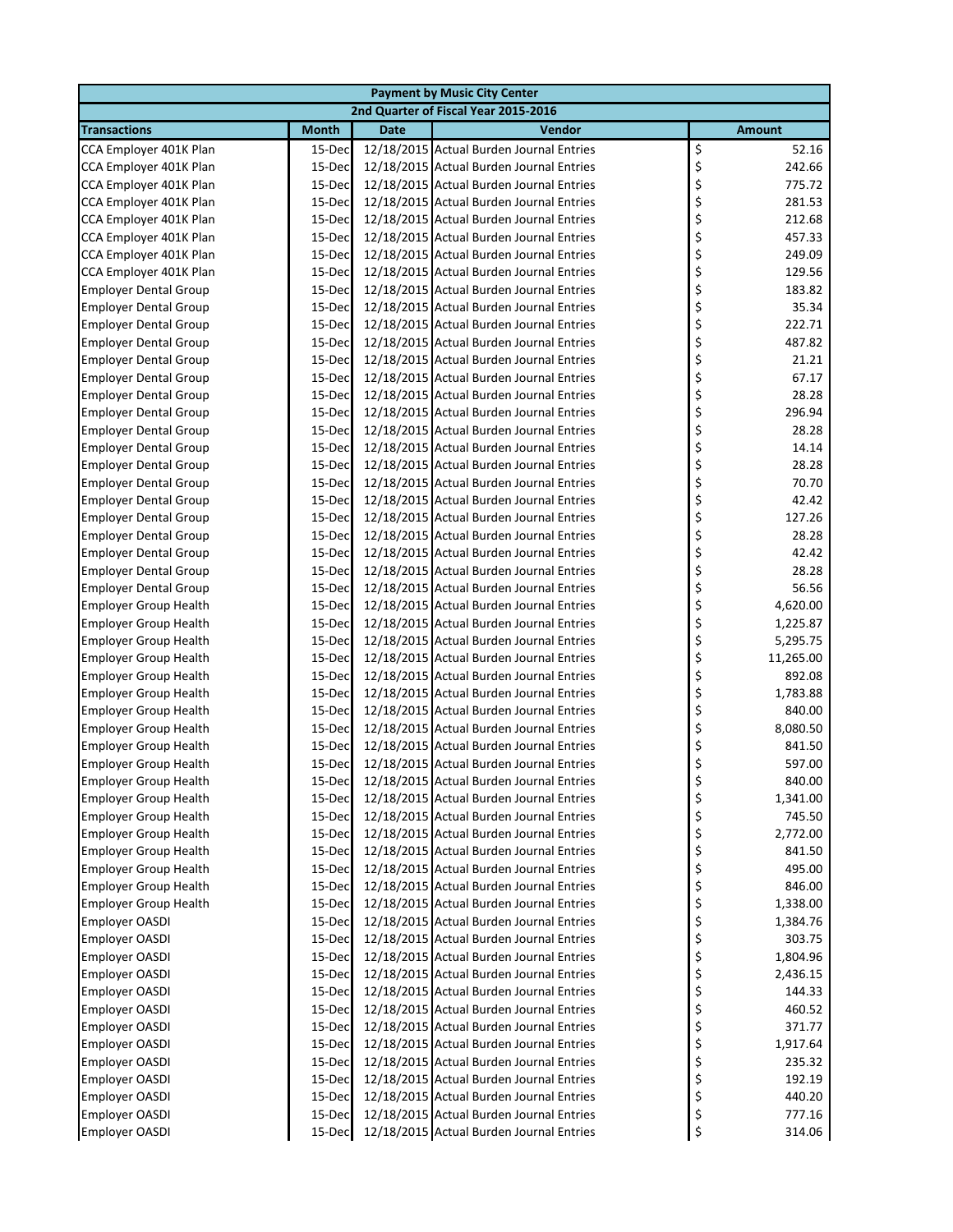| <b>Payment by Music City Center</b>  |              |             |                                          |    |               |  |  |  |
|--------------------------------------|--------------|-------------|------------------------------------------|----|---------------|--|--|--|
| 2nd Quarter of Fiscal Year 2015-2016 |              |             |                                          |    |               |  |  |  |
| <b>Transactions</b>                  | <b>Month</b> | <b>Date</b> | Vendor                                   |    | <b>Amount</b> |  |  |  |
| CCA Employer 401K Plan               | 15-Dec       |             | 12/18/2015 Actual Burden Journal Entries | \$ | 52.16         |  |  |  |
| CCA Employer 401K Plan               | 15-Dec       |             | 12/18/2015 Actual Burden Journal Entries | \$ | 242.66        |  |  |  |
| CCA Employer 401K Plan               | 15-Dec       |             | 12/18/2015 Actual Burden Journal Entries | \$ | 775.72        |  |  |  |
| CCA Employer 401K Plan               | 15-Dec       |             | 12/18/2015 Actual Burden Journal Entries | \$ | 281.53        |  |  |  |
| CCA Employer 401K Plan               | 15-Dec       |             | 12/18/2015 Actual Burden Journal Entries | \$ | 212.68        |  |  |  |
| CCA Employer 401K Plan               | 15-Dec       |             | 12/18/2015 Actual Burden Journal Entries | \$ | 457.33        |  |  |  |
| CCA Employer 401K Plan               | 15-Dec       |             | 12/18/2015 Actual Burden Journal Entries | \$ | 249.09        |  |  |  |
| CCA Employer 401K Plan               | 15-Dec       |             | 12/18/2015 Actual Burden Journal Entries | \$ | 129.56        |  |  |  |
| <b>Employer Dental Group</b>         | 15-Dec       |             | 12/18/2015 Actual Burden Journal Entries | \$ | 183.82        |  |  |  |
| <b>Employer Dental Group</b>         | 15-Dec       |             | 12/18/2015 Actual Burden Journal Entries | \$ | 35.34         |  |  |  |
| <b>Employer Dental Group</b>         | 15-Dec       |             | 12/18/2015 Actual Burden Journal Entries | \$ | 222.71        |  |  |  |
| <b>Employer Dental Group</b>         | 15-Dec       |             | 12/18/2015 Actual Burden Journal Entries | \$ | 487.82        |  |  |  |
| <b>Employer Dental Group</b>         | 15-Dec       |             | 12/18/2015 Actual Burden Journal Entries | \$ | 21.21         |  |  |  |
| <b>Employer Dental Group</b>         | 15-Dec       |             | 12/18/2015 Actual Burden Journal Entries | \$ | 67.17         |  |  |  |
| <b>Employer Dental Group</b>         | 15-Dec       |             | 12/18/2015 Actual Burden Journal Entries | \$ | 28.28         |  |  |  |
| <b>Employer Dental Group</b>         | 15-Dec       |             | 12/18/2015 Actual Burden Journal Entries | \$ | 296.94        |  |  |  |
| <b>Employer Dental Group</b>         | 15-Dec       |             | 12/18/2015 Actual Burden Journal Entries | \$ | 28.28         |  |  |  |
| <b>Employer Dental Group</b>         | 15-Dec       |             | 12/18/2015 Actual Burden Journal Entries | \$ | 14.14         |  |  |  |
| <b>Employer Dental Group</b>         | 15-Dec       |             | 12/18/2015 Actual Burden Journal Entries | \$ | 28.28         |  |  |  |
| <b>Employer Dental Group</b>         | 15-Dec       |             | 12/18/2015 Actual Burden Journal Entries | \$ | 70.70         |  |  |  |
| <b>Employer Dental Group</b>         | 15-Dec       |             | 12/18/2015 Actual Burden Journal Entries | \$ | 42.42         |  |  |  |
| <b>Employer Dental Group</b>         | 15-Dec       |             | 12/18/2015 Actual Burden Journal Entries | \$ | 127.26        |  |  |  |
| <b>Employer Dental Group</b>         | 15-Dec       |             | 12/18/2015 Actual Burden Journal Entries | \$ | 28.28         |  |  |  |
| <b>Employer Dental Group</b>         | 15-Dec       |             | 12/18/2015 Actual Burden Journal Entries | \$ | 42.42         |  |  |  |
| <b>Employer Dental Group</b>         | 15-Dec       |             | 12/18/2015 Actual Burden Journal Entries | \$ | 28.28         |  |  |  |
| <b>Employer Dental Group</b>         | 15-Dec       |             | 12/18/2015 Actual Burden Journal Entries | \$ | 56.56         |  |  |  |
| <b>Employer Group Health</b>         | 15-Dec       |             | 12/18/2015 Actual Burden Journal Entries | \$ | 4,620.00      |  |  |  |
| <b>Employer Group Health</b>         | 15-Dec       |             | 12/18/2015 Actual Burden Journal Entries | \$ | 1,225.87      |  |  |  |
| <b>Employer Group Health</b>         | 15-Dec       |             | 12/18/2015 Actual Burden Journal Entries | \$ | 5,295.75      |  |  |  |
| <b>Employer Group Health</b>         | 15-Dec       |             | 12/18/2015 Actual Burden Journal Entries | \$ | 11,265.00     |  |  |  |
| <b>Employer Group Health</b>         | 15-Dec       |             | 12/18/2015 Actual Burden Journal Entries | \$ | 892.08        |  |  |  |
| <b>Employer Group Health</b>         | 15-Dec       |             | 12/18/2015 Actual Burden Journal Entries | \$ | 1,783.88      |  |  |  |
| <b>Employer Group Health</b>         | 15-Dec       |             | 12/18/2015 Actual Burden Journal Entries | \$ | 840.00        |  |  |  |
| <b>Employer Group Health</b>         | 15-Dec       |             | 12/18/2015 Actual Burden Journal Entries | \$ | 8,080.50      |  |  |  |
| <b>Employer Group Health</b>         | 15-Dec       |             | 12/18/2015 Actual Burden Journal Entries | \$ | 841.50        |  |  |  |
| <b>Employer Group Health</b>         | 15-Dec       |             | 12/18/2015 Actual Burden Journal Entries | \$ | 597.00        |  |  |  |
| <b>Employer Group Health</b>         | 15-Dec       |             | 12/18/2015 Actual Burden Journal Entries | \$ | 840.00        |  |  |  |
| <b>Employer Group Health</b>         | 15-Dec       |             | 12/18/2015 Actual Burden Journal Entries | \$ | 1,341.00      |  |  |  |
| <b>Employer Group Health</b>         | 15-Dec       |             | 12/18/2015 Actual Burden Journal Entries | \$ | 745.50        |  |  |  |
| <b>Employer Group Health</b>         | 15-Dec       |             | 12/18/2015 Actual Burden Journal Entries | \$ | 2,772.00      |  |  |  |
| <b>Employer Group Health</b>         | 15-Dec       |             | 12/18/2015 Actual Burden Journal Entries | \$ | 841.50        |  |  |  |
| <b>Employer Group Health</b>         | 15-Dec       |             | 12/18/2015 Actual Burden Journal Entries | \$ | 495.00        |  |  |  |
| <b>Employer Group Health</b>         | 15-Dec       |             | 12/18/2015 Actual Burden Journal Entries | \$ | 846.00        |  |  |  |
| <b>Employer Group Health</b>         | 15-Dec       |             | 12/18/2015 Actual Burden Journal Entries | \$ | 1,338.00      |  |  |  |
| <b>Employer OASDI</b>                | 15-Dec       |             | 12/18/2015 Actual Burden Journal Entries | \$ | 1,384.76      |  |  |  |
| <b>Employer OASDI</b>                | 15-Dec       |             | 12/18/2015 Actual Burden Journal Entries | \$ | 303.75        |  |  |  |
| Employer OASDI                       | 15-Dec       |             | 12/18/2015 Actual Burden Journal Entries | \$ | 1,804.96      |  |  |  |
| Employer OASDI                       | 15-Dec       |             | 12/18/2015 Actual Burden Journal Entries | \$ | 2,436.15      |  |  |  |
| Employer OASDI                       | 15-Dec       |             | 12/18/2015 Actual Burden Journal Entries | \$ | 144.33        |  |  |  |
| Employer OASDI                       | 15-Dec       |             | 12/18/2015 Actual Burden Journal Entries | \$ | 460.52        |  |  |  |
| <b>Employer OASDI</b>                | 15-Dec       |             | 12/18/2015 Actual Burden Journal Entries | \$ | 371.77        |  |  |  |
| Employer OASDI                       | 15-Dec       |             | 12/18/2015 Actual Burden Journal Entries | \$ | 1,917.64      |  |  |  |
| <b>Employer OASDI</b>                | 15-Dec       |             | 12/18/2015 Actual Burden Journal Entries | \$ | 235.32        |  |  |  |
| <b>Employer OASDI</b>                | 15-Dec       |             | 12/18/2015 Actual Burden Journal Entries | \$ | 192.19        |  |  |  |
| <b>Employer OASDI</b>                | 15-Dec       |             | 12/18/2015 Actual Burden Journal Entries | \$ | 440.20        |  |  |  |
| Employer OASDI                       | 15-Dec       |             | 12/18/2015 Actual Burden Journal Entries | \$ | 777.16        |  |  |  |
| Employer OASDI                       | 15-Dec       |             | 12/18/2015 Actual Burden Journal Entries | \$ | 314.06        |  |  |  |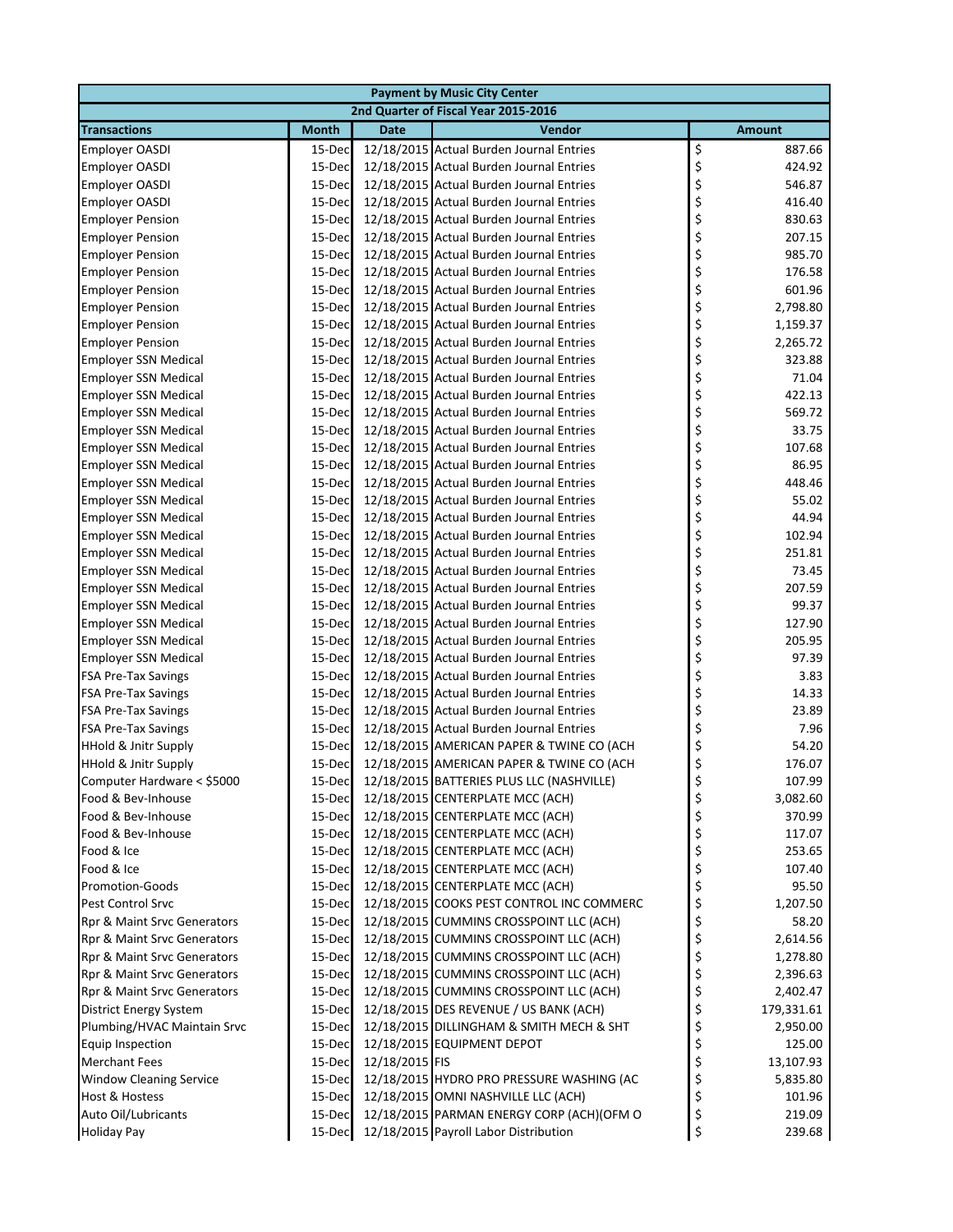| <b>Payment by Music City Center</b>                       |                  |                |                                                                                      |                  |               |  |  |  |
|-----------------------------------------------------------|------------------|----------------|--------------------------------------------------------------------------------------|------------------|---------------|--|--|--|
| 2nd Quarter of Fiscal Year 2015-2016                      |                  |                |                                                                                      |                  |               |  |  |  |
| <b>Transactions</b>                                       | <b>Month</b>     | <b>Date</b>    | Vendor                                                                               | <b>Amount</b>    |               |  |  |  |
| <b>Employer OASDI</b>                                     | 15-Dec           |                | 12/18/2015 Actual Burden Journal Entries                                             | \$<br>887.66     |               |  |  |  |
| <b>Employer OASDI</b>                                     | 15-Dec           |                | 12/18/2015 Actual Burden Journal Entries                                             | \$<br>424.92     |               |  |  |  |
| <b>Employer OASDI</b>                                     | 15-Dec           |                | 12/18/2015 Actual Burden Journal Entries                                             | \$<br>546.87     |               |  |  |  |
| <b>Employer OASDI</b>                                     | 15-Dec           |                | 12/18/2015 Actual Burden Journal Entries                                             | \$<br>416.40     |               |  |  |  |
| <b>Employer Pension</b>                                   | 15-Dec           |                | 12/18/2015 Actual Burden Journal Entries                                             | \$<br>830.63     |               |  |  |  |
| <b>Employer Pension</b>                                   | 15-Dec           |                | 12/18/2015 Actual Burden Journal Entries                                             | \$<br>207.15     |               |  |  |  |
| <b>Employer Pension</b>                                   | 15-Dec           |                | 12/18/2015 Actual Burden Journal Entries                                             | \$<br>985.70     |               |  |  |  |
| <b>Employer Pension</b>                                   | 15-Dec           |                | 12/18/2015 Actual Burden Journal Entries                                             | \$<br>176.58     |               |  |  |  |
| <b>Employer Pension</b>                                   | 15-Dec           |                | 12/18/2015 Actual Burden Journal Entries                                             | \$<br>601.96     |               |  |  |  |
| <b>Employer Pension</b>                                   | 15-Dec           |                | 12/18/2015 Actual Burden Journal Entries                                             | \$<br>2,798.80   |               |  |  |  |
| <b>Employer Pension</b>                                   | 15-Dec           |                | 12/18/2015 Actual Burden Journal Entries                                             | \$<br>1,159.37   |               |  |  |  |
| <b>Employer Pension</b>                                   | 15-Dec           |                | 12/18/2015 Actual Burden Journal Entries                                             | \$<br>2,265.72   |               |  |  |  |
| <b>Employer SSN Medical</b>                               | 15-Dec           |                | 12/18/2015 Actual Burden Journal Entries                                             | \$               | 323.88        |  |  |  |
| <b>Employer SSN Medical</b>                               | 15-Dec           |                | 12/18/2015 Actual Burden Journal Entries                                             | \$               | 71.04         |  |  |  |
| <b>Employer SSN Medical</b>                               | 15-Dec           |                | 12/18/2015 Actual Burden Journal Entries                                             | \$<br>422.13     |               |  |  |  |
| <b>Employer SSN Medical</b>                               | 15-Dec           |                | 12/18/2015 Actual Burden Journal Entries                                             | \$<br>569.72     |               |  |  |  |
| <b>Employer SSN Medical</b>                               | 15-Dec           |                | 12/18/2015 Actual Burden Journal Entries                                             | \$               | 33.75         |  |  |  |
| <b>Employer SSN Medical</b>                               | 15-Dec           |                | 12/18/2015 Actual Burden Journal Entries                                             | \$<br>107.68     |               |  |  |  |
| <b>Employer SSN Medical</b>                               | 15-Dec           |                | 12/18/2015 Actual Burden Journal Entries                                             | \$               | 86.95         |  |  |  |
| <b>Employer SSN Medical</b>                               | 15-Dec           |                | 12/18/2015 Actual Burden Journal Entries                                             | \$<br>448.46     |               |  |  |  |
| <b>Employer SSN Medical</b>                               | 15-Dec           |                | 12/18/2015 Actual Burden Journal Entries                                             | \$               | 55.02         |  |  |  |
| <b>Employer SSN Medical</b>                               | 15-Dec           |                | 12/18/2015 Actual Burden Journal Entries                                             | \$               | 44.94         |  |  |  |
| <b>Employer SSN Medical</b>                               | 15-Dec           |                | 12/18/2015 Actual Burden Journal Entries                                             | \$<br>102.94     |               |  |  |  |
| <b>Employer SSN Medical</b>                               | 15-Dec           |                | 12/18/2015 Actual Burden Journal Entries                                             | \$<br>251.81     |               |  |  |  |
| <b>Employer SSN Medical</b>                               | 15-Dec           |                | 12/18/2015 Actual Burden Journal Entries                                             | \$               | 73.45         |  |  |  |
| <b>Employer SSN Medical</b>                               | 15-Dec           |                | 12/18/2015 Actual Burden Journal Entries                                             | \$<br>207.59     |               |  |  |  |
| <b>Employer SSN Medical</b>                               | 15-Dec           |                | 12/18/2015 Actual Burden Journal Entries                                             | \$               | 99.37         |  |  |  |
| <b>Employer SSN Medical</b>                               | 15-Dec           |                | 12/18/2015 Actual Burden Journal Entries                                             | \$<br>127.90     |               |  |  |  |
| <b>Employer SSN Medical</b>                               | 15-Dec           |                | 12/18/2015 Actual Burden Journal Entries                                             | \$<br>205.95     |               |  |  |  |
| <b>Employer SSN Medical</b><br><b>FSA Pre-Tax Savings</b> | 15-Dec<br>15-Dec |                | 12/18/2015 Actual Burden Journal Entries<br>12/18/2015 Actual Burden Journal Entries | \$<br>\$         | 97.39<br>3.83 |  |  |  |
| <b>FSA Pre-Tax Savings</b>                                | 15-Dec           |                | 12/18/2015 Actual Burden Journal Entries                                             | \$               | 14.33         |  |  |  |
| <b>FSA Pre-Tax Savings</b>                                | 15-Dec           |                | 12/18/2015 Actual Burden Journal Entries                                             | \$               | 23.89         |  |  |  |
| <b>FSA Pre-Tax Savings</b>                                | 15-Dec           |                | 12/18/2015 Actual Burden Journal Entries                                             | \$               | 7.96          |  |  |  |
| <b>HHold &amp; Jnitr Supply</b>                           | 15-Dec           |                | 12/18/2015 AMERICAN PAPER & TWINE CO (ACH                                            | \$               | 54.20         |  |  |  |
| <b>HHold &amp; Jnitr Supply</b>                           | 15-Dec           |                | 12/18/2015 AMERICAN PAPER & TWINE CO (ACH                                            | \$<br>176.07     |               |  |  |  |
| Computer Hardware < \$5000                                |                  |                | 15-Dec 12/18/2015 BATTERIES PLUS LLC (NASHVILLE)                                     | \$               | 107.99        |  |  |  |
| Food & Bev-Inhouse                                        | 15-Dec           |                | 12/18/2015 CENTERPLATE MCC (ACH)                                                     | \$<br>3,082.60   |               |  |  |  |
| Food & Bev-Inhouse                                        | 15-Dec           |                | 12/18/2015 CENTERPLATE MCC (ACH)                                                     | \$<br>370.99     |               |  |  |  |
| Food & Bev-Inhouse                                        | 15-Dec           |                | 12/18/2015 CENTERPLATE MCC (ACH)                                                     | \$<br>117.07     |               |  |  |  |
| Food & Ice                                                | 15-Dec           |                | 12/18/2015 CENTERPLATE MCC (ACH)                                                     | \$<br>253.65     |               |  |  |  |
| Food & Ice                                                | 15-Dec           |                | 12/18/2015 CENTERPLATE MCC (ACH)                                                     | \$<br>107.40     |               |  |  |  |
| Promotion-Goods                                           | 15-Dec           |                | 12/18/2015 CENTERPLATE MCC (ACH)                                                     | \$               | 95.50         |  |  |  |
| Pest Control Srvc                                         | 15-Dec           |                | 12/18/2015 COOKS PEST CONTROL INC COMMERC                                            | \$<br>1,207.50   |               |  |  |  |
| Rpr & Maint Srvc Generators                               | 15-Dec           |                | 12/18/2015 CUMMINS CROSSPOINT LLC (ACH)                                              | \$               | 58.20         |  |  |  |
| Rpr & Maint Srvc Generators                               | 15-Dec           |                | 12/18/2015 CUMMINS CROSSPOINT LLC (ACH)                                              | \$<br>2,614.56   |               |  |  |  |
| Rpr & Maint Srvc Generators                               | 15-Dec           |                | 12/18/2015 CUMMINS CROSSPOINT LLC (ACH)                                              | \$<br>1,278.80   |               |  |  |  |
| Rpr & Maint Srvc Generators                               | 15-Dec           |                | 12/18/2015 CUMMINS CROSSPOINT LLC (ACH)                                              | \$<br>2,396.63   |               |  |  |  |
| Rpr & Maint Srvc Generators                               | 15-Dec           |                | 12/18/2015 CUMMINS CROSSPOINT LLC (ACH)                                              | \$<br>2,402.47   |               |  |  |  |
| <b>District Energy System</b>                             | 15-Dec           |                | 12/18/2015 DES REVENUE / US BANK (ACH)                                               | \$<br>179,331.61 |               |  |  |  |
| Plumbing/HVAC Maintain Srvc                               | 15-Dec           |                | 12/18/2015 DILLINGHAM & SMITH MECH & SHT                                             | \$<br>2,950.00   |               |  |  |  |
| Equip Inspection                                          | 15-Dec           |                | 12/18/2015 EQUIPMENT DEPOT                                                           | \$<br>125.00     |               |  |  |  |
| <b>Merchant Fees</b>                                      | 15-Dec           | 12/18/2015 FIS |                                                                                      | \$<br>13,107.93  |               |  |  |  |
| <b>Window Cleaning Service</b>                            | 15-Dec           |                | 12/18/2015 HYDRO PRO PRESSURE WASHING (AC                                            | \$<br>5,835.80   |               |  |  |  |
| Host & Hostess                                            | 15-Dec           |                | 12/18/2015 OMNI NASHVILLE LLC (ACH)                                                  | \$<br>101.96     |               |  |  |  |
| Auto Oil/Lubricants                                       | 15-Dec           |                | 12/18/2015 PARMAN ENERGY CORP (ACH)(OFM O                                            | \$<br>219.09     |               |  |  |  |
| <b>Holiday Pay</b>                                        | 15-Dec           |                | 12/18/2015 Payroll Labor Distribution                                                | \$               | 239.68        |  |  |  |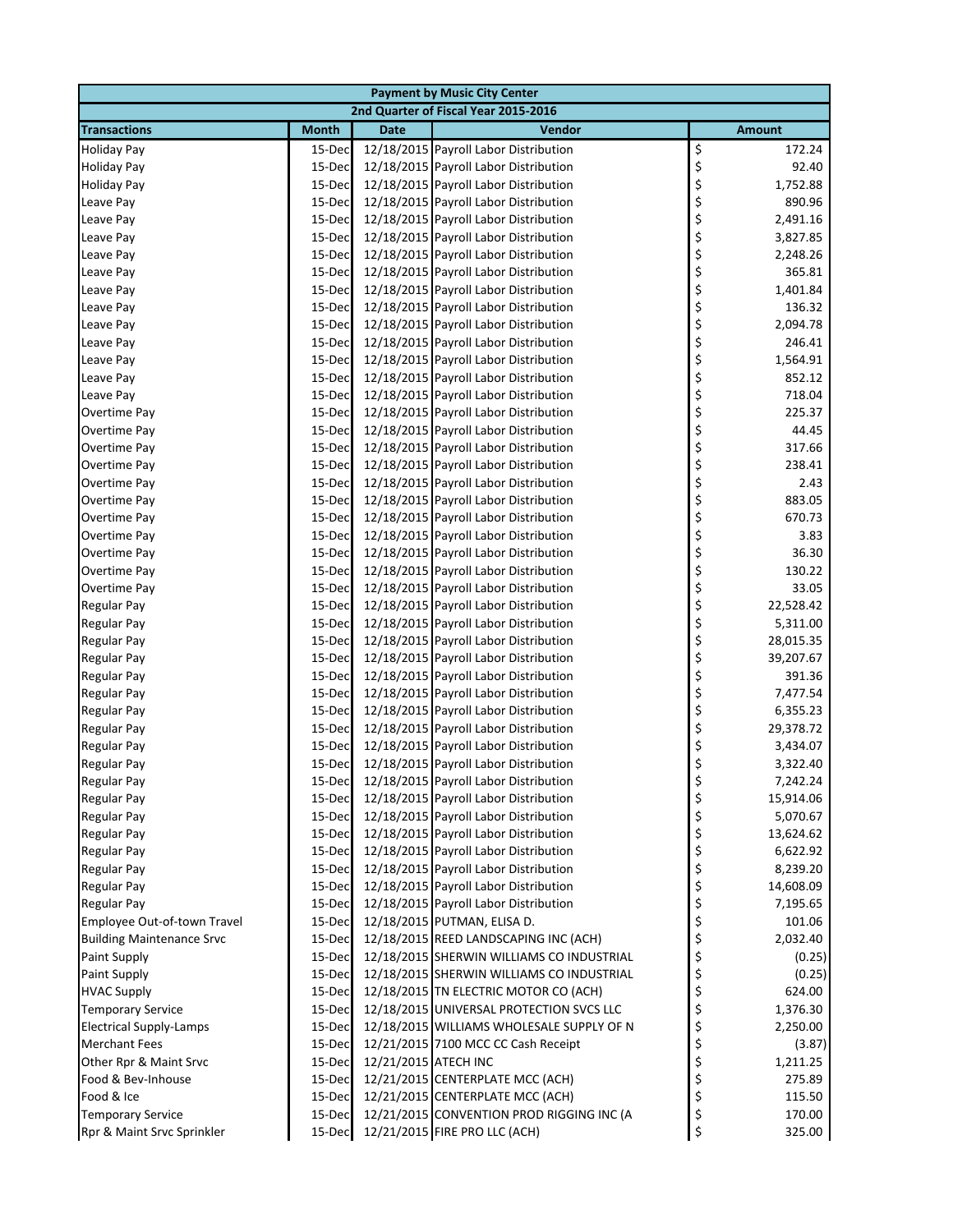|                                          |                  |                      | <b>Payment by Music City Center</b>                                            |                                   |
|------------------------------------------|------------------|----------------------|--------------------------------------------------------------------------------|-----------------------------------|
|                                          |                  |                      | 2nd Quarter of Fiscal Year 2015-2016                                           |                                   |
| <b>Transactions</b>                      | <b>Month</b>     | <b>Date</b>          | Vendor                                                                         | <b>Amount</b>                     |
| <b>Holiday Pay</b>                       | 15-Dec           |                      | 12/18/2015 Payroll Labor Distribution                                          | \$<br>172.24                      |
| <b>Holiday Pay</b>                       | 15-Dec           |                      | 12/18/2015 Payroll Labor Distribution                                          | \$<br>92.40                       |
| <b>Holiday Pay</b>                       | 15-Dec           |                      | 12/18/2015 Payroll Labor Distribution                                          | \$<br>1,752.88                    |
| Leave Pay                                | 15-Dec           |                      | 12/18/2015 Payroll Labor Distribution                                          | \$<br>890.96                      |
| Leave Pay                                | 15-Dec           |                      | 12/18/2015 Payroll Labor Distribution                                          | \$<br>2,491.16                    |
| Leave Pay                                | 15-Dec           |                      | 12/18/2015 Payroll Labor Distribution                                          | \$<br>3,827.85                    |
| Leave Pay                                | 15-Dec           |                      | 12/18/2015 Payroll Labor Distribution                                          | \$<br>2,248.26                    |
| Leave Pay                                | 15-Dec           |                      | 12/18/2015 Payroll Labor Distribution                                          | \$<br>365.81                      |
| Leave Pay                                | 15-Dec           |                      | 12/18/2015 Payroll Labor Distribution                                          | \$<br>1,401.84                    |
| Leave Pay                                | 15-Dec           |                      | 12/18/2015 Payroll Labor Distribution                                          | \$<br>136.32                      |
| Leave Pay                                | 15-Dec           |                      | 12/18/2015 Payroll Labor Distribution                                          | \$<br>2,094.78                    |
| Leave Pay                                | 15-Dec           |                      | 12/18/2015 Payroll Labor Distribution                                          | \$<br>246.41                      |
| Leave Pay                                | 15-Dec           |                      | 12/18/2015 Payroll Labor Distribution                                          | \$<br>1,564.91                    |
| Leave Pay                                | 15-Dec           |                      | 12/18/2015 Payroll Labor Distribution                                          | \$<br>852.12                      |
| Leave Pay                                | 15-Dec           |                      | 12/18/2015 Payroll Labor Distribution                                          | \$<br>718.04                      |
| Overtime Pay                             | 15-Dec           |                      | 12/18/2015 Payroll Labor Distribution                                          | \$<br>225.37                      |
| Overtime Pay                             | 15-Dec           |                      | 12/18/2015 Payroll Labor Distribution                                          | \$<br>44.45                       |
| Overtime Pay                             | 15-Dec           |                      | 12/18/2015 Payroll Labor Distribution                                          | \$<br>317.66                      |
| Overtime Pay                             | 15-Dec           |                      | 12/18/2015 Payroll Labor Distribution                                          | \$<br>238.41                      |
| Overtime Pay                             | 15-Dec           |                      | 12/18/2015 Payroll Labor Distribution                                          | \$<br>2.43                        |
| Overtime Pay                             | 15-Dec           |                      | 12/18/2015 Payroll Labor Distribution                                          | \$<br>883.05                      |
| Overtime Pay                             | 15-Dec           |                      | 12/18/2015 Payroll Labor Distribution                                          | \$<br>670.73                      |
| Overtime Pay                             | 15-Dec           |                      | 12/18/2015 Payroll Labor Distribution                                          | \$<br>3.83                        |
| Overtime Pay                             | 15-Dec           |                      | 12/18/2015 Payroll Labor Distribution                                          | \$<br>36.30                       |
| Overtime Pay                             | 15-Dec           |                      | 12/18/2015 Payroll Labor Distribution                                          | \$<br>130.22                      |
| Overtime Pay                             | 15-Dec           |                      | 12/18/2015 Payroll Labor Distribution                                          | \$<br>33.05                       |
| <b>Regular Pay</b>                       | 15-Dec           |                      | 12/18/2015 Payroll Labor Distribution                                          | \$<br>22,528.42                   |
| <b>Regular Pay</b>                       | 15-Dec           |                      | 12/18/2015 Payroll Labor Distribution                                          | \$<br>5,311.00                    |
| <b>Regular Pay</b>                       | 15-Dec           |                      | 12/18/2015 Payroll Labor Distribution                                          | \$<br>28,015.35                   |
| <b>Regular Pay</b>                       | 15-Dec           |                      | 12/18/2015 Payroll Labor Distribution                                          | \$<br>39,207.67                   |
| <b>Regular Pay</b>                       | 15-Dec           |                      | 12/18/2015 Payroll Labor Distribution                                          | \$<br>391.36                      |
| <b>Regular Pay</b>                       | 15-Dec           |                      | 12/18/2015 Payroll Labor Distribution<br>12/18/2015 Payroll Labor Distribution | \$<br>7,477.54                    |
| <b>Regular Pay</b><br><b>Regular Pay</b> | 15-Dec<br>15-Dec |                      | 12/18/2015 Payroll Labor Distribution                                          | \$<br>6,355.23<br>\$<br>29,378.72 |
| <b>Regular Pay</b>                       | 15-Dec           |                      | 12/18/2015 Payroll Labor Distribution                                          | \$<br>3,434.07                    |
| <b>Regular Pay</b>                       | 15-Dec           |                      | 12/18/2015 Payroll Labor Distribution                                          | \$<br>3,322.40                    |
| Regular Pay                              |                  |                      | 15-Dec 12/18/2015 Payroll Labor Distribution                                   | 7,242.24                          |
| <b>Regular Pay</b>                       | 15-Dec           |                      | 12/18/2015 Payroll Labor Distribution                                          | Ç<br>\$<br>15,914.06              |
| <b>Regular Pay</b>                       | 15-Dec           |                      | 12/18/2015 Payroll Labor Distribution                                          | \$<br>5,070.67                    |
| <b>Regular Pay</b>                       | 15-Dec           |                      | 12/18/2015 Payroll Labor Distribution                                          | \$<br>13,624.62                   |
| <b>Regular Pay</b>                       | 15-Dec           |                      | 12/18/2015 Payroll Labor Distribution                                          | \$<br>6,622.92                    |
| <b>Regular Pay</b>                       | 15-Dec           |                      | 12/18/2015 Payroll Labor Distribution                                          | \$<br>8,239.20                    |
| <b>Regular Pay</b>                       | 15-Dec           |                      | 12/18/2015 Payroll Labor Distribution                                          | \$<br>14,608.09                   |
| <b>Regular Pay</b>                       | 15-Dec           |                      | 12/18/2015 Payroll Labor Distribution                                          | \$<br>7,195.65                    |
| Employee Out-of-town Travel              | 15-Dec           |                      | 12/18/2015 PUTMAN, ELISA D.                                                    | \$<br>101.06                      |
| <b>Building Maintenance Srvc</b>         | 15-Dec           |                      | 12/18/2015 REED LANDSCAPING INC (ACH)                                          | \$<br>2,032.40                    |
| <b>Paint Supply</b>                      | 15-Dec           |                      | 12/18/2015 SHERWIN WILLIAMS CO INDUSTRIAL                                      | \$<br>(0.25)                      |
| Paint Supply                             | 15-Dec           |                      | 12/18/2015 SHERWIN WILLIAMS CO INDUSTRIAL                                      | \$<br>(0.25)                      |
| <b>HVAC Supply</b>                       | 15-Dec           |                      | 12/18/2015 TN ELECTRIC MOTOR CO (ACH)                                          | \$<br>624.00                      |
| <b>Temporary Service</b>                 | 15-Dec           |                      | 12/18/2015 UNIVERSAL PROTECTION SVCS LLC                                       | \$<br>1,376.30                    |
| <b>Electrical Supply-Lamps</b>           | 15-Dec           |                      | 12/18/2015 WILLIAMS WHOLESALE SUPPLY OF N                                      | \$<br>2,250.00                    |
| <b>Merchant Fees</b>                     | 15-Dec           |                      | 12/21/2015 7100 MCC CC Cash Receipt                                            | \$<br>(3.87)                      |
| Other Rpr & Maint Srvc                   | 15-Dec           | 12/21/2015 ATECH INC |                                                                                | \$<br>1,211.25                    |
| Food & Bev-Inhouse                       | 15-Dec           |                      | 12/21/2015 CENTERPLATE MCC (ACH)                                               | \$<br>275.89                      |
| Food & Ice                               | 15-Dec           |                      | 12/21/2015 CENTERPLATE MCC (ACH)                                               | \$<br>115.50                      |
| <b>Temporary Service</b>                 | 15-Dec           |                      | 12/21/2015 CONVENTION PROD RIGGING INC (A                                      | \$<br>170.00                      |
| Rpr & Maint Srvc Sprinkler               | 15-Dec           |                      | 12/21/2015 FIRE PRO LLC (ACH)                                                  | \$<br>325.00                      |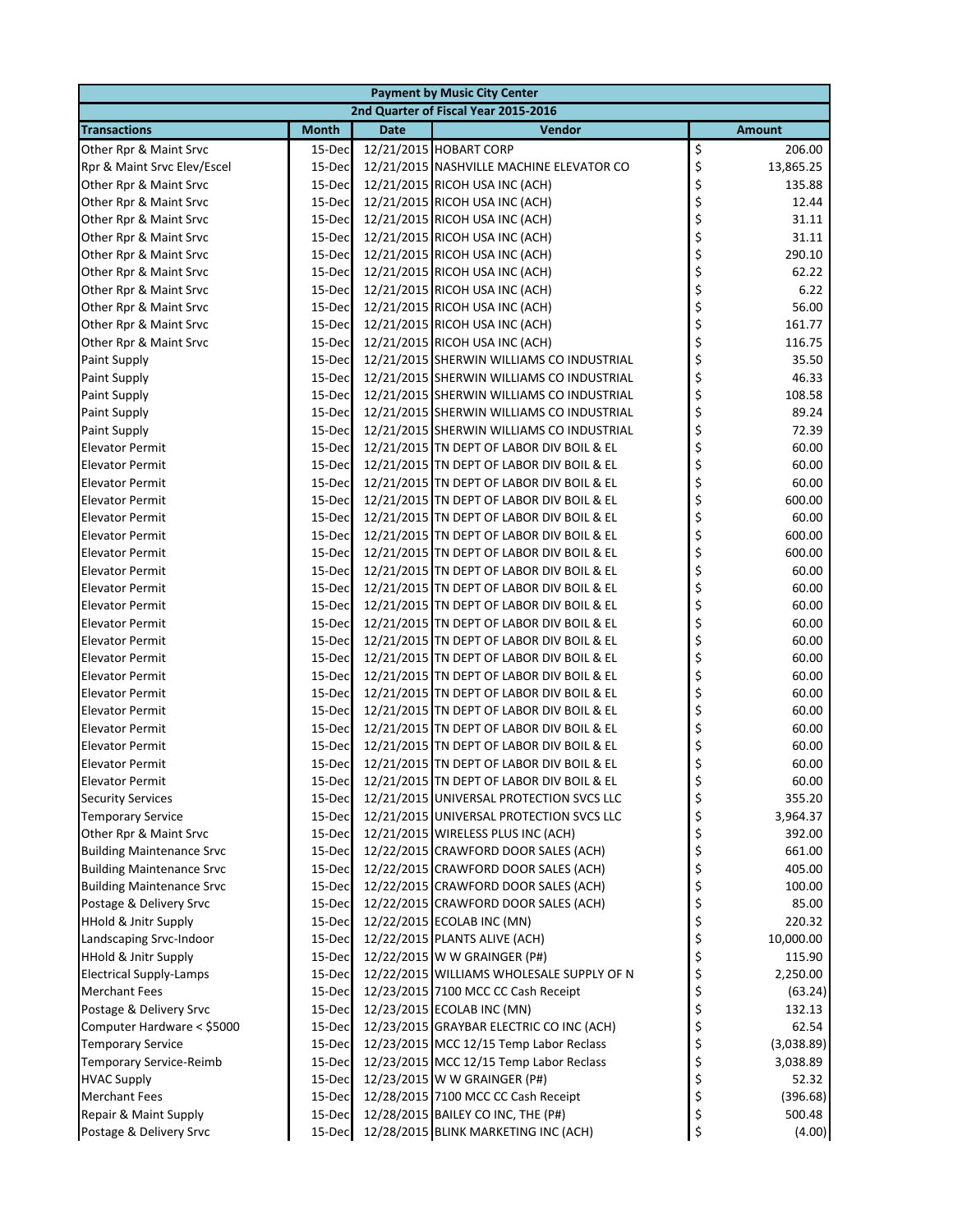| <b>Payment by Music City Center</b> |              |             |                                                  |               |            |  |
|-------------------------------------|--------------|-------------|--------------------------------------------------|---------------|------------|--|
|                                     |              |             | 2nd Quarter of Fiscal Year 2015-2016             |               |            |  |
| <b>Transactions</b>                 | <b>Month</b> | <b>Date</b> | Vendor                                           | <b>Amount</b> |            |  |
| Other Rpr & Maint Srvc              | 15-Dec       |             | 12/21/2015 HOBART CORP                           | \$            | 206.00     |  |
| Rpr & Maint Srvc Elev/Escel         | 15-Dec       |             | 12/21/2015 NASHVILLE MACHINE ELEVATOR CO         | \$            | 13,865.25  |  |
| Other Rpr & Maint Srvc              | 15-Dec       |             | 12/21/2015 RICOH USA INC (ACH)                   | \$            | 135.88     |  |
| Other Rpr & Maint Srvc              | 15-Dec       |             | 12/21/2015 RICOH USA INC (ACH)                   | \$            | 12.44      |  |
| Other Rpr & Maint Srvc              | 15-Dec       |             | 12/21/2015 RICOH USA INC (ACH)                   | \$            | 31.11      |  |
| Other Rpr & Maint Srvc              | 15-Dec       |             | 12/21/2015 RICOH USA INC (ACH)                   | \$            | 31.11      |  |
| Other Rpr & Maint Srvc              | 15-Dec       |             | 12/21/2015 RICOH USA INC (ACH)                   | \$            | 290.10     |  |
| Other Rpr & Maint Srvc              | 15-Dec       |             | 12/21/2015 RICOH USA INC (ACH)                   | \$            | 62.22      |  |
| Other Rpr & Maint Srvc              | 15-Dec       |             | 12/21/2015 RICOH USA INC (ACH)                   | \$            | 6.22       |  |
| Other Rpr & Maint Srvc              | 15-Dec       |             | 12/21/2015 RICOH USA INC (ACH)                   | \$            | 56.00      |  |
| Other Rpr & Maint Srvc              | 15-Dec       |             | 12/21/2015 RICOH USA INC (ACH)                   | \$            | 161.77     |  |
| Other Rpr & Maint Srvc              | 15-Dec       |             | 12/21/2015 RICOH USA INC (ACH)                   | \$            | 116.75     |  |
| Paint Supply                        | 15-Dec       |             | 12/21/2015 SHERWIN WILLIAMS CO INDUSTRIAL        | \$            | 35.50      |  |
| <b>Paint Supply</b>                 | 15-Dec       |             | 12/21/2015 SHERWIN WILLIAMS CO INDUSTRIAL        | \$            | 46.33      |  |
| <b>Paint Supply</b>                 | 15-Dec       |             | 12/21/2015 SHERWIN WILLIAMS CO INDUSTRIAL        | \$            | 108.58     |  |
| <b>Paint Supply</b>                 | 15-Dec       |             | 12/21/2015 SHERWIN WILLIAMS CO INDUSTRIAL        | \$            | 89.24      |  |
| <b>Paint Supply</b>                 | 15-Dec       |             | 12/21/2015 SHERWIN WILLIAMS CO INDUSTRIAL        | \$            | 72.39      |  |
| <b>Elevator Permit</b>              | 15-Dec       |             | 12/21/2015 TN DEPT OF LABOR DIV BOIL & EL        | \$            | 60.00      |  |
| <b>Elevator Permit</b>              | 15-Dec       |             | 12/21/2015 TN DEPT OF LABOR DIV BOIL & EL        | \$            | 60.00      |  |
| <b>Elevator Permit</b>              | 15-Dec       |             | 12/21/2015 TN DEPT OF LABOR DIV BOIL & EL        | \$            | 60.00      |  |
| <b>Elevator Permit</b>              | 15-Dec       |             | 12/21/2015 TN DEPT OF LABOR DIV BOIL & EL        | \$            | 600.00     |  |
| <b>Elevator Permit</b>              | 15-Dec       |             | 12/21/2015 TN DEPT OF LABOR DIV BOIL & EL        | \$            | 60.00      |  |
| <b>Elevator Permit</b>              | 15-Dec       |             | 12/21/2015 TN DEPT OF LABOR DIV BOIL & EL        | \$            | 600.00     |  |
| <b>Elevator Permit</b>              | 15-Dec       |             | 12/21/2015 TN DEPT OF LABOR DIV BOIL & EL        | \$            | 600.00     |  |
| <b>Elevator Permit</b>              | 15-Dec       |             | 12/21/2015 TN DEPT OF LABOR DIV BOIL & EL        | \$            | 60.00      |  |
| <b>Elevator Permit</b>              | 15-Dec       |             | 12/21/2015 TN DEPT OF LABOR DIV BOIL & EL        | \$            | 60.00      |  |
| <b>Elevator Permit</b>              | 15-Dec       |             | 12/21/2015 TN DEPT OF LABOR DIV BOIL & EL        | \$            | 60.00      |  |
| <b>Elevator Permit</b>              | 15-Dec       |             | 12/21/2015 TN DEPT OF LABOR DIV BOIL & EL        | \$            | 60.00      |  |
| <b>Elevator Permit</b>              | 15-Dec       |             | 12/21/2015 TN DEPT OF LABOR DIV BOIL & EL        | \$            | 60.00      |  |
| <b>Elevator Permit</b>              | 15-Dec       |             | 12/21/2015 TN DEPT OF LABOR DIV BOIL & EL        | \$            | 60.00      |  |
| <b>Elevator Permit</b>              | 15-Dec       |             | 12/21/2015 TN DEPT OF LABOR DIV BOIL & EL        | \$            | 60.00      |  |
| <b>Elevator Permit</b>              | 15-Dec       |             | 12/21/2015 TN DEPT OF LABOR DIV BOIL & EL        | \$            | 60.00      |  |
| <b>Elevator Permit</b>              | 15-Dec       |             | 12/21/2015 TN DEPT OF LABOR DIV BOIL & EL        | \$            | 60.00      |  |
| <b>Elevator Permit</b>              | 15-Dec       |             | 12/21/2015 TN DEPT OF LABOR DIV BOIL & EL        | \$            | 60.00      |  |
| <b>Elevator Permit</b>              | 15-Dec       |             | 12/21/2015 TN DEPT OF LABOR DIV BOIL & EL        | \$            | 60.00      |  |
| <b>Elevator Permit</b>              | 15-Dec       |             | 12/21/2015 TN DEPT OF LABOR DIV BOIL & EL        | \$            | 60.00      |  |
| <b>Elevator Permit</b>              |              |             | 15-Dec 12/21/2015 TN DEPT OF LABOR DIV BOIL & EL |               | 60.00      |  |
| <b>Security Services</b>            | 15-Dec       |             | 12/21/2015 UNIVERSAL PROTECTION SVCS LLC         | \$            | 355.20     |  |
| <b>Temporary Service</b>            | 15-Dec       |             | 12/21/2015 UNIVERSAL PROTECTION SVCS LLC         | \$            | 3,964.37   |  |
| Other Rpr & Maint Srvc              | 15-Dec       |             | 12/21/2015 WIRELESS PLUS INC (ACH)               | \$            | 392.00     |  |
| <b>Building Maintenance Srvc</b>    | 15-Dec       |             | 12/22/2015 CRAWFORD DOOR SALES (ACH)             | \$            | 661.00     |  |
| <b>Building Maintenance Srvc</b>    | 15-Dec       |             | 12/22/2015 CRAWFORD DOOR SALES (ACH)             | \$            | 405.00     |  |
| <b>Building Maintenance Srvc</b>    | 15-Dec       |             | 12/22/2015 CRAWFORD DOOR SALES (ACH)             | \$            | 100.00     |  |
| Postage & Delivery Srvc             | 15-Dec       |             | 12/22/2015 CRAWFORD DOOR SALES (ACH)             | \$            | 85.00      |  |
| <b>HHold &amp; Jnitr Supply</b>     | 15-Dec       |             | 12/22/2015 ECOLAB INC (MN)                       | \$            | 220.32     |  |
| Landscaping Srvc-Indoor             | 15-Dec       |             | 12/22/2015 PLANTS ALIVE (ACH)                    | \$            | 10,000.00  |  |
| <b>HHold &amp; Jnitr Supply</b>     | 15-Dec       |             | 12/22/2015 W W GRAINGER (P#)                     | \$            | 115.90     |  |
| <b>Electrical Supply-Lamps</b>      | 15-Dec       |             | 12/22/2015 WILLIAMS WHOLESALE SUPPLY OF N        | \$            | 2,250.00   |  |
| <b>Merchant Fees</b>                | 15-Dec       |             | 12/23/2015 7100 MCC CC Cash Receipt              | \$            | (63.24)    |  |
| Postage & Delivery Srvc             | 15-Dec       |             | 12/23/2015 ECOLAB INC (MN)                       | \$            | 132.13     |  |
| Computer Hardware < \$5000          | 15-Dec       |             | 12/23/2015 GRAYBAR ELECTRIC CO INC (ACH)         | \$            | 62.54      |  |
| <b>Temporary Service</b>            | 15-Dec       |             | 12/23/2015 MCC 12/15 Temp Labor Reclass          | \$            | (3,038.89) |  |
| Temporary Service-Reimb             | 15-Dec       |             | 12/23/2015 MCC 12/15 Temp Labor Reclass          | \$            | 3,038.89   |  |
| <b>HVAC Supply</b>                  | 15-Dec       |             | 12/23/2015 W W GRAINGER (P#)                     | \$            | 52.32      |  |
| <b>Merchant Fees</b>                | 15-Dec       |             | 12/28/2015 7100 MCC CC Cash Receipt              | \$            | (396.68)   |  |
| Repair & Maint Supply               | 15-Dec       |             | 12/28/2015 BAILEY CO INC, THE (P#)               | \$            | 500.48     |  |
| Postage & Delivery Srvc             | 15-Dec       |             | 12/28/2015 BLINK MARKETING INC (ACH)             | \$            | (4.00)     |  |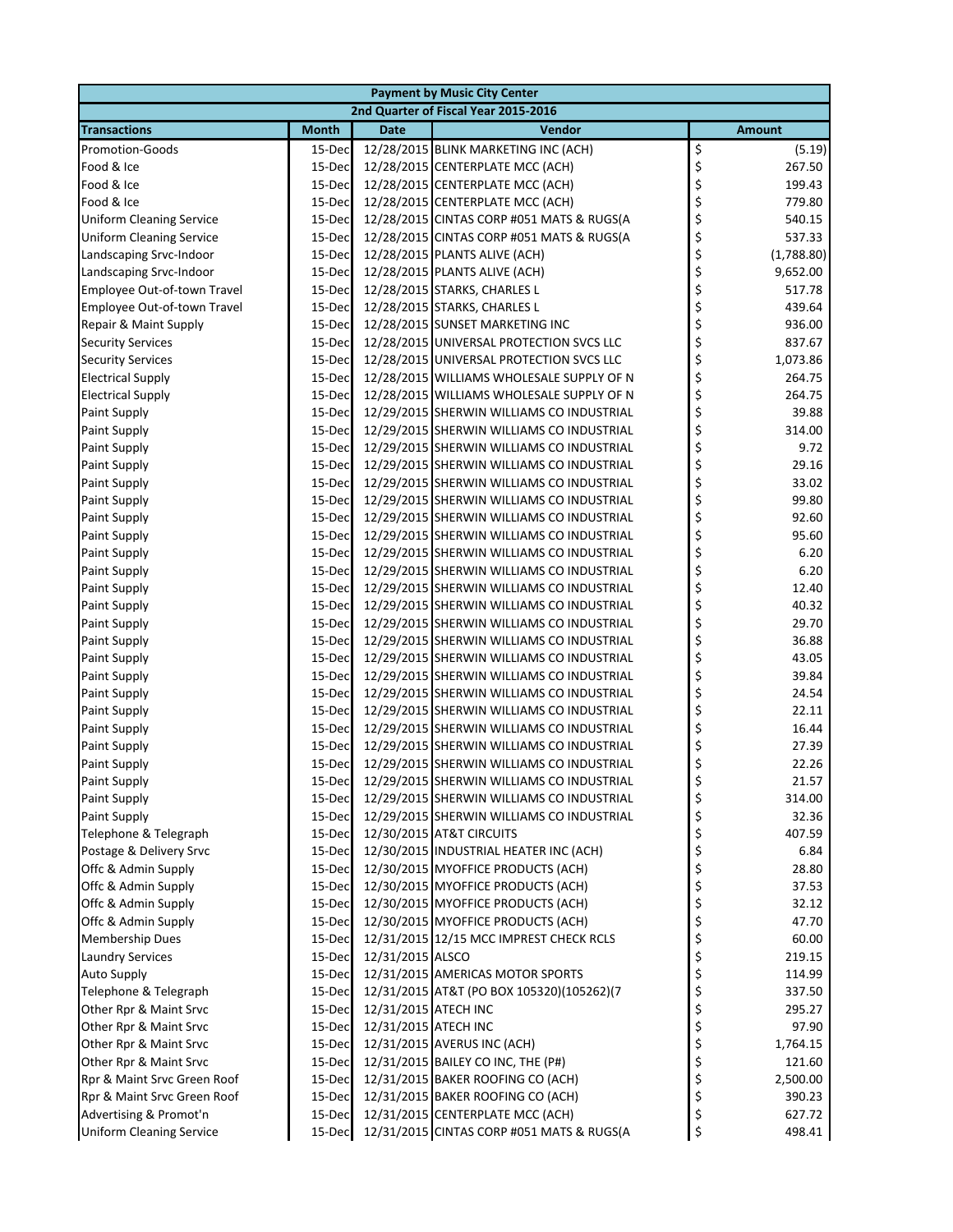|                                      |              |                      | <b>Payment by Music City Center</b>              |    |               |  |  |  |  |  |
|--------------------------------------|--------------|----------------------|--------------------------------------------------|----|---------------|--|--|--|--|--|
| 2nd Quarter of Fiscal Year 2015-2016 |              |                      |                                                  |    |               |  |  |  |  |  |
| <b>Transactions</b>                  | <b>Month</b> | <b>Date</b>          | Vendor                                           |    | <b>Amount</b> |  |  |  |  |  |
| <b>Promotion-Goods</b>               | 15-Dec       |                      | 12/28/2015 BLINK MARKETING INC (ACH)             | \$ | (5.19)        |  |  |  |  |  |
| Food & Ice                           | 15-Dec       |                      | 12/28/2015 CENTERPLATE MCC (ACH)                 | \$ | 267.50        |  |  |  |  |  |
| Food & Ice                           | 15-Dec       |                      | 12/28/2015 CENTERPLATE MCC (ACH)                 | \$ | 199.43        |  |  |  |  |  |
| Food & Ice                           | 15-Dec       |                      | 12/28/2015 CENTERPLATE MCC (ACH)                 | \$ | 779.80        |  |  |  |  |  |
| <b>Uniform Cleaning Service</b>      | 15-Dec       |                      | 12/28/2015 CINTAS CORP #051 MATS & RUGS(A        | \$ | 540.15        |  |  |  |  |  |
| <b>Uniform Cleaning Service</b>      | 15-Dec       |                      | 12/28/2015 CINTAS CORP #051 MATS & RUGS(A        | \$ | 537.33        |  |  |  |  |  |
| Landscaping Srvc-Indoor              | 15-Dec       |                      | 12/28/2015 PLANTS ALIVE (ACH)                    | \$ | (1,788.80)    |  |  |  |  |  |
| Landscaping Srvc-Indoor              | 15-Dec       |                      | 12/28/2015 PLANTS ALIVE (ACH)                    | \$ | 9,652.00      |  |  |  |  |  |
| Employee Out-of-town Travel          | 15-Dec       |                      | 12/28/2015 STARKS, CHARLES L                     | \$ | 517.78        |  |  |  |  |  |
| Employee Out-of-town Travel          | 15-Dec       |                      | 12/28/2015 STARKS, CHARLES L                     | \$ | 439.64        |  |  |  |  |  |
| Repair & Maint Supply                | 15-Dec       |                      | 12/28/2015 SUNSET MARKETING INC                  | \$ | 936.00        |  |  |  |  |  |
| <b>Security Services</b>             | 15-Dec       |                      | 12/28/2015 UNIVERSAL PROTECTION SVCS LLC         | \$ | 837.67        |  |  |  |  |  |
| <b>Security Services</b>             | 15-Dec       |                      | 12/28/2015 UNIVERSAL PROTECTION SVCS LLC         | \$ | 1,073.86      |  |  |  |  |  |
| <b>Electrical Supply</b>             | 15-Dec       |                      | 12/28/2015 WILLIAMS WHOLESALE SUPPLY OF N        | \$ | 264.75        |  |  |  |  |  |
| <b>Electrical Supply</b>             | 15-Dec       |                      | 12/28/2015 WILLIAMS WHOLESALE SUPPLY OF N        | \$ | 264.75        |  |  |  |  |  |
| <b>Paint Supply</b>                  | 15-Dec       |                      | 12/29/2015 SHERWIN WILLIAMS CO INDUSTRIAL        | \$ | 39.88         |  |  |  |  |  |
| Paint Supply                         | 15-Dec       |                      | 12/29/2015 SHERWIN WILLIAMS CO INDUSTRIAL        | \$ | 314.00        |  |  |  |  |  |
| <b>Paint Supply</b>                  | 15-Dec       |                      | 12/29/2015 SHERWIN WILLIAMS CO INDUSTRIAL        | \$ | 9.72          |  |  |  |  |  |
| <b>Paint Supply</b>                  | 15-Dec       |                      | 12/29/2015 SHERWIN WILLIAMS CO INDUSTRIAL        | \$ | 29.16         |  |  |  |  |  |
| Paint Supply                         | 15-Dec       |                      | 12/29/2015 SHERWIN WILLIAMS CO INDUSTRIAL        | \$ | 33.02         |  |  |  |  |  |
| <b>Paint Supply</b>                  | 15-Dec       |                      | 12/29/2015 SHERWIN WILLIAMS CO INDUSTRIAL        | \$ | 99.80         |  |  |  |  |  |
| <b>Paint Supply</b>                  | 15-Dec       |                      | 12/29/2015 SHERWIN WILLIAMS CO INDUSTRIAL        | \$ | 92.60         |  |  |  |  |  |
| <b>Paint Supply</b>                  | 15-Dec       |                      | 12/29/2015 SHERWIN WILLIAMS CO INDUSTRIAL        | \$ | 95.60         |  |  |  |  |  |
| <b>Paint Supply</b>                  | 15-Dec       |                      | 12/29/2015 SHERWIN WILLIAMS CO INDUSTRIAL        | \$ | 6.20          |  |  |  |  |  |
| Paint Supply                         | 15-Dec       |                      | 12/29/2015 SHERWIN WILLIAMS CO INDUSTRIAL        | \$ | 6.20          |  |  |  |  |  |
| Paint Supply                         | 15-Dec       |                      | 12/29/2015 SHERWIN WILLIAMS CO INDUSTRIAL        | \$ | 12.40         |  |  |  |  |  |
| <b>Paint Supply</b>                  | 15-Dec       |                      | 12/29/2015 SHERWIN WILLIAMS CO INDUSTRIAL        | \$ | 40.32         |  |  |  |  |  |
| <b>Paint Supply</b>                  | 15-Dec       |                      | 12/29/2015 SHERWIN WILLIAMS CO INDUSTRIAL        | \$ | 29.70         |  |  |  |  |  |
| <b>Paint Supply</b>                  | 15-Dec       |                      | 12/29/2015 SHERWIN WILLIAMS CO INDUSTRIAL        | \$ | 36.88         |  |  |  |  |  |
| <b>Paint Supply</b>                  | 15-Dec       |                      | 12/29/2015 SHERWIN WILLIAMS CO INDUSTRIAL        | \$ | 43.05         |  |  |  |  |  |
| <b>Paint Supply</b>                  | 15-Dec       |                      | 12/29/2015 SHERWIN WILLIAMS CO INDUSTRIAL        | \$ | 39.84         |  |  |  |  |  |
| <b>Paint Supply</b>                  | 15-Dec       |                      | 12/29/2015 SHERWIN WILLIAMS CO INDUSTRIAL        | \$ | 24.54         |  |  |  |  |  |
| Paint Supply                         | 15-Dec       |                      | 12/29/2015 SHERWIN WILLIAMS CO INDUSTRIAL        | \$ | 22.11         |  |  |  |  |  |
| Paint Supply                         | 15-Dec       |                      | 12/29/2015 SHERWIN WILLIAMS CO INDUSTRIAL        | \$ | 16.44         |  |  |  |  |  |
| <b>Paint Supply</b>                  | 15-Dec       |                      | 12/29/2015 SHERWIN WILLIAMS CO INDUSTRIAL        | \$ | 27.39         |  |  |  |  |  |
| <b>Paint Supply</b>                  | 15-Dec       |                      | 12/29/2015 SHERWIN WILLIAMS CO INDUSTRIAL        | \$ | 22.26         |  |  |  |  |  |
| Paint Supply                         |              |                      | 15-Dec 12/29/2015 SHERWIN WILLIAMS CO INDUSTRIAL |    | 21.57         |  |  |  |  |  |
| <b>Paint Supply</b>                  | 15-Dec       |                      | 12/29/2015 SHERWIN WILLIAMS CO INDUSTRIAL        | \$ | 314.00        |  |  |  |  |  |
| <b>Paint Supply</b>                  | 15-Dec       |                      | 12/29/2015 SHERWIN WILLIAMS CO INDUSTRIAL        | \$ | 32.36         |  |  |  |  |  |
| Telephone & Telegraph                | 15-Dec       |                      | 12/30/2015 AT&T CIRCUITS                         | \$ | 407.59        |  |  |  |  |  |
| Postage & Delivery Srvc              | 15-Dec       |                      | 12/30/2015 INDUSTRIAL HEATER INC (ACH)           | \$ | 6.84          |  |  |  |  |  |
| Offc & Admin Supply                  | 15-Dec       |                      | 12/30/2015 MYOFFICE PRODUCTS (ACH)               | \$ | 28.80         |  |  |  |  |  |
| Offc & Admin Supply                  | 15-Dec       |                      | 12/30/2015 MYOFFICE PRODUCTS (ACH)               | \$ | 37.53         |  |  |  |  |  |
| Offc & Admin Supply                  | 15-Dec       |                      | 12/30/2015 MYOFFICE PRODUCTS (ACH)               | \$ | 32.12         |  |  |  |  |  |
| Offc & Admin Supply                  | 15-Dec       |                      | 12/30/2015 MYOFFICE PRODUCTS (ACH)               | \$ | 47.70         |  |  |  |  |  |
| <b>Membership Dues</b>               | 15-Dec       |                      | 12/31/2015 12/15 MCC IMPREST CHECK RCLS          | \$ | 60.00         |  |  |  |  |  |
| <b>Laundry Services</b>              | 15-Dec       | 12/31/2015 ALSCO     |                                                  | \$ | 219.15        |  |  |  |  |  |
| <b>Auto Supply</b>                   | 15-Dec       |                      | 12/31/2015 AMERICAS MOTOR SPORTS                 | \$ | 114.99        |  |  |  |  |  |
| Telephone & Telegraph                | 15-Dec       |                      | 12/31/2015 AT&T (PO BOX 105320)(105262)(7        | \$ | 337.50        |  |  |  |  |  |
| Other Rpr & Maint Srvc               | 15-Dec       | 12/31/2015 ATECH INC |                                                  | \$ | 295.27        |  |  |  |  |  |
| Other Rpr & Maint Srvc               | 15-Dec       | 12/31/2015 ATECH INC |                                                  | \$ | 97.90         |  |  |  |  |  |
| Other Rpr & Maint Srvc               | 15-Dec       |                      | 12/31/2015 AVERUS INC (ACH)                      | \$ | 1,764.15      |  |  |  |  |  |
| Other Rpr & Maint Srvc               | 15-Dec       |                      | 12/31/2015 BAILEY CO INC, THE (P#)               |    | 121.60        |  |  |  |  |  |
| Rpr & Maint Srvc Green Roof          | 15-Dec       |                      | 12/31/2015 BAKER ROOFING CO (ACH)                | \$ | 2,500.00      |  |  |  |  |  |
| Rpr & Maint Srvc Green Roof          | 15-Dec       |                      | 12/31/2015 BAKER ROOFING CO (ACH)                | \$ | 390.23        |  |  |  |  |  |
| Advertising & Promot'n               | 15-Dec       |                      | 12/31/2015 CENTERPLATE MCC (ACH)                 | \$ | 627.72        |  |  |  |  |  |
| <b>Uniform Cleaning Service</b>      | 15-Dec       |                      | 12/31/2015 CINTAS CORP #051 MATS & RUGS(A        |    | 498.41        |  |  |  |  |  |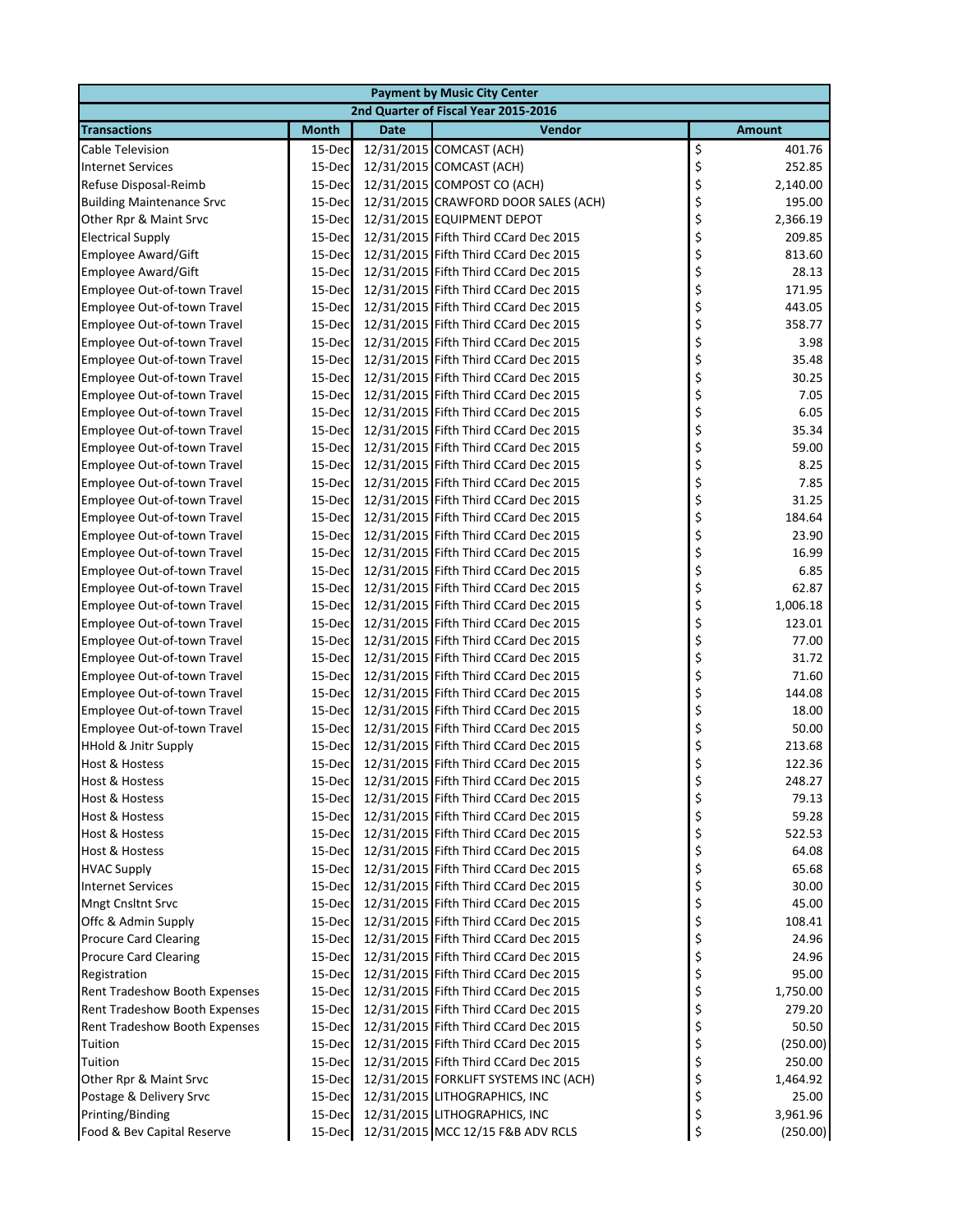|                                      |              |             | <b>Payment by Music City Center</b>   |    |               |  |  |  |  |
|--------------------------------------|--------------|-------------|---------------------------------------|----|---------------|--|--|--|--|
| 2nd Quarter of Fiscal Year 2015-2016 |              |             |                                       |    |               |  |  |  |  |
| <b>Transactions</b>                  | <b>Month</b> | <b>Date</b> | Vendor                                |    | <b>Amount</b> |  |  |  |  |
| <b>Cable Television</b>              | 15-Dec       |             | 12/31/2015 COMCAST (ACH)              | \$ | 401.76        |  |  |  |  |
| <b>Internet Services</b>             | 15-Dec       |             | 12/31/2015 COMCAST (ACH)              | \$ | 252.85        |  |  |  |  |
| Refuse Disposal-Reimb                | 15-Dec       |             | 12/31/2015 COMPOST CO (ACH)           | \$ | 2,140.00      |  |  |  |  |
| <b>Building Maintenance Srvc</b>     | 15-Dec       |             | 12/31/2015 CRAWFORD DOOR SALES (ACH)  | \$ | 195.00        |  |  |  |  |
| Other Rpr & Maint Srvc               | 15-Dec       |             | 12/31/2015 EQUIPMENT DEPOT            | \$ | 2,366.19      |  |  |  |  |
| <b>Electrical Supply</b>             | 15-Dec       |             | 12/31/2015 Fifth Third CCard Dec 2015 | \$ | 209.85        |  |  |  |  |
| Employee Award/Gift                  | 15-Dec       |             | 12/31/2015 Fifth Third CCard Dec 2015 | \$ | 813.60        |  |  |  |  |
| Employee Award/Gift                  | 15-Dec       |             | 12/31/2015 Fifth Third CCard Dec 2015 | \$ | 28.13         |  |  |  |  |
| Employee Out-of-town Travel          | 15-Dec       |             | 12/31/2015 Fifth Third CCard Dec 2015 | \$ | 171.95        |  |  |  |  |
| Employee Out-of-town Travel          | 15-Dec       |             | 12/31/2015 Fifth Third CCard Dec 2015 | \$ | 443.05        |  |  |  |  |
| Employee Out-of-town Travel          | 15-Dec       |             | 12/31/2015 Fifth Third CCard Dec 2015 | \$ | 358.77        |  |  |  |  |
| Employee Out-of-town Travel          | 15-Dec       |             | 12/31/2015 Fifth Third CCard Dec 2015 | \$ | 3.98          |  |  |  |  |
| Employee Out-of-town Travel          | 15-Dec       |             | 12/31/2015 Fifth Third CCard Dec 2015 | \$ | 35.48         |  |  |  |  |
| Employee Out-of-town Travel          | 15-Dec       |             | 12/31/2015 Fifth Third CCard Dec 2015 | \$ | 30.25         |  |  |  |  |
| Employee Out-of-town Travel          | 15-Dec       |             | 12/31/2015 Fifth Third CCard Dec 2015 | \$ | 7.05          |  |  |  |  |
| Employee Out-of-town Travel          | 15-Dec       |             | 12/31/2015 Fifth Third CCard Dec 2015 | \$ | 6.05          |  |  |  |  |
| Employee Out-of-town Travel          | 15-Dec       |             | 12/31/2015 Fifth Third CCard Dec 2015 | \$ | 35.34         |  |  |  |  |
| Employee Out-of-town Travel          | 15-Dec       |             | 12/31/2015 Fifth Third CCard Dec 2015 | \$ | 59.00         |  |  |  |  |
| Employee Out-of-town Travel          | 15-Dec       |             | 12/31/2015 Fifth Third CCard Dec 2015 | \$ | 8.25          |  |  |  |  |
| Employee Out-of-town Travel          | 15-Dec       |             | 12/31/2015 Fifth Third CCard Dec 2015 | \$ | 7.85          |  |  |  |  |
| Employee Out-of-town Travel          | 15-Dec       |             | 12/31/2015 Fifth Third CCard Dec 2015 | \$ | 31.25         |  |  |  |  |
| Employee Out-of-town Travel          | 15-Dec       |             | 12/31/2015 Fifth Third CCard Dec 2015 | \$ | 184.64        |  |  |  |  |
| Employee Out-of-town Travel          | 15-Dec       |             | 12/31/2015 Fifth Third CCard Dec 2015 | \$ | 23.90         |  |  |  |  |
| Employee Out-of-town Travel          | 15-Dec       |             | 12/31/2015 Fifth Third CCard Dec 2015 | \$ | 16.99         |  |  |  |  |
| Employee Out-of-town Travel          | 15-Dec       |             | 12/31/2015 Fifth Third CCard Dec 2015 | \$ | 6.85          |  |  |  |  |
| Employee Out-of-town Travel          | 15-Dec       |             | 12/31/2015 Fifth Third CCard Dec 2015 | \$ | 62.87         |  |  |  |  |
| Employee Out-of-town Travel          | 15-Dec       |             | 12/31/2015 Fifth Third CCard Dec 2015 | \$ | 1,006.18      |  |  |  |  |
| Employee Out-of-town Travel          | 15-Dec       |             | 12/31/2015 Fifth Third CCard Dec 2015 | \$ | 123.01        |  |  |  |  |
| Employee Out-of-town Travel          | 15-Dec       |             | 12/31/2015 Fifth Third CCard Dec 2015 | \$ | 77.00         |  |  |  |  |
| Employee Out-of-town Travel          | 15-Dec       |             | 12/31/2015 Fifth Third CCard Dec 2015 | \$ | 31.72         |  |  |  |  |
| Employee Out-of-town Travel          | 15-Dec       |             | 12/31/2015 Fifth Third CCard Dec 2015 | \$ | 71.60         |  |  |  |  |
| Employee Out-of-town Travel          | 15-Dec       |             | 12/31/2015 Fifth Third CCard Dec 2015 | \$ | 144.08        |  |  |  |  |
| Employee Out-of-town Travel          | 15-Dec       |             | 12/31/2015 Fifth Third CCard Dec 2015 | \$ | 18.00         |  |  |  |  |
| Employee Out-of-town Travel          | 15-Dec       |             | 12/31/2015 Fifth Third CCard Dec 2015 | \$ | 50.00         |  |  |  |  |
| <b>HHold &amp; Jnitr Supply</b>      | 15-Dec       |             | 12/31/2015 Fifth Third CCard Dec 2015 | \$ | 213.68        |  |  |  |  |
| <b>Host &amp; Hostess</b>            | 15-Dec       |             | 12/31/2015 Fifth Third CCard Dec 2015 | \$ | 122.36        |  |  |  |  |
| Host & Hostess                       | 15-Dec       |             | 12/31/2015 Fifth Third CCard Dec 2015 |    | 248.27        |  |  |  |  |
| Host & Hostess                       | 15-Dec       |             | 12/31/2015 Fifth Third CCard Dec 2015 | \$ | 79.13         |  |  |  |  |
| Host & Hostess                       | 15-Dec       |             | 12/31/2015 Fifth Third CCard Dec 2015 | \$ | 59.28         |  |  |  |  |
| Host & Hostess                       | 15-Dec       |             | 12/31/2015 Fifth Third CCard Dec 2015 | \$ | 522.53        |  |  |  |  |
| Host & Hostess                       | 15-Dec       |             | 12/31/2015 Fifth Third CCard Dec 2015 | \$ | 64.08         |  |  |  |  |
| <b>HVAC Supply</b>                   | 15-Dec       |             | 12/31/2015 Fifth Third CCard Dec 2015 | \$ | 65.68         |  |  |  |  |
| <b>Internet Services</b>             | 15-Dec       |             | 12/31/2015 Fifth Third CCard Dec 2015 | \$ | 30.00         |  |  |  |  |
| <b>Mngt Cnsltnt Srvc</b>             | 15-Dec       |             | 12/31/2015 Fifth Third CCard Dec 2015 | \$ | 45.00         |  |  |  |  |
| Offc & Admin Supply                  | 15-Dec       |             | 12/31/2015 Fifth Third CCard Dec 2015 | \$ | 108.41        |  |  |  |  |
| <b>Procure Card Clearing</b>         | 15-Dec       |             | 12/31/2015 Fifth Third CCard Dec 2015 | \$ | 24.96         |  |  |  |  |
| <b>Procure Card Clearing</b>         | 15-Dec       |             | 12/31/2015 Fifth Third CCard Dec 2015 | \$ | 24.96         |  |  |  |  |
| Registration                         | 15-Dec       |             | 12/31/2015 Fifth Third CCard Dec 2015 | \$ | 95.00         |  |  |  |  |
| Rent Tradeshow Booth Expenses        | 15-Dec       |             | 12/31/2015 Fifth Third CCard Dec 2015 | \$ | 1,750.00      |  |  |  |  |
| Rent Tradeshow Booth Expenses        | 15-Dec       |             | 12/31/2015 Fifth Third CCard Dec 2015 | \$ | 279.20        |  |  |  |  |
| Rent Tradeshow Booth Expenses        | 15-Dec       |             | 12/31/2015 Fifth Third CCard Dec 2015 | \$ | 50.50         |  |  |  |  |
| Tuition                              | 15-Dec       |             | 12/31/2015 Fifth Third CCard Dec 2015 | \$ | (250.00)      |  |  |  |  |
| Tuition                              | 15-Dec       |             | 12/31/2015 Fifth Third CCard Dec 2015 | \$ | 250.00        |  |  |  |  |
| Other Rpr & Maint Srvc               | 15-Dec       |             | 12/31/2015 FORKLIFT SYSTEMS INC (ACH) | \$ | 1,464.92      |  |  |  |  |
| Postage & Delivery Srvc              | 15-Dec       |             | 12/31/2015 LITHOGRAPHICS, INC         | \$ | 25.00         |  |  |  |  |
| Printing/Binding                     | 15-Dec       |             | 12/31/2015 LITHOGRAPHICS, INC         | \$ | 3,961.96      |  |  |  |  |
| Food & Bev Capital Reserve           | 15-Dec       |             | 12/31/2015 MCC 12/15 F&B ADV RCLS     | \$ | (250.00)      |  |  |  |  |